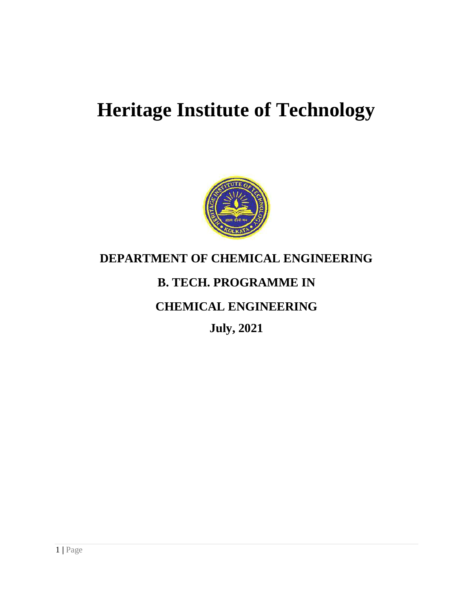# **Heritage Institute of Technology**



# **DEPARTMENT OF CHEMICAL ENGINEERING**

# **B. TECH. PROGRAMME IN**

# **CHEMICAL ENGINEERING**

**July, 2021**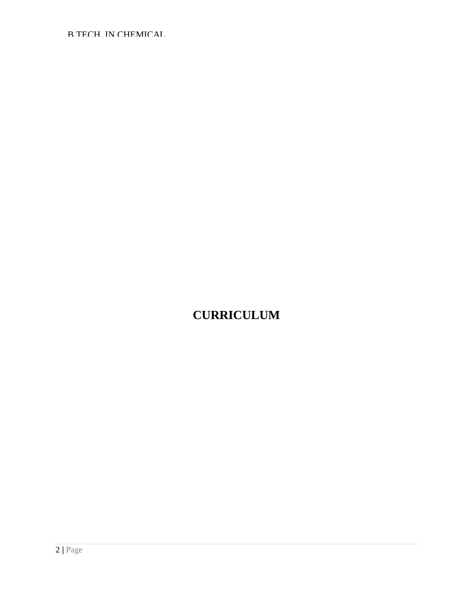# **CURRICULUM**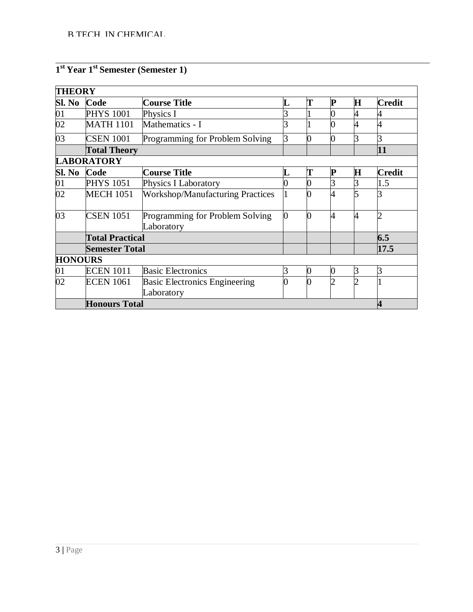# **1 st Year 1st Semester (Semester 1)**

| <b>THEORY</b>   |                        |                                               |   |                |   |             |               |
|-----------------|------------------------|-----------------------------------------------|---|----------------|---|-------------|---------------|
| Sl. No          | Code                   | Course Title                                  |   | T              |   | $\mathbf H$ | <b>Credit</b> |
| 01              | <b>PHYS 1001</b>       | Physics I                                     |   |                |   |             |               |
| $\overline{02}$ | <b>MATH 1101</b>       | Mathematics - I                               |   |                |   |             |               |
| 03              | <b>CSEN 1001</b>       | Programming for Problem Solving               | 3 |                |   | 3           |               |
|                 | <b>Total Theory</b>    |                                               |   |                |   |             | 11            |
|                 | <b>LABORATORY</b>      |                                               |   |                |   |             |               |
| Sl. No          | Code                   | Course Title                                  |   | T              | P | $\bf H$     | <b>Credit</b> |
| $\overline{01}$ | <b>PHYS 1051</b>       | Physics I Laboratory                          |   |                |   | 3           | 1.5           |
| $\overline{02}$ | <b>MECH 1051</b>       | <b>Workshop/Manufacturing Practices</b>       |   |                |   | 5           |               |
| 03              | <b>CSEN 1051</b>       | Programming for Problem Solving<br>Laboratory | 0 | 0              | 4 | 4           |               |
|                 | <b>Total Practical</b> |                                               |   |                |   |             | 6.5           |
|                 | <b>Semester Total</b>  |                                               |   |                |   |             | 17.5          |
| <b>HONOURS</b>  |                        |                                               |   |                |   |             |               |
| 01              | <b>ECEN 1011</b>       | <b>Basic Electronics</b>                      | 3 | $\bf{0}$       |   | 3           | R             |
| 02              | <b>ECEN 1061</b>       | <b>Basic Electronics Engineering</b>          | 0 | $\overline{0}$ |   | າ           |               |
|                 |                        | Laboratory                                    |   |                |   |             |               |
|                 | <b>Honours Total</b>   |                                               |   |                |   |             |               |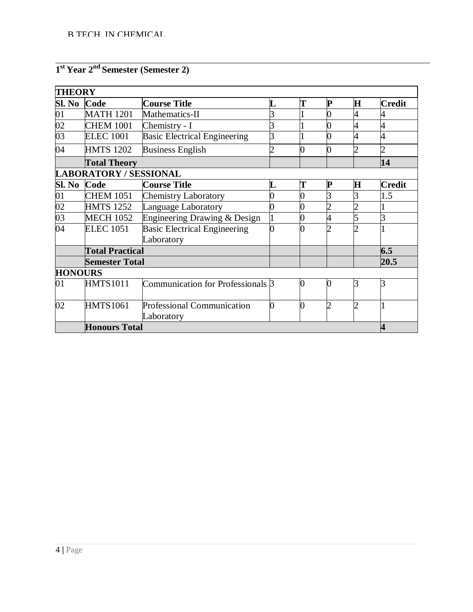#### **1 st Year 2nd Semester (Semester 2)**

| <b>THEORY</b>   |                               |                                                   |   |   |                |   |               |
|-----------------|-------------------------------|---------------------------------------------------|---|---|----------------|---|---------------|
| Sl. No Code     |                               | <b>Course Title</b>                               |   |   | P              | Н | <b>Credit</b> |
| $\overline{01}$ | <b>MATH 1201</b>              | Mathematics-II                                    |   |   |                |   |               |
| $\overline{02}$ | <b>CHEM 1001</b>              | Chemistry - I                                     |   |   |                |   | 4             |
| 03              | <b>ELEC 1001</b>              | <b>Basic Electrical Engineering</b>               |   |   |                |   | 4             |
| 04              | <b>HMTS 1202</b>              | <b>Business English</b>                           |   |   | 0              |   |               |
|                 | <b>Total Theory</b>           |                                                   |   |   |                |   | 14            |
|                 | <b>LABORATORY / SESSIONAL</b> |                                                   |   |   |                |   |               |
| Sl. No          | Code                          | <b>Course Title</b>                               |   |   | P              | Н | <b>Credit</b> |
| 01              | <b>CHEM 1051</b>              | <b>Chemistry Laboratory</b>                       |   |   |                |   | 1.5           |
| $\overline{02}$ | <b>HMTS 1252</b>              | Language Laboratory                               |   |   |                |   |               |
| $\overline{03}$ | <b>MECH 1052</b>              | Engineering Drawing & Design                      |   |   |                |   | 3             |
| 04              | <b>ELEC 1051</b>              | <b>Basic Electrical Engineering</b><br>Laboratory |   |   |                |   |               |
|                 | <b>Total Practical</b>        |                                                   |   |   |                |   | 6.5           |
|                 | <b>Semester Total</b>         |                                                   |   |   |                |   | 20.5          |
| <b>HONOURS</b>  |                               |                                                   |   |   |                |   |               |
| 01              | <b>HMTS1011</b>               | Communication for Professionals 3                 |   |   | $\overline{0}$ | R | 3             |
| 02              | <b>HMTS1061</b>               | <b>Professional Communication</b><br>Laboratory   | 0 | 0 | 2              | ႒ |               |
|                 | <b>Honours Total</b>          |                                                   |   |   |                |   | 4             |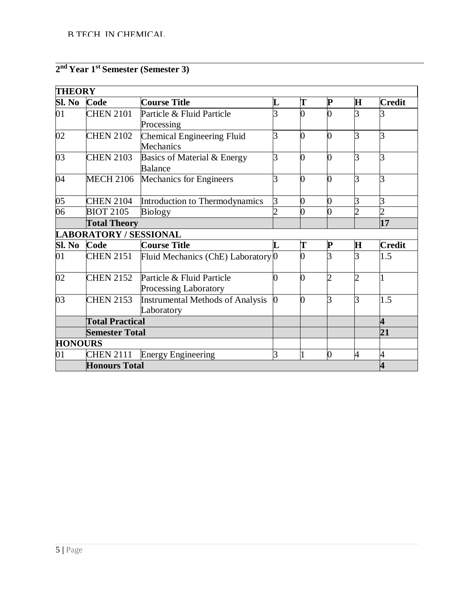# **2 nd Year 1st Semester (Semester 3)**

| <b>THEORY</b>   |                               |                                                    |                         |   |              |                |                         |
|-----------------|-------------------------------|----------------------------------------------------|-------------------------|---|--------------|----------------|-------------------------|
| Sl. No          | Code                          | <b>Course Title</b>                                | $\overline{\mathbf{L}}$ | T | ${\bf P}$    | $\mathbf H$    | <b>Credit</b>           |
| 01              | <b>CHEN 2101</b>              | Particle & Fluid Particle<br>Processing            |                         |   | 0            | 3              |                         |
| 02              | <b>CHEN 2102</b>              | Chemical Engineering Fluid<br>Mechanics            | 3                       | ∩ | 0            | 3              | 3                       |
| 03              | <b>CHEN 2103</b>              | Basics of Material & Energy<br>Balance             | 3                       |   | 0            | 3              | R                       |
| 04              | <b>MECH 2106</b>              | Mechanics for Engineers                            | 3                       | ∩ | 0            | 3              | R                       |
| 05              | <b>CHEN 2104</b>              | Introduction to Thermodynamics                     | 3                       | O | 0            | 3              | 3                       |
| $\overline{06}$ | <b>BIOT 2105</b>              | <b>Biology</b>                                     |                         |   | 0            | $\overline{c}$ |                         |
|                 | <b>Total Theory</b>           |                                                    |                         |   |              |                | 17                      |
|                 | <b>LABORATORY / SESSIONAL</b> |                                                    |                         |   |              |                |                         |
| Sl. No          | Code                          | <b>Course Title</b>                                | L                       | T | P            | $\mathbf H$    | <b>Credit</b>           |
| 01              | <b>CHEN 2151</b>              | Fluid Mechanics (ChE) Laboratory 0                 |                         |   | 3            | R              | 1.5                     |
| 02              | <b>CHEN 2152</b>              | Particle & Fluid Particle<br>Processing Laboratory | 0                       | 0 | 2            | 2              |                         |
| 03              | <b>CHEN 2153</b>              | Instrumental Methods of Analysis<br>Laboratory     | $\overline{0}$          | ∩ | 3            | 3              | 1.5                     |
|                 | <b>Total Practical</b>        |                                                    |                         |   |              |                | $\overline{\mathbf{4}}$ |
|                 | <b>Semester Total</b>         |                                                    |                         |   |              |                | 21                      |
| <b>HONOURS</b>  |                               |                                                    |                         |   |              |                |                         |
| 01              | <b>CHEN 2111</b>              | <b>Energy Engineering</b>                          | 3                       |   | <sup>0</sup> | 4              | 4                       |
|                 | <b>Honours Total</b>          |                                                    |                         |   |              |                | 4                       |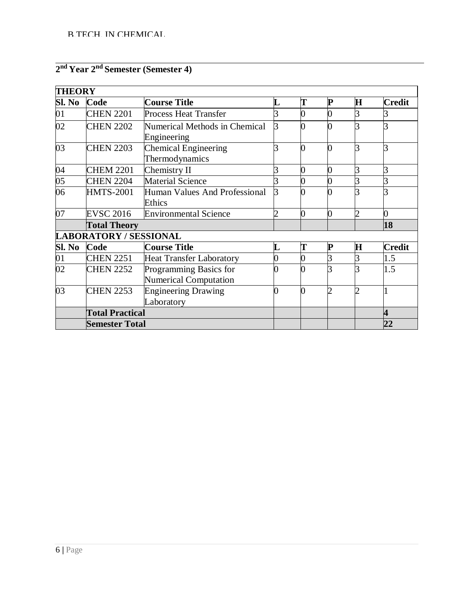|  |  |  |  | 2 <sup>nd</sup> Year 2 <sup>nd</sup> Semester (Semester 4) |
|--|--|--|--|------------------------------------------------------------|
|--|--|--|--|------------------------------------------------------------|

| <b>THEORY</b>   |                               |                                                        |                |   |             |                |                         |
|-----------------|-------------------------------|--------------------------------------------------------|----------------|---|-------------|----------------|-------------------------|
| Sl. No          | Code                          | <b>Course Title</b>                                    |                | Т | P           | $\bf H$        | <b>Credit</b>           |
| 01              | <b>CHEN 2201</b>              | <b>Process Heat Transfer</b>                           |                |   | 0           | 3              |                         |
| 02              | <b>CHEN 2202</b>              | Numerical Methods in Chemical<br>Engineering           | 3              |   |             | R              |                         |
| 03              | <b>CHEN 2203</b>              | <b>Chemical Engineering</b><br>Thermodynamics          | 3              |   | 0           | 3              | 3                       |
| 04              | <b>CHEM 2201</b>              | Chemistry II                                           |                |   | 0           | 3              | 3                       |
| $\overline{05}$ | <b>CHEN 2204</b>              | <b>Material Science</b>                                |                |   |             | 3              | 3                       |
| 06              | <b>HMTS-2001</b>              | Human Values And Professional<br>Ethics                |                |   |             | ゚              |                         |
| 07              | <b>EVSC 2016</b>              | <b>Environmental Science</b>                           | $\overline{2}$ |   | 0           | $\overline{2}$ | $\overline{0}$          |
|                 | <b>Total Theory</b>           |                                                        |                |   |             |                | 18                      |
|                 | <b>LABORATORY / SESSIONAL</b> |                                                        |                |   |             |                |                         |
| Sl. No          | Code                          | <b>Course Title</b>                                    | L              | T | $\mathbf P$ | $\bf H$        | <b>Credit</b>           |
| $\overline{01}$ | <b>CHEN 2251</b>              | <b>Heat Transfer Laboratory</b>                        |                |   |             | 3              | 1.5                     |
| 02              | <b>CHEN 2252</b>              | Programming Basics for<br><b>Numerical Computation</b> |                |   |             | 3              | 1.5                     |
| 03              | <b>CHEN 2253</b>              | <b>Engineering Drawing</b><br>Laboratory               |                |   |             | $\overline{2}$ |                         |
|                 | <b>Total Practical</b>        |                                                        |                |   |             |                | $\overline{\mathbf{4}}$ |
|                 | <b>Semester Total</b>         |                                                        |                |   |             |                | 22                      |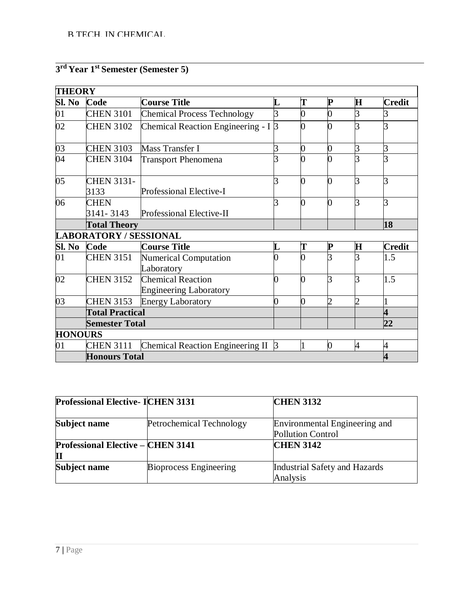# **3 rd Year 1st Semester (Semester 5)**

| <b>THEORY</b>   |                               |                                                    |   |   |                |                |                         |  |
|-----------------|-------------------------------|----------------------------------------------------|---|---|----------------|----------------|-------------------------|--|
| Sl. No          | Code                          | <b>Course Title</b>                                |   | T | P              | $\mathbf H$    | <b>Credit</b>           |  |
| 01              | <b>CHEN 3101</b>              | <b>Chemical Process Technology</b>                 | 3 |   | 0              | 3              |                         |  |
| 02              | <b>CHEN 3102</b>              | Chemical Reaction Engineering - I 3                |   |   |                | 3              | 3                       |  |
| $\overline{03}$ | <b>CHEN 3103</b>              | Mass Transfer I                                    | 3 | N | 0              | 3              | 3                       |  |
| $\overline{04}$ | <b>CHEN 3104</b>              | <b>Transport Phenomena</b>                         |   |   |                | 3              |                         |  |
| $\overline{05}$ | <b>CHEN 3131-</b><br>3133     | Professional Elective-I                            | 3 |   | 0              | 3              | 3                       |  |
| 06              | <b>CHEN</b><br>3141-3143      | Professional Elective-II                           | 3 |   | O              | 3              | 3                       |  |
|                 | <b>Total Theory</b>           |                                                    |   |   |                |                | 18                      |  |
|                 | <b>LABORATORY / SESSIONAL</b> |                                                    |   |   |                |                |                         |  |
| Sl. No          | Code                          | <b>Course Title</b>                                | L | T | $\mathbf P$    | $\mathbf H$    | <b>Credit</b>           |  |
| $\overline{01}$ | <b>CHEN 3151</b>              | Numerical Computation<br>Laboratory                |   |   |                | 3              | 1.5                     |  |
| 02              | <b>CHEN 3152</b>              | Chemical Reaction<br><b>Engineering Laboratory</b> | ⋂ | Λ | R              | 3              | 1.5                     |  |
| 03              | <b>CHEN 3153</b>              | <b>Energy Laboratory</b>                           | 0 | 0 | 2              | $\overline{2}$ |                         |  |
|                 | <b>Total Practical</b>        |                                                    |   |   |                |                | $\overline{\mathbf{4}}$ |  |
|                 | <b>Semester Total</b>         |                                                    |   |   |                |                | 22                      |  |
| <b>HONOURS</b>  |                               |                                                    |   |   |                |                |                         |  |
| 01              | <b>CHEN 3111</b>              | Chemical Reaction Engineering II 3                 |   | 1 | $\overline{0}$ | 4              | 4                       |  |
|                 | <b>Honours Total</b>          |                                                    |   |   |                |                |                         |  |

| <b>Professional Elective- ICHEN 3131</b>      |                               | <b>CHEN 3132</b>                                          |
|-----------------------------------------------|-------------------------------|-----------------------------------------------------------|
| Subject name                                  | Petrochemical Technology      | Environmental Engineering and<br><b>Pollution Control</b> |
| <b>Professional Elective – CHEN 3141</b><br>П |                               | <b>CHEN 3142</b>                                          |
| Subject name                                  | <b>Bioprocess Engineering</b> | Industrial Safety and Hazards<br>Analysis                 |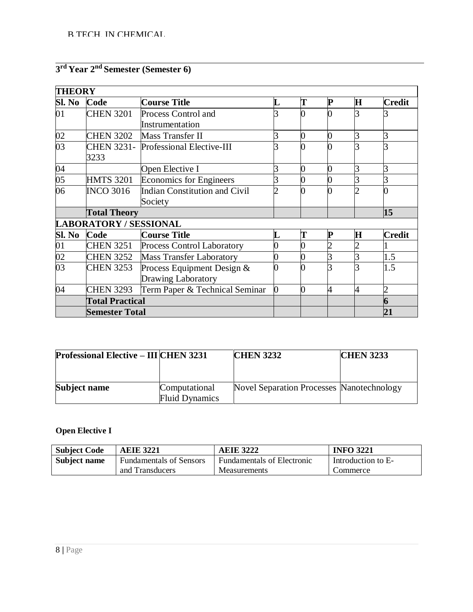# **3 rd Year 2nd Semester (Semester 6)**

| <b>THEORY</b>   |                               |                                      |          |   |   |         |                |
|-----------------|-------------------------------|--------------------------------------|----------|---|---|---------|----------------|
| Sl. No          | Code                          | <b>Course Title</b>                  | L        | T | P | $\bf H$ | <b>Credit</b>  |
| 01              | <b>CHEN 3201</b>              | Process Control and                  |          |   |   |         |                |
|                 |                               | Instrumentation                      |          |   |   |         |                |
| 02              | <b>CHEN 3202</b>              | Mass Transfer II                     |          |   | O | 3       | 3              |
| $\overline{03}$ |                               | CHEN 3231- Professional Elective-III |          |   |   | 3       |                |
|                 | 3233                          |                                      |          |   |   |         |                |
| 04              |                               | Open Elective I                      |          |   | C | 3       |                |
| $\overline{05}$ | <b>HMTS 3201</b>              | <b>Economics for Engineers</b>       |          |   |   | 3       | 3              |
| 06              | <b>INCO 3016</b>              | Indian Constitution and Civil        |          |   |   |         |                |
|                 |                               | Society                              |          |   |   |         |                |
|                 | <b>Total Theory</b>           |                                      |          |   |   |         | 15             |
|                 | <b>LABORATORY / SESSIONAL</b> |                                      |          |   |   |         |                |
| Sl. No          | Code                          | <b>Course Title</b>                  | L        |   | P | $\bf H$ | <b>Credit</b>  |
| 01              | <b>CHEN 3251</b>              | <b>Process Control Laboratory</b>    | 0        |   |   | っ       |                |
| 02              | <b>CHEN 3252</b>              | <b>Mass Transfer Laboratory</b>      | 0        |   | 3 | 3       | 1.5            |
| $\overline{03}$ | <b>CHEN 3253</b>              | Process Equipment Design &           | 0        |   |   | 3       | 1.5            |
|                 |                               | Drawing Laboratory                   |          |   |   |         |                |
| 04              | <b>CHEN 3293</b>              | Term Paper & Technical Seminar       | $\bf{0}$ | 0 | 4 | 4       | $\overline{2}$ |
|                 | <b>Total Practical</b>        |                                      |          |   |   |         | 6              |
|                 | <b>Semester Total</b>         |                                      |          |   |   |         | 21             |

| <b>Professional Elective – III CHEN 3231</b> |                                        | <b>CHEN 3232</b>                                 | <b>CHEN 3233</b> |
|----------------------------------------------|----------------------------------------|--------------------------------------------------|------------------|
|                                              |                                        |                                                  |                  |
| Subject name                                 | Computational<br><b>Fluid Dynamics</b> | <b>Novel Separation Processes Nanotechnology</b> |                  |

# **Open Elective I**

| <b>Subject Code</b> | <b>AEIE 3221</b>               | <b>AEIE 3222</b>           | <b>INFO 3221</b>   |
|---------------------|--------------------------------|----------------------------|--------------------|
| Subject name        | <b>Fundamentals of Sensors</b> | Fundamentals of Electronic | Introduction to E- |
|                     | and Transducers                | <b>Measurements</b>        | Commerce           |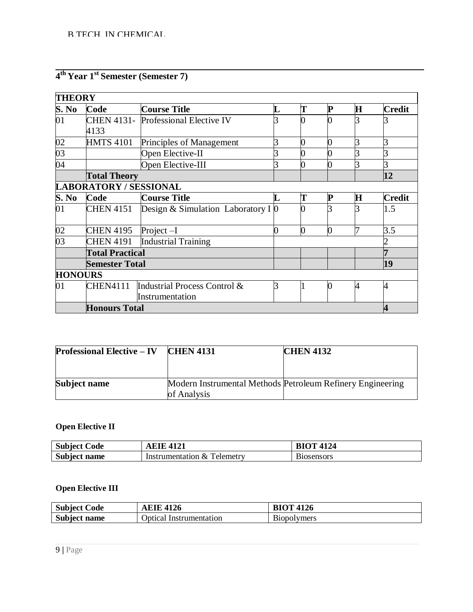|  |  |  |  | 4 <sup>th</sup> Year 1 <sup>st</sup> Semester (Semester 7) |
|--|--|--|--|------------------------------------------------------------|
|--|--|--|--|------------------------------------------------------------|

| <b>THEORY</b>   |                               |                                            |   |   |             |             |               |
|-----------------|-------------------------------|--------------------------------------------|---|---|-------------|-------------|---------------|
| S. No           | Code                          | <b>Course Title</b>                        |   |   | $\mathbf P$ | $\mathbf H$ | <b>Credit</b> |
| 01              |                               | <b>CHEN 4131-</b> Professional Elective IV |   |   |             |             |               |
|                 | 4133                          |                                            |   |   |             |             |               |
| $\frac{02}{03}$ | <b>HMTS 4101</b>              | Principles of Management                   |   |   |             | 3           |               |
|                 |                               | Open Elective-II                           |   |   |             | 3           | 3             |
| $\overline{04}$ |                               | Open Elective-III                          |   |   |             |             | 3             |
|                 | <b>Total Theory</b>           |                                            |   |   |             |             | 12            |
|                 | <b>LABORATORY / SESSIONAL</b> |                                            |   |   |             |             |               |
| S. No           | Code                          | <b>Course Title</b>                        |   | T | P           | $\bf H$     | <b>Credit</b> |
| 01              | <b>CHEN 4151</b>              | Design & Simulation Laboratory I $\theta$  |   |   |             |             | 1.5           |
| 02              | <b>CHEN 4195</b>              | Project $-I$                               |   |   | 0           | 7           | 3.5           |
| 03              | <b>CHEN 4191</b>              | <b>Industrial Training</b>                 |   |   |             |             |               |
|                 | <b>Total Practical</b>        |                                            |   |   |             |             | 7             |
|                 | <b>Semester Total</b>         |                                            |   |   |             |             | 19            |
| <b>HONOURS</b>  |                               |                                            |   |   |             |             |               |
| 01              | <b>CHEN4111</b>               | Industrial Process Control &               | 3 |   | $\bf{0}$    | 4           | 4             |
|                 |                               | Instrumentation                            |   |   |             |             |               |
|                 | <b>Honours Total</b>          |                                            |   |   |             |             | 4             |

| <b>Professional Elective – IV</b> | <b>CHEN 4131</b> | <b>CHEN 4132</b>                                           |
|-----------------------------------|------------------|------------------------------------------------------------|
|                                   |                  |                                                            |
| Subject name                      | of Analysis      | Modern Instrumental Methods Petroleum Refinery Engineering |

# **Open Elective II**

| <b>Code</b><br>Subject |                                             | 4124<br>$^{\circ}$ $\Delta$ . |
|------------------------|---------------------------------------------|-------------------------------|
| <b>Subject</b><br>name | $\mathbf{r}$<br>elemetry<br>Instrumentation | osensors                      |

# **Open Elective III**

| <b>Subject Code</b> | 4126<br>AEIE    | <b>BIOT 4126</b>                                                                                                                                                                                                                                                                                                                                                                                                                                                                                                                                                                                                |
|---------------------|-----------------|-----------------------------------------------------------------------------------------------------------------------------------------------------------------------------------------------------------------------------------------------------------------------------------------------------------------------------------------------------------------------------------------------------------------------------------------------------------------------------------------------------------------------------------------------------------------------------------------------------------------|
| <b>Subject</b>      | Optical         | F.                                                                                                                                                                                                                                                                                                                                                                                                                                                                                                                                                                                                              |
| name                | Instrumentation | B <sub>10</sub> b <sub>10</sub> b <sub>10</sub> b <sub>10</sub> b <sub>10</sub> b <sub>10</sub> b <sub>10</sub> b <sub>10</sub> b <sub>10</sub> b <sub>10</sub> b <sub>10</sub> b <sub>10</sub> b <sub>10</sub> b <sub>10</sub> b <sub>10</sub> b <sub>10</sub> b <sub>10</sub> b <sub>10</sub> b <sub>10</sub> b <sub>10</sub> b <sub>10</sub> b <sub>10</sub> b <sub>10</sub> b <sub>10</sub> b <sub>10</sub> b <sub>10</sub> b <sub>10</sub> b <sub>10</sub> b <sub>10</sub> b <sub>10</sub> b <sub>10</sub> b <sub>10</sub> b <sub>10</sub> b <sub>10</sub> b <sub>10</sub> b <sub>10</sub> b <sub>10</sub> |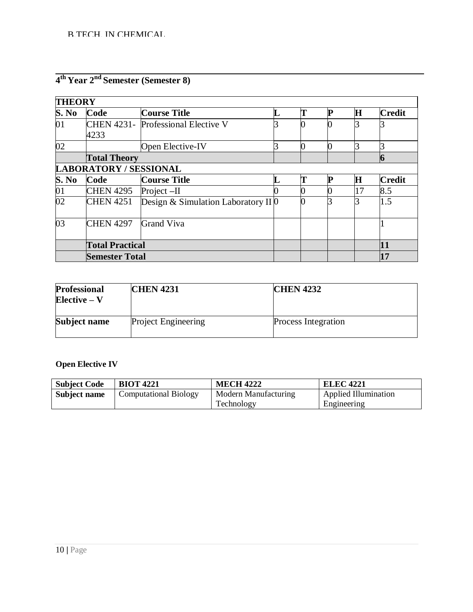| <b>THEORY</b>   |                               |                                     |  |    |               |
|-----------------|-------------------------------|-------------------------------------|--|----|---------------|
| S. No           | Code                          | <b>Course Title</b>                 |  | Н  | <b>Credit</b> |
| 01              | 4233                          | CHEN 4231- Professional Elective V  |  |    |               |
| 02              |                               | Open Elective-IV                    |  |    |               |
|                 | <b>Total Theory</b>           |                                     |  | 6  |               |
|                 | <b>LABORATORY / SESSIONAL</b> |                                     |  |    |               |
| S. No           | Code                          | <b>Course Title</b>                 |  | Н  | <b>Credit</b> |
| 01              | <b>CHEN 4295</b>              | Project $-II$                       |  | 17 | 8.5           |
| $\overline{02}$ | <b>CHEN 4251</b>              | Design & Simulation Laboratory II 0 |  |    | 1.5           |
| 03              | <b>CHEN 4297</b>              | <b>Grand Viva</b>                   |  |    |               |
|                 | <b>Total Practical</b>        |                                     |  |    | 11            |
|                 | <b>Semester Total</b>         |                                     |  |    | 17            |

# **4 th Year 2nd Semester (Semester 8)**

| <b>Professional</b><br>$Elective - V$ | <b>CHEN 4231</b>           | <b>CHEN 4232</b>           |
|---------------------------------------|----------------------------|----------------------------|
| Subject name                          | <b>Project Engineering</b> | <b>Process Integration</b> |

# **Open Elective IV**

| <b>Subject Code</b> | <b>BIOT 4221</b>             | <b>MECH 4222</b>     | <b>ELEC 4221</b>            |
|---------------------|------------------------------|----------------------|-----------------------------|
| Subject name        | <b>Computational Biology</b> | Modern Manufacturing | <b>Applied Illumination</b> |
|                     |                              | Technology           | Engineering                 |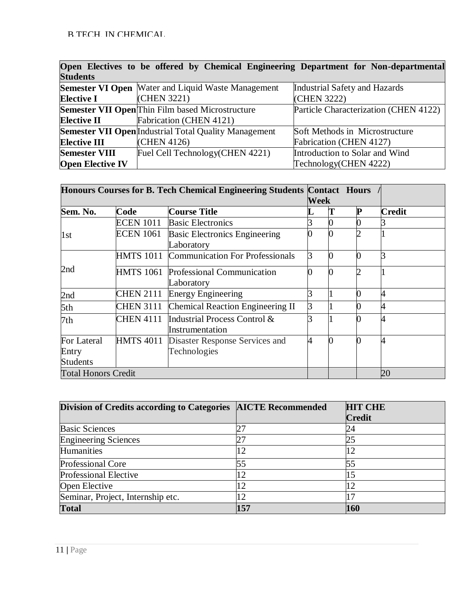|                         | Open Electives to be offered by Chemical Engineering Department for Non-departmental |                                       |
|-------------------------|--------------------------------------------------------------------------------------|---------------------------------------|
| <b>Students</b>         |                                                                                      |                                       |
|                         | <b>Semester VI Open</b> Water and Liquid Waste Management                            | Industrial Safety and Hazards         |
| <b>Elective I</b>       | (CHEN 3221)                                                                          | (CHEN 3222)                           |
|                         | Semester VII Open Thin Film based Microstructure                                     | Particle Characterization (CHEN 4122) |
| <b>Elective II</b>      | Fabrication (CHEN 4121)                                                              |                                       |
|                         | <b>Semester VII Open</b> Industrial Total Quality Management                         | Soft Methods in Microstructure        |
| <b>Elective III</b>     | (CHEN 4126)                                                                          | Fabrication (CHEN 4127)               |
| <b>Semester VIII</b>    | Fuel Cell Technology (CHEN 4221)                                                     | Introduction to Solar and Wind        |
| <b>Open Elective IV</b> |                                                                                      | Technology(CHEN 4222)                 |

|                            |                  | Honours Courses for B. Tech Chemical Engineering Students Contact Hours |             |   |               |
|----------------------------|------------------|-------------------------------------------------------------------------|-------------|---|---------------|
|                            |                  |                                                                         | <b>Week</b> |   |               |
| Sem. No.                   | Code             | <b>Course Title</b>                                                     |             | P | <b>Credit</b> |
|                            | <b>ECEN 1011</b> | <b>Basic Electronics</b>                                                |             |   |               |
| 1st                        | <b>ECEN 1061</b> | <b>Basic Electronics Engineering</b>                                    |             |   |               |
|                            |                  | Laboratory                                                              |             |   |               |
|                            |                  | HMTS 1011 Communication For Professionals                               | 3           |   |               |
| 2nd                        |                  | HMTS 1061 Professional Communication                                    |             |   |               |
|                            |                  | Laboratory                                                              |             |   |               |
| 2nd                        | <b>CHEN 2111</b> | <b>Energy Engineering</b>                                               |             |   | 4             |
| 5th                        |                  | CHEN 3111 Chemical Reaction Engineering II                              |             |   |               |
| 7th                        | <b>CHEN 4111</b> | Industrial Process Control &                                            |             |   | 4             |
|                            |                  | Instrumentation                                                         |             |   |               |
| For Lateral                |                  | HMTS 4011 Disaster Response Services and                                | 4           |   | 4             |
| Entry                      |                  | Technologies                                                            |             |   |               |
| <b>Students</b>            |                  |                                                                         |             |   |               |
| <b>Total Honors Credit</b> |                  |                                                                         |             |   | 20            |

| Division of Credits according to Categories   AICTE Recommended |     | <b>HIT CHE</b> |
|-----------------------------------------------------------------|-----|----------------|
|                                                                 |     | <b>Credit</b>  |
| <b>Basic Sciences</b>                                           |     | 24             |
| <b>Engineering Sciences</b>                                     |     | 25             |
| Humanities                                                      | 12  | 12             |
| Professional Core                                               |     | 55             |
| Professional Elective                                           | 12  |                |
| Open Elective                                                   | 12  |                |
| Seminar, Project, Internship etc.                               | 12  |                |
| <b>Total</b>                                                    | 157 | 160            |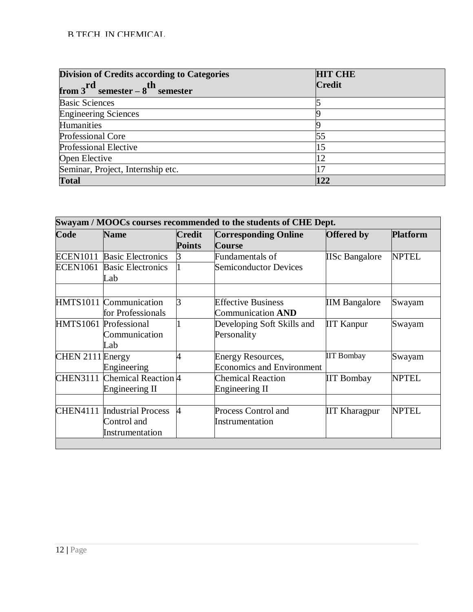| <b>Division of Credits according to Categories</b><br>from $3^{rd}$ semester – $8^{th}$ semester | <b>HIT CHE</b><br><b>Credit</b> |  |  |
|--------------------------------------------------------------------------------------------------|---------------------------------|--|--|
| <b>Basic Sciences</b>                                                                            |                                 |  |  |
| <b>Engineering Sciences</b>                                                                      |                                 |  |  |
| Humanities                                                                                       |                                 |  |  |
| Professional Core                                                                                | 55                              |  |  |
| <b>Professional Elective</b>                                                                     |                                 |  |  |
| Open Elective                                                                                    | 12                              |  |  |
| Seminar, Project, Internship etc.                                                                |                                 |  |  |
| <b>Total</b>                                                                                     |                                 |  |  |

| Swayam / MOOCs courses recommended to the students of CHE Dept. |                                               |                                |                                                              |                       |                 |  |
|-----------------------------------------------------------------|-----------------------------------------------|--------------------------------|--------------------------------------------------------------|-----------------------|-----------------|--|
| Code                                                            | <b>Name</b>                                   | <b>Credit</b><br><b>Points</b> | <b>Corresponding Online</b><br><b>Course</b>                 | <b>Offered</b> by     | <b>Platform</b> |  |
| <b>ECEN1011</b>                                                 | <b>Basic Electronics</b>                      | З                              | Fundamentals of                                              | <b>IISc Bangalore</b> | <b>NPTEL</b>    |  |
| <b>ECEN1061</b>                                                 | <b>Basic Electronics</b><br>Lab               |                                | <b>Semiconductor Devices</b>                                 |                       |                 |  |
|                                                                 | HMTS1011 Communication                        | 3                              | <b>Effective Business</b>                                    | <b>IIM Bangalore</b>  | Swayam          |  |
|                                                                 | for Professionals                             |                                | <b>Communication AND</b>                                     |                       |                 |  |
|                                                                 | HMTS1061 Professional<br>Communication<br>Lab |                                | Developing Soft Skills and<br>Personality                    | <b>IIT Kanpur</b>     | Swayam          |  |
| CHEN 2111 Energy                                                | Engineering                                   |                                | <b>Energy Resources,</b><br><b>Economics and Environment</b> | <b>IIT Bombay</b>     | Swayam          |  |
| <b>CHEN3111</b>                                                 | Chemical Reaction 4<br>Engineering II         |                                | <b>Chemical Reaction</b><br>Engineering II                   | <b>IIT Bombay</b>     | <b>NPTEL</b>    |  |
| <b>CHEN4111</b>                                                 | <b>Industrial Process</b>                     | $\overline{A}$                 |                                                              |                       | <b>NPTEL</b>    |  |
|                                                                 | Control and<br>Instrumentation                |                                | Process Control and<br>Instrumentation                       | <b>IIT Kharagpur</b>  |                 |  |
|                                                                 |                                               |                                |                                                              |                       |                 |  |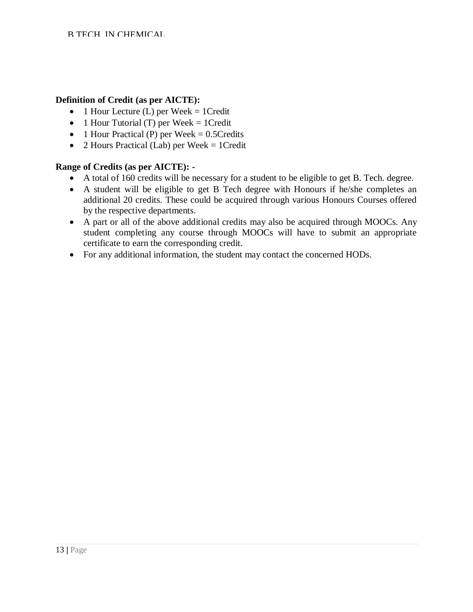#### **Definition of Credit (as per AICTE):**

- $\bullet$  1 Hour Lecture (L) per Week = 1 Credit
- 1 Hour Tutorial (T) per Week  $= 1$  Credit
- 1 Hour Practical (P) per Week  $= 0.5$ Credits
- 2 Hours Practical (Lab) per Week  $= 1$  Credit

#### **Range of Credits (as per AICTE): -**

- A total of 160 credits will be necessary for a student to be eligible to get B. Tech. degree.
- A student will be eligible to get B Tech degree with Honours if he/she completes an additional 20 credits. These could be acquired through various Honours Courses offered by the respective departments.
- A part or all of the above additional credits may also be acquired through MOOCs. Any student completing any course through MOOCs will have to submit an appropriate certificate to earn the corresponding credit.
- For any additional information, the student may contact the concerned HODs.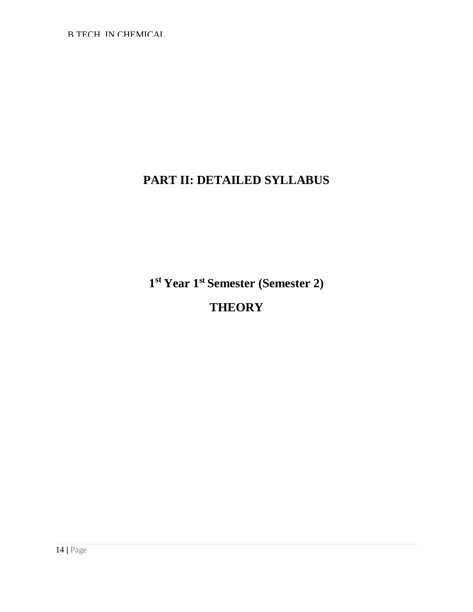# **PART II: DETAILED SYLLABUS**

**1 st Year 1st Semester (Semester 2) THEORY**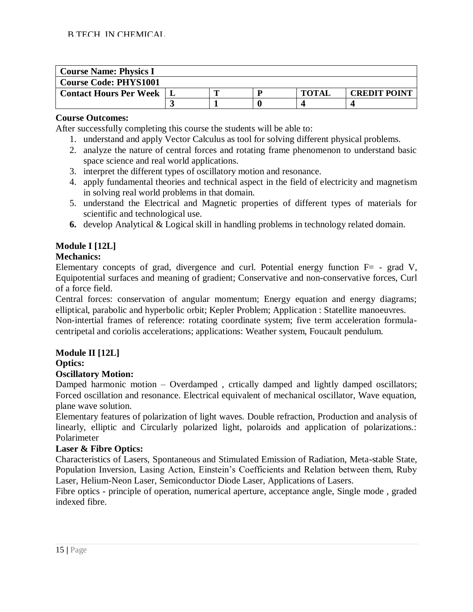| <b>Course Name: Physics I</b> |  |              |                     |
|-------------------------------|--|--------------|---------------------|
| <b>Course Code: PHYS1001</b>  |  |              |                     |
| <b>Contact Hours Per Week</b> |  | <b>TOTAI</b> | <b>CREDIT POINT</b> |
|                               |  |              |                     |

After successfully completing this course the students will be able to:

- 1. understand and apply Vector Calculus as tool for solving different physical problems.
- 2. analyze the nature of central forces and rotating frame phenomenon to understand basic space science and real world applications.
- 3. interpret the different types of oscillatory motion and resonance.
- 4. apply fundamental theories and technical aspect in the field of electricity and magnetism in solving real world problems in that domain.
- 5. understand the Electrical and Magnetic properties of different types of materials for scientific and technological use.
- **6.** develop Analytical & Logical skill in handling problems in technology related domain.

# **Module I [12L]**

#### **Mechanics:**

Elementary concepts of grad, divergence and curl. Potential energy function  $F=$  - grad V, Equipotential surfaces and meaning of gradient; Conservative and non-conservative forces, Curl of a force field.

Central forces: conservation of angular momentum; Energy equation and energy diagrams; elliptical, parabolic and hyperbolic orbit; Kepler Problem; Application : Statellite manoeuvres.

Non-intertial frames of reference: rotating coordinate system; five term acceleration formulacentripetal and coriolis accelerations; applications: Weather system, Foucault pendulum.

# **Module II [12L]**

#### **Optics:**

#### **Oscillatory Motion:**

Damped harmonic motion – Overdamped, crtically damped and lightly damped oscillators; Forced oscillation and resonance. Electrical equivalent of mechanical oscillator, Wave equation, plane wave solution.

Elementary features of polarization of light waves. Double refraction, Production and analysis of linearly, elliptic and Circularly polarized light, polaroids and application of polarizations.: Polarimeter

#### **Laser & Fibre Optics:**

Characteristics of Lasers, Spontaneous and Stimulated Emission of Radiation, Meta-stable State, Population Inversion, Lasing Action, Einstein's Coefficients and Relation between them, Ruby Laser, Helium-Neon Laser, Semiconductor Diode Laser, Applications of Lasers.

Fibre optics - principle of operation, numerical aperture, acceptance angle, Single mode , graded indexed fibre.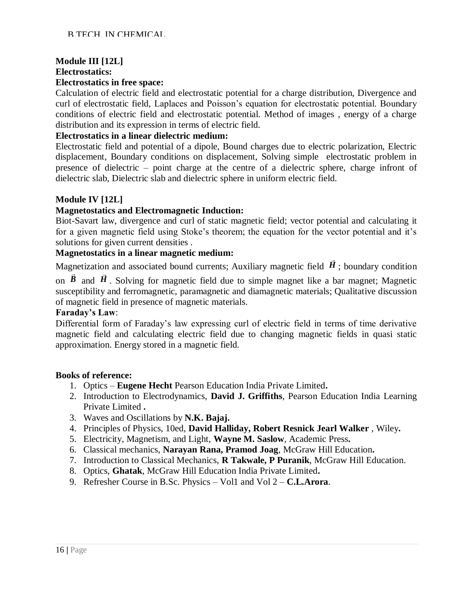# **Module III [12L]**

#### **Electrostatics:**

#### **Electrostatics in free space:**

Calculation of electric field and electrostatic potential for a charge distribution, Divergence and curl of electrostatic field, Laplaces and Poisson's equation for electrostatic potential. Boundary conditions of electric field and electrostatic potential. Method of images , energy of a charge distribution and its expression in terms of electric field.

# **Electrostatics in a linear dielectric medium:**

Electrostatic field and potential of a dipole, Bound charges due to electric polarization, Electric displacement, Boundary conditions on displacement, Solving simple electrostatic problem in presence of dielectric – point charge at the centre of a dielectric sphere, charge infront of dielectric slab, Dielectric slab and dielectric sphere in uniform electric field.

# **Module IV [12L]**

# **Magnetostatics and Electromagnetic Induction:**

Biot-Savart law, divergence and curl of static magnetic field; vector potential and calculating it for a given magnetic field using Stoke's theorem; the equation for the vector potential and it's solutions for given current densities .

#### **Magnetostatics in a linear magnetic medium:**

Magnetization and associated bound currents; Auxiliary magnetic field *H* ; boundary condition

on  $\bm{B}$  and  $\bm{H}$ . Solving for magnetic field due to simple magnet like a bar magnet; Magnetic susceptibility and ferromagnetic, paramagnetic and diamagnetic materials; Qualitative discussion of magnetic field in presence of magnetic materials.

#### **Faraday's Law**:

Differential form of Faraday's law expressing curl of electric field in terms of time derivative magnetic field and calculating electric field due to changing magnetic fields in quasi static approximation. Energy stored in a magnetic field.

- 1. Optics **Eugene Hecht** Pearson Education India Private Limited**.**
- 2. Introduction to Electrodynamics, **David J. Griffiths**, Pearson Education India Learning Private Limited **.**
- 3. Waves and Oscillations by **N.K. Bajaj.**
- 4. Principles of Physics, 10ed, **David Halliday, Robert Resnick Jearl Walker** , Wiley**.**
- 5. Electricity, Magnetism, and Light, **Wayne M. Saslow**, Academic Press**.**
- 6. Classical mechanics, **Narayan Rana, Pramod Joag**, McGraw Hill Education**.**
- 7. Introduction to Classical Mechanics, **R Takwale, P Puranik**, McGraw Hill Education.
- 8. Optics, **Ghatak**, McGraw Hill Education India Private Limited**.**
- 9. Refresher Course in B.Sc. Physics Vol1 and Vol 2 **C.L.Arora**.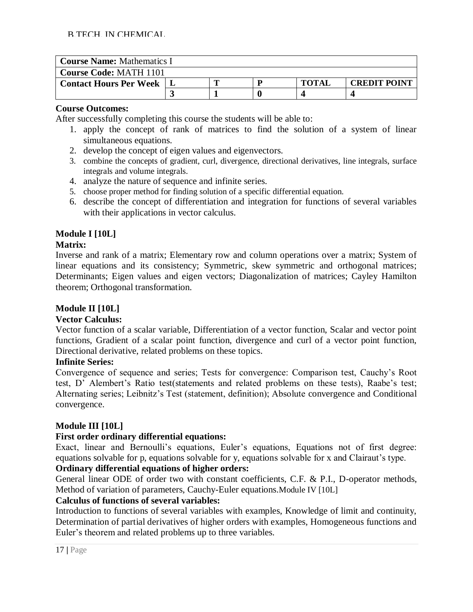| <b>Course Name: Mathematics I</b> |  |  |   |              |                     |  |
|-----------------------------------|--|--|---|--------------|---------------------|--|
| <b>Course Code: MATH 1101</b>     |  |  |   |              |                     |  |
| <b>Contact Hours Per Week</b>     |  |  | D | <b>TOTAI</b> | <b>CREDIT POINT</b> |  |
|                                   |  |  |   |              |                     |  |

After successfully completing this course the students will be able to:

- 1. apply the concept of rank of matrices to find the solution of a system of linear simultaneous equations.
- 2. develop the concept of eigen values and eigenvectors.
- 3. combine the concepts of gradient, curl, divergence, directional derivatives, line integrals, surface integrals and volume integrals.
- 4. analyze the nature of sequence and infinite series.
- 5. choose proper method for finding solution of a specific differential equation.
- 6. describe the concept of differentiation and integration for functions of several variables with their applications in vector calculus.

# **Module I [10L]**

# **Matrix:**

Inverse and rank of a matrix; Elementary row and column operations over a matrix; System of linear equations and its consistency; Symmetric, skew symmetric and orthogonal matrices; Determinants; Eigen values and eigen vectors; Diagonalization of matrices; Cayley Hamilton theorem; Orthogonal transformation.

# **Module II [10L]**

#### **Vector Calculus:**

Vector function of a scalar variable, Differentiation of a vector function, Scalar and vector point functions, Gradient of a scalar point function, divergence and curl of a vector point function, Directional derivative, related problems on these topics.

#### **Infinite Series:**

Convergence of sequence and series; Tests for convergence: Comparison test, Cauchy's Root test, D' Alembert's Ratio test(statements and related problems on these tests), Raabe's test; Alternating series; Leibnitz's Test (statement, definition); Absolute convergence and Conditional convergence.

# **Module III [10L]**

# **First order ordinary differential equations:**

Exact, linear and Bernoulli's equations, Euler's equations, Equations not of first degree: equations solvable for p, equations solvable for y, equations solvable for x and Clairaut's type.

#### **Ordinary differential equations of higher orders:**

General linear ODE of order two with constant coefficients, C.F. & P.I., D-operator methods, Method of variation of parameters, Cauchy-Euler equations.Module IV [10L]

#### **Calculus of functions of several variables:**

Introduction to functions of several variables with examples, Knowledge of limit and continuity, Determination of partial derivatives of higher orders with examples, Homogeneous functions and Euler's theorem and related problems up to three variables.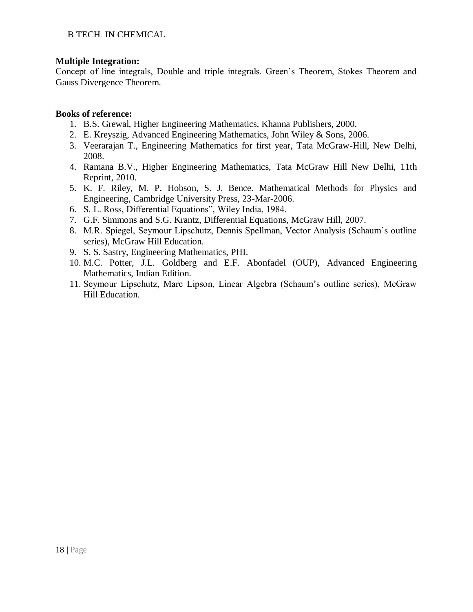#### **Multiple Integration:**

Concept of line integrals, Double and triple integrals. Green's Theorem, Stokes Theorem and Gauss Divergence Theorem.

- 1. B.S. Grewal, Higher Engineering Mathematics, Khanna Publishers, 2000.
- 2. E. Kreyszig, Advanced Engineering Mathematics, John Wiley & Sons, 2006.
- 3. Veerarajan T., Engineering Mathematics for first year, Tata McGraw-Hill, New Delhi, 2008.
- 4. Ramana B.V., Higher Engineering Mathematics, Tata McGraw Hill New Delhi, 11th Reprint, 2010.
- 5. K. F. Riley, M. P. Hobson, S. J. Bence. Mathematical Methods for Physics and Engineering, Cambridge University Press, 23-Mar-2006.
- 6. S. L. Ross, Differential Equations", Wiley India, 1984.
- 7. G.F. Simmons and S.G. Krantz, Differential Equations, McGraw Hill, 2007.
- 8. M.R. Spiegel, Seymour Lipschutz, Dennis Spellman, Vector Analysis (Schaum's outline series), McGraw Hill Education.
- 9. S. S. Sastry, Engineering Mathematics, PHI.
- 10. M.C. Potter, J.L. Goldberg and E.F. Abonfadel (OUP), Advanced Engineering Mathematics, Indian Edition.
- 11. Seymour Lipschutz, Marc Lipson, Linear Algebra (Schaum's outline series), McGraw Hill Education.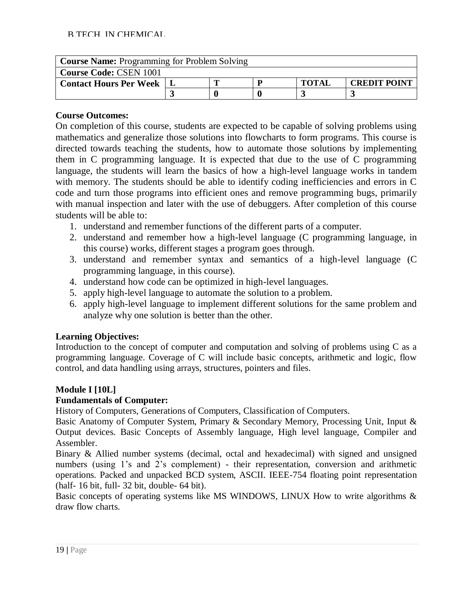| <b>Course Name: Programming for Problem Solving</b> |  |  |  |              |                     |  |
|-----------------------------------------------------|--|--|--|--------------|---------------------|--|
| <b>Course Code: CSEN 1001</b>                       |  |  |  |              |                     |  |
| <b>Contact Hours Per Week</b>                       |  |  |  | <b>TOTAL</b> | <b>CREDIT POINT</b> |  |
|                                                     |  |  |  |              |                     |  |

On completion of this course, students are expected to be capable of solving problems using mathematics and generalize those solutions into flowcharts to form programs. This course is directed towards teaching the students, how to automate those solutions by implementing them in C programming language. It is expected that due to the use of C programming language, the students will learn the basics of how a high-level language works in tandem with memory. The students should be able to identify coding inefficiencies and errors in C code and turn those programs into efficient ones and remove programming bugs, primarily with manual inspection and later with the use of debuggers. After completion of this course students will be able to:

- 1. understand and remember functions of the different parts of a computer.
- 2. understand and remember how a high-level language (C programming language, in this course) works, different stages a program goes through.
- 3. understand and remember syntax and semantics of a high-level language (C programming language, in this course).
- 4. understand how code can be optimized in high-level languages.
- 5. apply high-level language to automate the solution to a problem.
- 6. apply high-level language to implement different solutions for the same problem and analyze why one solution is better than the other.

# **Learning Objectives:**

Introduction to the concept of computer and computation and solving of problems using C as a programming language. Coverage of C will include basic concepts, arithmetic and logic, flow control, and data handling using arrays, structures, pointers and files.

# **Module I [10L]**

# **Fundamentals of Computer:**

History of Computers, Generations of Computers, Classification of Computers.

Basic Anatomy of Computer System, Primary & Secondary Memory, Processing Unit, Input & Output devices. Basic Concepts of Assembly language, High level language, Compiler and Assembler.

Binary & Allied number systems (decimal, octal and hexadecimal) with signed and unsigned numbers (using 1's and 2's complement) - their representation, conversion and arithmetic operations. Packed and unpacked BCD system, ASCII. IEEE-754 floating point representation (half- 16 bit, full- 32 bit, double- 64 bit).

Basic concepts of operating systems like MS WINDOWS, LINUX How to write algorithms & draw flow charts.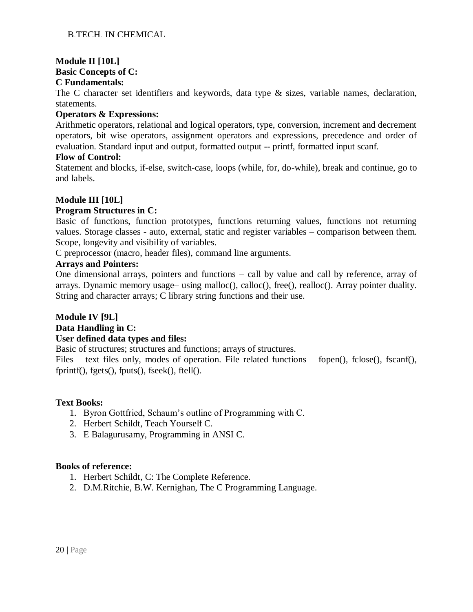#### **Module II [10L] Basic Concepts of C: C Fundamentals:**

The C character set identifiers and keywords, data type & sizes, variable names, declaration, statements.

#### **Operators & Expressions:**

Arithmetic operators, relational and logical operators, type, conversion, increment and decrement operators, bit wise operators, assignment operators and expressions, precedence and order of evaluation. Standard input and output, formatted output -- printf, formatted input scanf.

#### **Flow of Control:**

Statement and blocks, if-else, switch-case, loops (while, for, do-while), break and continue, go to and labels.

# **Module III [10L]**

#### **Program Structures in C:**

Basic of functions, function prototypes, functions returning values, functions not returning values. Storage classes - auto, external, static and register variables – comparison between them. Scope, longevity and visibility of variables.

C preprocessor (macro, header files), command line arguments.

#### **Arrays and Pointers:**

One dimensional arrays, pointers and functions – call by value and call by reference, array of arrays. Dynamic memory usage– using malloc(), calloc(), free(), realloc(). Array pointer duality. String and character arrays; C library string functions and their use.

#### **Module IV [9L] Data Handling in C:**

# **User defined data types and files:**

Basic of structures; structures and functions; arrays of structures.

Files – text files only, modes of operation. File related functions – fopen(), fclose(), fscanf(), fprintf(), fgets(), fputs(), fseek(), ftell().

#### **Text Books:**

- 1. Byron Gottfried, Schaum's outline of Programming with C.
- 2. Herbert Schildt, Teach Yourself C.
- 3. E Balagurusamy, Programming in ANSI C.

- 1. Herbert Schildt, C: The Complete Reference.
- 2. D.M.Ritchie, B.W. Kernighan, The C Programming Language.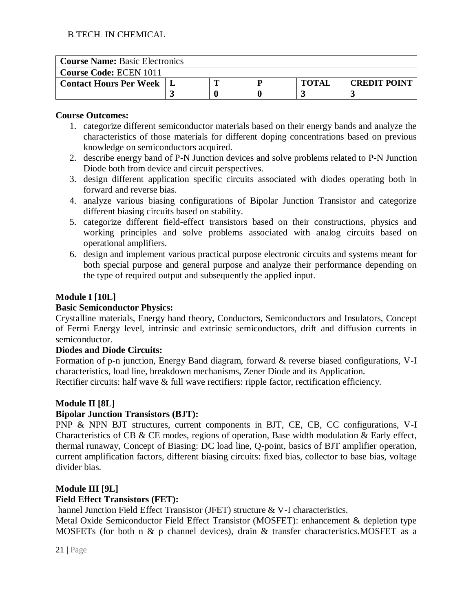| <b>Course Name: Basic Electronics</b> |  |  |  |              |                     |  |
|---------------------------------------|--|--|--|--------------|---------------------|--|
| <b>Course Code: ECEN 1011</b>         |  |  |  |              |                     |  |
| <b>Contact Hours Per Week</b>         |  |  |  | <b>TOTAI</b> | <b>CREDIT POINT</b> |  |
|                                       |  |  |  |              |                     |  |

- 1. categorize different semiconductor materials based on their energy bands and analyze the characteristics of those materials for different doping concentrations based on previous knowledge on semiconductors acquired.
- 2. describe energy band of P-N Junction devices and solve problems related to P-N Junction Diode both from device and circuit perspectives.
- 3. design different application specific circuits associated with diodes operating both in forward and reverse bias.
- 4. analyze various biasing configurations of Bipolar Junction Transistor and categorize different biasing circuits based on stability.
- 5. categorize different field-effect transistors based on their constructions, physics and working principles and solve problems associated with analog circuits based on operational amplifiers.
- 6. design and implement various practical purpose electronic circuits and systems meant for both special purpose and general purpose and analyze their performance depending on the type of required output and subsequently the applied input.

# **Module I [10L]**

# **Basic Semiconductor Physics:**

Crystalline materials, Energy band theory, Conductors, Semiconductors and Insulators, Concept of Fermi Energy level, intrinsic and extrinsic semiconductors, drift and diffusion currents in semiconductor.

#### **Diodes and Diode Circuits:**

Formation of p-n junction, Energy Band diagram, forward & reverse biased configurations, V-I characteristics, load line, breakdown mechanisms, Zener Diode and its Application. Rectifier circuits: half wave & full wave rectifiers: ripple factor, rectification efficiency.

# **Module II [8L]**

#### **Bipolar Junction Transistors (BJT):**

PNP & NPN BJT structures, current components in BJT, CE, CB, CC configurations, V-I Characteristics of CB & CE modes, regions of operation, Base width modulation & Early effect, thermal runaway, Concept of Biasing: DC load line, Q-point, basics of BJT amplifier operation, current amplification factors, different biasing circuits: fixed bias, collector to base bias, voltage divider bias.

# **Module III [9L]**

# **Field Effect Transistors (FET):**

hannel Junction Field Effect Transistor (JFET) structure & V-I characteristics.

Metal Oxide Semiconductor Field Effect Transistor (MOSFET): enhancement & depletion type MOSFETs (for both n & p channel devices), drain & transfer characteristics.MOSFET as a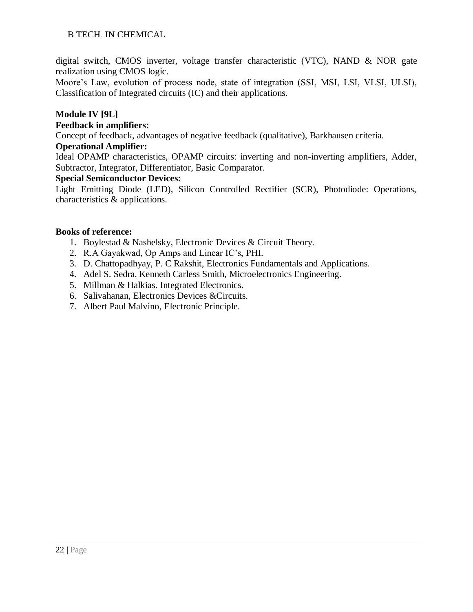digital switch, CMOS inverter, voltage transfer characteristic (VTC), NAND & NOR gate realization using CMOS logic.

Moore's Law, evolution of process node, state of integration (SSI, MSI, LSI, VLSI, ULSI), Classification of Integrated circuits (IC) and their applications.

#### **Module IV [9L]**

#### **Feedback in amplifiers:**

Concept of feedback, advantages of negative feedback (qualitative), Barkhausen criteria.

#### **Operational Amplifier:**

Ideal OPAMP characteristics, OPAMP circuits: inverting and non-inverting amplifiers, Adder, Subtractor, Integrator, Differentiator, Basic Comparator.

#### **Special Semiconductor Devices:**

Light Emitting Diode (LED), Silicon Controlled Rectifier (SCR), Photodiode: Operations, characteristics & applications.

- 1. Boylestad & Nashelsky, Electronic Devices & Circuit Theory.
- 2. R.A Gayakwad, Op Amps and Linear IC's, PHI.
- 3. D. Chattopadhyay, P. C Rakshit, Electronics Fundamentals and Applications.
- 4. [Adel S. Sedra,](https://www.google.co.in/search?safe=active&hl=en&biw=1366&bih=639&tbm=bks&tbm=bks&q=inauthor%3A%22Adel%2BS.%2BSedra%22&sa=X&ei=EXJ0U4fDOYmXuASJuYDwCQ&ved=0CC4Q9AgwAA) [Kenneth Carless Smith,](https://www.google.co.in/search?safe=active&hl=en&tbm=bks&tbm=bks&q=inauthor%3A%22Kenneth%2BCarless%2BSmith%22&sa=X&ei=EXJ0U4fDOYmXuASJuYDwCQ&ved=0CC8Q9AgwAA&biw=1366&bih=639&dpr=1) Microelectronics Engineering.
- 5. Millman & Halkias. Integrated Electronics.
- 6. Salivahanan, Electronics Devices &Circuits.
- 7. Albert Paul Malvino, Electronic Principle.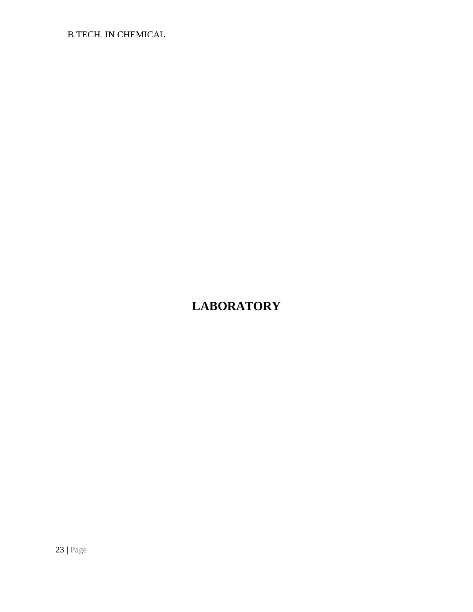# **LABORATORY**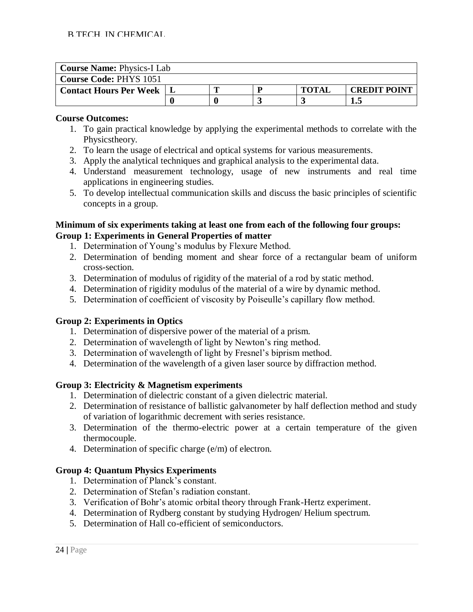| <b>Course Name: Physics-I Lab</b> |  |  |  |              |                     |  |
|-----------------------------------|--|--|--|--------------|---------------------|--|
| <b>Course Code: PHYS 1051</b>     |  |  |  |              |                     |  |
| <b>Contact Hours Per Week</b>     |  |  |  | <b>TOTAI</b> | <b>CREDIT POINT</b> |  |
|                                   |  |  |  |              | I.:                 |  |

- 1. To gain practical knowledge by applying the experimental methods to correlate with the Physicstheory.
- 2. To learn the usage of electrical and optical systems for various measurements.
- 3. Apply the analytical techniques and graphical analysis to the experimental data.
- 4. Understand measurement technology, usage of new instruments and real time applications in engineering studies.
- 5. To develop intellectual communication skills and discuss the basic principles of scientific concepts in a group.

#### **Minimum of six experiments taking at least one from each of the following four groups: Group 1: Experiments in General Properties of matter**

- 1. Determination of Young's modulus by Flexure Method.
- 2. Determination of bending moment and shear force of a rectangular beam of uniform cross-section.
- 3. Determination of modulus of rigidity of the material of a rod by static method.
- 4. Determination of rigidity modulus of the material of a wire by dynamic method.
- 5. Determination of coefficient of viscosity by Poiseulle's capillary flow method.

#### **Group 2: Experiments in Optics**

- 1. Determination of dispersive power of the material of a prism.
- 2. Determination of wavelength of light by Newton's ring method.
- 3. Determination of wavelength of light by Fresnel's biprism method.
- 4. Determination of the wavelength of a given laser source by diffraction method.

# **Group 3: Electricity & Magnetism experiments**

- 1. Determination of dielectric constant of a given dielectric material.
- 2. Determination of resistance of ballistic galvanometer by half deflection method and study of variation of logarithmic decrement with series resistance.
- 3. Determination of the thermo-electric power at a certain temperature of the given thermocouple.
- 4. Determination of specific charge (e/m) of electron.

#### **Group 4: Quantum Physics Experiments**

- 1. Determination of Planck's constant.
- 2. Determination of Stefan's radiation constant.
- 3. Verification of Bohr's atomic orbital theory through Frank-Hertz experiment.
- 4. Determination of Rydberg constant by studying Hydrogen/ Helium spectrum.
- 5. Determination of Hall co-efficient of semiconductors.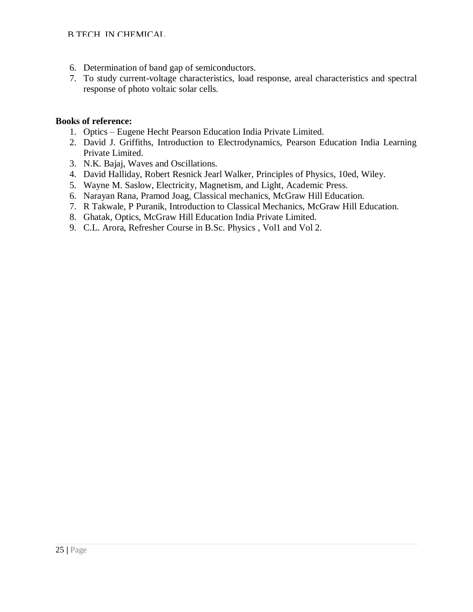- 6. Determination of band gap of semiconductors.
- 7. To study current-voltage characteristics, load response, areal characteristics and spectral response of photo voltaic solar cells.

- 1. Optics Eugene Hecht Pearson Education India Private Limited.
- 2. David J. Griffiths, Introduction to Electrodynamics, Pearson Education India Learning Private Limited.
- 3. N.K. Bajaj, Waves and Oscillations.
- 4. David Halliday, Robert Resnick Jearl Walker, Principles of Physics, 10ed, Wiley.
- 5. Wayne M. Saslow, Electricity, Magnetism, and Light, Academic Press.
- 6. Narayan Rana, Pramod Joag, Classical mechanics, McGraw Hill Education.
- 7. R Takwale, P Puranik, Introduction to Classical Mechanics, McGraw Hill Education.
- 8. Ghatak, Optics, McGraw Hill Education India Private Limited.
- 9. C.L. Arora, Refresher Course in B.Sc. Physics , Vol1 and Vol 2.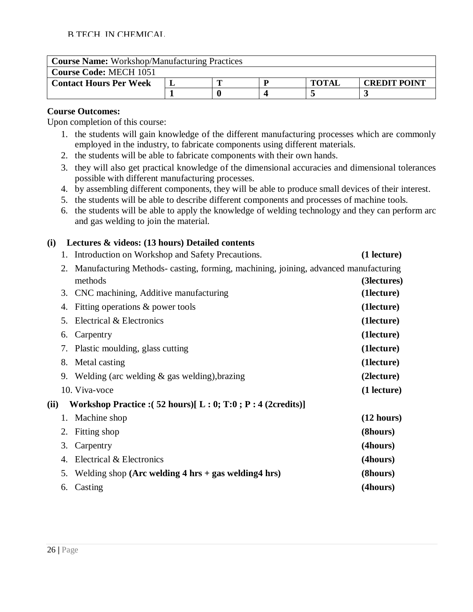| <b>Course Name:</b> Workshop/Manufacturing Practices |  |  |  |              |                     |  |
|------------------------------------------------------|--|--|--|--------------|---------------------|--|
| <b>Course Code: MECH 1051</b>                        |  |  |  |              |                     |  |
| <b>Contact Hours Per Week</b>                        |  |  |  | <b>TOTAL</b> | <b>CREDIT POINT</b> |  |
|                                                      |  |  |  |              |                     |  |

Upon completion of this course:

- 1. the students will gain knowledge of the different manufacturing processes which are commonly employed in the industry, to fabricate components using different materials.
- 2. the students will be able to fabricate components with their own hands.
- 3. they will also get practical knowledge of the dimensional accuracies and dimensional tolerances possible with different manufacturing processes.
- 4. by assembling different components, they will be able to produce small devices of their interest.
- 5. the students will be able to describe different components and processes of machine tools.
- 6. the students will be able to apply the knowledge of welding technology and they can perform arc and gas welding to join the material.

# **(i) Lectures & videos: (13 hours) Detailed contents**

- 1. Introduction on Workshop and Safety Precautions. **(1 lecture)**
- 2. Manufacturing Methods- casting, forming, machining, joining, advanced manufacturing methods **(3lectures)** 3. CNC machining, Additive manufacturing **(1lecture)**
- 4. Fitting operations & power tools **(1lecture)** 5. Electrical & Electronics **(1lecture)** 6. Carpentry **(1lecture)** 7. Plastic moulding, glass cutting **(1lecture)** 8. Metal casting **(1lecture)** 9. Welding (arc welding & gas welding),brazing **(2lecture)** 10. Viva-voce **(1 lecture) (ii) Workshop Practice :( 52 hours)[ L : 0; T:0 ; P : 4 (2credits)]** 1. Machine shop **(12 hours)** 2. Fitting shop **(8hours)** 3. Carpentry **(4hours)** 4. Electrical & Electronics **(4hours)** 5. Welding shop **(Arc welding 4 hrs + gas welding4 hrs) (8hours)**
	- 6. Casting **(4hours)**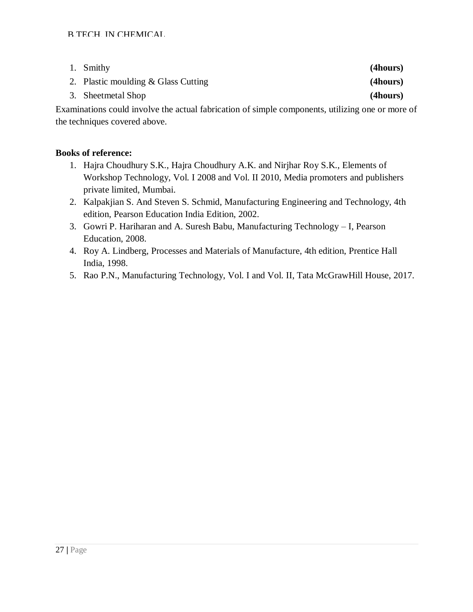| 1. Smithy                           | (4hours) |
|-------------------------------------|----------|
| 2. Plastic moulding & Glass Cutting | (4hours) |
| 3. Sheetmetal Shop                  | (4hours) |

Examinations could involve the actual fabrication of simple components, utilizing one or more of the techniques covered above.

- 1. Hajra Choudhury S.K., Hajra Choudhury A.K. and Nirjhar Roy S.K., Elements of Workshop Technology, Vol. I 2008 and Vol. II 2010, Media promoters and publishers private limited, Mumbai.
- 2. Kalpakjian S. And Steven S. Schmid, Manufacturing Engineering and Technology, 4th edition, Pearson Education India Edition, 2002.
- 3. Gowri P. Hariharan and A. Suresh Babu, Manufacturing Technology I, Pearson Education, 2008.
- 4. Roy A. Lindberg, Processes and Materials of Manufacture, 4th edition, Prentice Hall India, 1998.
- 5. Rao P.N., Manufacturing Technology, Vol. I and Vol. II, Tata McGrawHill House, 2017.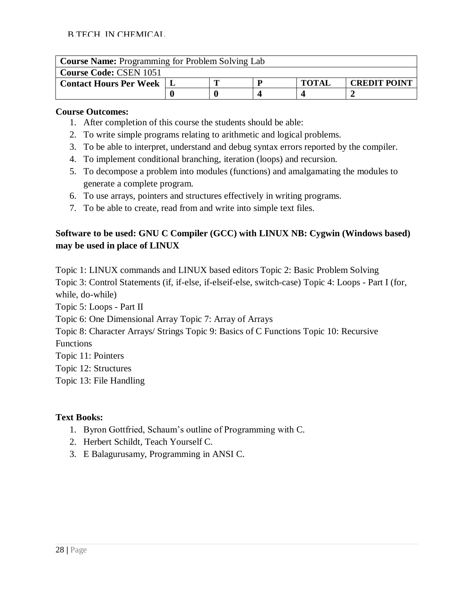| <b>Course Name:</b> Programming for Problem Solving Lab |  |  |  |              |                     |  |
|---------------------------------------------------------|--|--|--|--------------|---------------------|--|
| <b>Course Code: CSEN 1051</b>                           |  |  |  |              |                     |  |
| <b>Contact Hours Per Week</b>                           |  |  |  | <b>TOTAL</b> | <b>CREDIT POINT</b> |  |
|                                                         |  |  |  |              |                     |  |

- 1. After completion of this course the students should be able:
- 2. To write simple programs relating to arithmetic and logical problems.
- 3. To be able to interpret, understand and debug syntax errors reported by the compiler.
- 4. To implement conditional branching, iteration (loops) and recursion.
- 5. To decompose a problem into modules (functions) and amalgamating the modules to generate a complete program.
- 6. To use arrays, pointers and structures effectively in writing programs.
- 7. To be able to create, read from and write into simple text files.

# **Software to be used: GNU C Compiler (GCC) with LINUX NB: Cygwin (Windows based) may be used in place of LINUX**

Topic 1: LINUX commands and LINUX based editors Topic 2: Basic Problem Solving Topic 3: Control Statements (if, if-else, if-elseif-else, switch-case) Topic 4: Loops - Part I (for, while, do-while) Topic 5: Loops - Part II Topic 6: One Dimensional Array Topic 7: Array of Arrays Topic 8: Character Arrays/ Strings Topic 9: Basics of C Functions Topic 10: Recursive Functions Topic 11: Pointers Topic 12: Structures Topic 13: File Handling

#### **Text Books:**

- 1. Byron Gottfried, Schaum's outline of Programming with C.
- 2. Herbert Schildt, Teach Yourself C.
- 3. E Balagurusamy, Programming in ANSI C.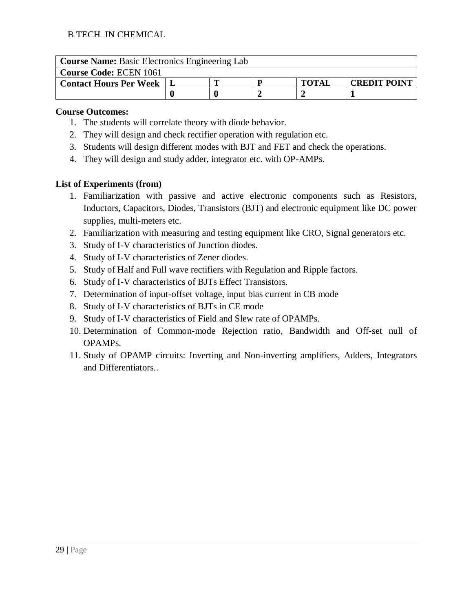| <b>Course Name:</b> Basic Electronics Engineering Lab |  |  |  |              |                     |  |
|-------------------------------------------------------|--|--|--|--------------|---------------------|--|
| <b>Course Code: ECEN 1061</b>                         |  |  |  |              |                     |  |
| <b>Contact Hours Per Week</b>                         |  |  |  | <b>TOTAL</b> | <b>CREDIT POINT</b> |  |
|                                                       |  |  |  |              |                     |  |

- 1. The students will correlate theory with diode behavior.
- 2. They will design and check rectifier operation with regulation etc.
- 3. Students will design different modes with BJT and FET and check the operations.
- 4. They will design and study adder, integrator etc. with OP-AMPs.

# **List of Experiments (from)**

- 1. Familiarization with passive and active electronic components such as Resistors, Inductors, Capacitors, Diodes, Transistors (BJT) and electronic equipment like DC power supplies, multi-meters etc.
- 2. Familiarization with measuring and testing equipment like CRO, Signal generators etc.
- 3. Study of I-V characteristics of Junction diodes.
- 4. Study of I-V characteristics of Zener diodes.
- 5. Study of Half and Full wave rectifiers with Regulation and Ripple factors.
- 6. Study of I-V characteristics of BJTs Effect Transistors.
- 7. Determination of input-offset voltage, input bias current in CB mode
- 8. Study of I-V characteristics of BJTs in CE mode
- 9. Study of I-V characteristics of Field and Slew rate of OPAMPs.
- 10. Determination of Common-mode Rejection ratio, Bandwidth and Off-set null of OPAMPs.
- 11. Study of OPAMP circuits: Inverting and Non-inverting amplifiers, Adders, Integrators and Differentiators..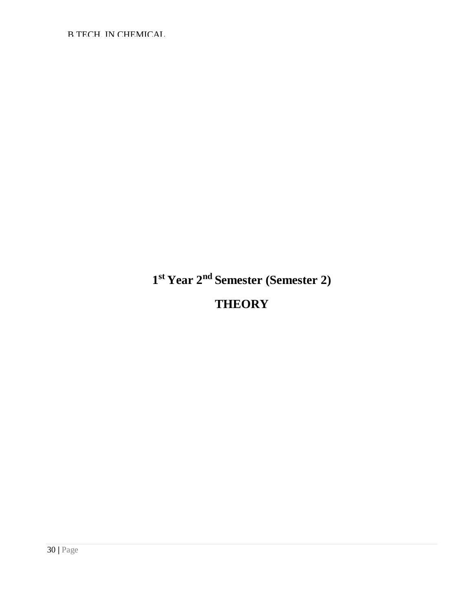**1 st Year 2nd Semester (Semester 2) THEORY**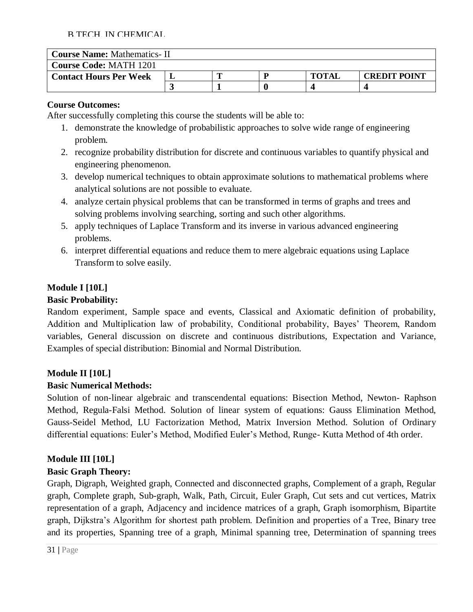| <b>Course Name: Mathematics-II</b> |  |  |  |              |                     |  |
|------------------------------------|--|--|--|--------------|---------------------|--|
| <b>Course Code: MATH 1201</b>      |  |  |  |              |                     |  |
| <b>Contact Hours Per Week</b>      |  |  |  | <b>TOTAL</b> | <b>CREDIT POINT</b> |  |
|                                    |  |  |  |              |                     |  |

#### **Course Outcomes:**

After successfully completing this course the students will be able to:

- 1. demonstrate the knowledge of probabilistic approaches to solve wide range of engineering problem.
- 2. recognize probability distribution for discrete and continuous variables to quantify physical and engineering phenomenon.
- 3. develop numerical techniques to obtain approximate solutions to mathematical problems where analytical solutions are not possible to evaluate.
- 4. analyze certain physical problems that can be transformed in terms of graphs and trees and solving problems involving searching, sorting and such other algorithms.
- 5. apply techniques of Laplace Transform and its inverse in various advanced engineering problems.
- 6. interpret differential equations and reduce them to mere algebraic equations using Laplace Transform to solve easily.

# **Module I [10L]**

# **Basic Probability:**

Random experiment, Sample space and events, Classical and Axiomatic definition of probability, Addition and Multiplication law of probability, Conditional probability, Bayes' Theorem, Random variables, General discussion on discrete and continuous distributions, Expectation and Variance, Examples of special distribution: Binomial and Normal Distribution.

# **Module II [10L]**

# **Basic Numerical Methods:**

Solution of non-linear algebraic and transcendental equations: Bisection Method, Newton- Raphson Method, Regula-Falsi Method. Solution of linear system of equations: Gauss Elimination Method, Gauss-Seidel Method, LU Factorization Method, Matrix Inversion Method. Solution of Ordinary differential equations: Euler's Method, Modified Euler's Method, Runge- Kutta Method of 4th order.

# **Module III [10L]**

# **Basic Graph Theory:**

Graph, Digraph, Weighted graph, Connected and disconnected graphs, Complement of a graph, Regular graph, Complete graph, Sub-graph, Walk, Path, Circuit, Euler Graph, Cut sets and cut vertices, Matrix representation of a graph, Adjacency and incidence matrices of a graph, Graph isomorphism, Bipartite graph, Dijkstra's Algorithm for shortest path problem. Definition and properties of a Tree, Binary tree and its properties, Spanning tree of a graph, Minimal spanning tree, Determination of spanning trees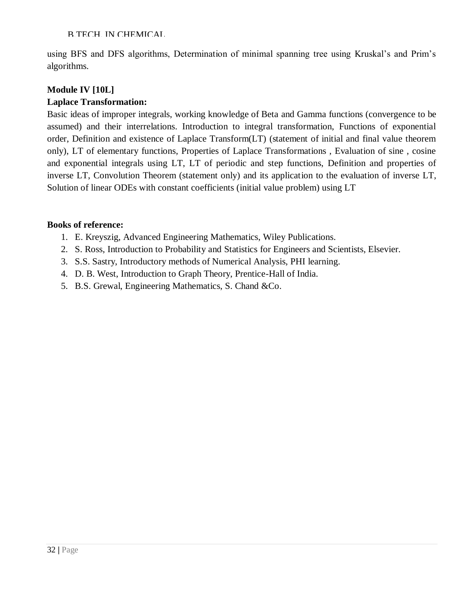using BFS and DFS algorithms, Determination of minimal spanning tree using Kruskal's and Prim's algorithms.

# **Module IV [10L]**

# **Laplace Transformation:**

Basic ideas of improper integrals, working knowledge of Beta and Gamma functions (convergence to be assumed) and their interrelations. Introduction to integral transformation, Functions of exponential order, Definition and existence of Laplace Transform(LT) (statement of initial and final value theorem only), LT of elementary functions, Properties of Laplace Transformations , Evaluation of sine , cosine and exponential integrals using LT, LT of periodic and step functions, Definition and properties of inverse LT, Convolution Theorem (statement only) and its application to the evaluation of inverse LT, Solution of linear ODEs with constant coefficients (initial value problem) using LT

- 1. E. Kreyszig, Advanced Engineering Mathematics, Wiley Publications.
- 2. S. Ross, Introduction to Probability and Statistics for Engineers and Scientists, Elsevier.
- 3. S.S. Sastry, Introductory methods of Numerical Analysis, PHI learning.
- 4. D. B. West, Introduction to Graph Theory, Prentice-Hall of India.
- 5. B.S. Grewal, Engineering Mathematics, S. Chand &Co.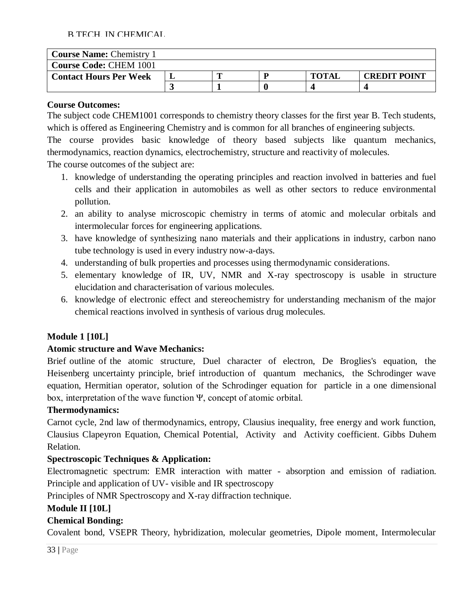| <b>Course Name: Chemistry 1</b> |  |  |  |              |                     |  |
|---------------------------------|--|--|--|--------------|---------------------|--|
| <b>Course Code: CHEM 1001</b>   |  |  |  |              |                     |  |
| <b>Contact Hours Per Week</b>   |  |  |  | <b>TOTAL</b> | <b>CREDIT POINT</b> |  |
|                                 |  |  |  |              |                     |  |

#### **Course Outcomes:**

The subject code CHEM1001 corresponds to chemistry theory classes for the first year B. Tech students, which is offered as Engineering Chemistry and is common for all branches of engineering subjects.

The course provides basic knowledge of theory based subjects like quantum mechanics, thermodynamics, reaction dynamics, electrochemistry, structure and reactivity of molecules.

The course outcomes of the subject are:

- 1. knowledge of understanding the operating principles and reaction involved in batteries and fuel cells and their application in automobiles as well as other sectors to reduce environmental pollution.
- 2. an ability to analyse microscopic chemistry in terms of atomic and molecular orbitals and intermolecular forces for engineering applications.
- 3. have knowledge of synthesizing nano materials and their applications in industry, carbon nano tube technology is used in every industry now-a-days.
- 4. understanding of bulk properties and processes using thermodynamic considerations.
- 5. elementary knowledge of IR, UV, NMR and X-ray spectroscopy is usable in structure elucidation and characterisation of various molecules.
- 6. knowledge of electronic effect and stereochemistry for understanding mechanism of the major chemical reactions involved in synthesis of various drug molecules.

# **Module 1 [10L]**

# **Atomic structure and Wave Mechanics:**

Brief outline of the atomic structure, Duel character of electron, De Broglies's equation, the Heisenberg uncertainty principle, brief introduction of quantum mechanics, the Schrodinger wave equation, Hermitian operator, solution of the Schrodinger equation for particle in a one dimensional box, interpretation of the wave function Ψ, concept of atomic orbital.

#### **Thermodynamics:**

Carnot cycle, 2nd law of thermodynamics, entropy, Clausius inequality, free energy and work function, Clausius Clapeyron Equation, Chemical Potential, Activity and Activity coefficient. Gibbs Duhem Relation.

# **Spectroscopic Techniques & Application:**

Electromagnetic spectrum: EMR interaction with matter - absorption and emission of radiation. Principle and application of UV- visible and IR spectroscopy

Principles of NMR Spectroscopy and X-ray diffraction technique.

# **Module II [10L]**

# **Chemical Bonding:**

Covalent bond, VSEPR Theory, hybridization, molecular geometries, Dipole moment, Intermolecular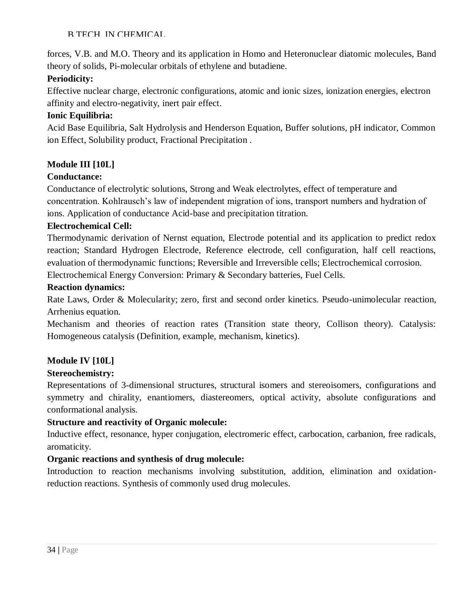forces, V.B. and M.O. Theory and its application in Homo and Heteronuclear diatomic molecules, Band theory of solids, Pi-molecular orbitals of ethylene and butadiene.

# **Periodicity:**

Effective nuclear charge, electronic configurations, atomic and ionic sizes, ionization energies, electron affinity and electro-negativity, inert pair effect.

# **Ionic Equilibria:**

Acid Base Equilibria, Salt Hydrolysis and Henderson Equation, Buffer solutions, pH indicator, Common ion Effect, Solubility product, Fractional Precipitation .

# **Module III [10L]**

# **Conductance:**

Conductance of electrolytic solutions, Strong and Weak electrolytes, effect of temperature and concentration. Kohlrausch's law of independent migration of ions, transport numbers and hydration of ions. Application of conductance Acid-base and precipitation titration.

# **Electrochemical Cell:**

Thermodynamic derivation of Nernst equation, Electrode potential and its application to predict redox reaction; Standard Hydrogen Electrode, Reference electrode, cell configuration, half cell reactions, evaluation of thermodynamic functions; Reversible and Irreversible cells; Electrochemical corrosion.

Electrochemical Energy Conversion: Primary & Secondary batteries, Fuel Cells.

# **Reaction dynamics:**

Rate Laws, Order & Molecularity; zero, first and second order kinetics. Pseudo-unimolecular reaction, Arrhenius equation.

Mechanism and theories of reaction rates (Transition state theory, Collison theory). Catalysis: Homogeneous catalysis (Definition, example, mechanism, kinetics).

# **Module IV [10L]**

# **Stereochemistry:**

Representations of 3-dimensional structures, structural isomers and stereoisomers, configurations and symmetry and chirality, enantiomers, diastereomers, optical activity, absolute configurations and conformational analysis.

# **Structure and reactivity of Organic molecule:**

Inductive effect, resonance, hyper conjugation, electromeric effect, carbocation, carbanion, free radicals, aromaticity.

# **Organic reactions and synthesis of drug molecule:**

Introduction to reaction mechanisms involving substitution, addition, elimination and oxidationreduction reactions. Synthesis of commonly used drug molecules.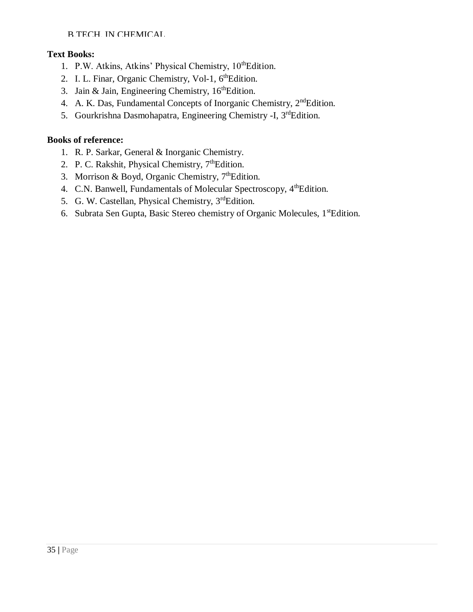# **Text Books:**

- 1. P.W. Atkins, Atkins' Physical Chemistry, 10<sup>th</sup>Edition.
- 2. I. L. Finar, Organic Chemistry, Vol-1, 6<sup>th</sup>Edition.
- 3. Jain & Jain, Engineering Chemistry,  $16<sup>th</sup>$ Edition.
- 4. A. K. Das, Fundamental Concepts of Inorganic Chemistry, 2<sup>nd</sup>Edition.
- 5. Gourkrishna Dasmohapatra, Engineering Chemistry -I, 3<sup>rd</sup>Edition.

- 1. R. P. Sarkar, General & Inorganic Chemistry.
- 2. P. C. Rakshit, Physical Chemistry,  $7<sup>th</sup>$ Edition.
- 3. Morrison & Boyd, Organic Chemistry,  $7^{\text{th}}$ Edition.
- 4. C.N. Banwell, Fundamentals of Molecular Spectroscopy, 4<sup>th</sup>Edition.
- 5. G. W. Castellan, Physical Chemistry, 3<sup>rd</sup>Edition.
- 6. Subrata Sen Gupta, Basic Stereo chemistry of Organic Molecules, 1stEdition.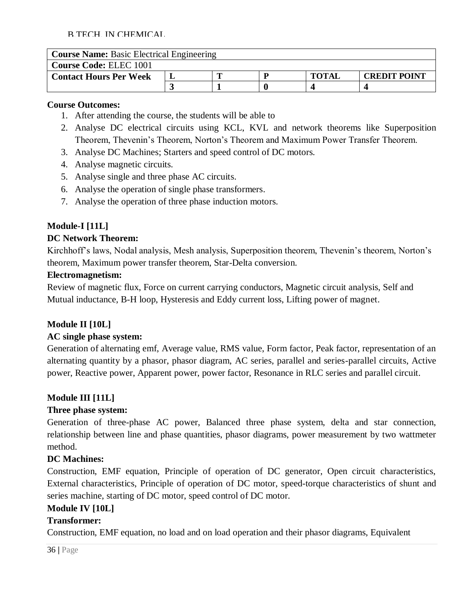| <b>Course Name:</b> Basic Electrical Engineering |  |  |  |              |                     |  |
|--------------------------------------------------|--|--|--|--------------|---------------------|--|
| <b>Course Code: ELEC 1001</b>                    |  |  |  |              |                     |  |
| <b>Contact Hours Per Week</b>                    |  |  |  | <b>TOTAL</b> | <b>CREDIT POINT</b> |  |
|                                                  |  |  |  |              |                     |  |

#### **Course Outcomes:**

- 1. After attending the course, the students will be able to
- 2. Analyse DC electrical circuits using KCL, KVL and network theorems like Superposition Theorem, Thevenin's Theorem, Norton's Theorem and Maximum Power Transfer Theorem.
- 3. Analyse DC Machines; Starters and speed control of DC motors.
- 4. Analyse magnetic circuits.
- 5. Analyse single and three phase AC circuits.
- 6. Analyse the operation of single phase transformers.
- 7. Analyse the operation of three phase induction motors.

# **Module-I [11L]**

#### **DC Network Theorem:**

Kirchhoff's laws, Nodal analysis, Mesh analysis, Superposition theorem, Thevenin's theorem, Norton's theorem, Maximum power transfer theorem, Star-Delta conversion.

#### **Electromagnetism:**

Review of magnetic flux, Force on current carrying conductors, Magnetic circuit analysis, Self and Mutual inductance, B-H loop, Hysteresis and Eddy current loss, Lifting power of magnet.

#### **Module II [10L]**

#### **AC single phase system:**

Generation of alternating emf, Average value, RMS value, Form factor, Peak factor, representation of an alternating quantity by a phasor, phasor diagram, AC series, parallel and series-parallel circuits, Active power, Reactive power, Apparent power, power factor, Resonance in RLC series and parallel circuit.

#### **Module III [11L]**

#### **Three phase system:**

Generation of three-phase AC power, Balanced three phase system, delta and star connection, relationship between line and phase quantities, phasor diagrams, power measurement by two wattmeter method.

#### **DC Machines:**

Construction, EMF equation, Principle of operation of DC generator, Open circuit characteristics, External characteristics, Principle of operation of DC motor, speed-torque characteristics of shunt and series machine, starting of DC motor, speed control of DC motor.

#### **Module IV [10L]**

#### **Transformer:**

Construction, EMF equation, no load and on load operation and their phasor diagrams, Equivalent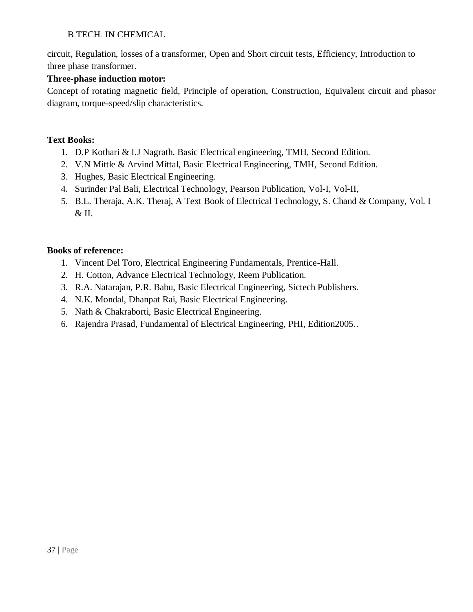circuit, Regulation, losses of a transformer, Open and Short circuit tests, Efficiency, Introduction to three phase transformer.

### **Three-phase induction motor:**

Concept of rotating magnetic field, Principle of operation, Construction, Equivalent circuit and phasor diagram, torque-speed/slip characteristics.

### **Text Books:**

- 1. D.P Kothari & I.J Nagrath, Basic Electrical engineering, TMH, Second Edition.
- 2. V.N Mittle & Arvind Mittal, Basic Electrical Engineering, TMH, Second Edition.
- 3. Hughes, Basic Electrical Engineering.
- 4. Surinder Pal Bali, Electrical Technology, Pearson Publication, Vol-I, Vol-II,
- 5. B.L. Theraja, A.K. Theraj, A Text Book of Electrical Technology, S. Chand & Company, Vol. I & II.

- 1. Vincent Del Toro, Electrical Engineering Fundamentals, Prentice-Hall.
- 2. H. Cotton, Advance Electrical Technology, Reem Publication.
- 3. R.A. Natarajan, P.R. Babu, Basic Electrical Engineering, Sictech Publishers.
- 4. N.K. Mondal, Dhanpat Rai, Basic Electrical Engineering.
- 5. Nath & Chakraborti, Basic Electrical Engineering.
- 6. Rajendra Prasad, Fundamental of Electrical Engineering, PHI, Edition2005..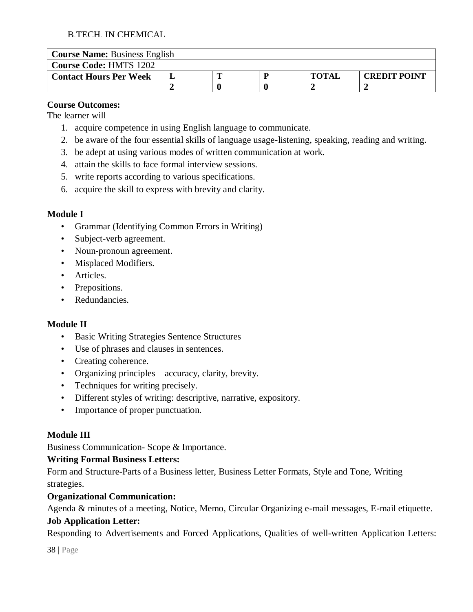| <b>Course Name: Business English</b> |  |  |  |              |                     |  |  |
|--------------------------------------|--|--|--|--------------|---------------------|--|--|
| <b>Course Code: HMTS 1202</b>        |  |  |  |              |                     |  |  |
| <b>Contact Hours Per Week</b>        |  |  |  | <b>TOTAL</b> | <b>CREDIT POINT</b> |  |  |
|                                      |  |  |  |              |                     |  |  |

### **Course Outcomes:**

The learner will

- 1. acquire competence in using English language to communicate.
- 2. be aware of the four essential skills of language usage-listening, speaking, reading and writing.
- 3. be adept at using various modes of written communication at work.
- 4. attain the skills to face formal interview sessions.
- 5. write reports according to various specifications.
- 6. acquire the skill to express with brevity and clarity.

### **Module I**

- Grammar (Identifying Common Errors in Writing)
- Subject-verb agreement.
- Noun-pronoun agreement.
- Misplaced Modifiers.
- Articles.
- Prepositions.
- Redundancies.

# **Module II**

- Basic Writing Strategies Sentence Structures
- Use of phrases and clauses in sentences.
- Creating coherence.
- Organizing principles accuracy, clarity, brevity.
- Techniques for writing precisely.
- Different styles of writing: descriptive, narrative, expository.
- Importance of proper punctuation.

# **Module III**

Business Communication- Scope & Importance.

### **Writing Formal Business Letters:**

Form and Structure-Parts of a Business letter, Business Letter Formats, Style and Tone, Writing strategies.

### **Organizational Communication:**

Agenda & minutes of a meeting, Notice, Memo, Circular Organizing e-mail messages, E-mail etiquette. **Job Application Letter:**

Responding to Advertisements and Forced Applications, Qualities of well-written Application Letters: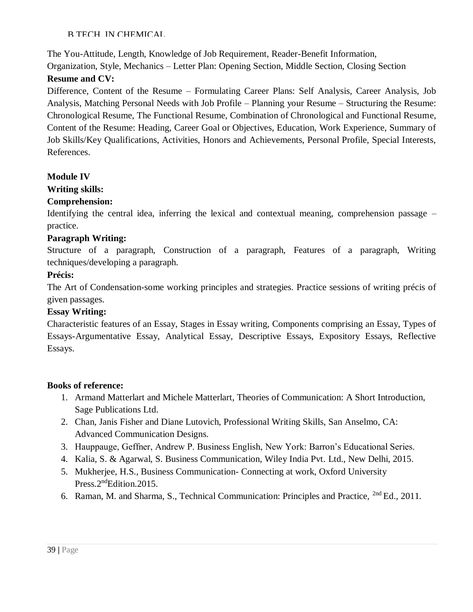The You-Attitude, Length, Knowledge of Job Requirement, Reader-Benefit Information,

Organization, Style, Mechanics – Letter Plan: Opening Section, Middle Section, Closing Section **Resume and CV:**

Difference, Content of the Resume – Formulating Career Plans: Self Analysis, Career Analysis, Job Analysis, Matching Personal Needs with Job Profile – Planning your Resume – Structuring the Resume: Chronological Resume, The Functional Resume, Combination of Chronological and Functional Resume, Content of the Resume: Heading, Career Goal or Objectives, Education, Work Experience, Summary of Job Skills/Key Qualifications, Activities, Honors and Achievements, Personal Profile, Special Interests, References.

# **Module IV**

# **Writing skills:**

# **Comprehension:**

Identifying the central idea, inferring the lexical and contextual meaning, comprehension passage – practice.

# **Paragraph Writing:**

Structure of a paragraph, Construction of a paragraph, Features of a paragraph, Writing techniques/developing a paragraph.

# **Précis:**

The Art of Condensation-some working principles and strategies. Practice sessions of writing précis of given passages.

# **Essay Writing:**

Characteristic features of an Essay, Stages in Essay writing, Components comprising an Essay, Types of Essays-Argumentative Essay, Analytical Essay, Descriptive Essays, Expository Essays, Reflective Essays.

- 1. Armand Matterlart and Michele Matterlart, Theories of Communication: A Short Introduction, Sage Publications Ltd.
- 2. Chan, Janis Fisher and Diane Lutovich, Professional Writing Skills, San Anselmo, CA: Advanced Communication Designs.
- 3. Hauppauge, Geffner, Andrew P. Business English, New York: Barron's Educational Series.
- 4. Kalia, S. & Agarwal, S. Business Communication, Wiley India Pvt. Ltd., New Delhi, 2015.
- 5. Mukherjee, H.S., Business Communication- Connecting at work, Oxford University Press.2<sup>nd</sup>Edition.2015.
- 6. Raman, M. and Sharma, S., Technical Communication: Principles and Practice, 2nd Ed., 2011.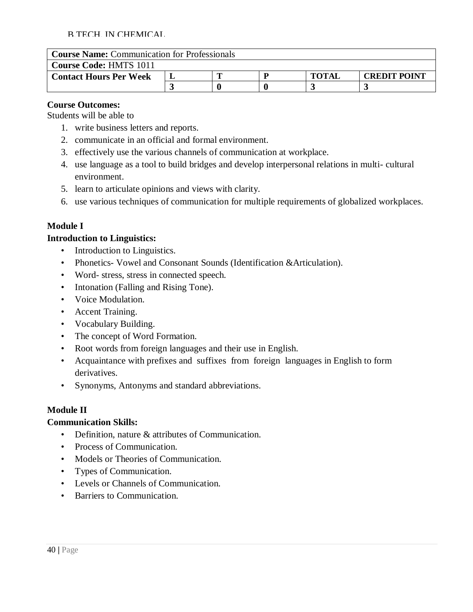| <b>Course Name:</b> Communication for Professionals |  |  |  |              |                     |  |  |
|-----------------------------------------------------|--|--|--|--------------|---------------------|--|--|
| <b>Course Code: HMTS 1011</b>                       |  |  |  |              |                     |  |  |
| <b>Contact Hours Per Week</b>                       |  |  |  | <b>TOTAL</b> | <b>CREDIT POINT</b> |  |  |
|                                                     |  |  |  |              |                     |  |  |

### **Course Outcomes:**

Students will be able to

- 1. write business letters and reports.
- 2. communicate in an official and formal environment.
- 3. effectively use the various channels of communication at workplace.
- 4. use language as a tool to build bridges and develop interpersonal relations in multi- cultural environment.
- 5. learn to articulate opinions and views with clarity.
- 6. use various techniques of communication for multiple requirements of globalized workplaces.

# **Module I**

### **Introduction to Linguistics:**

- Introduction to Linguistics.
- Phonetics- Vowel and Consonant Sounds (Identification & Articulation).
- Word- stress, stress in connected speech.
- Intonation (Falling and Rising Tone).
- Voice Modulation.
- Accent Training.
- Vocabulary Building.
- The concept of Word Formation.
- Root words from foreign languages and their use in English.
- Acquaintance with prefixes and suffixes from foreign languages in English to form derivatives.
- Synonyms, Antonyms and standard abbreviations.

# **Module II**

### **Communication Skills:**

- Definition, nature & attributes of Communication.
- Process of Communication.
- Models or Theories of Communication.
- Types of Communication.
- Levels or Channels of Communication.
- Barriers to Communication.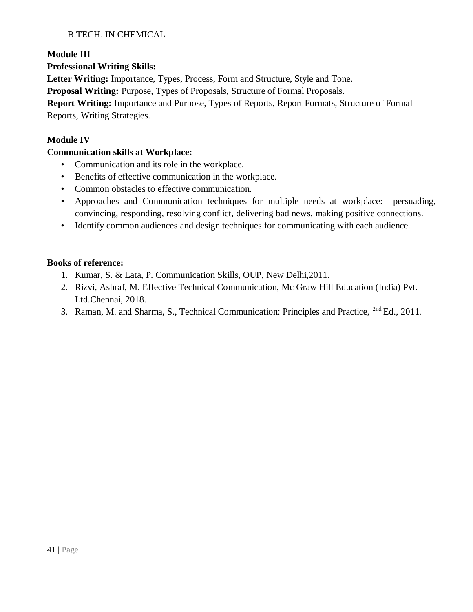### **Module III**

### **Professional Writing Skills:**

**Letter Writing:** Importance, Types, Process, Form and Structure, Style and Tone.

**Proposal Writing:** Purpose, Types of Proposals, Structure of Formal Proposals.

**Report Writing:** Importance and Purpose, Types of Reports, Report Formats, Structure of Formal Reports, Writing Strategies.

### **Module IV**

### **Communication skills at Workplace:**

- Communication and its role in the workplace.
- Benefits of effective communication in the workplace.
- Common obstacles to effective communication.
- Approaches and Communication techniques for multiple needs at workplace: persuading, convincing, responding, resolving conflict, delivering bad news, making positive connections.
- Identify common audiences and design techniques for communicating with each audience.

- 1. Kumar, S. & Lata, P. Communication Skills, OUP, New Delhi,2011.
- 2. Rizvi, Ashraf, M. Effective Technical Communication, Mc Graw Hill Education (India) Pvt. Ltd.Chennai, 2018.
- 3. Raman, M. and Sharma, S., Technical Communication: Principles and Practice, 2nd Ed., 2011.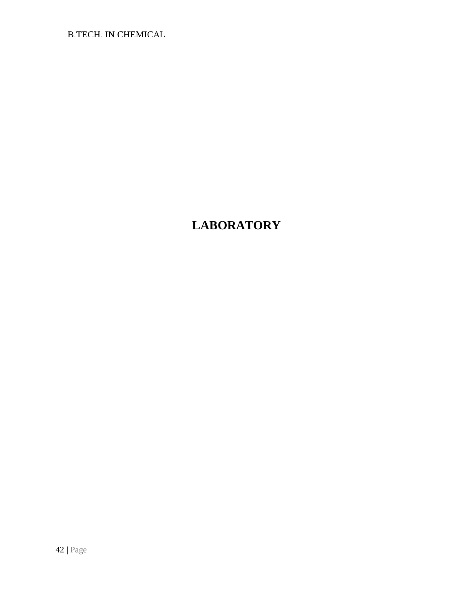# **LABORATORY**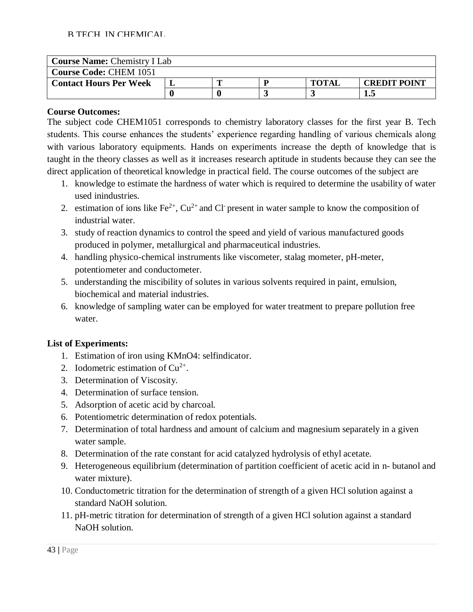| <b>Course Name: Chemistry I Lab</b> |  |  |  |              |                     |  |  |  |
|-------------------------------------|--|--|--|--------------|---------------------|--|--|--|
| <b>Course Code: CHEM 1051</b>       |  |  |  |              |                     |  |  |  |
| <b>Contact Hours Per Week</b>       |  |  |  | <b>TOTAI</b> | <b>CREDIT POINT</b> |  |  |  |
|                                     |  |  |  |              | 1.J                 |  |  |  |

The subject code CHEM1051 corresponds to chemistry laboratory classes for the first year B. Tech students. This course enhances the students' experience regarding handling of various chemicals along with various laboratory equipments. Hands on experiments increase the depth of knowledge that is taught in the theory classes as well as it increases research aptitude in students because they can see the direct application of theoretical knowledge in practical field. The course outcomes of the subject are

- 1. knowledge to estimate the hardness of water which is required to determine the usability of water used inindustries.
- 2. estimation of ions like  $Fe^{2+}$ ,  $Cu^{2+}$  and Cl present in water sample to know the composition of industrial water.
- 3. study of reaction dynamics to control the speed and yield of various manufactured goods produced in polymer, metallurgical and pharmaceutical industries.
- 4. handling physico-chemical instruments like viscometer, stalag mometer, pH-meter, potentiometer and conductometer.
- 5. understanding the miscibility of solutes in various solvents required in paint, emulsion, biochemical and material industries.
- 6. knowledge of sampling water can be employed for water treatment to prepare pollution free water.

### **List of Experiments:**

- 1. Estimation of iron using KMnO4: selfindicator.
- 2. Iodometric estimation of  $Cu^{2+}$ .
- 3. Determination of Viscosity.
- 4. Determination of surface tension.
- 5. Adsorption of acetic acid by charcoal.
- 6. Potentiometric determination of redox potentials.
- 7. Determination of total hardness and amount of calcium and magnesium separately in a given water sample.
- 8. Determination of the rate constant for acid catalyzed hydrolysis of ethyl acetate.
- 9. Heterogeneous equilibrium (determination of partition coefficient of acetic acid in n- butanol and water mixture).
- 10. Conductometric titration for the determination of strength of a given HCl solution against a standard NaOH solution.
- 11. pH-metric titration for determination of strength of a given HCl solution against a standard NaOH solution.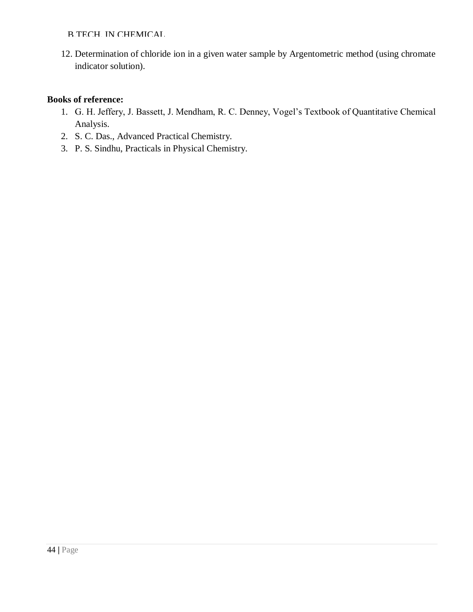12. Determination of chloride ion in a given water sample by Argentometric method (using chromate indicator solution).

- 1. G. H. Jeffery, J. Bassett, J. Mendham, R. C. Denney, Vogel's Textbook of Quantitative Chemical Analysis.
- 2. S. C. Das., Advanced Practical Chemistry.
- 3. P. S. Sindhu, Practicals in Physical Chemistry.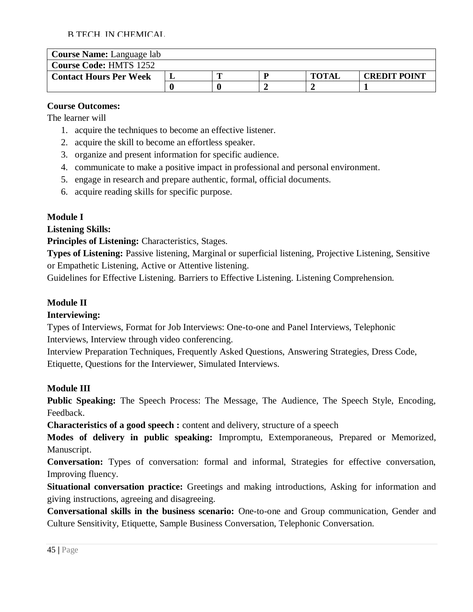| <b>Course Name:</b> Language lab |  |  |  |              |                     |  |  |
|----------------------------------|--|--|--|--------------|---------------------|--|--|
| <b>Course Code: HMTS 1252</b>    |  |  |  |              |                     |  |  |
| <b>Contact Hours Per Week</b>    |  |  |  | <b>TOTAL</b> | <b>CREDIT POINT</b> |  |  |
|                                  |  |  |  |              |                     |  |  |

# **Course Outcomes:**

The learner will

- 1. acquire the techniques to become an effective listener.
- 2. acquire the skill to become an effortless speaker.
- 3. organize and present information for specific audience.
- 4. communicate to make a positive impact in professional and personal environment.
- 5. engage in research and prepare authentic, formal, official documents.
- 6. acquire reading skills for specific purpose.

# **Module I**

**Listening Skills:**

**Principles of Listening:** Characteristics, Stages.

**Types of Listening:** Passive listening, Marginal or superficial listening, Projective Listening, Sensitive or Empathetic Listening, Active or Attentive listening.

Guidelines for Effective Listening. Barriers to Effective Listening. Listening Comprehension.

# **Module II**

# **Interviewing:**

Types of Interviews, Format for Job Interviews: One-to-one and Panel Interviews, Telephonic Interviews, Interview through video conferencing.

Interview Preparation Techniques, Frequently Asked Questions, Answering Strategies, Dress Code, Etiquette, Questions for the Interviewer, Simulated Interviews.

# **Module III**

**Public Speaking:** The Speech Process: The Message, The Audience, The Speech Style, Encoding, Feedback.

**Characteristics of a good speech :** content and delivery, structure of a speech

**Modes of delivery in public speaking:** Impromptu, Extemporaneous, Prepared or Memorized, Manuscript.

**Conversation:** Types of conversation: formal and informal, Strategies for effective conversation, Improving fluency.

**Situational conversation practice:** Greetings and making introductions, Asking for information and giving instructions, agreeing and disagreeing.

**Conversational skills in the business scenario:** One-to-one and Group communication, Gender and Culture Sensitivity, Etiquette, Sample Business Conversation, Telephonic Conversation.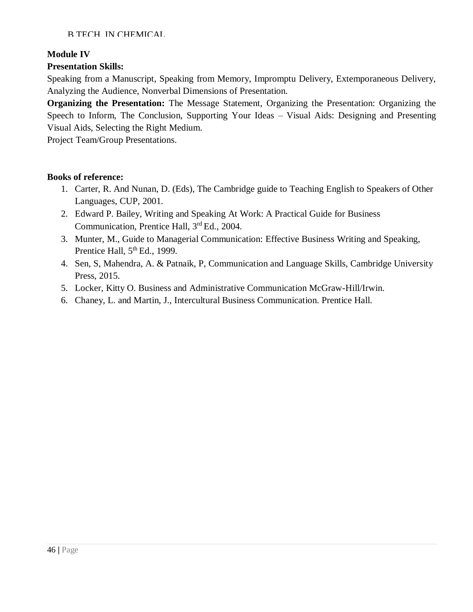### **Module IV**

# **Presentation Skills:**

Speaking from a Manuscript, Speaking from Memory, Impromptu Delivery, Extemporaneous Delivery, Analyzing the Audience, Nonverbal Dimensions of Presentation.

**Organizing the Presentation:** The Message Statement, Organizing the Presentation: Organizing the Speech to Inform, The Conclusion, Supporting Your Ideas – Visual Aids: Designing and Presenting Visual Aids, Selecting the Right Medium.

Project Team/Group Presentations.

- 1. Carter, R. And Nunan, D. (Eds), The Cambridge guide to Teaching English to Speakers of Other Languages, CUP, 2001.
- 2. Edward P. Bailey, Writing and Speaking At Work: A Practical Guide for Business Communication, Prentice Hall, 3<sup>rd</sup> Ed., 2004.
- 3. Munter, M., Guide to Managerial Communication: Effective Business Writing and Speaking, Prentice Hall,  $5<sup>th</sup>$  Ed., 1999.
- 4. Sen, S, Mahendra, A. & Patnaik, P, Communication and Language Skills, Cambridge University Press, 2015.
- 5. Locker, Kitty O. Business and Administrative Communication McGraw-Hill/Irwin.
- 6. Chaney, L. and Martin, J., Intercultural Business Communication. Prentice Hall.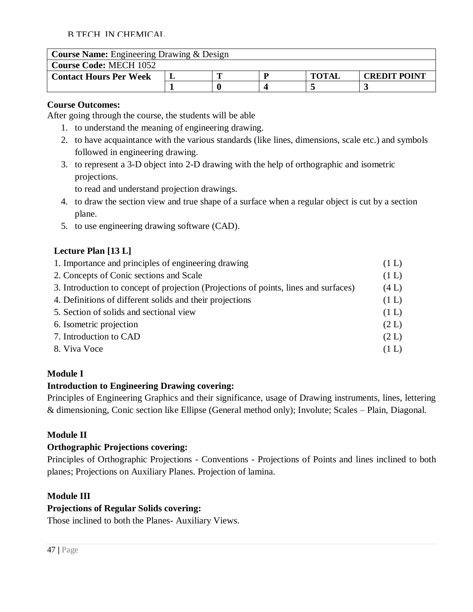| <b>Course Name:</b> Engineering Drawing & Design |  |  |  |              |                     |  |  |
|--------------------------------------------------|--|--|--|--------------|---------------------|--|--|
| <b>Course Code: MECH 1052</b>                    |  |  |  |              |                     |  |  |
| <b>Contact Hours Per Week</b>                    |  |  |  | <b>TOTAL</b> | <b>CREDIT POINT</b> |  |  |
|                                                  |  |  |  |              |                     |  |  |

### **Course Outcomes:**

After going through the course, the students will be able

- 1. to understand the meaning of engineering drawing.
- 2. to have acquaintance with the various standards (like lines, dimensions, scale etc.) and symbols followed in engineering drawing.
- 3. to represent a 3-D object into 2-D drawing with the help of orthographic and isometric projections.

to read and understand projection drawings.

- 4. to draw the section view and true shape of a surface when a regular object is cut by a section plane.
- 5. to use engineering drawing software (CAD).

# **Lecture Plan [13 L]**

| 1. Importance and principles of engineering drawing                                  | (1 L) |
|--------------------------------------------------------------------------------------|-------|
| 2. Concepts of Conic sections and Scale                                              | (1 L) |
| 3. Introduction to concept of projection (Projections of points, lines and surfaces) | (4 L) |
| 4. Definitions of different solids and their projections                             | (1 L) |
| 5. Section of solids and sectional view                                              | (1 L) |
| 6. Isometric projection                                                              | (2 L) |
| 7. Introduction to CAD                                                               | (2 L) |
| 8. Viva Voce                                                                         | (1 L) |

# **Module I**

# **Introduction to Engineering Drawing covering:**

Principles of Engineering Graphics and their significance, usage of Drawing instruments, lines, lettering & dimensioning, Conic section like Ellipse (General method only); Involute; Scales – Plain, Diagonal.

# **Module II**

### **Orthographic Projections covering:**

Principles of Orthographic Projections - Conventions - Projections of Points and lines inclined to both planes; Projections on Auxiliary Planes. Projection of lamina.

# **Module III**

# **Projections of Regular Solids covering:**

Those inclined to both the Planes- Auxiliary Views.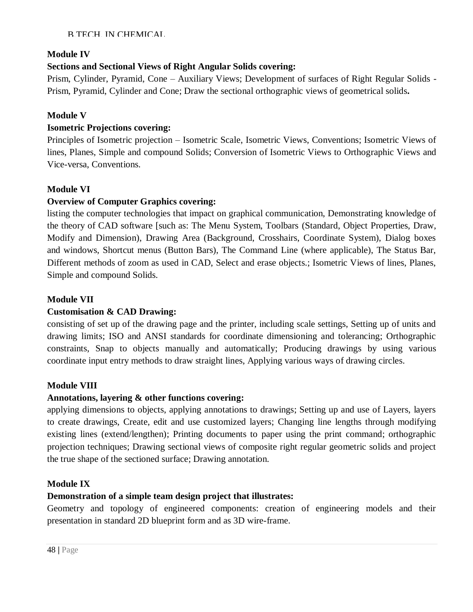### **Module IV**

# **Sections and Sectional Views of Right Angular Solids covering:**

Prism, Cylinder, Pyramid, Cone – Auxiliary Views; Development of surfaces of Right Regular Solids - Prism, Pyramid, Cylinder and Cone; Draw the sectional orthographic views of geometrical solids**.**

### **Module V**

### **Isometric Projections covering:**

Principles of Isometric projection – Isometric Scale, Isometric Views, Conventions; Isometric Views of lines, Planes, Simple and compound Solids; Conversion of Isometric Views to Orthographic Views and Vice-versa, Conventions.

### **Module VI**

### **Overview of Computer Graphics covering:**

listing the computer technologies that impact on graphical communication, Demonstrating knowledge of the theory of CAD software [such as: The Menu System, Toolbars (Standard, Object Properties, Draw, Modify and Dimension), Drawing Area (Background, Crosshairs, Coordinate System), Dialog boxes and windows, Shortcut menus (Button Bars), The Command Line (where applicable), The Status Bar, Different methods of zoom as used in CAD, Select and erase objects.; Isometric Views of lines, Planes, Simple and compound Solids.

### **Module VII**

### **Customisation & CAD Drawing:**

consisting of set up of the drawing page and the printer, including scale settings, Setting up of units and drawing limits; ISO and ANSI standards for coordinate dimensioning and tolerancing; Orthographic constraints, Snap to objects manually and automatically; Producing drawings by using various coordinate input entry methods to draw straight lines, Applying various ways of drawing circles.

### **Module VIII**

### **Annotations, layering & other functions covering:**

applying dimensions to objects, applying annotations to drawings; Setting up and use of Layers, layers to create drawings, Create, edit and use customized layers; Changing line lengths through modifying existing lines (extend/lengthen); Printing documents to paper using the print command; orthographic projection techniques; Drawing sectional views of composite right regular geometric solids and project the true shape of the sectioned surface; Drawing annotation.

### **Module IX**

### **Demonstration of a simple team design project that illustrates:**

Geometry and topology of engineered components: creation of engineering models and their presentation in standard 2D blueprint form and as 3D wire-frame.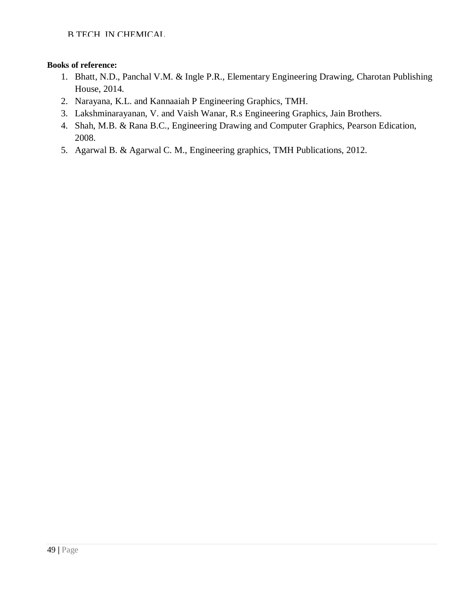- 1. Bhatt, N.D., Panchal V.M. & Ingle P.R., Elementary Engineering Drawing, Charotan Publishing House, 2014.
- 2. Narayana, K.L. and Kannaaiah P Engineering Graphics, TMH.
- 3. Lakshminarayanan, V. and Vaish Wanar, R.s Engineering Graphics, Jain Brothers.
- 4. Shah, M.B. & Rana B.C., Engineering Drawing and Computer Graphics, Pearson Edication, 2008.
- 5. Agarwal B. & Agarwal C. M., Engineering graphics, TMH Publications, 2012.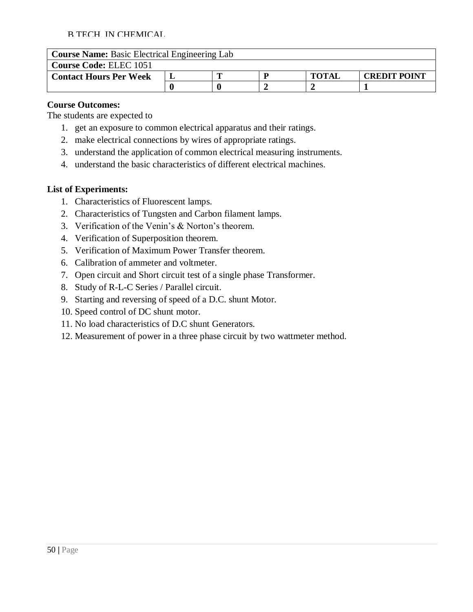| <b>Course Name:</b> Basic Electrical Engineering Lab |  |  |  |              |                     |  |  |
|------------------------------------------------------|--|--|--|--------------|---------------------|--|--|
| <b>Course Code: ELEC 1051</b>                        |  |  |  |              |                     |  |  |
| <b>Contact Hours Per Week</b>                        |  |  |  | <b>TOTAL</b> | <b>CREDIT POINT</b> |  |  |
|                                                      |  |  |  |              |                     |  |  |

### **Course Outcomes:**

The students are expected to

- 1. get an exposure to common electrical apparatus and their ratings.
- 2. make electrical connections by wires of appropriate ratings.
- 3. understand the application of common electrical measuring instruments.
- 4. understand the basic characteristics of different electrical machines.

### **List of Experiments:**

- 1. Characteristics of Fluorescent lamps.
- 2. Characteristics of Tungsten and Carbon filament lamps.
- 3. Verification of the Venin's & Norton's theorem.
- 4. Verification of Superposition theorem.
- 5. Verification of Maximum Power Transfer theorem.
- 6. Calibration of ammeter and voltmeter.
- 7. Open circuit and Short circuit test of a single phase Transformer.
- 8. Study of R-L-C Series / Parallel circuit.
- 9. Starting and reversing of speed of a D.C. shunt Motor.
- 10. Speed control of DC shunt motor.
- 11. No load characteristics of D.C shunt Generators.
- 12. Measurement of power in a three phase circuit by two wattmeter method.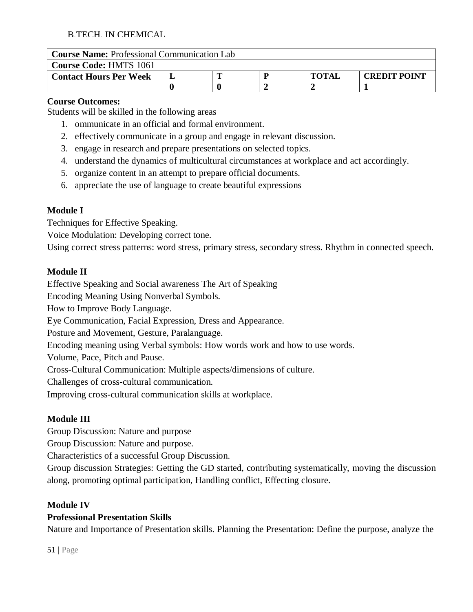| <b>Course Name:</b> Professional Communication Lab |  |  |  |              |                     |  |  |
|----------------------------------------------------|--|--|--|--------------|---------------------|--|--|
| <b>Course Code: HMTS 1061</b>                      |  |  |  |              |                     |  |  |
| <b>Contact Hours Per Week</b>                      |  |  |  | <b>TOTAL</b> | <b>CREDIT POINT</b> |  |  |
|                                                    |  |  |  |              |                     |  |  |

### **Course Outcomes:**

Students will be skilled in the following areas

- 1. ommunicate in an official and formal environment.
- 2. effectively communicate in a group and engage in relevant discussion.
- 3. engage in research and prepare presentations on selected topics.
- 4. understand the dynamics of multicultural circumstances at workplace and act accordingly.
- 5. organize content in an attempt to prepare official documents.
- 6. appreciate the use of language to create beautiful expressions

# **Module I**

Techniques for Effective Speaking.

Voice Modulation: Developing correct tone.

Using correct stress patterns: word stress, primary stress, secondary stress. Rhythm in connected speech.

### **Module II**

Effective Speaking and Social awareness The Art of Speaking

Encoding Meaning Using Nonverbal Symbols.

How to Improve Body Language.

Eye Communication, Facial Expression, Dress and Appearance.

Posture and Movement, Gesture, Paralanguage.

Encoding meaning using Verbal symbols: How words work and how to use words.

Volume, Pace, Pitch and Pause.

Cross-Cultural Communication: Multiple aspects/dimensions of culture.

Challenges of cross-cultural communication.

Improving cross-cultural communication skills at workplace.

# **Module III**

Group Discussion: Nature and purpose

Group Discussion: Nature and purpose.

Characteristics of a successful Group Discussion.

Group discussion Strategies: Getting the GD started, contributing systematically, moving the discussion along, promoting optimal participation, Handling conflict, Effecting closure.

# **Module IV**

# **Professional Presentation Skills**

Nature and Importance of Presentation skills. Planning the Presentation: Define the purpose, analyze the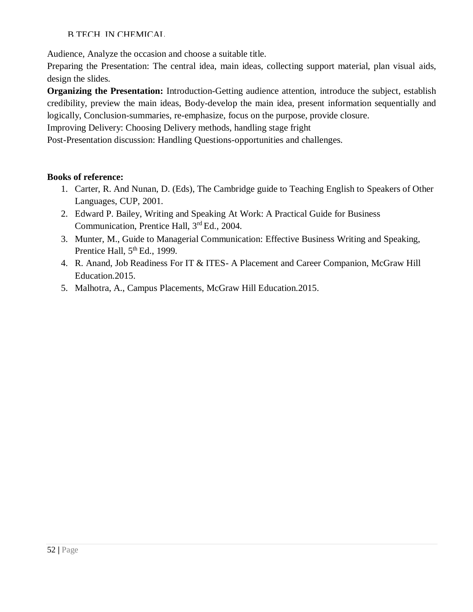Audience, Analyze the occasion and choose a suitable title.

Preparing the Presentation: The central idea, main ideas, collecting support material, plan visual aids, design the slides.

**Organizing the Presentation:** Introduction-Getting audience attention, introduce the subject, establish credibility, preview the main ideas, Body-develop the main idea, present information sequentially and logically, Conclusion-summaries, re-emphasize, focus on the purpose, provide closure.

Improving Delivery: Choosing Delivery methods, handling stage fright

Post-Presentation discussion: Handling Questions-opportunities and challenges.

- 1. Carter, R. And Nunan, D. (Eds), The Cambridge guide to Teaching English to Speakers of Other Languages, CUP, 2001.
- 2. Edward P. Bailey, Writing and Speaking At Work: A Practical Guide for Business Communication, Prentice Hall, 3rd Ed., 2004.
- 3. Munter, M., Guide to Managerial Communication: Effective Business Writing and Speaking, Prentice Hall,  $5<sup>th</sup>$  Ed., 1999.
- 4. R. Anand, Job Readiness For IT & ITES- A Placement and Career Companion, McGraw Hill Education.2015.
- 5. Malhotra, A., Campus Placements, McGraw Hill Education.2015.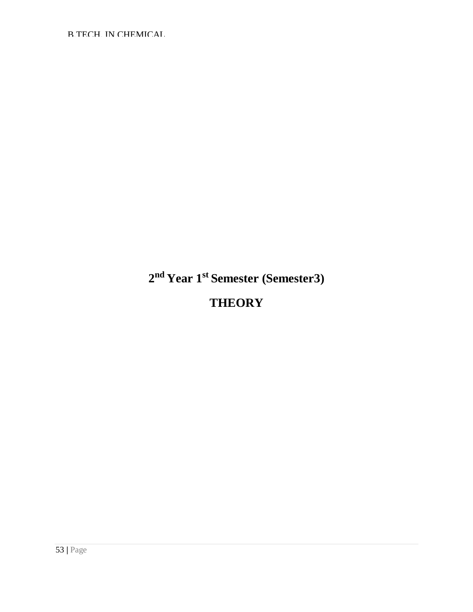**2 nd Year 1st Semester (Semester3)**

**THEORY**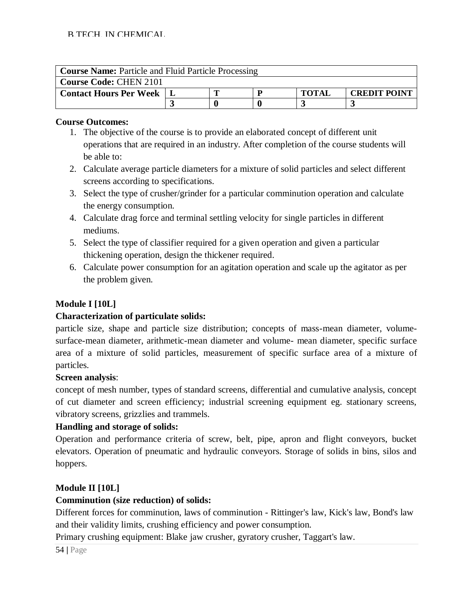| <b>Course Name:</b> Particle and Fluid Particle Processing |  |  |  |              |                     |  |  |
|------------------------------------------------------------|--|--|--|--------------|---------------------|--|--|
| <b>Course Code: CHEN 2101</b>                              |  |  |  |              |                     |  |  |
| <b>Contact Hours Per Week</b>                              |  |  |  | <b>TOTAI</b> | <b>CREDIT POINT</b> |  |  |
|                                                            |  |  |  |              |                     |  |  |

- 1. The objective of the course is to provide an elaborated concept of different unit operations that are required in an industry. After completion of the course students will be able to:
- 2. Calculate average particle diameters for a mixture of solid particles and select different screens according to specifications.
- 3. Select the type of crusher/grinder for a particular comminution operation and calculate the energy consumption.
- 4. Calculate drag force and terminal settling velocity for single particles in different mediums.
- 5. Select the type of classifier required for a given operation and given a particular thickening operation, design the thickener required.
- 6. Calculate power consumption for an agitation operation and scale up the agitator as per the problem given.

# **Module I [10L]**

# **Characterization of particulate solids:**

particle size, shape and particle size distribution; concepts of mass-mean diameter, volumesurface-mean diameter, arithmetic-mean diameter and volume- mean diameter, specific surface area of a mixture of solid particles, measurement of specific surface area of a mixture of particles.

# **Screen analysis**:

concept of mesh number, types of standard screens, differential and cumulative analysis, concept of cut diameter and screen efficiency; industrial screening equipment eg. stationary screens, vibratory screens, grizzlies and trammels.

# **Handling and storage of solids:**

Operation and performance criteria of screw, belt, pipe, apron and flight conveyors, bucket elevators. Operation of pneumatic and hydraulic conveyors. Storage of solids in bins, silos and hoppers.

# **Module II [10L]**

# **Comminution (size reduction) of solids:**

Different forces for comminution, laws of comminution - Rittinger's law, Kick's law, Bond's law and their validity limits, crushing efficiency and power consumption.

Primary crushing equipment: Blake jaw crusher, gyratory crusher, Taggart's law.

54 **|** Page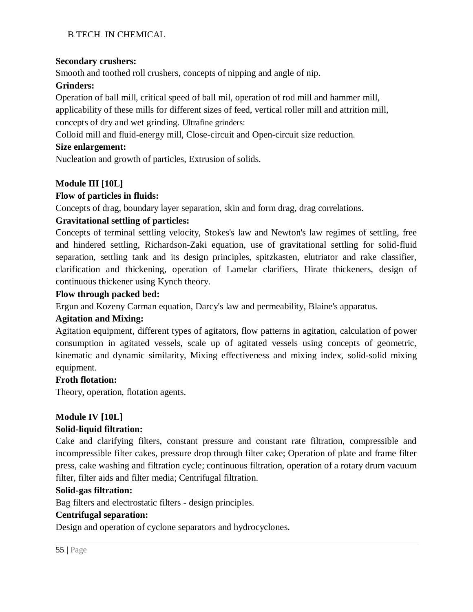# **Secondary crushers:**

Smooth and toothed roll crushers, concepts of nipping and angle of nip.

# **Grinders:**

Operation of ball mill, critical speed of ball mil, operation of rod mill and hammer mill, applicability of these mills for different sizes of feed, vertical roller mill and attrition mill, concepts of dry and wet grinding. Ultrafine grinders:

Colloid mill and fluid-energy mill, Close-circuit and Open-circuit size reduction.

# **Size enlargement:**

Nucleation and growth of particles, Extrusion of solids.

# **Module III [10L]**

# **Flow of particles in fluids:**

Concepts of drag, boundary layer separation, skin and form drag, drag correlations.

# **Gravitational settling of particles:**

Concepts of terminal settling velocity, Stokes's law and Newton's law regimes of settling, free and hindered settling, Richardson-Zaki equation, use of gravitational settling for solid-fluid separation, settling tank and its design principles, spitzkasten, elutriator and rake classifier, clarification and thickening, operation of Lamelar clarifiers, Hirate thickeners, design of continuous thickener using Kynch theory.

### **Flow through packed bed:**

Ergun and Kozeny Carman equation, Darcy's law and permeability, Blaine's apparatus.

# **Agitation and Mixing:**

Agitation equipment, different types of agitators, flow patterns in agitation, calculation of power consumption in agitated vessels, scale up of agitated vessels using concepts of geometric, kinematic and dynamic similarity, Mixing effectiveness and mixing index, solid-solid mixing equipment.

# **Froth flotation:**

Theory, operation, flotation agents.

# **Module IV [10L]**

# **Solid-liquid filtration:**

Cake and clarifying filters, constant pressure and constant rate filtration, compressible and incompressible filter cakes, pressure drop through filter cake; Operation of plate and frame filter press, cake washing and filtration cycle; continuous filtration, operation of a rotary drum vacuum filter, filter aids and filter media; Centrifugal filtration.

# **Solid-gas filtration:**

Bag filters and electrostatic filters - design principles.

# **Centrifugal separation:**

Design and operation of cyclone separators and hydrocyclones.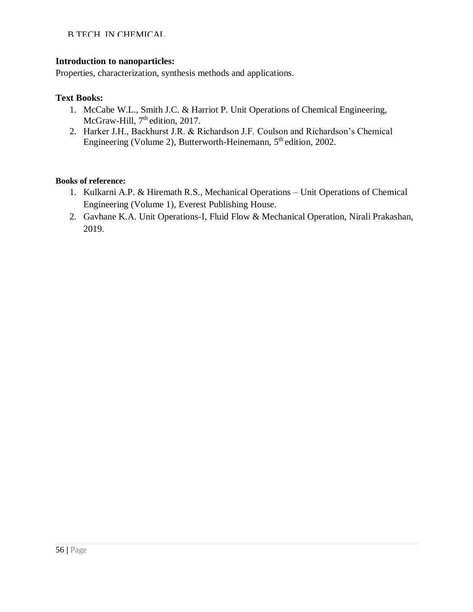### **Introduction to nanoparticles:**

Properties, characterization, synthesis methods and applications.

### **Text Books:**

- 1. McCabe W.L., Smith J.C. & Harriot P. Unit Operations of Chemical Engineering, McGraw-Hill, 7<sup>th</sup> edition, 2017.
- 2. Harker J.H., Backhurst J.R. & Richardson J.F. Coulson and Richardson's Chemical Engineering (Volume 2), Butterworth-Heinemann, 5<sup>th</sup> edition, 2002.

- 1. Kulkarni A.P. & Hiremath R.S., Mechanical Operations Unit Operations of Chemical Engineering (Volume 1), Everest Publishing House.
- 2. Gavhane K.A. Unit Operations-I, Fluid Flow & Mechanical Operation, Nirali Prakashan, 2019.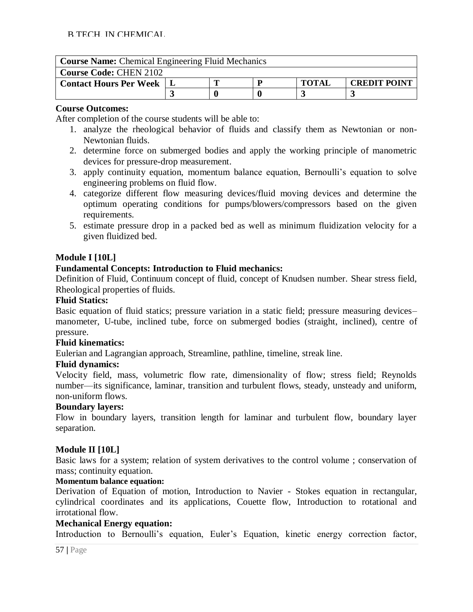| <b>Course Name:</b> Chemical Engineering Fluid Mechanics |  |  |  |              |                     |  |  |
|----------------------------------------------------------|--|--|--|--------------|---------------------|--|--|
| <b>Course Code: CHEN 2102</b>                            |  |  |  |              |                     |  |  |
| <b>Contact Hours Per Week</b>                            |  |  |  | <b>TOTAL</b> | <b>CREDIT POINT</b> |  |  |
|                                                          |  |  |  |              |                     |  |  |

After completion of the course students will be able to:

- 1. analyze the rheological behavior of fluids and classify them as Newtonian or non-Newtonian fluids.
- 2. determine force on submerged bodies and apply the working principle of manometric devices for pressure-drop measurement.
- 3. apply continuity equation, momentum balance equation, Bernoulli's equation to solve engineering problems on fluid flow.
- 4. categorize different flow measuring devices/fluid moving devices and determine the optimum operating conditions for pumps/blowers/compressors based on the given requirements.
- 5. estimate pressure drop in a packed bed as well as minimum fluidization velocity for a given fluidized bed.

### **Module I [10L]**

### **Fundamental Concepts: Introduction to Fluid mechanics:**

Definition of Fluid, Continuum concept of fluid, concept of Knudsen number. Shear stress field, Rheological properties of fluids.

### **Fluid Statics:**

Basic equation of fluid statics; pressure variation in a static field; pressure measuring devices– manometer, U-tube, inclined tube, force on submerged bodies (straight, inclined), centre of pressure.

#### **Fluid kinematics:**

Eulerian and Lagrangian approach, Streamline, pathline, timeline, streak line.

### **Fluid dynamics:**

Velocity field, mass, volumetric flow rate, dimensionality of flow; stress field; Reynolds number—its significance, laminar, transition and turbulent flows, steady, unsteady and uniform, non-uniform flows.

#### **Boundary layers:**

Flow in boundary layers, transition length for laminar and turbulent flow, boundary layer separation.

### **Module II [10L]**

Basic laws for a system; relation of system derivatives to the control volume ; conservation of mass; continuity equation.

#### **Momentum balance equation:**

Derivation of Equation of motion, Introduction to Navier - Stokes equation in rectangular, cylindrical coordinates and its applications, Couette flow, Introduction to rotational and irrotational flow.

### **Mechanical Energy equation:**

Introduction to Bernoulli's equation, Euler's Equation, kinetic energy correction factor,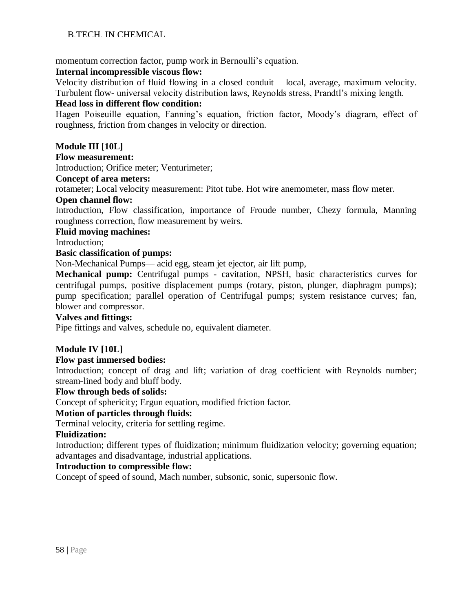momentum correction factor, pump work in Bernoulli's equation.

#### **Internal incompressible viscous flow:**

Velocity distribution of fluid flowing in a closed conduit – local, average, maximum velocity. Turbulent flow- universal velocity distribution laws, Reynolds stress, Prandtl's mixing length.

#### **Head loss in different flow condition:**

Hagen Poiseuille equation, Fanning's equation, friction factor, Moody's diagram, effect of roughness, friction from changes in velocity or direction.

### **Module III [10L]**

#### **Flow measurement:**

Introduction; Orifice meter; Venturimeter;

#### **Concept of area meters:**

rotameter; Local velocity measurement: Pitot tube. Hot wire anemometer, mass flow meter.

#### **Open channel flow:**

Introduction, Flow classification, importance of Froude number, Chezy formula, Manning roughness correction, flow measurement by weirs.

#### **Fluid moving machines:**

Introduction;

#### **Basic classification of pumps:**

Non-Mechanical Pumps— acid egg, steam jet ejector, air lift pump,

**Mechanical pump:** Centrifugal pumps - cavitation, NPSH, basic characteristics curves for centrifugal pumps, positive displacement pumps (rotary, piston, plunger, diaphragm pumps); pump specification; parallel operation of Centrifugal pumps; system resistance curves; fan, blower and compressor.

#### **Valves and fittings:**

Pipe fittings and valves, schedule no, equivalent diameter.

#### **Module IV [10L]**

#### **Flow past immersed bodies:**

Introduction; concept of drag and lift; variation of drag coefficient with Reynolds number; stream-lined body and bluff body.

#### **Flow through beds of solids:**

Concept of sphericity; Ergun equation, modified friction factor.

#### **Motion of particles through fluids:**

Terminal velocity, criteria for settling regime.

#### **Fluidization:**

Introduction; different types of fluidization; minimum fluidization velocity; governing equation; advantages and disadvantage, industrial applications.

#### **Introduction to compressible flow:**

Concept of speed of sound, Mach number, subsonic, sonic, supersonic flow.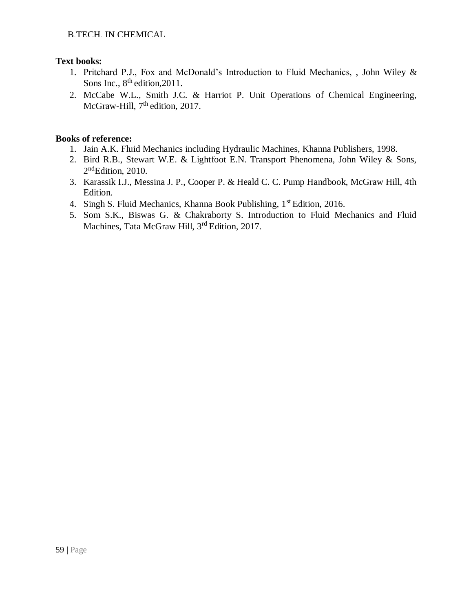### **Text books:**

- 1. Pritchard P.J., Fox and McDonald's Introduction to Fluid Mechanics, , John Wiley & Sons Inc.,  $8<sup>th</sup>$  edition, 2011.
- 2. McCabe W.L., Smith J.C. & Harriot P. Unit Operations of Chemical Engineering, McGraw-Hill, 7<sup>th</sup> edition, 2017.

- 1. Jain A.K. Fluid Mechanics including Hydraulic Machines, Khanna Publishers, 1998.
- 2. Bird R.B., Stewart W.E. & Lightfoot E.N. Transport Phenomena, John Wiley & Sons, 2<sup>nd</sup>Edition, 2010.
- 3. Karassik I.J., Messina J. P., Cooper P. & Heald C. C. Pump Handbook, McGraw Hill, 4th Edition.
- 4. Singh S. Fluid Mechanics, Khanna Book Publishing, 1<sup>st</sup> Edition, 2016.
- 5. Som S.K., Biswas G. & Chakraborty S. Introduction to Fluid Mechanics and Fluid Machines, Tata McGraw Hill, 3<sup>rd</sup> Edition, 2017.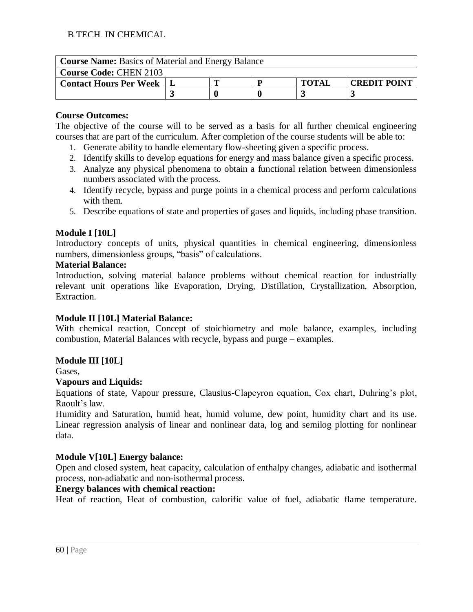| <b>Course Name:</b> Basics of Material and Energy Balance |  |  |  |              |                     |  |  |
|-----------------------------------------------------------|--|--|--|--------------|---------------------|--|--|
| <b>Course Code: CHEN 2103</b>                             |  |  |  |              |                     |  |  |
| <b>Contact Hours Per Week</b>                             |  |  |  | <b>TOTAL</b> | <b>CREDIT POINT</b> |  |  |
|                                                           |  |  |  |              |                     |  |  |

The objective of the course will to be served as a basis for all further chemical engineering courses that are part of the curriculum. After completion of the course students will be able to:

- 1. Generate ability to handle elementary flow-sheeting given a specific process.
- 2. Identify skills to develop equations for energy and mass balance given a specific process.
- 3. Analyze any physical phenomena to obtain a functional relation between dimensionless numbers associated with the process.
- 4. Identify recycle, bypass and purge points in a chemical process and perform calculations with them.
- 5. Describe equations of state and properties of gases and liquids, including phase transition.

### **Module I [10L]**

Introductory concepts of units, physical quantities in chemical engineering, dimensionless numbers, dimensionless groups, "basis" of calculations.

### **Material Balance:**

Introduction, solving material balance problems without chemical reaction for industrially relevant unit operations like Evaporation, Drying, Distillation, Crystallization, Absorption, Extraction.

### **Module II [10L] Material Balance:**

With chemical reaction, Concept of stoichiometry and mole balance, examples, including combustion, Material Balances with recycle, bypass and purge – examples.

# **Module III [10L]**

Gases,

### **Vapours and Liquids:**

Equations of state, Vapour pressure, Clausius-Clapeyron equation, Cox chart, Duhring's plot, Raoult's law.

Humidity and Saturation, humid heat, humid volume, dew point, humidity chart and its use. Linear regression analysis of linear and nonlinear data, log and semilog plotting for nonlinear data.

# **Module V[10L] Energy balance:**

Open and closed system, heat capacity, calculation of enthalpy changes, adiabatic and isothermal process, non-adiabatic and non-isothermal process.

### **Energy balances with chemical reaction:**

Heat of reaction, Heat of combustion, calorific value of fuel, adiabatic flame temperature.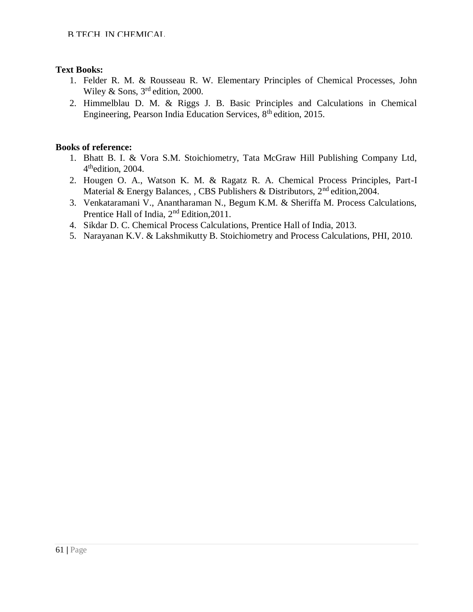### **Text Books:**

- 1. Felder R. M. & Rousseau R. W. Elementary Principles of Chemical Processes, John Wiley & Sons,  $3<sup>rd</sup>$  edition, 2000.
- 2. Himmelblau D. M. & Riggs J. B. Basic Principles and Calculations in Chemical Engineering, Pearson India Education Services, 8<sup>th</sup> edition, 2015.

- 1. Bhatt B. I. & Vora S.M. Stoichiometry, Tata McGraw Hill Publishing Company Ltd, 4<sup>th</sup>edition, 2004.
- 2. Hougen O. A., Watson K. M. & Ragatz R. A. Chemical Process Principles, Part-I Material & Energy Balances, , CBS Publishers & Distributors, 2<sup>nd</sup> edition.2004.
- 3. Venkataramani V., Anantharaman N., Begum K.M. & Sheriffa M. Process Calculations, Prentice Hall of India,  $2<sup>nd</sup>$  Edition, 2011.
- 4. Sikdar D. C. Chemical Process Calculations, Prentice Hall of India, 2013.
- 5. Narayanan K.V. & Lakshmikutty B. Stoichiometry and Process Calculations, PHI, 2010.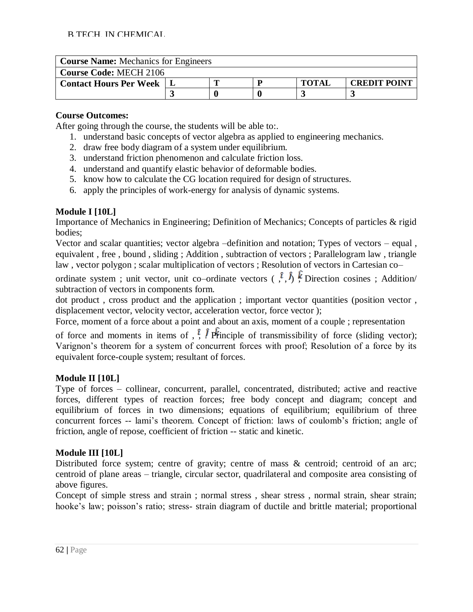| <b>Course Name:</b> Mechanics for Engineers |  |  |  |              |                     |  |  |
|---------------------------------------------|--|--|--|--------------|---------------------|--|--|
| <b>Course Code: MECH 2106</b>               |  |  |  |              |                     |  |  |
| <b>Contact Hours Per Week</b>               |  |  |  | <b>TOTAL</b> | <b>CREDIT POINT</b> |  |  |
|                                             |  |  |  |              |                     |  |  |

After going through the course, the students will be able to:.

- 1. understand basic concepts of vector algebra as applied to engineering mechanics.
- 2. draw free body diagram of a system under equilibrium.
- 3. understand friction phenomenon and calculate friction loss.
- 4. understand and quantify elastic behavior of deformable bodies.
- 5. know how to calculate the CG location required for design of structures.
- 6. apply the principles of work-energy for analysis of dynamic systems.

# **Module I [10L]**

Importance of Mechanics in Engineering; Definition of Mechanics; Concepts of particles & rigid bodies;

Vector and scalar quantities; vector algebra –definition and notation; Types of vectors – equal , equivalent , free , bound , sliding ; Addition , subtraction of vectors ; Parallelogram law , triangle law , vector polygon ; scalar multiplication of vectors ; Resolution of vectors in Cartesian co–

ordinate system ; unit vector, unit co–ordinate vectors  $($ ,  $\hat{i}$ ,  $\hat{j}$ ,  $\hat{k}$  Direction cosines ; Addition/ subtraction of vectors in components form.

dot product , cross product and the application ; important vector quantities (position vector , displacement vector, velocity vector, acceleration vector, force vector );

Force, moment of a force about a point and about an axis, moment of a couple ; representation

of force and moments in items of  $\hat{i}$ ,  $\hat{j}$   $\hat{f}$   $\hat{f}$  refinciple of transmissibility of force (sliding vector); Varignon's theorem for a system of concurrent forces with proof; Resolution of a force by its equivalent force-couple system; resultant of forces.

# **Module II [10L]**

Type of forces – collinear, concurrent, parallel, concentrated, distributed; active and reactive forces, different types of reaction forces; free body concept and diagram; concept and equilibrium of forces in two dimensions; equations of equilibrium; equilibrium of three concurrent forces -- lami's theorem. Concept of friction: laws of coulomb's friction; angle of friction, angle of repose, coefficient of friction -- static and kinetic.

# **Module III [10L]**

Distributed force system; centre of gravity; centre of mass & centroid; centroid of an arc; centroid of plane areas – triangle, circular sector, quadrilateral and composite area consisting of above figures.

Concept of simple stress and strain ; normal stress , shear stress , normal strain, shear strain; hooke's law; poisson's ratio; stress- strain diagram of ductile and brittle material; proportional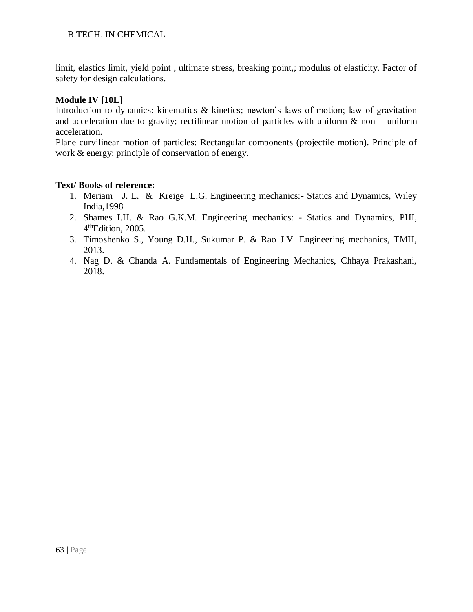limit, elastics limit, yield point , ultimate stress, breaking point,; modulus of elasticity. Factor of safety for design calculations.

#### **Module IV [10L]**

Introduction to dynamics: kinematics & kinetics; newton's laws of motion; law of gravitation and acceleration due to gravity; rectilinear motion of particles with uniform  $\&$  non – uniform acceleration.

Plane curvilinear motion of particles: Rectangular components (projectile motion). Principle of work & energy; principle of conservation of energy.

#### **Text/ Books of reference:**

- 1. Meriam J. L. & Kreige L.G. Engineering mechanics:- Statics and Dynamics, Wiley India,1998
- 2. Shames I.H. & Rao G.K.M. Engineering mechanics: Statics and Dynamics, PHI, 4<sup>th</sup>Edition, 2005.
- 3. Timoshenko S., Young D.H., Sukumar P. & Rao J.V. Engineering mechanics, TMH, 2013.
- 4. Nag D. & Chanda A. Fundamentals of Engineering Mechanics, Chhaya Prakashani, 2018.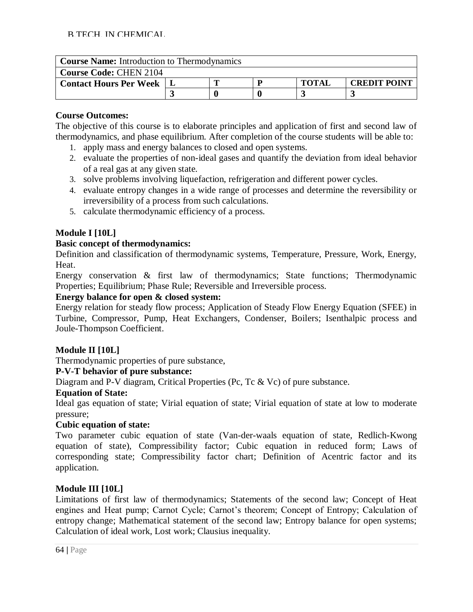### **Course Name:** Introduction to Thermodynamics

| <b>Course Code: CHEN 2104</b> |  |  |  |              |              |
|-------------------------------|--|--|--|--------------|--------------|
| <b>Contact Hours Per Week</b> |  |  |  | <b>TOTAI</b> | CREDIT POINT |
|                               |  |  |  |              |              |

### **Course Outcomes:**

The objective of this course is to elaborate principles and application of first and second law of thermodynamics, and phase equilibrium. After completion of the course students will be able to:

- 1. apply mass and energy balances to closed and open systems.
- 2. evaluate the properties of non-ideal gases and quantify the deviation from ideal behavior of a real gas at any given state.
- 3. solve problems involving liquefaction, refrigeration and different power cycles.
- 4. evaluate entropy changes in a wide range of processes and determine the reversibility or irreversibility of a process from such calculations.
- 5. calculate thermodynamic efficiency of a process.

# **Module I [10L]**

### **Basic concept of thermodynamics:**

Definition and classification of thermodynamic systems, Temperature, Pressure, Work, Energy, Heat.

Energy conservation & first law of thermodynamics; State functions; Thermodynamic Properties; Equilibrium; Phase Rule; Reversible and Irreversible process.

### **Energy balance for open & closed system:**

Energy relation for steady flow process; Application of Steady Flow Energy Equation (SFEE) in Turbine, Compressor, Pump, Heat Exchangers, Condenser, Boilers; Isenthalpic process and Joule-Thompson Coefficient.

### **Module II [10L]**

Thermodynamic properties of pure substance,

### **P-V-T behavior of pure substance:**

Diagram and P-V diagram, Critical Properties (Pc, Tc & Vc) of pure substance.

### **Equation of State:**

Ideal gas equation of state; Virial equation of state; Virial equation of state at low to moderate pressure;

### **Cubic equation of state:**

Two parameter cubic equation of state (Van-der-waals equation of state, Redlich-Kwong equation of state), Compressibility factor; Cubic equation in reduced form; Laws of corresponding state; Compressibility factor chart; Definition of Acentric factor and its application.

# **Module III [10L]**

Limitations of first law of thermodynamics; Statements of the second law; Concept of Heat engines and Heat pump; Carnot Cycle; Carnot's theorem; Concept of Entropy; Calculation of entropy change; Mathematical statement of the second law; Entropy balance for open systems; Calculation of ideal work, Lost work; Clausius inequality.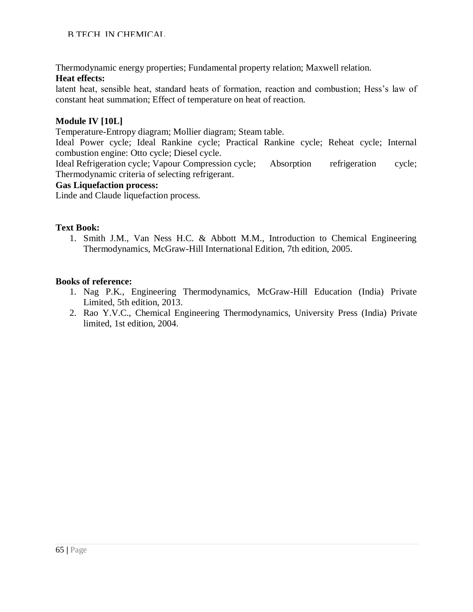Thermodynamic energy properties; Fundamental property relation; Maxwell relation.

### **Heat effects:**

latent heat, sensible heat, standard heats of formation, reaction and combustion; Hess's law of constant heat summation; Effect of temperature on heat of reaction.

### **Module IV [10L]**

Temperature-Entropy diagram; Mollier diagram; Steam table.

Ideal Power cycle; Ideal Rankine cycle; Practical Rankine cycle; Reheat cycle; Internal combustion engine: Otto cycle; Diesel cycle.

Ideal Refrigeration cycle; Vapour Compression cycle; Absorption refrigeration cycle; Thermodynamic criteria of selecting refrigerant.

### **Gas Liquefaction process:**

Linde and Claude liquefaction process.

### **Text Book:**

1. Smith J.M., Van Ness H.C. & Abbott M.M., Introduction to Chemical Engineering Thermodynamics, McGraw-Hill International Edition, 7th edition, 2005.

- 1. Nag P.K., Engineering Thermodynamics, McGraw-Hill Education (India) Private Limited, 5th edition, 2013.
- 2. Rao Y.V.C., Chemical Engineering Thermodynamics, University Press (India) Private limited, 1st edition, 2004.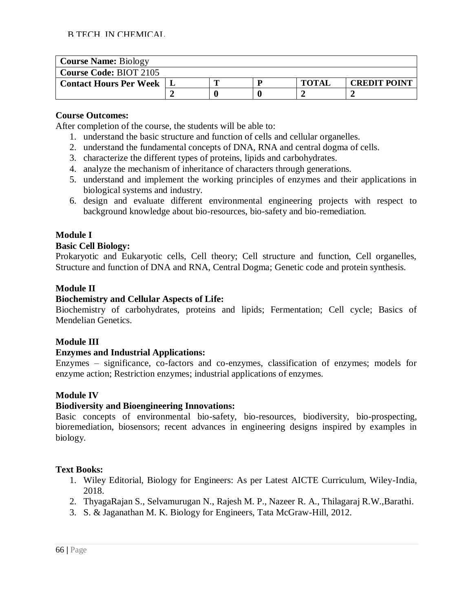| <b>Course Name: Biology</b>   |  |  |  |              |                     |
|-------------------------------|--|--|--|--------------|---------------------|
| <b>Course Code: BIOT 2105</b> |  |  |  |              |                     |
| <b>Contact Hours Per Week</b> |  |  |  | <b>TOTAI</b> | <b>CREDIT POINT</b> |
|                               |  |  |  |              |                     |

After completion of the course, the students will be able to:

- 1. understand the basic structure and function of cells and cellular organelles.
- 2. understand the fundamental concepts of DNA, RNA and central dogma of cells.
- 3. characterize the different types of proteins, lipids and carbohydrates.
- 4. analyze the mechanism of inheritance of characters through generations.
- 5. understand and implement the working principles of enzymes and their applications in biological systems and industry.
- 6. design and evaluate different environmental engineering projects with respect to background knowledge about bio-resources, bio-safety and bio-remediation.

# **Module I**

### **Basic Cell Biology:**

Prokaryotic and Eukaryotic cells, Cell theory; Cell structure and function, Cell organelles, Structure and function of DNA and RNA, Central Dogma; Genetic code and protein synthesis.

# **Module II**

# **Biochemistry and Cellular Aspects of Life:**

Biochemistry of carbohydrates, proteins and lipids; Fermentation; Cell cycle; Basics of Mendelian Genetics.

# **Module III**

### **Enzymes and Industrial Applications:**

Enzymes – significance, co-factors and co-enzymes, classification of enzymes; models for enzyme action; Restriction enzymes; industrial applications of enzymes.

# **Module IV**

# **Biodiversity and Bioengineering Innovations:**

Basic concepts of environmental bio-safety, bio-resources, biodiversity, bio-prospecting, bioremediation, biosensors; recent advances in engineering designs inspired by examples in biology.

### **Text Books:**

- 1. Wiley Editorial, Biology for Engineers: As per Latest AICTE Curriculum, Wiley-India, 2018.
- 2. ThyagaRajan S., Selvamurugan N., Rajesh M. P., Nazeer R. A., Thilagaraj R.W.,Barathi.
- 3. S. & Jaganathan M. K. Biology for Engineers, Tata McGraw-Hill, 2012.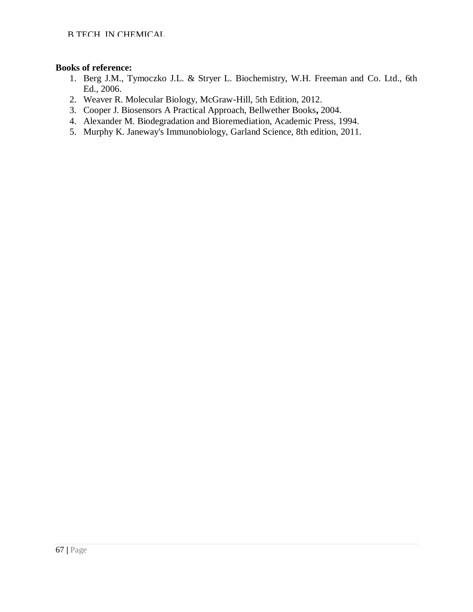- 1. Berg J.M., Tymoczko J.L. & Stryer L. Biochemistry, W.H. Freeman and Co. Ltd., 6th Ed., 2006.
- 2. Weaver R. Molecular Biology, McGraw-Hill, 5th Edition, 2012.
- 3. Cooper J. Biosensors A Practical Approach, Bellwether Books**,** 2004.
- 4. Alexander M. Biodegradation and Bioremediation, Academic Press, 1994.
- 5. Murphy K. Janeway's Immunobiology, Garland Science, 8th edition, 2011.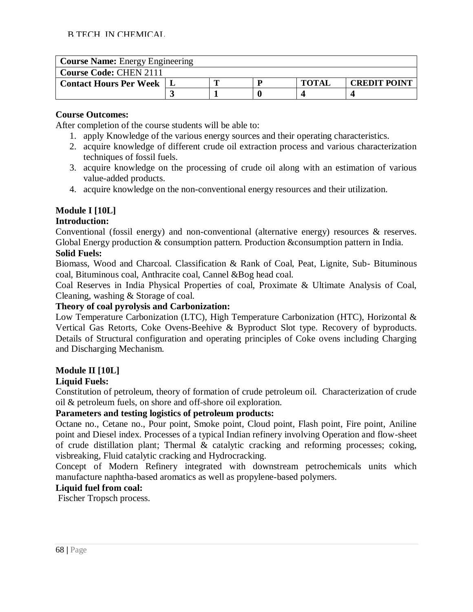| <b>Course Name:</b> Energy Engineering |  |  |  |              |                     |
|----------------------------------------|--|--|--|--------------|---------------------|
| <b>Course Code: CHEN 2111</b>          |  |  |  |              |                     |
| <b>Contact Hours Per Week</b>          |  |  |  | <b>TOTAI</b> | <b>CREDIT POINT</b> |
|                                        |  |  |  |              |                     |

After completion of the course students will be able to:

- 1. apply Knowledge of the various energy sources and their operating characteristics.
- 2. acquire knowledge of different crude oil extraction process and various characterization techniques of fossil fuels.
- 3. acquire knowledge on the processing of crude oil along with an estimation of various value-added products.
- 4. acquire knowledge on the non-conventional energy resources and their utilization.

# **Module I [10L]**

### **Introduction:**

Conventional (fossil energy) and non-conventional (alternative energy) resources & reserves. Global Energy production & consumption pattern. Production &consumption pattern in India.

# **Solid Fuels:**

Biomass, Wood and Charcoal. Classification & Rank of Coal, Peat, Lignite, Sub- Bituminous coal, Bituminous coal, Anthracite coal, Cannel &Bog head coal.

Coal Reserves in India Physical Properties of coal, Proximate & Ultimate Analysis of Coal, Cleaning, washing & Storage of coal.

### **Theory of coal pyrolysis and Carbonization:**

Low Temperature Carbonization (LTC), High Temperature Carbonization (HTC), Horizontal & Vertical Gas Retorts, Coke Ovens-Beehive & Byproduct Slot type. Recovery of byproducts. Details of Structural configuration and operating principles of Coke ovens including Charging and Discharging Mechanism.

# **Module II [10L]**

### **Liquid Fuels:**

Constitution of petroleum, theory of formation of crude petroleum oil. Characterization of crude oil & petroleum fuels, on shore and off-shore oil exploration.

### **Parameters and testing logistics of petroleum products:**

Octane no., Cetane no., Pour point, Smoke point, Cloud point, Flash point, Fire point, Aniline point and Diesel index. Processes of a typical Indian refinery involving Operation and flow-sheet of crude distillation plant; Thermal & catalytic cracking and reforming processes; coking, visbreaking, Fluid catalytic cracking and Hydrocracking.

Concept of Modern Refinery integrated with downstream petrochemicals units which manufacture naphtha-based aromatics as well as propylene-based polymers.

# **Liquid fuel from coal:**

Fischer Tropsch process.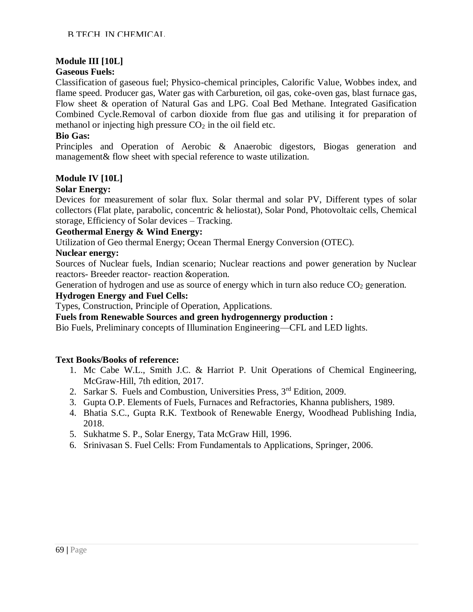### **Module III [10L]**

### **Gaseous Fuels:**

Classification of gaseous fuel; Physico-chemical principles, Calorific Value, Wobbes index, and flame speed. Producer gas, Water gas with Carburetion, oil gas, coke-oven gas, blast furnace gas, Flow sheet & operation of Natural Gas and LPG. Coal Bed Methane. Integrated Gasification Combined Cycle.Removal of carbon dioxide from flue gas and utilising it for preparation of methanol or injecting high pressure  $CO<sub>2</sub>$  in the oil field etc.

#### **Bio Gas:**

Principles and Operation of Aerobic & Anaerobic digestors, Biogas generation and management& flow sheet with special reference to waste utilization.

### **Module IV [10L]**

#### **Solar Energy:**

Devices for measurement of solar flux. Solar thermal and solar PV, Different types of solar collectors (Flat plate, parabolic, concentric & heliostat), Solar Pond, Photovoltaic cells, Chemical storage, Efficiency of Solar devices – Tracking.

#### **Geothermal Energy & Wind Energy:**

Utilization of Geo thermal Energy; Ocean Thermal Energy Conversion (OTEC).

#### **Nuclear energy:**

Sources of Nuclear fuels, Indian scenario; Nuclear reactions and power generation by Nuclear reactors- Breeder reactor- reaction &operation.

Generation of hydrogen and use as source of energy which in turn also reduce  $CO<sub>2</sub>$  generation.

#### **Hydrogen Energy and Fuel Cells:**

Types, Construction, Principle of Operation, Applications.

**Fuels from Renewable Sources and green hydrogennergy production :**

Bio Fuels, Preliminary concepts of Illumination Engineering—CFL and LED lights.

#### **Text Books/Books of reference:**

- 1. Mc Cabe W.L., Smith J.C. & Harriot P. Unit Operations of Chemical Engineering, McGraw-Hill, 7th edition, 2017.
- 2. Sarkar S. Fuels and Combustion, Universities Press, 3<sup>rd</sup> Edition, 2009.
- 3. Gupta O.P. Elements of Fuels, Furnaces and Refractories, Khanna publishers, 1989.
- 4. Bhatia S.C., Gupta R.K. Textbook of Renewable Energy, Woodhead Publishing India, 2018.
- 5. Sukhatme S. P., Solar Energy, Tata McGraw Hill, 1996.
- 6. Srinivasan S. Fuel Cells: From Fundamentals to Applications, Springer, 2006.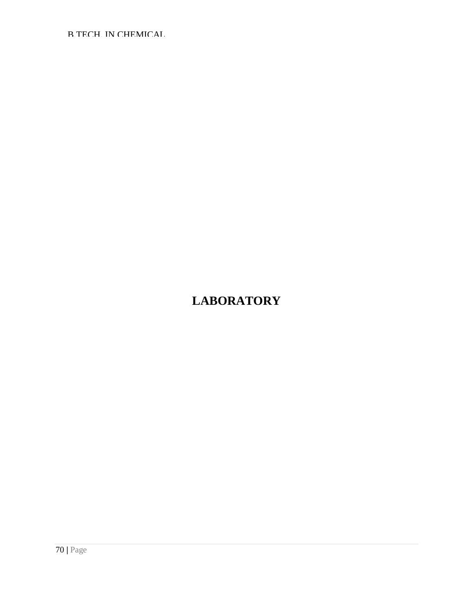# **LABORATORY**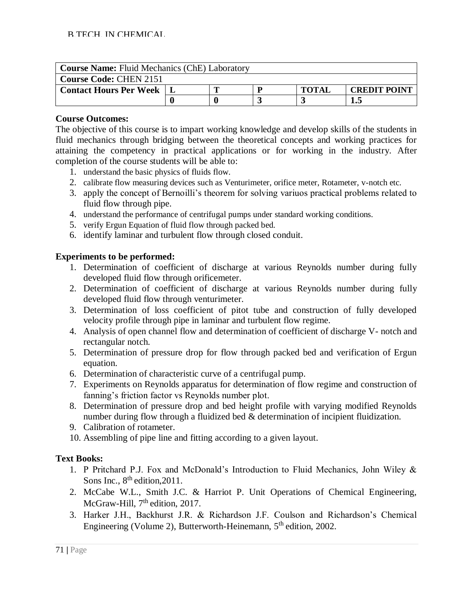| <b>Course Name:</b> Fluid Mechanics (ChE) Laboratory |  |  |  |              |                     |
|------------------------------------------------------|--|--|--|--------------|---------------------|
| <b>Course Code: CHEN 2151</b>                        |  |  |  |              |                     |
| <b>Contact Hours Per Week</b>                        |  |  |  | <b>TOTAL</b> | <b>CREDIT POINT</b> |
|                                                      |  |  |  |              | 1.5                 |

The objective of this course is to impart working knowledge and develop skills of the students in fluid mechanics through bridging between the theoretical concepts and working practices for attaining the competency in practical applications or for working in the industry. After completion of the course students will be able to:

- 1. understand the basic physics of fluids flow.
- 2. calibrate flow measuring devices such as Venturimeter, orifice meter, Rotameter, v-notch etc.
- 3. apply the concept of Bernoilli's theorem for solving variuos practical problems related to fluid flow through pipe.
- 4. understand the performance of centrifugal pumps under standard working conditions.
- 5. verify Ergun Equation of fluid flow through packed bed.
- 6. identify laminar and turbulent flow through closed conduit.

### **Experiments to be performed:**

- 1. Determination of coefficient of discharge at various Reynolds number during fully developed fluid flow through orificemeter.
- 2. Determination of coefficient of discharge at various Reynolds number during fully developed fluid flow through venturimeter.
- 3. Determination of loss coefficient of pitot tube and construction of fully developed velocity profile through pipe in laminar and turbulent flow regime.
- 4. Analysis of open channel flow and determination of coefficient of discharge V- notch and rectangular notch.
- 5. Determination of pressure drop for flow through packed bed and verification of Ergun equation.
- 6. Determination of characteristic curve of a centrifugal pump.
- 7. Experiments on Reynolds apparatus for determination of flow regime and construction of fanning's friction factor vs Reynolds number plot.
- 8. Determination of pressure drop and bed height profile with varying modified Reynolds number during flow through a fluidized bed & determination of incipient fluidization.
- 9. Calibration of rotameter.
- 10. Assembling of pipe line and fitting according to a given layout.

# **Text Books:**

- 1. P Pritchard P.J. Fox and McDonald's Introduction to Fluid Mechanics, John Wiley & Sons Inc.,  $8<sup>th</sup>$  edition, 2011.
- 2. McCabe W.L., Smith J.C. & Harriot P. Unit Operations of Chemical Engineering, McGraw-Hill, 7<sup>th</sup> edition, 2017.
- 3. Harker J.H., Backhurst J.R. & Richardson J.F. Coulson and Richardson's Chemical Engineering (Volume 2), Butterworth-Heinemann, 5<sup>th</sup> edition, 2002.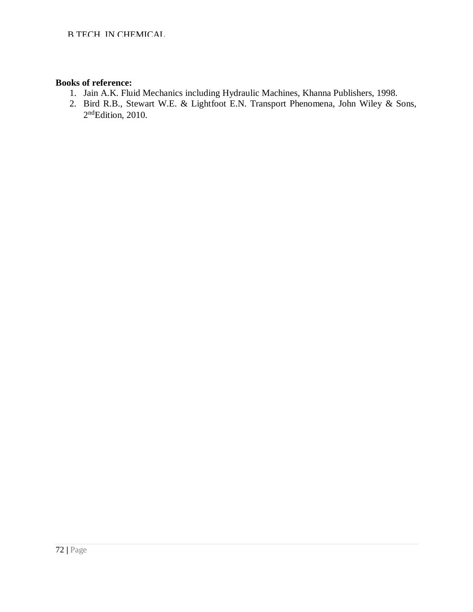- 1. Jain A.K. Fluid Mechanics including Hydraulic Machines, Khanna Publishers, 1998.
- 2. Bird R.B., Stewart W.E. & Lightfoot E.N. Transport Phenomena, John Wiley & Sons, 2<sup>nd</sup>Edition, 2010.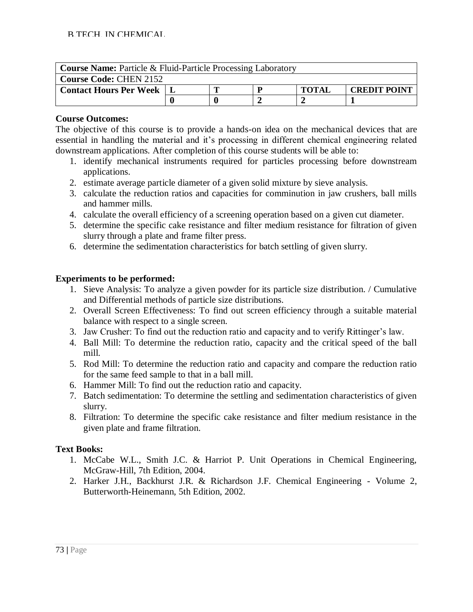| <b>Course Name:</b> Particle & Fluid-Particle Processing Laboratory |  |                                     |  |  |  |  |  |  |  |  |
|---------------------------------------------------------------------|--|-------------------------------------|--|--|--|--|--|--|--|--|
| <b>Course Code: CHEN 2152</b>                                       |  |                                     |  |  |  |  |  |  |  |  |
| <b>Contact Hours Per Week</b>                                       |  | <b>TOTAL</b><br><b>CREDIT POINT</b> |  |  |  |  |  |  |  |  |
|                                                                     |  |                                     |  |  |  |  |  |  |  |  |

The objective of this course is to provide a hands-on idea on the mechanical devices that are essential in handling the material and it's processing in different chemical engineering related downstream applications. After completion of this course students will be able to:

- 1. identify mechanical instruments required for particles processing before downstream applications.
- 2. estimate average particle diameter of a given solid mixture by sieve analysis.
- 3. calculate the reduction ratios and capacities for comminution in jaw crushers, ball mills and hammer mills.
- 4. calculate the overall efficiency of a screening operation based on a given cut diameter.
- 5. determine the specific cake resistance and filter medium resistance for filtration of given slurry through a plate and frame filter press.
- 6. determine the sedimentation characteristics for batch settling of given slurry.

# **Experiments to be performed:**

- 1. Sieve Analysis: To analyze a given powder for its particle size distribution. / Cumulative and Differential methods of particle size distributions.
- 2. Overall Screen Effectiveness: To find out screen efficiency through a suitable material balance with respect to a single screen.
- 3. Jaw Crusher: To find out the reduction ratio and capacity and to verify Rittinger's law.
- 4. Ball Mill: To determine the reduction ratio, capacity and the critical speed of the ball mill.
- 5. Rod Mill: To determine the reduction ratio and capacity and compare the reduction ratio for the same feed sample to that in a ball mill.
- 6. Hammer Mill: To find out the reduction ratio and capacity.
- 7. Batch sedimentation: To determine the settling and sedimentation characteristics of given slurry.
- 8. Filtration: To determine the specific cake resistance and filter medium resistance in the given plate and frame filtration.

# **Text Books:**

- 1. McCabe W.L., Smith J.C. & Harriot P. Unit Operations in Chemical Engineering, McGraw-Hill, 7th Edition, 2004.
- 2. Harker J.H., Backhurst J.R. & Richardson J.F. Chemical Engineering Volume 2, Butterworth-Heinemann, 5th Edition, 2002.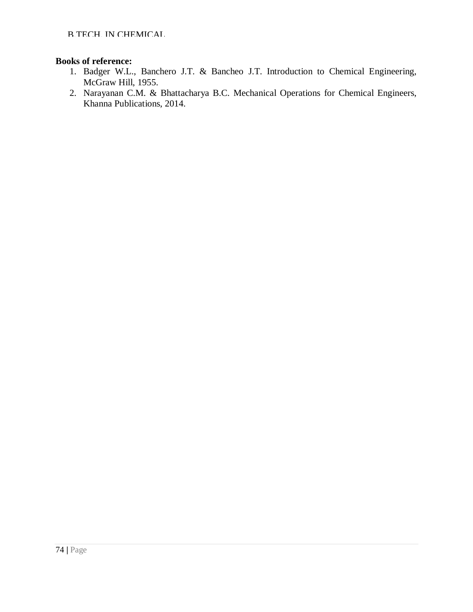- 1. Badger W.L., Banchero J.T. & Bancheo J.T. Introduction to Chemical Engineering, McGraw Hill, 1955.
- 2. Narayanan C.M. & Bhattacharya B.C. Mechanical Operations for Chemical Engineers, Khanna Publications, 2014.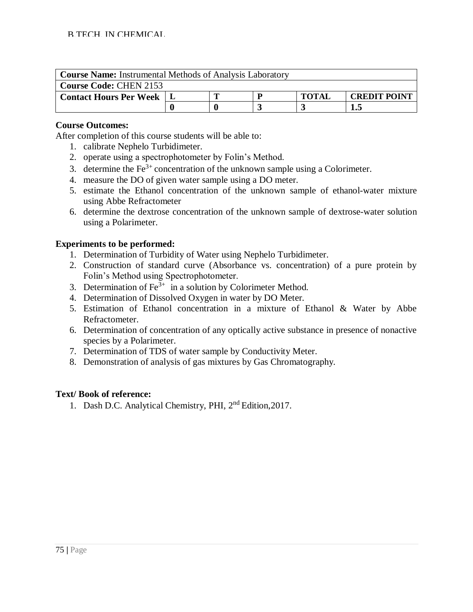| <b>Course Name:</b> Instrumental Methods of Analysis Laboratory |  |                                     |  |  |  |  |  |  |
|-----------------------------------------------------------------|--|-------------------------------------|--|--|--|--|--|--|
| <b>Course Code: CHEN 2153</b>                                   |  |                                     |  |  |  |  |  |  |
| <b>Contact Hours Per Week</b>                                   |  | <b>CREDIT POINT</b><br><b>TOTAL</b> |  |  |  |  |  |  |
|                                                                 |  |                                     |  |  |  |  |  |  |

After completion of this course students will be able to:

- 1. calibrate Nephelo Turbidimeter.
- 2. operate using a spectrophotometer by Folin's Method.
- 3. determine the  $Fe<sup>3+</sup>$  concentration of the unknown sample using a Colorimeter.
- 4. measure the DO of given water sample using a DO meter.
- 5. estimate the Ethanol concentration of the unknown sample of ethanol-water mixture using Abbe Refractometer
- 6. determine the dextrose concentration of the unknown sample of dextrose-water solution using a Polarimeter.

#### **Experiments to be performed:**

- 1. Determination of Turbidity of Water using Nephelo Turbidimeter.
- 2. Construction of standard curve (Absorbance vs. concentration) of a pure protein by Folin's Method using Spectrophotometer.
- 3. Determination of  $\text{Fe}^{3+}$  in a solution by Colorimeter Method.
- 4. Determination of Dissolved Oxygen in water by DO Meter.
- 5. Estimation of Ethanol concentration in a mixture of Ethanol & Water by Abbe Refractometer.
- 6. Determination of concentration of any optically active substance in presence of nonactive species by a Polarimeter.
- 7. Determination of TDS of water sample by Conductivity Meter.
- 8. Demonstration of analysis of gas mixtures by Gas Chromatography.

#### **Text/ Book of reference:**

1. Dash D.C. Analytical Chemistry, PHI, 2nd Edition,2017.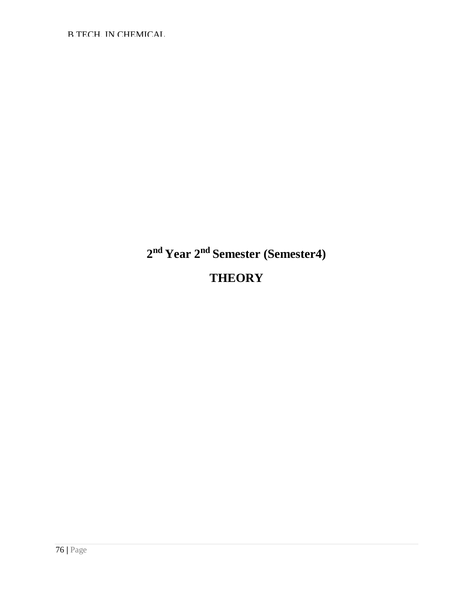B.TECH. IN CHEMICAL

# **2 nd Year 2nd Semester (Semester4) THEORY**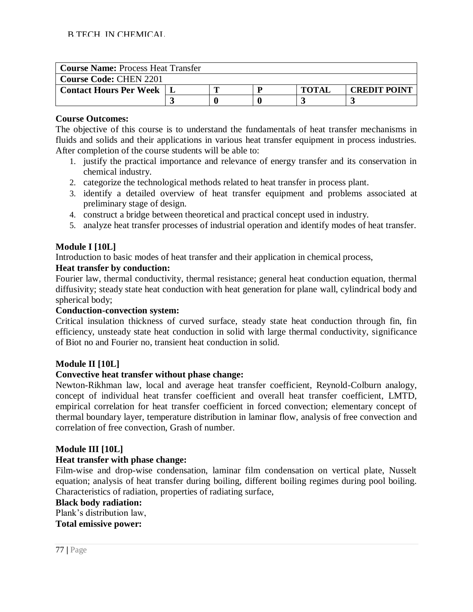| <b>Course Name: Process Heat Transfer</b> |  |  |   |              |                     |  |  |  |
|-------------------------------------------|--|--|---|--------------|---------------------|--|--|--|
| <b>Course Code: CHEN 2201</b>             |  |  |   |              |                     |  |  |  |
| <b>Contact Hours Per Week</b>             |  |  | D | <b>TOTAI</b> | <b>CREDIT POINT</b> |  |  |  |
|                                           |  |  |   |              |                     |  |  |  |

The objective of this course is to understand the fundamentals of heat transfer mechanisms in fluids and solids and their applications in various heat transfer equipment in process industries. After completion of the course students will be able to:

- 1. justify the practical importance and relevance of energy transfer and its conservation in chemical industry.
- 2. categorize the technological methods related to heat transfer in process plant.
- 3. identify a detailed overview of heat transfer equipment and problems associated at preliminary stage of design.
- 4. construct a bridge between theoretical and practical concept used in industry.
- 5. analyze heat transfer processes of industrial operation and identify modes of heat transfer.

# **Module I [10L]**

Introduction to basic modes of heat transfer and their application in chemical process,

# **Heat transfer by conduction:**

Fourier law, thermal conductivity, thermal resistance; general heat conduction equation, thermal diffusivity; steady state heat conduction with heat generation for plane wall, cylindrical body and spherical body;

# **Conduction-convection system:**

Critical insulation thickness of curved surface, steady state heat conduction through fin, fin efficiency, unsteady state heat conduction in solid with large thermal conductivity, significance of Biot no and Fourier no, transient heat conduction in solid.

# **Module II [10L]**

# **Convective heat transfer without phase change:**

Newton-Rikhman law, local and average heat transfer coefficient, Reynold-Colburn analogy, concept of individual heat transfer coefficient and overall heat transfer coefficient, LMTD, empirical correlation for heat transfer coefficient in forced convection; elementary concept of thermal boundary layer, temperature distribution in laminar flow, analysis of free convection and correlation of free convection, Grash of number.

# **Module III [10L]**

# **Heat transfer with phase change:**

Film-wise and drop-wise condensation, laminar film condensation on vertical plate, Nusselt equation; analysis of heat transfer during boiling, different boiling regimes during pool boiling. Characteristics of radiation, properties of radiating surface,

#### **Black body radiation:**

Plank's distribution law,

**Total emissive power:**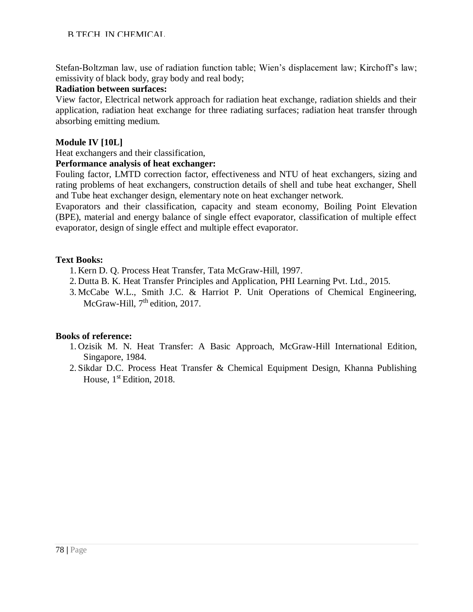# B.TECH. IN CHEMICAL

Stefan-Boltzman law, use of radiation function table; Wien's displacement law; Kirchoff's law; emissivity of black body, gray body and real body;

#### **Radiation between surfaces:**

View factor, Electrical network approach for radiation heat exchange, radiation shields and their application, radiation heat exchange for three radiating surfaces; radiation heat transfer through absorbing emitting medium.

# **Module IV [10L]**

Heat exchangers and their classification,

# **Performance analysis of heat exchanger:**

Fouling factor, LMTD correction factor, effectiveness and NTU of heat exchangers, sizing and rating problems of heat exchangers, construction details of shell and tube heat exchanger, Shell and Tube heat exchanger design, elementary note on heat exchanger network.

Evaporators and their classification, capacity and steam economy, Boiling Point Elevation (BPE), material and energy balance of single effect evaporator, classification of multiple effect evaporator, design of single effect and multiple effect evaporator.

# **Text Books:**

- 1. Kern D. Q. Process Heat Transfer, Tata McGraw-Hill, 1997.
- 2. Dutta B. K. Heat Transfer Principles and Application, PHI Learning Pvt. Ltd., 2015.
- 3. McCabe W.L., Smith J.C. & Harriot P. Unit Operations of Chemical Engineering, McGraw-Hill, 7<sup>th</sup> edition, 2017.

- 1. Ozisik M. N. Heat Transfer: A Basic Approach, McGraw-Hill International Edition, Singapore, 1984.
- 2. Sikdar D.C. Process Heat Transfer & Chemical Equipment Design, Khanna Publishing House, 1<sup>st</sup> Edition, 2018.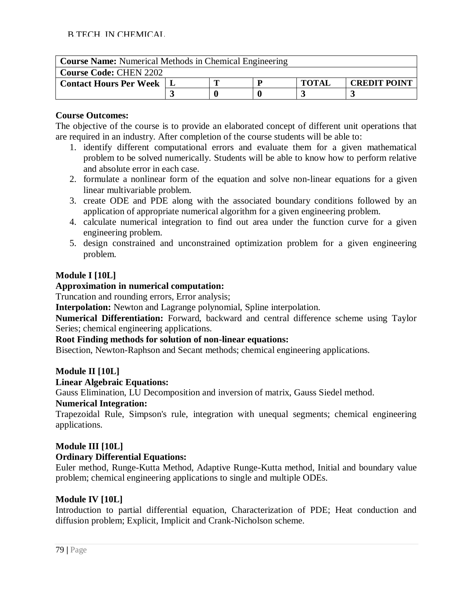| <b>Course Name:</b> Numerical Methods in Chemical Engineering |  |  |  |              |                     |  |  |  |  |
|---------------------------------------------------------------|--|--|--|--------------|---------------------|--|--|--|--|
| <b>Course Code: CHEN 2202</b>                                 |  |  |  |              |                     |  |  |  |  |
| <b>Contact Hours Per Week   L</b>                             |  |  |  | <b>TOTAL</b> | <b>CREDIT POINT</b> |  |  |  |  |
|                                                               |  |  |  |              |                     |  |  |  |  |

The objective of the course is to provide an elaborated concept of different unit operations that are required in an industry. After completion of the course students will be able to:

- 1. identify different computational errors and evaluate them for a given mathematical problem to be solved numerically. Students will be able to know how to perform relative and absolute error in each case.
- 2. formulate a nonlinear form of the equation and solve non-linear equations for a given linear multivariable problem.
- 3. create ODE and PDE along with the associated boundary conditions followed by an application of appropriate numerical algorithm for a given engineering problem.
- 4. calculate numerical integration to find out area under the function curve for a given engineering problem.
- 5. design constrained and unconstrained optimization problem for a given engineering problem.

# **Module I [10L]**

# **Approximation in numerical computation:**

Truncation and rounding errors, Error analysis;

**Interpolation:** Newton and Lagrange polynomial, Spline interpolation.

**Numerical Differentiation:** Forward, backward and central difference scheme using Taylor Series; chemical engineering applications.

# **Root Finding methods for solution of non-linear equations:**

Bisection, Newton-Raphson and Secant methods; chemical engineering applications.

# **Module II [10L]**

# **Linear Algebraic Equations:**

Gauss Elimination, LU Decomposition and inversion of matrix, Gauss Siedel method.

# **Numerical Integration:**

Trapezoidal Rule, Simpson's rule, integration with unequal segments; chemical engineering applications.

# **Module III [10L]**

# **Ordinary Differential Equations:**

Euler method, Runge-Kutta Method, Adaptive Runge-Kutta method, Initial and boundary value problem; chemical engineering applications to single and multiple ODEs.

# **Module IV [10L]**

Introduction to partial differential equation, Characterization of PDE; Heat conduction and diffusion problem; Explicit, Implicit and Crank-Nicholson scheme.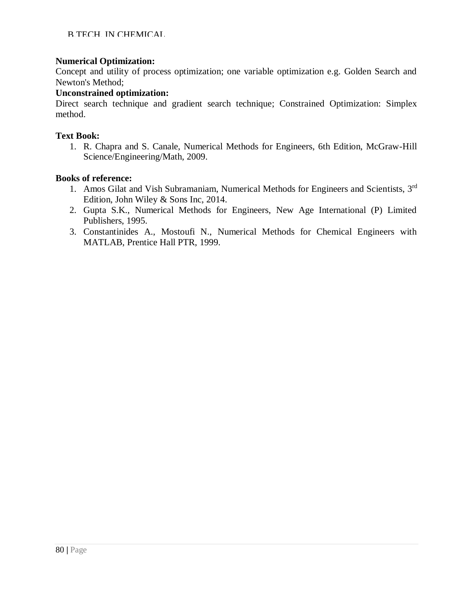# **Numerical Optimization:**

Concept and utility of process optimization; one variable optimization e.g. Golden Search and Newton's Method;

# **Unconstrained optimization:**

Direct search technique and gradient search technique; Constrained Optimization: Simplex method.

#### **Text Book:**

1. R. Chapra and S. Canale, Numerical Methods for Engineers, 6th Edition, McGraw-Hill Science/Engineering/Math, 2009.

- 1. Amos Gilat and Vish Subramaniam, Numerical Methods for Engineers and Scientists, 3<sup>rd</sup> Edition, John Wiley & Sons Inc, 2014.
- 2. Gupta S.K., Numerical Methods for Engineers, New Age International (P) Limited Publishers, 1995.
- 3. Constantinides A., Mostoufi N., Numerical Methods for Chemical Engineers with MATLAB, Prentice Hall PTR, 1999.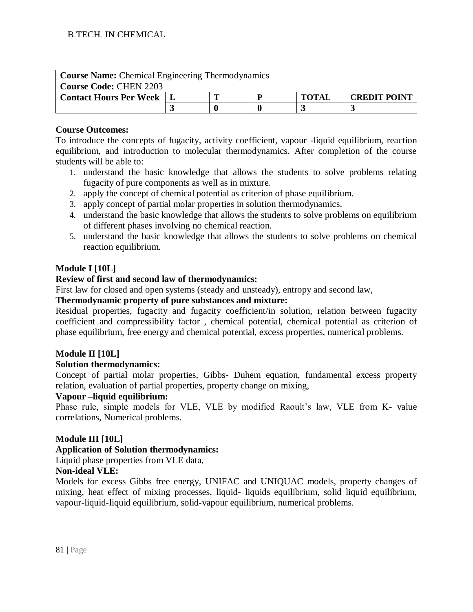| <b>Course Name:</b> Chemical Engineering Thermodynamics |  |                                     |  |  |  |  |  |  |  |
|---------------------------------------------------------|--|-------------------------------------|--|--|--|--|--|--|--|
| <b>Course Code: CHEN 2203</b>                           |  |                                     |  |  |  |  |  |  |  |
| <b>Contact Hours Per Week</b>                           |  | <b>CREDIT POINT</b><br><b>TOTAL</b> |  |  |  |  |  |  |  |
|                                                         |  |                                     |  |  |  |  |  |  |  |

To introduce the concepts of fugacity, activity coefficient, vapour -liquid equilibrium, reaction equilibrium, and introduction to molecular thermodynamics. After completion of the course students will be able to:

- 1. understand the basic knowledge that allows the students to solve problems relating fugacity of pure components as well as in mixture.
- 2. apply the concept of chemical potential as criterion of phase equilibrium.
- 3. apply concept of partial molar properties in solution thermodynamics.
- 4. understand the basic knowledge that allows the students to solve problems on equilibrium of different phases involving no chemical reaction.
- 5. understand the basic knowledge that allows the students to solve problems on chemical reaction equilibrium.

# **Module I [10L]**

# **Review of first and second law of thermodynamics:**

First law for closed and open systems (steady and unsteady), entropy and second law,

# **Thermodynamic property of pure substances and mixture:**

Residual properties, fugacity and fugacity coefficient/in solution, relation between fugacity coefficient and compressibility factor , chemical potential, chemical potential as criterion of phase equilibrium, free energy and chemical potential, excess properties, numerical problems.

# **Module II [10L]**

#### **Solution thermodynamics:**

Concept of partial molar properties, Gibbs- Duhem equation, fundamental excess property relation, evaluation of partial properties, property change on mixing,

#### **Vapour –liquid equilibrium:**

Phase rule, simple models for VLE, VLE by modified Raoult's law, VLE from K- value correlations, Numerical problems.

#### **Module III [10L]**

#### **Application of Solution thermodynamics:**

Liquid phase properties from VLE data,

#### **Non-ideal VLE:**

Models for excess Gibbs free energy, UNIFAC and UNIQUAC models, property changes of mixing, heat effect of mixing processes, liquid- liquids equilibrium, solid liquid equilibrium, vapour-liquid-liquid equilibrium, solid-vapour equilibrium, numerical problems.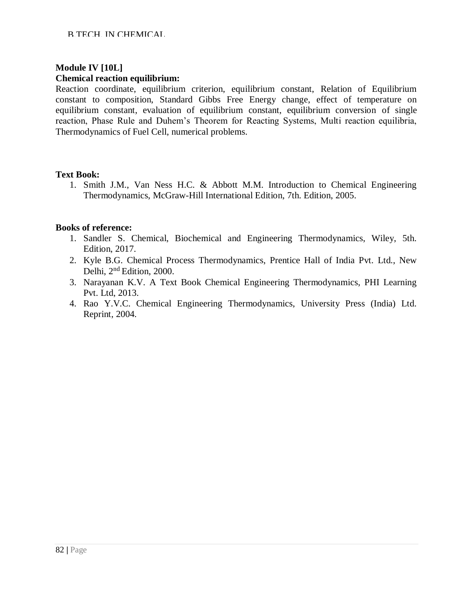# **Module IV [10L]**

#### **Chemical reaction equilibrium:**

Reaction coordinate, equilibrium criterion, equilibrium constant, Relation of Equilibrium constant to composition, Standard Gibbs Free Energy change, effect of temperature on equilibrium constant, evaluation of equilibrium constant, equilibrium conversion of single reaction, Phase Rule and Duhem's Theorem for Reacting Systems, Multi reaction equilibria, Thermodynamics of Fuel Cell, numerical problems.

# **Text Book:**

1. Smith J.M., Van Ness H.C. & Abbott M.M. Introduction to Chemical Engineering Thermodynamics, McGraw-Hill International Edition, 7th. Edition, 2005.

- 1. Sandler S. Chemical, Biochemical and Engineering Thermodynamics, Wiley, 5th. Edition, 2017.
- 2. Kyle B.G. Chemical Process Thermodynamics, Prentice Hall of India Pvt. Ltd., New Delhi, 2nd Edition, 2000.
- 3. Narayanan K.V. A Text Book Chemical Engineering Thermodynamics, PHI Learning Pvt. Ltd, 2013.
- 4. Rao Y.V.C. Chemical Engineering Thermodynamics, University Press (India) Ltd. Reprint, 2004.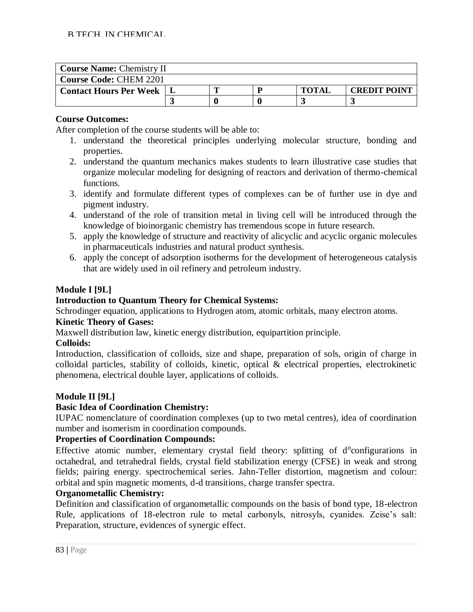| <b>Course Name: Chemistry II</b> |  |  |  |              |                     |  |  |  |
|----------------------------------|--|--|--|--------------|---------------------|--|--|--|
| <b>Course Code: CHEM 2201</b>    |  |  |  |              |                     |  |  |  |
| <b>Contact Hours Per Week</b>    |  |  |  | <b>TOTAI</b> | <b>CREDIT POINT</b> |  |  |  |
|                                  |  |  |  |              |                     |  |  |  |

After completion of the course students will be able to:

- 1. understand the theoretical principles underlying molecular structure, bonding and properties.
- 2. understand the quantum mechanics makes students to learn illustrative case studies that organize molecular modeling for designing of reactors and derivation of thermo-chemical functions.
- 3. identify and formulate different types of complexes can be of further use in dye and pigment industry.
- 4. understand of the role of transition metal in living cell will be introduced through the knowledge of bioinorganic chemistry has tremendous scope in future research.
- 5. apply the knowledge of structure and reactivity of alicyclic and acyclic organic molecules in pharmaceuticals industries and natural product synthesis.
- 6. apply the concept of adsorption isotherms for the development of heterogeneous catalysis that are widely used in oil refinery and petroleum industry.

# **Module I [9L]**

# **Introduction to Quantum Theory for Chemical Systems:**

Schrodinger equation, applications to Hydrogen atom, atomic orbitals, many electron atoms. **Kinetic Theory of Gases:**

Maxwell distribution law, kinetic energy distribution, equipartition principle.

# **Colloids:**

Introduction, classification of colloids, size and shape, preparation of sols, origin of charge in colloidal particles, stability of colloids, kinetic, optical & electrical properties, electrokinetic phenomena, electrical double layer, applications of colloids.

# **Module II [9L]**

# **Basic Idea of Coordination Chemistry:**

IUPAC nomenclature of coordination complexes (up to two metal centres), idea of coordination number and isomerism in coordination compounds.

# **Properties of Coordination Compounds:**

Effective atomic number, elementary crystal field theory: splitting of d<sup>n</sup>configurations in octahedral, and tetrahedral fields, crystal field stabilization energy (CFSE) in weak and strong fields; pairing energy. spectrochemical series. Jahn-Teller distortion, magnetism and colour: orbital and spin magnetic moments, d-d transitions, charge transfer spectra.

# **Organometallic Chemistry:**

Definition and classification of organometallic compounds on the basis of bond type, 18-electron Rule, applications of 18-electron rule to metal carbonyls, nitrosyls, cyanides. Zeise's salt: Preparation, structure, evidences of synergic effect.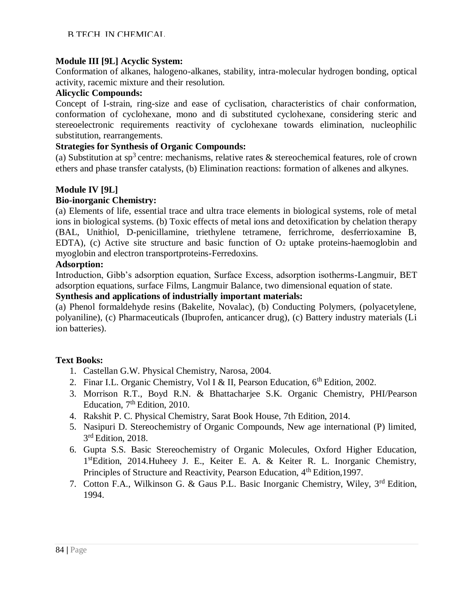# **Module III [9L] Acyclic System:**

Conformation of alkanes, halogeno-alkanes, stability, intra-molecular hydrogen bonding, optical activity, racemic mixture and their resolution.

# **Alicyclic Compounds:**

Concept of I-strain, ring-size and ease of cyclisation, characteristics of chair conformation, conformation of cyclohexane, mono and di substituted cyclohexane, considering steric and stereoelectronic requirements reactivity of cyclohexane towards elimination, nucleophilic substitution, rearrangements.

# **Strategies for Synthesis of Organic Compounds:**

(a) Substitution at sp<sup>3</sup> centre: mechanisms, relative rates  $\&$  stereochemical features, role of crown ethers and phase transfer catalysts, (b) Elimination reactions: formation of alkenes and alkynes.

# **Module IV [9L]**

# **Bio-inorganic Chemistry:**

(a) Elements of life, essential trace and ultra trace elements in biological systems, role of metal ions in biological systems. (b) Toxic effects of metal ions and detoxification by chelation therapy (BAL, Unithiol, D-penicillamine, triethylene tetramene, ferrichrome, desferrioxamine B, EDTA), (c) Active site structure and basic function of  $O<sub>2</sub>$  uptake proteins-haemoglobin and myoglobin and electron transportproteins-Ferredoxins.

# **Adsorption:**

Introduction, Gibb's adsorption equation, Surface Excess, adsorption isotherms-Langmuir, BET adsorption equations, surface Films, Langmuir Balance, two dimensional equation of state.

# **Synthesis and applications of industrially important materials:**

(a) Phenol formaldehyde resins (Bakelite, Novalac), (b) Conducting Polymers, (polyacetylene, polyaniline), (c) Pharmaceuticals (Ibuprofen, anticancer drug), (c) Battery industry materials (Li ion batteries).

# **Text Books:**

- 1. Castellan G.W. Physical Chemistry, Narosa, 2004.
- 2. Finar I.L. Organic Chemistry, Vol I & II, Pearson Education, 6<sup>th</sup> Edition, 2002.
- 3. Morrison R.T., Boyd R.N. & Bhattacharjee S.K. Organic Chemistry, PHI/Pearson Education,  $7<sup>th</sup>$  Edition, 2010.
- 4. Rakshit P. C. Physical Chemistry, Sarat Book House, 7th Edition, 2014.
- 5. Nasipuri D. Stereochemistry of Organic Compounds, New age international (P) limited, 3<sup>rd</sup> Edition, 2018.
- 6. Gupta S.S. Basic Stereochemistry of Organic Molecules, Oxford Higher Education, 1<sup>st</sup>Edition, 2014. Huheey J. E., Keiter E. A. & Keiter R. L. Inorganic Chemistry, Principles of Structure and Reactivity, Pearson Education, 4<sup>th</sup> Edition, 1997.
- 7. Cotton F.A., Wilkinson G. & Gaus P.L. Basic Inorganic Chemistry, Wiley, 3rd Edition, 1994.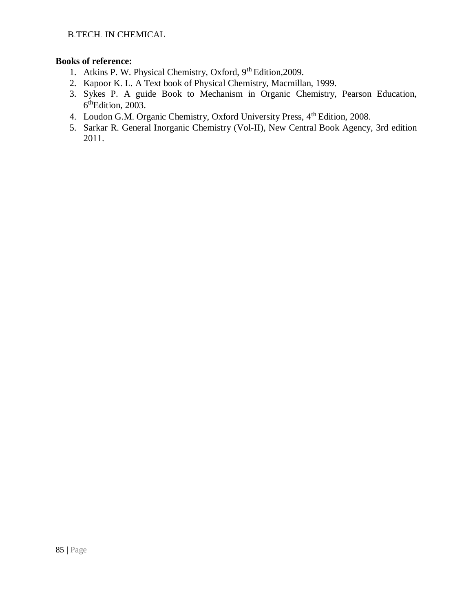- 1. Atkins P. W. Physical Chemistry, Oxford, 9th Edition,2009.
- 2. Kapoor K. L. A Text book of Physical Chemistry, Macmillan, 1999.
- 3. Sykes P. A guide Book to Mechanism in Organic Chemistry, Pearson Education, 6<sup>th</sup>Edition, 2003.
- 4. Loudon G.M. Organic Chemistry, Oxford University Press, 4<sup>th</sup> Edition, 2008.
- 5. Sarkar R. General Inorganic Chemistry (Vol-II), New Central Book Agency, 3rd edition 2011.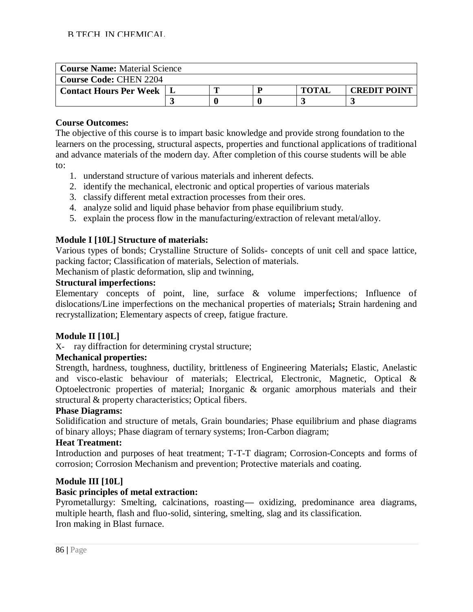| <b>Course Name: Material Science</b> |  |  |  |              |                     |  |  |  |  |
|--------------------------------------|--|--|--|--------------|---------------------|--|--|--|--|
| <b>Course Code: CHEN 2204</b>        |  |  |  |              |                     |  |  |  |  |
| <b>Contact Hours Per Week</b>        |  |  |  | <b>TOTAI</b> | <b>CREDIT POINT</b> |  |  |  |  |
|                                      |  |  |  |              |                     |  |  |  |  |

The objective of this course is to impart basic knowledge and provide strong foundation to the learners on the processing, structural aspects, properties and functional applications of traditional and advance materials of the modern day. After completion of this course students will be able to:

- 1. understand structure of various materials and inherent defects.
- 2. identify the mechanical, electronic and optical properties of various materials
- 3. classify different metal extraction processes from their ores.
- 4. analyze solid and liquid phase behavior from phase equilibrium study.
- 5. explain the process flow in the manufacturing/extraction of relevant metal/alloy.

# **Module I [10L] Structure of materials:**

Various types of bonds; Crystalline Structure of Solids- concepts of unit cell and space lattice, packing factor; Classification of materials, Selection of materials.

Mechanism of plastic deformation, slip and twinning,

#### **Structural imperfections:**

Elementary concepts of point, line, surface & volume imperfections; Influence of dislocations/Line imperfections on the mechanical properties of materials**;** Strain hardening and recrystallization; Elementary aspects of creep, fatigue fracture.

#### **Module II [10L]**

X- ray diffraction for determining crystal structure;

# **Mechanical properties:**

Strength, hardness, toughness, ductility, brittleness of Engineering Materials**;** Elastic, Anelastic and visco-elastic behaviour of materials; Electrical, Electronic, Magnetic, Optical & Optoelectronic properties of material; Inorganic & organic amorphous materials and their structural & property characteristics; Optical fibers.

# **Phase Diagrams:**

Solidification and structure of metals, Grain boundaries; Phase equilibrium and phase diagrams of binary alloys; Phase diagram of ternary systems; Iron-Carbon diagram;

# **Heat Treatment:**

Introduction and purposes of heat treatment; T-T-T diagram; Corrosion-Concepts and forms of corrosion; Corrosion Mechanism and prevention; Protective materials and coating.

#### **Module III [10L]**

#### **Basic principles of metal extraction:**

Pyrometallurgy: Smelting, calcinations, roasting**—** oxidizing, predominance area diagrams, multiple hearth, flash and fluo-solid, sintering, smelting, slag and its classification. Iron making in Blast furnace.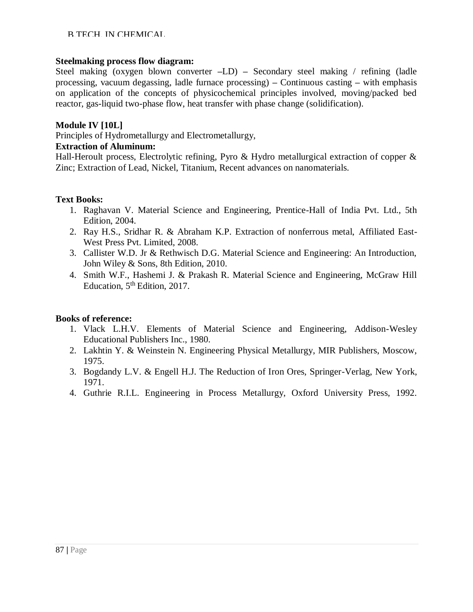#### B.TECH. IN CHEMICAL

#### **Steelmaking process flow diagram:**

Steel making (oxygen blown converter **–**LD) **–** Secondary steel making / refining (ladle processing, vacuum degassing, ladle furnace processing) **–** Continuous casting **–** with emphasis on application of the concepts of physicochemical principles involved, moving/packed bed reactor, gas-liquid two-phase flow, heat transfer with phase change (solidification).

# **Module IV [10L]**

Principles of Hydrometallurgy and Electrometallurgy,

# **Extraction of Aluminum:**

Hall-Heroult process, Electrolytic refining, Pyro & Hydro metallurgical extraction of copper & Zinc; Extraction of Lead, Nickel, Titanium, Recent advances on nanomaterials.

# **Text Books:**

- 1. Raghavan V. Material Science and Engineering, Prentice-Hall of India Pvt. Ltd., 5th Edition, 2004.
- 2. Ray H.S., Sridhar R. & Abraham K.P. Extraction of nonferrous metal, Affiliated East-West Press Pvt. Limited, 2008.
- 3. Callister W.D. Jr & Rethwisch D.G. Material Science and Engineering: An Introduction, John Wiley & Sons, 8th Edition, 2010.
- 4. Smith W.F., Hashemi J. & Prakash R. Material Science and Engineering, McGraw Hill Education, 5<sup>th</sup> Edition, 2017.

- 1. Vlack L.H.V. Elements of Material Science and Engineering, Addison-Wesley Educational Publishers Inc., 1980.
- 2. Lakhtin Y. & Weinstein N. Engineering Physical Metallurgy, MIR Publishers, Moscow, 1975.
- 3. Bogdandy L.V. & Engell H.J. The Reduction of Iron Ores, Springer-Verlag, New York, 1971.
- 4. Guthrie R.I.L. Engineering in Process Metallurgy, Oxford University Press, 1992.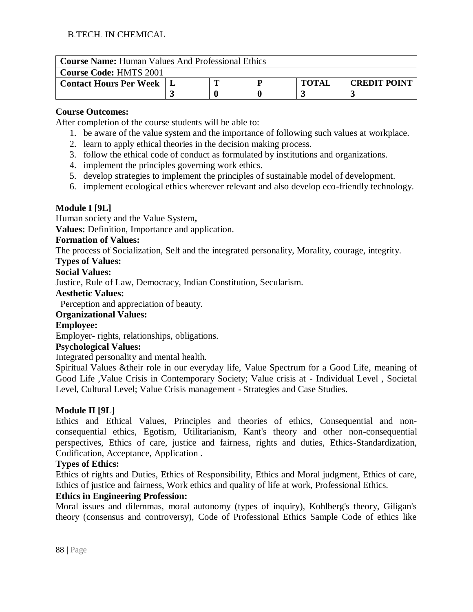| <b>Course Name:</b> Human Values And Professional Ethics |  |                                     |  |  |  |  |  |  |
|----------------------------------------------------------|--|-------------------------------------|--|--|--|--|--|--|
| <b>Course Code: HMTS 2001</b>                            |  |                                     |  |  |  |  |  |  |
| <b>Contact Hours Per Week</b>                            |  | <b>TOTAI</b><br><b>CREDIT POINT</b> |  |  |  |  |  |  |
|                                                          |  |                                     |  |  |  |  |  |  |

After completion of the course students will be able to:

- 1. be aware of the value system and the importance of following such values at workplace.
- 2. learn to apply ethical theories in the decision making process.
- 3. follow the ethical code of conduct as formulated by institutions and organizations.
- 4. implement the principles governing work ethics.
- 5. develop strategies to implement the principles of sustainable model of development.
- 6. implement ecological ethics wherever relevant and also develop eco-friendly technology.

# **Module I [9L]**

Human society and the Value System**,**

**Values:** Definition, Importance and application.

# **Formation of Values:**

The process of Socialization, Self and the integrated personality, Morality, courage, integrity.

# **Types of Values:**

#### **Social Values:**

Justice, Rule of Law, Democracy, Indian Constitution, Secularism.

#### **Aesthetic Values:**

Perception and appreciation of beauty.

# **Organizational Values:**

# **Employee:**

Employer- rights, relationships, obligations.

# **Psychological Values:**

Integrated personality and mental health.

Spiritual Values &their role in our everyday life, Value Spectrum for a Good Life, meaning of Good Life ,Value Crisis in Contemporary Society; Value crisis at - Individual Level , Societal Level, Cultural Level; Value Crisis management - Strategies and Case Studies.

# **Module II [9L]**

Ethics and Ethical Values, Principles and theories of ethics, Consequential and nonconsequential ethics, Egotism, Utilitarianism, Kant's theory and other non-consequential perspectives, Ethics of care, justice and fairness, rights and duties, Ethics-Standardization, Codification, Acceptance, Application .

#### **Types of Ethics:**

Ethics of rights and Duties, Ethics of Responsibility, Ethics and Moral judgment, Ethics of care, Ethics of justice and fairness, Work ethics and quality of life at work, Professional Ethics.

#### **Ethics in Engineering Profession:**

Moral issues and dilemmas, moral autonomy (types of inquiry), Kohlberg's theory, Giligan's theory (consensus and controversy), Code of Professional Ethics Sample Code of ethics like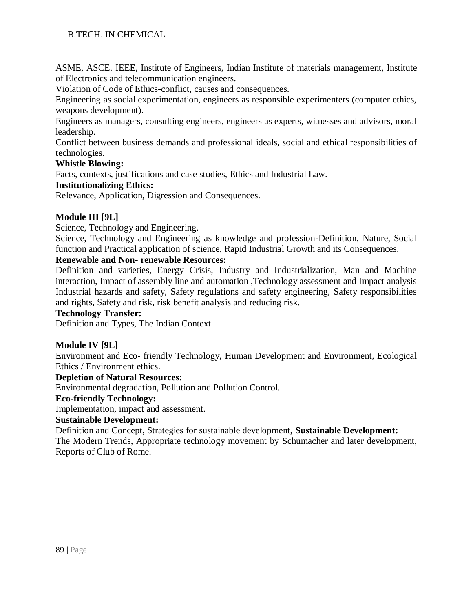ASME, ASCE. IEEE, Institute of Engineers, Indian Institute of materials management, Institute of Electronics and telecommunication engineers.

Violation of Code of Ethics-conflict, causes and consequences.

Engineering as social experimentation, engineers as responsible experimenters (computer ethics, weapons development).

Engineers as managers, consulting engineers, engineers as experts, witnesses and advisors, moral leadership.

Conflict between business demands and professional ideals, social and ethical responsibilities of technologies.

# **Whistle Blowing:**

Facts, contexts, justifications and case studies, Ethics and Industrial Law.

# **Institutionalizing Ethics:**

Relevance, Application, Digression and Consequences.

# **Module III [9L]**

Science, Technology and Engineering.

Science, Technology and Engineering as knowledge and profession-Definition, Nature, Social function and Practical application of science, Rapid Industrial Growth and its Consequences.

#### **Renewable and Non- renewable Resources:**

Definition and varieties, Energy Crisis, Industry and Industrialization, Man and Machine interaction, Impact of assembly line and automation ,Technology assessment and Impact analysis Industrial hazards and safety, Safety regulations and safety engineering, Safety responsibilities and rights, Safety and risk, risk benefit analysis and reducing risk.

#### **Technology Transfer:**

Definition and Types, The Indian Context.

#### **Module IV [9L]**

Environment and Eco- friendly Technology, Human Development and Environment, Ecological Ethics / Environment ethics.

#### **Depletion of Natural Resources:**

Environmental degradation, Pollution and Pollution Control.

#### **Eco-friendly Technology:**

Implementation, impact and assessment.

#### **Sustainable Development:**

Definition and Concept, Strategies for sustainable development, **Sustainable Development:** The Modern Trends, Appropriate technology movement by Schumacher and later development, Reports of Club of Rome.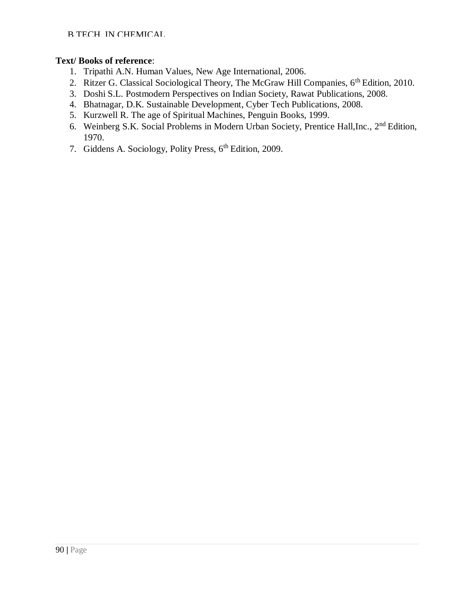# **Text/ Books of reference**:

- 1. Tripathi A.N. Human Values, New Age International, 2006.
- 2. Ritzer G. Classical Sociological Theory, The McGraw Hill Companies, 6<sup>th</sup> Edition, 2010.
- 3. Doshi S.L. Postmodern Perspectives on Indian Society, Rawat Publications, 2008.
- 4. Bhatnagar, D.K. Sustainable Development, Cyber Tech Publications, 2008.
- 5. Kurzwell R. The age of Spiritual Machines, Penguin Books, 1999.
- 6. Weinberg S.K. Social Problems in Modern Urban Society, Prentice Hall,Inc., 2nd Edition, 1970.
- 7. Giddens A. Sociology, Polity Press, 6th Edition, 2009.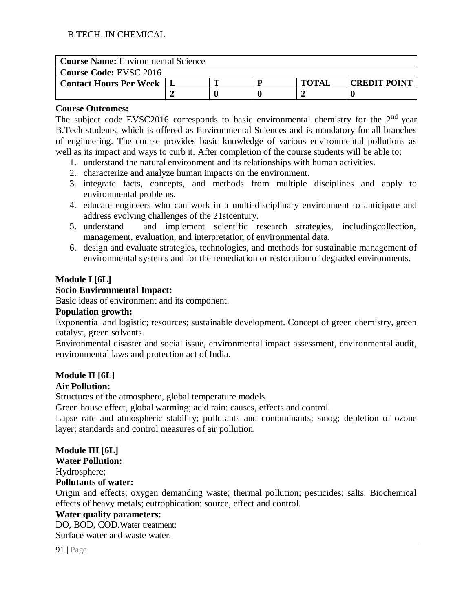| <b>Course Name:</b> Environmental Science |  |  |  |              |                     |  |  |  |  |
|-------------------------------------------|--|--|--|--------------|---------------------|--|--|--|--|
| <b>Course Code: EVSC 2016</b>             |  |  |  |              |                     |  |  |  |  |
| <b>Contact Hours Per Week</b>             |  |  |  | <b>TOTAI</b> | <b>CREDIT POINT</b> |  |  |  |  |
|                                           |  |  |  |              |                     |  |  |  |  |

The subject code EVSC2016 corresponds to basic environmental chemistry for the  $2<sup>nd</sup>$  year B.Tech students, which is offered as Environmental Sciences and is mandatory for all branches of engineering. The course provides basic knowledge of various environmental pollutions as well as its impact and ways to curb it. After completion of the course students will be able to:

- 1. understand the natural environment and its relationships with human activities.
- 2. characterize and analyze human impacts on the environment.
- 3. integrate facts, concepts, and methods from multiple disciplines and apply to environmental problems.
- 4. educate engineers who can work in a multi-disciplinary environment to anticipate and address evolving challenges of the 21stcentury.
- 5. understand and implement scientific research strategies, includingcollection, management, evaluation, and interpretation of environmental data.
- 6. design and evaluate strategies, technologies, and methods for sustainable management of environmental systems and for the remediation or restoration of degraded environments.

# **Module I [6L]**

# **Socio Environmental Impact:**

Basic ideas of environment and its component.

#### **Population growth:**

Exponential and logistic; resources; sustainable development. Concept of green chemistry, green catalyst, green solvents.

Environmental disaster and social issue, environmental impact assessment, environmental audit, environmental laws and protection act of India.

# **Module II [6L]**

# **Air Pollution:**

Structures of the atmosphere, global temperature models.

Green house effect, global warming; acid rain: causes, effects and control.

Lapse rate and atmospheric stability; pollutants and contaminants; smog; depletion of ozone layer; standards and control measures of air pollution.

**Module III [6L]**

**Water Pollution:** Hydrosphere;

# **Pollutants of water:**

Origin and effects; oxygen demanding waste; thermal pollution; pesticides; salts. Biochemical effects of heavy metals; eutrophication: source, effect and control.

# **Water quality parameters:**

DO, BOD, COD.Water treatment: Surface water and waste water.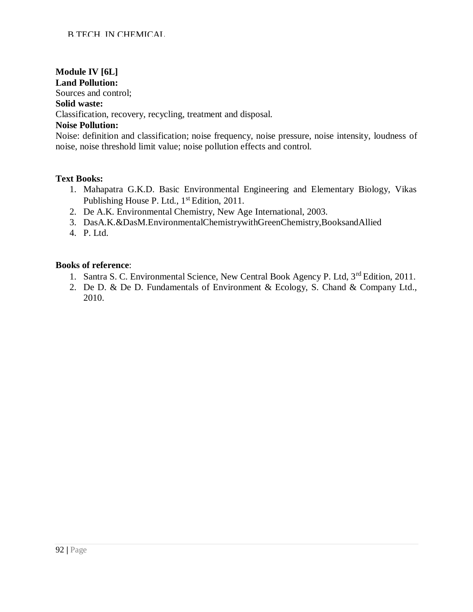# **Module IV [6L]**

# **Land Pollution:**

Sources and control;

#### **Solid waste:**

Classification, recovery, recycling, treatment and disposal.

# **Noise Pollution:**

Noise: definition and classification; noise frequency, noise pressure, noise intensity, loudness of noise, noise threshold limit value; noise pollution effects and control.

# **Text Books:**

- 1. Mahapatra G.K.D. Basic Environmental Engineering and Elementary Biology, Vikas Publishing House P. Ltd., 1<sup>st</sup> Edition, 2011.
- 2. De A.K. Environmental Chemistry, New Age International, 2003.
- 3. DasA.K.&DasM.EnvironmentalChemistrywithGreenChemistry,BooksandAllied
- 4. P. Ltd.

- 1. Santra S. C. Environmental Science, New Central Book Agency P. Ltd, 3<sup>rd</sup> Edition, 2011.
- 2. De D. & De D. Fundamentals of Environment & Ecology, S. Chand & Company Ltd., 2010.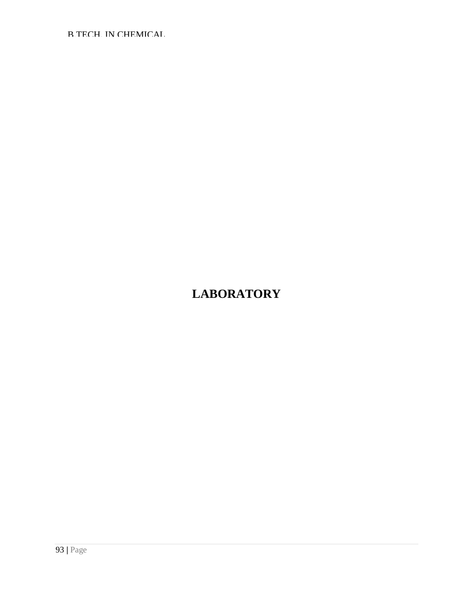B.TECH. IN CHEMICAL

# **LABORATORY**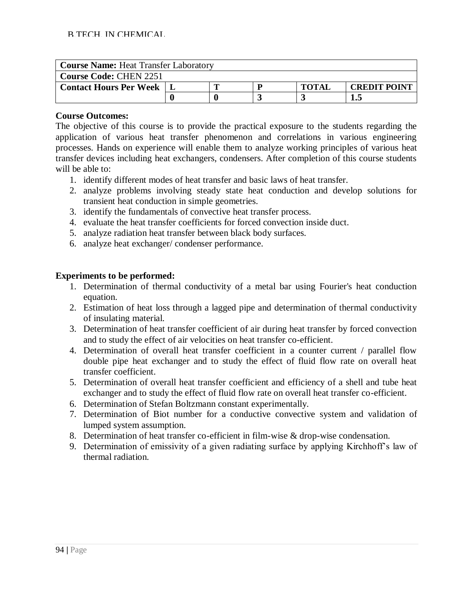| <b>Course Name: Heat Transfer Laboratory</b> |  |  |  |              |                     |  |  |  |  |
|----------------------------------------------|--|--|--|--------------|---------------------|--|--|--|--|
| <b>Course Code: CHEN 2251</b>                |  |  |  |              |                     |  |  |  |  |
| <b>Contact Hours Per Week</b>                |  |  |  | <b>TOTAI</b> | <b>CREDIT POINT</b> |  |  |  |  |
|                                              |  |  |  |              |                     |  |  |  |  |

The objective of this course is to provide the practical exposure to the students regarding the application of various heat transfer phenomenon and correlations in various engineering processes. Hands on experience will enable them to analyze working principles of various heat transfer devices including heat exchangers, condensers. After completion of this course students will be able to:

- 1. identify different modes of heat transfer and basic laws of heat transfer.
- 2. analyze problems involving steady state heat conduction and develop solutions for transient heat conduction in simple geometries.
- 3. identify the fundamentals of convective heat transfer process.
- 4. evaluate the heat transfer coefficients for forced convection inside duct.
- 5. analyze radiation heat transfer between black body surfaces.
- 6. analyze heat exchanger/ condenser performance.

# **Experiments to be performed:**

- 1. Determination of thermal conductivity of a metal bar using Fourier's heat conduction equation.
- 2. Estimation of heat loss through a lagged pipe and determination of thermal conductivity of insulating material.
- 3. Determination of heat transfer coefficient of air during heat transfer by forced convection and to study the effect of air velocities on heat transfer co-efficient.
- 4. Determination of overall heat transfer coefficient in a counter current / parallel flow double pipe heat exchanger and to study the effect of fluid flow rate on overall heat transfer coefficient.
- 5. Determination of overall heat transfer coefficient and efficiency of a shell and tube heat exchanger and to study the effect of fluid flow rate on overall heat transfer co-efficient.
- 6. Determination of Stefan Boltzmann constant experimentally.
- 7. Determination of Biot number for a conductive convective system and validation of lumped system assumption.
- 8. Determination of heat transfer co-efficient in film-wise & drop-wise condensation.
- 9. Determination of emissivity of a given radiating surface by applying Kirchhoff's law of thermal radiation.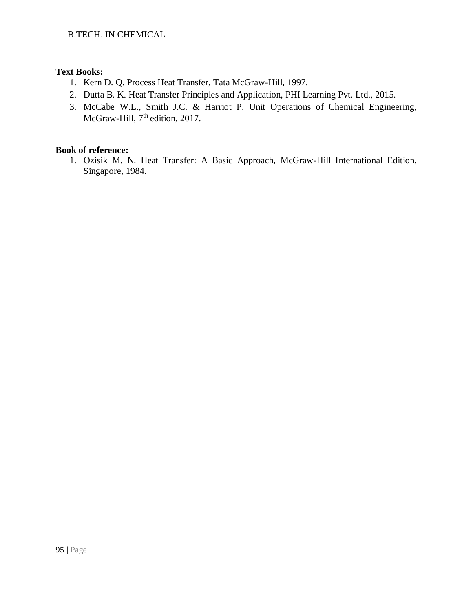# **Text Books:**

- 1. Kern D. Q. Process Heat Transfer, Tata McGraw-Hill, 1997.
- 2. Dutta B. K. Heat Transfer Principles and Application, PHI Learning Pvt. Ltd., 2015.
- 3. McCabe W.L., Smith J.C. & Harriot P. Unit Operations of Chemical Engineering, McGraw-Hill, 7<sup>th</sup> edition, 2017.

# **Book of reference:**

1. Ozisik M. N. Heat Transfer: A Basic Approach, McGraw-Hill International Edition, Singapore, 1984.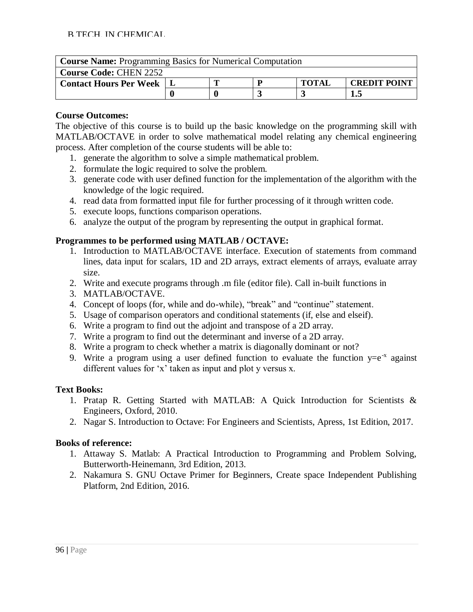| <b>Course Name:</b> Programming Basics for Numerical Computation |     |                                     |  |  |  |  |  |  |
|------------------------------------------------------------------|-----|-------------------------------------|--|--|--|--|--|--|
| <b>Course Code: CHEN 2252</b>                                    |     |                                     |  |  |  |  |  |  |
| <b>Contact Hours Per Week   L</b>                                |     | <b>TOTAL</b><br><b>CREDIT POINT</b> |  |  |  |  |  |  |
|                                                                  | I.5 |                                     |  |  |  |  |  |  |

The objective of this course is to build up the basic knowledge on the programming skill with MATLAB/OCTAVE in order to solve mathematical model relating any chemical engineering process. After completion of the course students will be able to:

- 1. generate the algorithm to solve a simple mathematical problem.
- 2. formulate the logic required to solve the problem.
- 3. generate code with user defined function for the implementation of the algorithm with the knowledge of the logic required.
- 4. read data from formatted input file for further processing of it through written code.
- 5. execute loops, functions comparison operations.
- 6. analyze the output of the program by representing the output in graphical format.

# **Programmes to be performed using MATLAB / OCTAVE:**

- 1. Introduction to MATLAB/OCTAVE interface. Execution of statements from command lines, data input for scalars, 1D and 2D arrays, extract elements of arrays, evaluate array size.
- 2. Write and execute programs through .m file (editor file). Call in-built functions in
- 3. MATLAB/OCTAVE.
- 4. Concept of loops (for, while and do-while), "break" and "continue" statement.
- 5. Usage of comparison operators and conditional statements (if, else and elseif).
- 6. Write a program to find out the adjoint and transpose of a 2D array.
- 7. Write a program to find out the determinant and inverse of a 2D array.
- 8. Write a program to check whether a matrix is diagonally dominant or not?
- 9. Write a program using a user defined function to evaluate the function  $y=e^{-x}$  against different values for 'x' taken as input and plot y versus x.

# **Text Books:**

- 1. Pratap R. Getting Started with MATLAB: A Quick Introduction for Scientists & Engineers, Oxford, 2010.
- 2. Nagar S. Introduction to Octave: For Engineers and Scientists, Apress, 1st Edition, 2017.

- 1. Attaway S. Matlab: A Practical Introduction to Programming and Problem Solving, Butterworth-Heinemann, 3rd Edition, 2013.
- 2. Nakamura S. GNU Octave Primer for Beginners, Create space Independent Publishing Platform, 2nd Edition, 2016.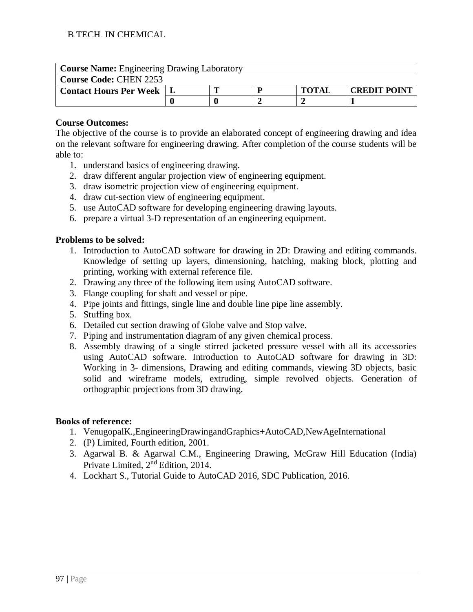| <b>Course Name:</b> Engineering Drawing Laboratory |  |                                     |  |  |  |  |  |  |
|----------------------------------------------------|--|-------------------------------------|--|--|--|--|--|--|
| <b>Course Code: CHEN 2253</b>                      |  |                                     |  |  |  |  |  |  |
| <b>Contact Hours Per Week</b>                      |  | <b>TOTAL</b><br><b>CREDIT POINT</b> |  |  |  |  |  |  |
|                                                    |  |                                     |  |  |  |  |  |  |

The objective of the course is to provide an elaborated concept of engineering drawing and idea on the relevant software for engineering drawing. After completion of the course students will be able to:

- 1. understand basics of engineering drawing.
- 2. draw different angular projection view of engineering equipment.
- 3. draw isometric projection view of engineering equipment.
- 4. draw cut-section view of engineering equipment.
- 5. use AutoCAD software for developing engineering drawing layouts.
- 6. prepare a virtual 3-D representation of an engineering equipment.

# **Problems to be solved:**

- 1. Introduction to AutoCAD software for drawing in 2D: Drawing and editing commands. Knowledge of setting up layers, dimensioning, hatching, making block, plotting and printing, working with external reference file.
- 2. Drawing any three of the following item using AutoCAD software.
- 3. Flange coupling for shaft and vessel or pipe.
- 4. Pipe joints and fittings, single line and double line pipe line assembly.
- 5. Stuffing box.
- 6. Detailed cut section drawing of Globe valve and Stop valve.
- 7. Piping and instrumentation diagram of any given chemical process.
- 8. Assembly drawing of a single stirred jacketed pressure vessel with all its accessories using AutoCAD software. Introduction to AutoCAD software for drawing in 3D: Working in 3- dimensions, Drawing and editing commands, viewing 3D objects, basic solid and wireframe models, extruding, simple revolved objects. Generation of orthographic projections from 3D drawing.

- 1. VenugopalK.,EngineeringDrawingandGraphics+AutoCAD,NewAgeInternational
- 2. (P) Limited, Fourth edition, 2001.
- 3. Agarwal B. & Agarwal C.M., Engineering Drawing, McGraw Hill Education (India) Private Limited, 2nd Edition, 2014.
- 4. Lockhart S., Tutorial Guide to AutoCAD 2016, SDC Publication, 2016.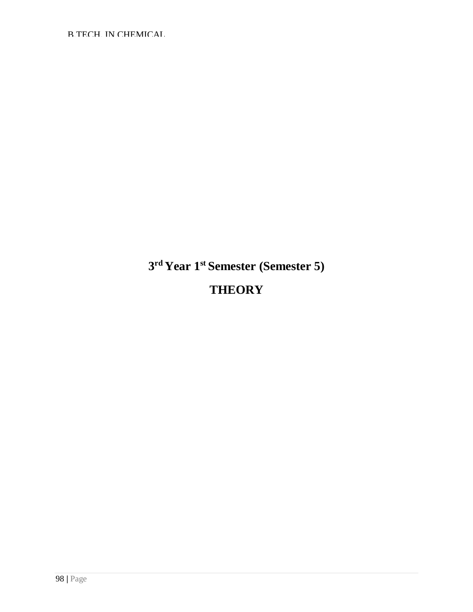B.TECH. IN CHEMICAL

**3 rd Year 1st Semester (Semester 5)**

# **THEORY**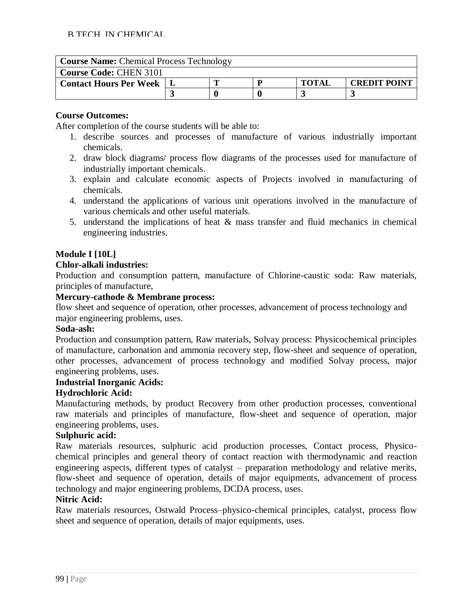| <b>Course Name: Chemical Process Technology</b> |  |  |   |              |                     |  |
|-------------------------------------------------|--|--|---|--------------|---------------------|--|
| <b>Course Code: CHEN 3101</b>                   |  |  |   |              |                     |  |
| <b>Contact Hours Per Week</b>                   |  |  | n | <b>TOTAL</b> | <b>CREDIT POINT</b> |  |
|                                                 |  |  |   |              |                     |  |

After completion of the course students will be able to:

- 1. describe sources and processes of manufacture of various industrially important chemicals.
- 2. draw block diagrams/ process flow diagrams of the processes used for manufacture of industrially important chemicals.
- 3. explain and calculate economic aspects of Projects involved in manufacturing of chemicals.
- 4. understand the applications of various unit operations involved in the manufacture of various chemicals and other useful materials.
- 5. understand the implications of heat  $\&$  mass transfer and fluid mechanics in chemical engineering industries.

# **Module I [10L]**

#### **Chlor-alkali industries:**

Production and consumption pattern, manufacture of Chlorine-caustic soda: Raw materials, principles of manufacture,

# **Mercury-cathode & Membrane process:**

flow sheet and sequence of operation, other processes, advancement of process technology and major engineering problems, uses.

#### **Soda-ash:**

Production and consumption pattern, Raw materials, Solvay process: Physicochemical principles of manufacture, carbonation and ammonia recovery step, flow-sheet and sequence of operation, other processes, advancement of process technology and modified Solvay process, major engineering problems, uses.

#### **Industrial Inorganic Acids:**

#### **Hydrochloric Acid:**

Manufacturing methods, by product Recovery from other production processes, conventional raw materials and principles of manufacture, flow-sheet and sequence of operation, major engineering problems, uses.

# **Sulphuric acid:**

Raw materials resources, sulphuric acid production processes, Contact process, Physicochemical principles and general theory of contact reaction with thermodynamic and reaction engineering aspects, different types of catalyst – preparation methodology and relative merits, flow-sheet and sequence of operation, details of major equipments, advancement of process technology and major engineering problems, DCDA process, uses.

# **Nitric Acid:**

Raw materials resources, Ostwald Process–physico-chemical principles, catalyst, process flow sheet and sequence of operation, details of major equipments, uses.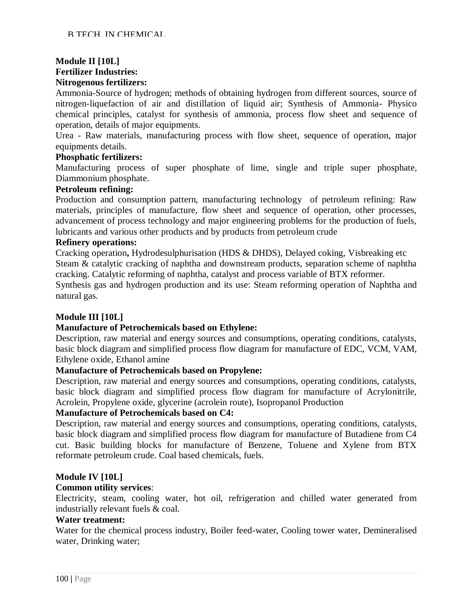# **Module II [10L]**

**Fertilizer Industries:** 

#### **Nitrogenous fertilizers:**

Ammonia-Source of hydrogen; methods of obtaining hydrogen from different sources, source of nitrogen-liquefaction of air and distillation of liquid air; Synthesis of Ammonia- Physico chemical principles, catalyst for synthesis of ammonia, process flow sheet and sequence of operation, details of major equipments.

Urea - Raw materials, manufacturing process with flow sheet, sequence of operation, major equipments details.

#### **Phosphatic fertilizers:**

Manufacturing process of super phosphate of lime, single and triple super phosphate, Diammonium phosphate.

# **Petroleum refining:**

Production and consumption pattern, manufacturing technology of petroleum refining: Raw materials, principles of manufacture, flow sheet and sequence of operation, other processes, advancement of process technology and major engineering problems for the production of fuels, lubricants and various other products and by products from petroleum crude

#### **Refinery operations:**

Cracking operation**,** Hydrodesulphurisation (HDS & DHDS), Delayed coking, Visbreaking etc Steam & catalytic cracking of naphtha and downstream products, separation scheme of naphtha cracking. Catalytic reforming of naphtha, catalyst and process variable of BTX reformer.

Synthesis gas and hydrogen production and its use: Steam reforming operation of Naphtha and natural gas.

# **Module III [10L]**

#### **Manufacture of Petrochemicals based on Ethylene:**

Description, raw material and energy sources and consumptions, operating conditions, catalysts, basic block diagram and simplified process flow diagram for manufacture of EDC, VCM, VAM, Ethylene oxide, Ethanol amine

#### **Manufacture of Petrochemicals based on Propylene:**

Description, raw material and energy sources and consumptions, operating conditions, catalysts, basic block diagram and simplified process flow diagram for manufacture of Acrylonitrile, Acrolein, Propylene oxide, glycerine (acrolein route), Isopropanol Production

#### **Manufacture of Petrochemicals based on C4:**

Description, raw material and energy sources and consumptions, operating conditions, catalysts, basic block diagram and simplified process flow diagram for manufacture of Butadiene from C4 cut. Basic building blocks for manufacture of Benzene, Toluene and Xylene from BTX reformate petroleum crude. Coal based chemicals, fuels.

#### **Module IV [10L]**

#### **Common utility services**:

Electricity, steam, cooling water, hot oil, refrigeration and chilled water generated from industrially relevant fuels & coal.

#### **Water treatment:**

Water for the chemical process industry, Boiler feed-water, Cooling tower water, Demineralised water, Drinking water;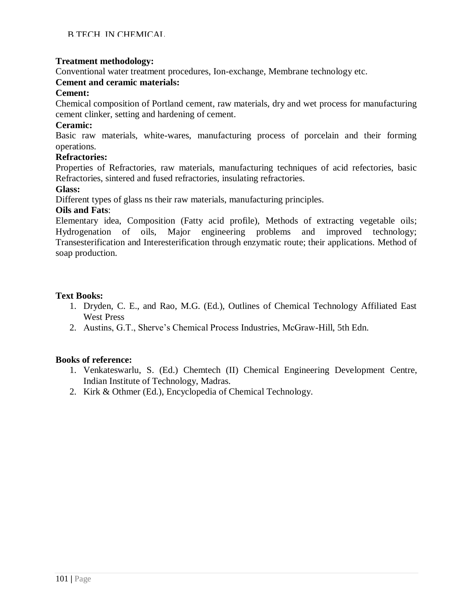# **Treatment methodology:**

Conventional water treatment procedures, Ion-exchange, Membrane technology etc.

# **Cement and ceramic materials:**

#### **Cement:**

Chemical composition of Portland cement, raw materials, dry and wet process for manufacturing cement clinker, setting and hardening of cement.

#### **Ceramic:**

Basic raw materials, white-wares, manufacturing process of porcelain and their forming operations.

#### **Refractories:**

Properties of Refractories, raw materials, manufacturing techniques of acid refectories, basic Refractories, sintered and fused refractories, insulating refractories.

#### **Glass:**

Different types of glass ns their raw materials, manufacturing principles.

# **Oils and Fats**:

Elementary idea, Composition (Fatty acid profile), Methods of extracting vegetable oils; Hydrogenation of oils, Major engineering problems and improved technology; Transesterification and Interesterification through enzymatic route; their applications. Method of soap production.

# **Text Books:**

- 1. Dryden, C. E., and Rao, M.G. (Ed.), Outlines of Chemical Technology Affiliated East West Press
- 2. Austins, G.T., Sherve's Chemical Process Industries, McGraw-Hill, 5th Edn.

- 1. Venkateswarlu, S. (Ed.) Chemtech (II) Chemical Engineering Development Centre, Indian Institute of Technology, Madras.
- 2. Kirk & Othmer (Ed.), Encyclopedia of Chemical Technology.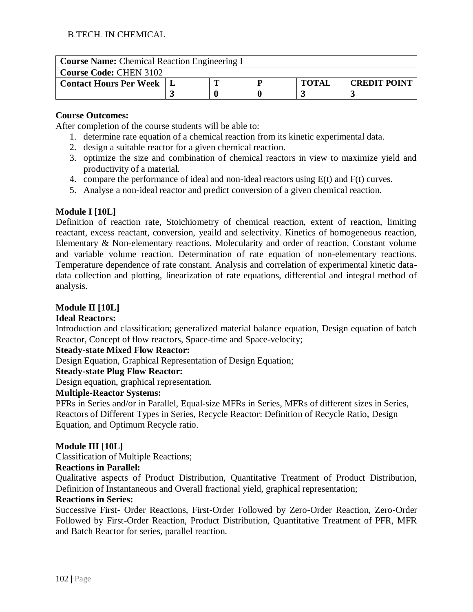| <b>Course Name:</b> Chemical Reaction Engineering I |  |  |  |              |                     |  |
|-----------------------------------------------------|--|--|--|--------------|---------------------|--|
| <b>Course Code: CHEN 3102</b>                       |  |  |  |              |                     |  |
| <b>Contact Hours Per Week</b>                       |  |  |  | <b>TOTAL</b> | <b>CREDIT POINT</b> |  |
|                                                     |  |  |  |              |                     |  |

After completion of the course students will be able to:

- 1. determine rate equation of a chemical reaction from its kinetic experimental data.
- 2. design a suitable reactor for a given chemical reaction.
- 3. optimize the size and combination of chemical reactors in view to maximize yield and productivity of a material.
- 4. compare the performance of ideal and non-ideal reactors using E(t) and F(t) curves.
- 5. Analyse a non-ideal reactor and predict conversion of a given chemical reaction.

# **Module I [10L]**

Definition of reaction rate, Stoichiometry of chemical reaction, extent of reaction, limiting reactant, excess reactant, conversion, yeaild and selectivity. Kinetics of homogeneous reaction, Elementary & Non-elementary reactions. Molecularity and order of reaction, Constant volume and variable volume reaction. Determination of rate equation of non-elementary reactions. Temperature dependence of rate constant. Analysis and correlation of experimental kinetic datadata collection and plotting, linearization of rate equations, differential and integral method of analysis.

# **Module II [10L]**

#### **Ideal Reactors:**

Introduction and classification; generalized material balance equation, Design equation of batch Reactor, Concept of flow reactors, Space-time and Space-velocity;

#### **Steady-state Mixed Flow Reactor:**

Design Equation, Graphical Representation of Design Equation;

# **Steady-state Plug Flow Reactor:**

Design equation, graphical representation.

#### **Multiple-Reactor Systems:**

PFRs in Series and/or in Parallel, Equal-size MFRs in Series, MFRs of different sizes in Series, Reactors of Different Types in Series, Recycle Reactor: Definition of Recycle Ratio, Design Equation, and Optimum Recycle ratio.

#### **Module III [10L]**

Classification of Multiple Reactions;

#### **Reactions in Parallel:**

Qualitative aspects of Product Distribution, Quantitative Treatment of Product Distribution, Definition of Instantaneous and Overall fractional yield, graphical representation;

#### **Reactions in Series:**

Successive First- Order Reactions, First-Order Followed by Zero-Order Reaction, Zero-Order Followed by First-Order Reaction, Product Distribution, Quantitative Treatment of PFR, MFR and Batch Reactor for series, parallel reaction.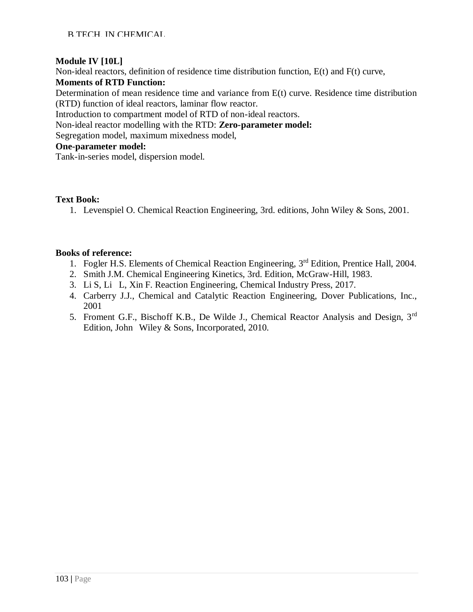# **Module IV [10L]**

Non-ideal reactors, definition of residence time distribution function, E(t) and F(t) curve,

# **Moments of RTD Function:**

Determination of mean residence time and variance from E(t) curve. Residence time distribution (RTD) function of ideal reactors, laminar flow reactor.

Introduction to compartment model of RTD of non-ideal reactors.

Non-ideal reactor modelling with the RTD: **Zero-parameter model:**

Segregation model, maximum mixedness model,

# **One-parameter model:**

Tank-in-series model, dispersion model.

# **Text Book:**

1. Levenspiel O. Chemical Reaction Engineering, 3rd. editions, John Wiley & Sons, 2001.

- 1. Fogler H.S. Elements of Chemical Reaction Engineering, 3rd Edition, Prentice Hall, 2004.
- 2. Smith J.M. Chemical Engineering Kinetics, 3rd. Edition, McGraw-Hill, 1983.
- 3. Li S, Li L, Xin F. Reaction Engineering, Chemical Industry Press, 2017.
- 4. Carberry J.J., Chemical and Catalytic Reaction Engineering, Dover Publications, Inc., 2001
- 5. Froment G.F., Bischoff K.B., De Wilde J., Chemical Reactor Analysis and Design, 3<sup>rd</sup> Edition, John Wiley & Sons, Incorporated, 2010.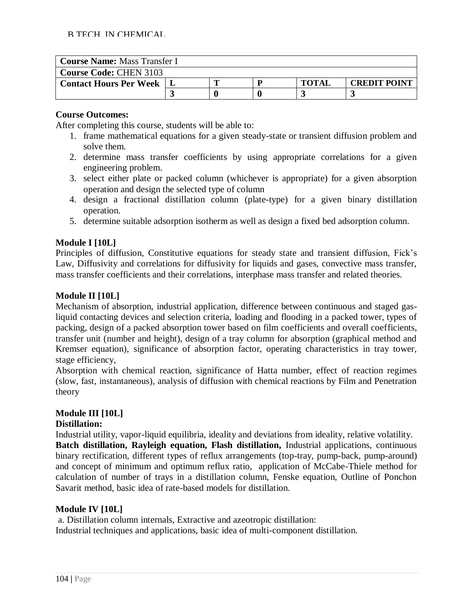| <b>Course Name: Mass Transfer I</b> |  |  |  |              |                     |  |
|-------------------------------------|--|--|--|--------------|---------------------|--|
| <b>Course Code: CHEN 3103</b>       |  |  |  |              |                     |  |
| <b>Contact Hours Per Week</b>       |  |  |  | <b>TOTAI</b> | <b>CREDIT POINT</b> |  |
|                                     |  |  |  |              |                     |  |

After completing this course, students will be able to:

- 1. frame mathematical equations for a given steady-state or transient diffusion problem and solve them.
- 2. determine mass transfer coefficients by using appropriate correlations for a given engineering problem.
- 3. select either plate or packed column (whichever is appropriate) for a given absorption operation and design the selected type of column
- 4. design a fractional distillation column (plate-type) for a given binary distillation operation.
- 5. determine suitable adsorption isotherm as well as design a fixed bed adsorption column.

# **Module I [10L]**

Principles of diffusion, Constitutive equations for steady state and transient diffusion, Fick's Law, Diffusivity and correlations for diffusivity for liquids and gases, convective mass transfer, mass transfer coefficients and their correlations, interphase mass transfer and related theories.

#### **Module II [10L]**

Mechanism of absorption, industrial application, difference between continuous and staged gasliquid contacting devices and selection criteria, loading and flooding in a packed tower, types of packing, design of a packed absorption tower based on film coefficients and overall coefficients, transfer unit (number and height), design of a tray column for absorption (graphical method and Kremser equation), significance of absorption factor, operating characteristics in tray tower, stage efficiency,

Absorption with chemical reaction, significance of Hatta number, effect of reaction regimes (slow, fast, instantaneous), analysis of diffusion with chemical reactions by Film and Penetration theory

#### **Module III [10L]**

#### **Distillation:**

Industrial utility, vapor-liquid equilibria, ideality and deviations from ideality, relative volatility. **Batch distillation, Rayleigh equation, Flash distillation,** Industrial applications, continuous binary rectification, different types of reflux arrangements (top-tray, pump-back, pump-around) and concept of minimum and optimum reflux ratio, application of McCabe-Thiele method for calculation of number of trays in a distillation column, Fenske equation, Outline of Ponchon Savarit method, basic idea of rate-based models for distillation.

#### **Module IV [10L]**

a. Distillation column internals, Extractive and azeotropic distillation: Industrial techniques and applications, basic idea of multi-component distillation.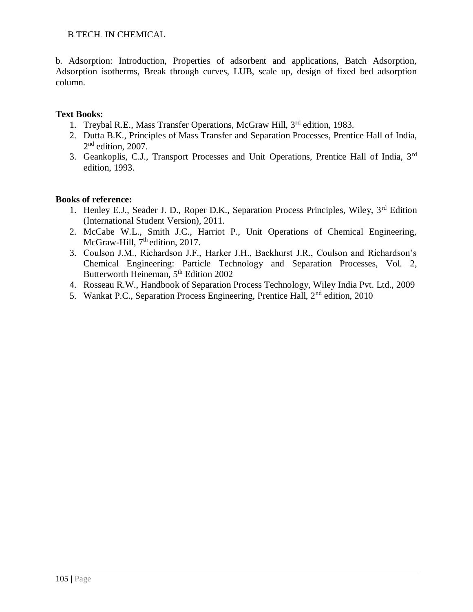B.TECH. IN CHEMICAL

b. Adsorption: Introduction, Properties of adsorbent and applications, Batch Adsorption, Adsorption isotherms, Break through curves, LUB, scale up, design of fixed bed adsorption column.

# **Text Books:**

- 1. Treybal R.E., Mass Transfer Operations, McGraw Hill, 3rd edition, 1983.
- 2. Dutta B.K., Principles of Mass Transfer and Separation Processes, Prentice Hall of India, 2<sup>nd</sup> edition, 2007.
- 3. Geankoplis, C.J., Transport Processes and Unit Operations, Prentice Hall of India, 3rd edition, 1993.

- 1. Henley E.J., Seader J. D., Roper D.K., Separation Process Principles, Wiley, 3<sup>rd</sup> Edition (International Student Version), 2011.
- 2. McCabe W.L., Smith J.C., Harriot P., Unit Operations of Chemical Engineering, McGraw-Hill, 7<sup>th</sup> edition, 2017.
- 3. Coulson J.M., Richardson J.F., Harker J.H., Backhurst J.R., Coulson and Richardson's Chemical Engineering: Particle Technology and Separation Processes, Vol. 2, Butterworth Heineman, 5<sup>th</sup> Edition 2002
- 4. Rosseau R.W., Handbook of Separation Process Technology, Wiley India Pvt. Ltd., 2009
- 5. Wankat P.C., Separation Process Engineering, Prentice Hall, 2nd edition, 2010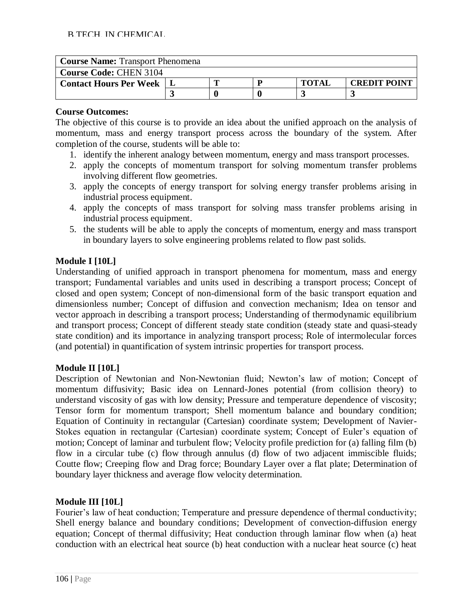| <b>Course Name: Transport Phenomena</b> |  |  |  |              |                     |  |
|-----------------------------------------|--|--|--|--------------|---------------------|--|
| <b>Course Code: CHEN 3104</b>           |  |  |  |              |                     |  |
| <b>Contact Hours Per Week</b>           |  |  |  | <b>TOTAI</b> | <b>CREDIT POINT</b> |  |
|                                         |  |  |  |              |                     |  |

The objective of this course is to provide an idea about the unified approach on the analysis of momentum, mass and energy transport process across the boundary of the system. After completion of the course, students will be able to:

- 1. identify the inherent analogy between momentum, energy and mass transport processes.
- 2. apply the concepts of momentum transport for solving momentum transfer problems involving different flow geometries.
- 3. apply the concepts of energy transport for solving energy transfer problems arising in industrial process equipment.
- 4. apply the concepts of mass transport for solving mass transfer problems arising in industrial process equipment.
- 5. the students will be able to apply the concepts of momentum, energy and mass transport in boundary layers to solve engineering problems related to flow past solids.

# **Module I [10L]**

Understanding of unified approach in transport phenomena for momentum, mass and energy transport; Fundamental variables and units used in describing a transport process; Concept of closed and open system; Concept of non-dimensional form of the basic transport equation and dimensionless number; Concept of diffusion and convection mechanism; Idea on tensor and vector approach in describing a transport process; Understanding of thermodynamic equilibrium and transport process; Concept of different steady state condition (steady state and quasi-steady state condition) and its importance in analyzing transport process; Role of intermolecular forces (and potential) in quantification of system intrinsic properties for transport process.

# **Module II [10L]**

Description of Newtonian and Non-Newtonian fluid; Newton's law of motion; Concept of momentum diffusivity; Basic idea on Lennard-Jones potential (from collision theory) to understand viscosity of gas with low density; Pressure and temperature dependence of viscosity; Tensor form for momentum transport; Shell momentum balance and boundary condition; Equation of Continuity in rectangular (Cartesian) coordinate system; Development of Navier-Stokes equation in rectangular (Cartesian) coordinate system; Concept of Euler's equation of motion; Concept of laminar and turbulent flow; Velocity profile prediction for (a) falling film (b) flow in a circular tube (c) flow through annulus (d) flow of two adjacent immiscible fluids; Coutte flow; Creeping flow and Drag force; Boundary Layer over a flat plate; Determination of boundary layer thickness and average flow velocity determination.

# **Module III [10L]**

Fourier's law of heat conduction; Temperature and pressure dependence of thermal conductivity; Shell energy balance and boundary conditions; Development of convection-diffusion energy equation; Concept of thermal diffusivity; Heat conduction through laminar flow when (a) heat conduction with an electrical heat source (b) heat conduction with a nuclear heat source (c) heat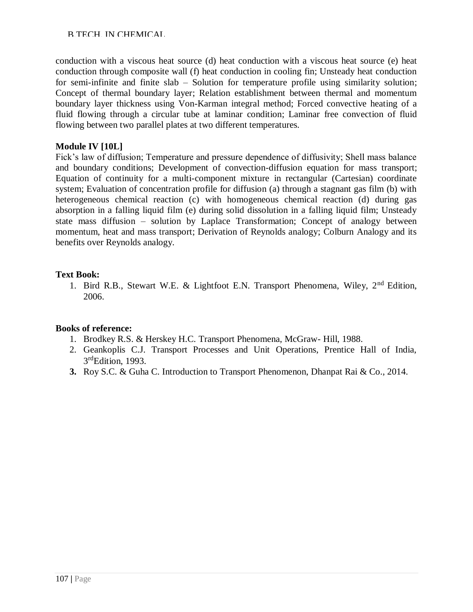# B.TECH. IN CHEMICAL

conduction with a viscous heat source (d) heat conduction with a viscous heat source (e) heat conduction through composite wall (f) heat conduction in cooling fin; Unsteady heat conduction for semi-infinite and finite slab – Solution for temperature profile using similarity solution; Concept of thermal boundary layer; Relation establishment between thermal and momentum boundary layer thickness using Von-Karman integral method; Forced convective heating of a fluid flowing through a circular tube at laminar condition; Laminar free convection of fluid flowing between two parallel plates at two different temperatures.

# **Module IV [10L]**

Fick's law of diffusion; Temperature and pressure dependence of diffusivity; Shell mass balance and boundary conditions; Development of convection-diffusion equation for mass transport; Equation of continuity for a multi-component mixture in rectangular (Cartesian) coordinate system; Evaluation of concentration profile for diffusion (a) through a stagnant gas film (b) with heterogeneous chemical reaction (c) with homogeneous chemical reaction (d) during gas absorption in a falling liquid film (e) during solid dissolution in a falling liquid film; Unsteady state mass diffusion – solution by Laplace Transformation; Concept of analogy between momentum, heat and mass transport; Derivation of Reynolds analogy; Colburn Analogy and its benefits over Reynolds analogy.

# **Text Book:**

1. Bird R.B., Stewart W.E. & Lightfoot E.N. Transport Phenomena, Wiley, 2nd Edition, 2006.

- 1. Brodkey R.S. & Herskey H.C. Transport Phenomena, McGraw- Hill, 1988.
- 2. Geankoplis C.J. Transport Processes and Unit Operations, Prentice Hall of India, 3<sup>rd</sup>Edition, 1993.
- **3.** Roy S.C. & Guha C. Introduction to Transport Phenomenon, Dhanpat Rai & Co., 2014.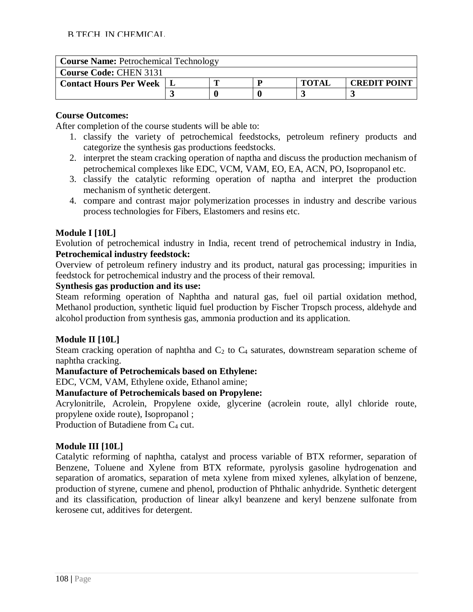| <b>Course Name: Petrochemical Technology</b> |  |  |  |              |                     |  |
|----------------------------------------------|--|--|--|--------------|---------------------|--|
| <b>Course Code: CHEN 3131</b>                |  |  |  |              |                     |  |
| <b>Contact Hours Per Week</b>                |  |  |  | <b>TOTAL</b> | <b>CREDIT POINT</b> |  |
|                                              |  |  |  |              |                     |  |

After completion of the course students will be able to:

- 1. classify the variety of petrochemical feedstocks, petroleum refinery products and categorize the synthesis gas productions feedstocks.
- 2. interpret the steam cracking operation of naptha and discuss the production mechanism of petrochemical complexes like EDC, VCM, VAM, EO, EA, ACN, PO, Isopropanol etc.
- 3. classify the catalytic reforming operation of naptha and interpret the production mechanism of synthetic detergent.
- 4. compare and contrast major polymerization processes in industry and describe various process technologies for Fibers, Elastomers and resins etc.

# **Module I [10L]**

Evolution of petrochemical industry in India, recent trend of petrochemical industry in India, **Petrochemical industry feedstock:**

Overview of petroleum refinery industry and its product, natural gas processing; impurities in feedstock for petrochemical industry and the process of their removal.

# **Synthesis gas production and its use:**

Steam reforming operation of Naphtha and natural gas, fuel oil partial oxidation method, Methanol production, synthetic liquid fuel production by Fischer Tropsch process, aldehyde and alcohol production from synthesis gas, ammonia production and its application.

#### **Module II [10L]**

Steam cracking operation of naphtha and  $C_2$  to  $C_4$  saturates, downstream separation scheme of naphtha cracking.

#### **Manufacture of Petrochemicals based on Ethylene:**

EDC, VCM, VAM, Ethylene oxide, Ethanol amine;

# **Manufacture of Petrochemicals based on Propylene:**

Acrylonitrile, Acrolein, Propylene oxide, glycerine (acrolein route, allyl chloride route, propylene oxide route), Isopropanol ;

Production of Butadiene from  $C_4$  cut.

# **Module III [10L]**

Catalytic reforming of naphtha, catalyst and process variable of BTX reformer, separation of Benzene, Toluene and Xylene from BTX reformate, pyrolysis gasoline hydrogenation and separation of aromatics, separation of meta xylene from mixed xylenes, alkylation of benzene, production of styrene, cumene and phenol, production of Phthalic anhydride. Synthetic detergent and its classification, production of linear alkyl beanzene and keryl benzene sulfonate from kerosene cut, additives for detergent.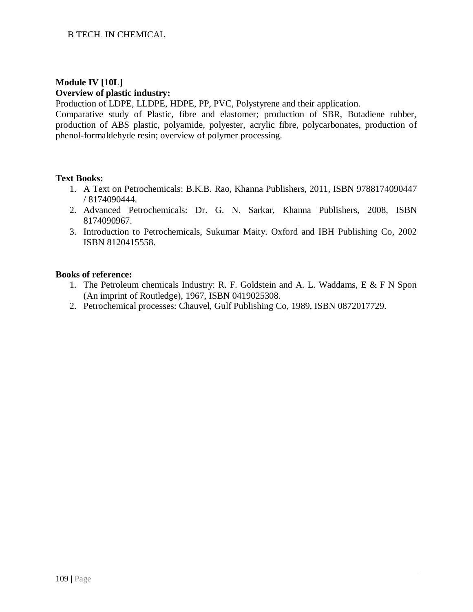# **Module IV [10L] Overview of plastic industry:**

Production of LDPE, LLDPE, HDPE, PP, PVC, Polystyrene and their application.

Comparative study of Plastic, fibre and elastomer; production of SBR, Butadiene rubber, production of ABS plastic, polyamide, polyester, acrylic fibre, polycarbonates, production of phenol-formaldehyde resin; overview of polymer processing.

#### **Text Books:**

- 1. A Text on Petrochemicals: B.K.B. Rao, Khanna Publishers, 2011, ISBN 9788174090447 / 8174090444.
- 2. Advanced Petrochemicals: Dr. G. N. Sarkar, Khanna Publishers, 2008, ISBN 8174090967.
- 3. Introduction to Petrochemicals, Sukumar Maity. Oxford and IBH Publishing Co, 2002 ISBN 8120415558.

- 1. The Petroleum chemicals Industry: R. F. Goldstein and A. L. Waddams, E & F N Spon (An imprint of Routledge), 1967, ISBN 0419025308.
- 2. Petrochemical processes: Chauvel, Gulf Publishing Co, 1989, ISBN 0872017729.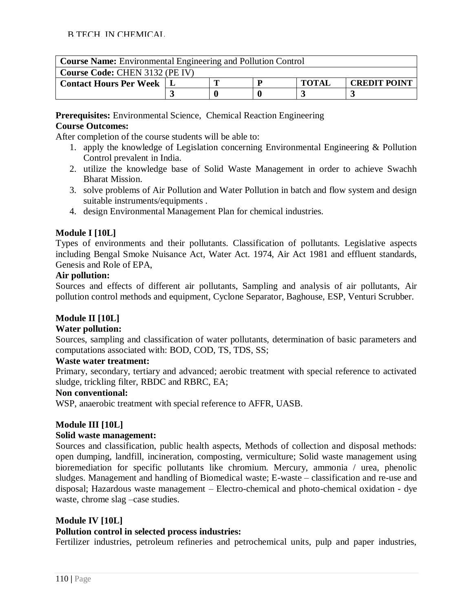| <b>Course Name:</b> Environmental Engineering and Pollution Control |  |                                     |  |  |  |  |  |  |
|---------------------------------------------------------------------|--|-------------------------------------|--|--|--|--|--|--|
| <b>Course Code: CHEN 3132 (PE IV)</b>                               |  |                                     |  |  |  |  |  |  |
| <b>Contact Hours Per Week</b>                                       |  | <b>TOTAI</b><br><b>CREDIT POINT</b> |  |  |  |  |  |  |
|                                                                     |  |                                     |  |  |  |  |  |  |

**Prerequisites:** Environmental Science, Chemical Reaction Engineering **Course Outcomes:**

After completion of the course students will be able to:

- 1. apply the knowledge of Legislation concerning Environmental Engineering & Pollution Control prevalent in India.
- 2. utilize the knowledge base of Solid Waste Management in order to achieve Swachh Bharat Mission.
- 3. solve problems of Air Pollution and Water Pollution in batch and flow system and design suitable instruments/equipments .
- 4. design Environmental Management Plan for chemical industries.

# **Module I [10L]**

Types of environments and their pollutants. Classification of pollutants. Legislative aspects including Bengal Smoke Nuisance Act, Water Act. 1974, Air Act 1981 and effluent standards, Genesis and Role of EPA,

#### **Air pollution:**

Sources and effects of different air pollutants, Sampling and analysis of air pollutants, Air pollution control methods and equipment, Cyclone Separator, Baghouse, ESP, Venturi Scrubber.

# **Module II [10L]**

# **Water pollution:**

Sources, sampling and classification of water pollutants, determination of basic parameters and computations associated with: BOD, COD, TS, TDS, SS;

#### **Waste water treatment:**

Primary, secondary, tertiary and advanced; aerobic treatment with special reference to activated sludge, trickling filter, RBDC and RBRC, EA;

#### **Non conventional:**

WSP, anaerobic treatment with special reference to AFFR, UASB.

#### **Module III [10L]**

#### **Solid waste management:**

Sources and classification, public health aspects, Methods of collection and disposal methods: open dumping, landfill, incineration, composting, vermiculture; Solid waste management using bioremediation for specific pollutants like chromium. Mercury, ammonia / urea, phenolic sludges. Management and handling of Biomedical waste; E-waste – classification and re-use and disposal; Hazardous waste management – Electro-chemical and photo-chemical oxidation - dye waste, chrome slag –case studies.

# **Module IV [10L]**

#### **Pollution control in selected process industries:**

Fertilizer industries, petroleum refineries and petrochemical units, pulp and paper industries,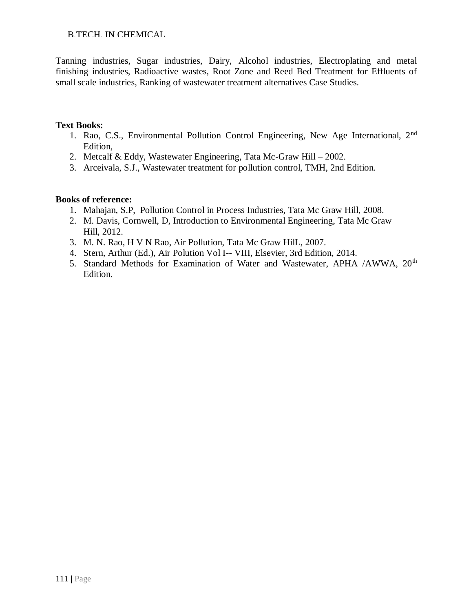B.TECH. IN CHEMICAL

Tanning industries, Sugar industries, Dairy, Alcohol industries, Electroplating and metal finishing industries, Radioactive wastes, Root Zone and Reed Bed Treatment for Effluents of small scale industries, Ranking of wastewater treatment alternatives Case Studies.

#### **Text Books:**

- 1. Rao, C.S., Environmental Pollution Control Engineering, New Age International, 2nd Edition,
- 2. Metcalf & Eddy, Wastewater Engineering, Tata Mc-Graw Hill 2002.
- 3. Arceivala, S.J., Wastewater treatment for pollution control, TMH, 2nd Edition.

- 1. Mahajan, S.P, Pollution Control in Process Industries, Tata Mc Graw Hill, 2008.
- 2. M. Davis, Cornwell, D, Introduction to Environmental Engineering, Tata Mc Graw Hill, 2012.
- 3. M. N. Rao, H V N Rao, Air Pollution, Tata Mc Graw HilL, 2007.
- 4. Stern, Arthur (Ed.), Air Polution Vol I-- VIII, Elsevier, 3rd Edition, 2014.
- 5. Standard Methods for Examination of Water and Wastewater, APHA /AWWA, 20<sup>th</sup> Edition.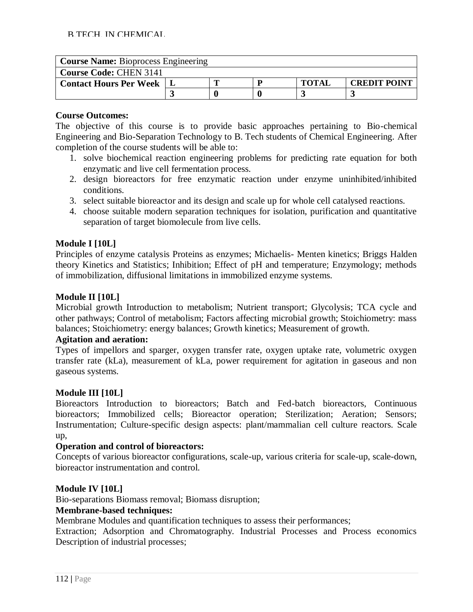| <b>Course Name:</b> Bioprocess Engineering |  |  |  |              |                     |  |  |  |  |
|--------------------------------------------|--|--|--|--------------|---------------------|--|--|--|--|
| <b>Course Code: CHEN 3141</b>              |  |  |  |              |                     |  |  |  |  |
| <b>Contact Hours Per Week</b>              |  |  |  | <b>TOTAI</b> | <b>CREDIT POINT</b> |  |  |  |  |
|                                            |  |  |  |              |                     |  |  |  |  |

The objective of this course is to provide basic approaches pertaining to Bio-chemical Engineering and Bio-Separation Technology to B. Tech students of Chemical Engineering. After completion of the course students will be able to:

- 1. solve biochemical reaction engineering problems for predicting rate equation for both enzymatic and live cell fermentation process.
- 2. design bioreactors for free enzymatic reaction under enzyme uninhibited/inhibited conditions.
- 3. select suitable bioreactor and its design and scale up for whole cell catalysed reactions.
- 4. choose suitable modern separation techniques for isolation, purification and quantitative separation of target biomolecule from live cells.

# **Module I [10L]**

Principles of enzyme catalysis Proteins as enzymes; Michaelis- Menten kinetics; Briggs Halden theory Kinetics and Statistics; Inhibition; Effect of pH and temperature; Enzymology; methods of immobilization, diffusional limitations in immobilized enzyme systems.

#### **Module II [10L]**

Microbial growth Introduction to metabolism; Nutrient transport; Glycolysis; TCA cycle and other pathways; Control of metabolism; Factors affecting microbial growth; Stoichiometry: mass balances; Stoichiometry: energy balances; Growth kinetics; Measurement of growth.

#### **Agitation and aeration:**

Types of impellors and sparger, oxygen transfer rate, oxygen uptake rate, volumetric oxygen transfer rate (kLa), measurement of kLa, power requirement for agitation in gaseous and non gaseous systems.

#### **Module III [10L]**

Bioreactors Introduction to bioreactors; Batch and Fed-batch bioreactors, Continuous bioreactors; Immobilized cells; Bioreactor operation; Sterilization; Aeration; Sensors; Instrumentation; Culture-specific design aspects: plant/mammalian cell culture reactors. Scale up,

#### **Operation and control of bioreactors:**

Concepts of various bioreactor configurations, scale-up, various criteria for scale-up, scale-down, bioreactor instrumentation and control.

# **Module IV [10L]**

Bio-separations Biomass removal; Biomass disruption;

# **Membrane-based techniques:**

Membrane Modules and quantification techniques to assess their performances;

Extraction; Adsorption and Chromatography. Industrial Processes and Process economics Description of industrial processes;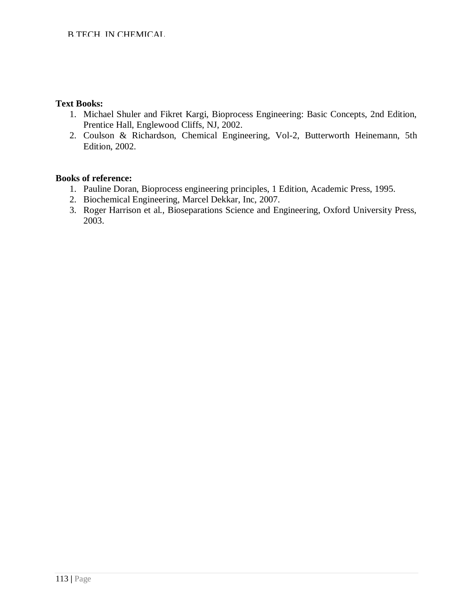#### **Text Books:**

- 1. Michael Shuler and Fikret Kargi, Bioprocess Engineering: Basic Concepts, 2nd Edition, Prentice Hall, Englewood Cliffs, NJ, 2002.
- 2. Coulson & Richardson, Chemical Engineering, Vol-2, Butterworth Heinemann, 5th Edition, 2002.

- 1. Pauline Doran, Bioprocess engineering principles, 1 Edition, Academic Press, 1995.
- 2. Biochemical Engineering, Marcel Dekkar, Inc, 2007.
- 3. Roger Harrison et al., Bioseparations Science and Engineering, Oxford University Press, 2003.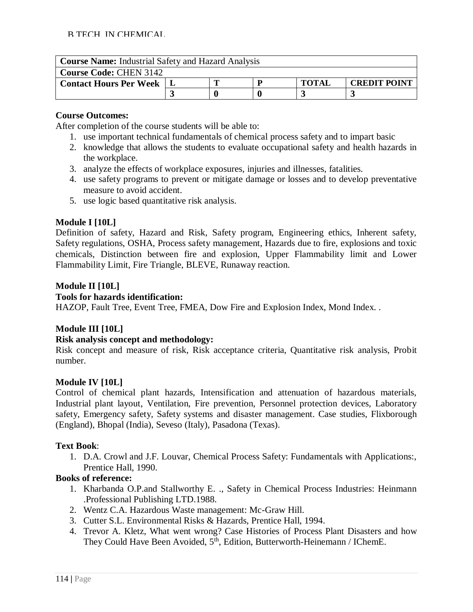| <b>Course Name:</b> Industrial Safety and Hazard Analysis |  |  |  |              |                     |  |  |  |
|-----------------------------------------------------------|--|--|--|--------------|---------------------|--|--|--|
| <b>Course Code: CHEN 3142</b>                             |  |  |  |              |                     |  |  |  |
| <b>Contact Hours Per Week</b>                             |  |  |  | <b>TOTAL</b> | <b>CREDIT POINT</b> |  |  |  |
|                                                           |  |  |  |              |                     |  |  |  |

After completion of the course students will be able to:

- 1. use important technical fundamentals of chemical process safety and to impart basic
- 2. knowledge that allows the students to evaluate occupational safety and health hazards in the workplace.
- 3. analyze the effects of workplace exposures, injuries and illnesses, fatalities.
- 4. use safety programs to prevent or mitigate damage or losses and to develop preventative measure to avoid accident.
- 5. use logic based quantitative risk analysis.

#### **Module I [10L]**

Definition of safety, Hazard and Risk, Safety program, Engineering ethics, Inherent safety, Safety regulations, OSHA, Process safety management, Hazards due to fire, explosions and toxic chemicals, Distinction between fire and explosion, Upper Flammability limit and Lower Flammability Limit, Fire Triangle, BLEVE, Runaway reaction.

#### **Module II [10L]**

#### **Tools for hazards identification:**

HAZOP, Fault Tree, Event Tree, FMEA, Dow Fire and Explosion Index, Mond Index. .

# **Module III [10L]**

#### **Risk analysis concept and methodology:**

Risk concept and measure of risk, Risk acceptance criteria, Quantitative risk analysis, Probit number.

#### **Module IV [10L]**

Control of chemical plant hazards, Intensification and attenuation of hazardous materials, Industrial plant layout, Ventilation, Fire prevention, Personnel protection devices, Laboratory safety, Emergency safety, Safety systems and disaster management. Case studies, Flixborough (England), Bhopal (India), Seveso (Italy), Pasadona (Texas).

#### **Text Book**:

1. D.A. Crowl and J.F. Louvar, Chemical Process Safety: Fundamentals with Applications:, Prentice Hall, 1990.

- 1. Kharbanda O.P.and Stallworthy E. ., Safety in Chemical Process Industries: Heinmann .Professional Publishing LTD.1988.
- 2. Wentz C.A. Hazardous Waste management: Mc-Graw Hill.
- 3. Cutter S.L. Environmental Risks & Hazards, Prentice Hall, 1994.
- 4. Trevor A. Kletz, What went wrong? Case Histories of Process Plant Disasters and how They Could Have Been Avoided,  $5<sup>th</sup>$ , Edition, Butterworth-Heinemann / IChemE.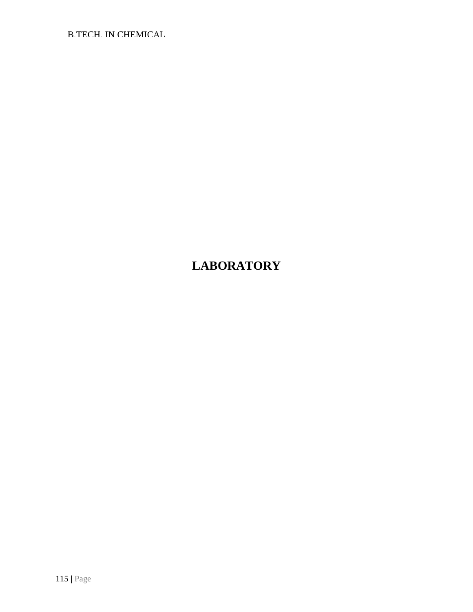B.TECH. IN CHEMICAL

# **LABORATORY**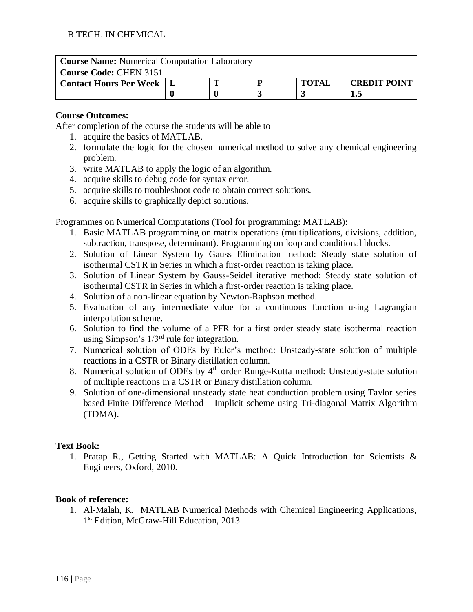| <b>Course Name:</b> Numerical Computation Laboratory |     |  |  |              |                     |  |  |  |  |
|------------------------------------------------------|-----|--|--|--------------|---------------------|--|--|--|--|
| <b>Course Code: CHEN 3151</b>                        |     |  |  |              |                     |  |  |  |  |
| <b>Contact Hours Per Week   L</b>                    |     |  |  | <b>TOTAL</b> | <b>CREDIT POINT</b> |  |  |  |  |
|                                                      | 1.5 |  |  |              |                     |  |  |  |  |

After completion of the course the students will be able to

- 1. acquire the basics of MATLAB.
- 2. formulate the logic for the chosen numerical method to solve any chemical engineering problem.
- 3. write MATLAB to apply the logic of an algorithm.
- 4. acquire skills to debug code for syntax error.
- 5. acquire skills to troubleshoot code to obtain correct solutions.
- 6. acquire skills to graphically depict solutions.

Programmes on Numerical Computations (Tool for programming: MATLAB):

- 1. Basic MATLAB programming on matrix operations (multiplications, divisions, addition, subtraction, transpose, determinant). Programming on loop and conditional blocks.
- 2. Solution of Linear System by Gauss Elimination method: Steady state solution of isothermal CSTR in Series in which a first-order reaction is taking place.
- 3. Solution of Linear System by Gauss-Seidel iterative method: Steady state solution of isothermal CSTR in Series in which a first-order reaction is taking place.
- 4. Solution of a non-linear equation by Newton-Raphson method.
- 5. Evaluation of any intermediate value for a continuous function using Lagrangian interpolation scheme.
- 6. Solution to find the volume of a PFR for a first order steady state isothermal reaction using Simpson's  $1/3^{rd}$  rule for integration.
- 7. Numerical solution of ODEs by Euler's method: Unsteady-state solution of multiple reactions in a CSTR or Binary distillation column.
- 8. Numerical solution of ODEs by 4<sup>th</sup> order Runge-Kutta method: Unsteady-state solution of multiple reactions in a CSTR or Binary distillation column.
- 9. Solution of one-dimensional unsteady state heat conduction problem using Taylor series based Finite Difference Method – Implicit scheme using Tri-diagonal Matrix Algorithm (TDMA).

# **Text Book:**

1. Pratap R., Getting Started with MATLAB: A Quick Introduction for Scientists & Engineers, Oxford, 2010.

# **Book of reference:**

1. Al-Malah, K. MATLAB Numerical Methods with Chemical Engineering Applications, 1<sup>st</sup> Edition, McGraw-Hill Education, 2013.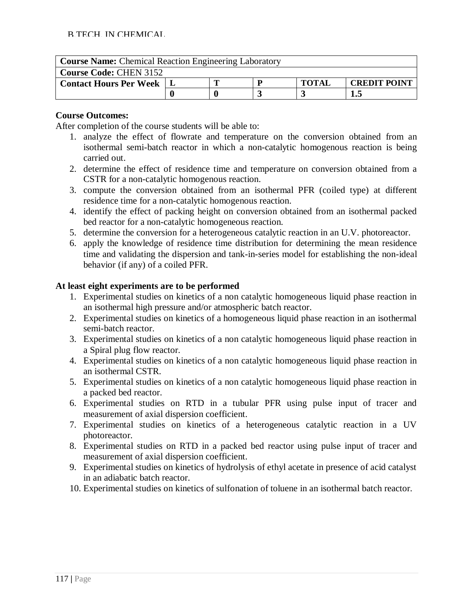| <b>Course Name:</b> Chemical Reaction Engineering Laboratory |  |  |  |              |                     |  |  |  |  |
|--------------------------------------------------------------|--|--|--|--------------|---------------------|--|--|--|--|
| <b>Course Code: CHEN 3152</b>                                |  |  |  |              |                     |  |  |  |  |
| <b>Contact Hours Per Week   L</b>                            |  |  |  | <b>TOTAL</b> | <b>CREDIT POINT</b> |  |  |  |  |
|                                                              |  |  |  |              |                     |  |  |  |  |

After completion of the course students will be able to:

- 1. analyze the effect of flowrate and temperature on the conversion obtained from an isothermal semi-batch reactor in which a non-catalytic homogenous reaction is being carried out.
- 2. determine the effect of residence time and temperature on conversion obtained from a CSTR for a non-catalytic homogenous reaction.
- 3. compute the conversion obtained from an isothermal PFR (coiled type) at different residence time for a non-catalytic homogenous reaction.
- 4. identify the effect of packing height on conversion obtained from an isothermal packed bed reactor for a non-catalytic homogeneous reaction.
- 5. determine the conversion for a heterogeneous catalytic reaction in an U.V. photoreactor.
- 6. apply the knowledge of residence time distribution for determining the mean residence time and validating the dispersion and tank-in-series model for establishing the non-ideal behavior (if any) of a coiled PFR.

#### **At least eight experiments are to be performed**

- 1. Experimental studies on kinetics of a non catalytic homogeneous liquid phase reaction in an isothermal high pressure and/or atmospheric batch reactor.
- 2. Experimental studies on kinetics of a homogeneous liquid phase reaction in an isothermal semi-batch reactor.
- 3. Experimental studies on kinetics of a non catalytic homogeneous liquid phase reaction in a Spiral plug flow reactor.
- 4. Experimental studies on kinetics of a non catalytic homogeneous liquid phase reaction in an isothermal CSTR.
- 5. Experimental studies on kinetics of a non catalytic homogeneous liquid phase reaction in a packed bed reactor.
- 6. Experimental studies on RTD in a tubular PFR using pulse input of tracer and measurement of axial dispersion coefficient.
- 7. Experimental studies on kinetics of a heterogeneous catalytic reaction in a UV photoreactor.
- 8. Experimental studies on RTD in a packed bed reactor using pulse input of tracer and measurement of axial dispersion coefficient.
- 9. Experimental studies on kinetics of hydrolysis of ethyl acetate in presence of acid catalyst in an adiabatic batch reactor.
- 10. Experimental studies on kinetics of sulfonation of toluene in an isothermal batch reactor.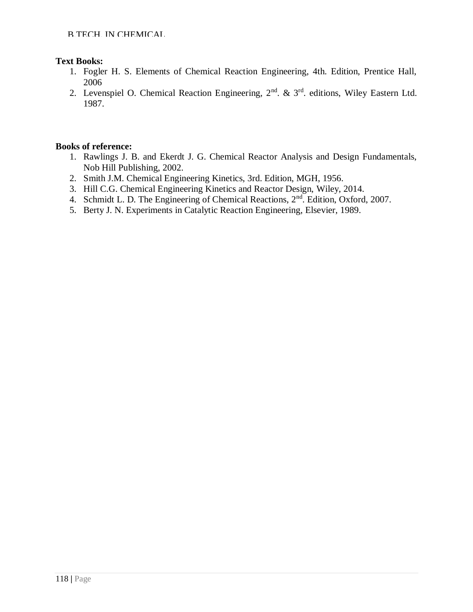# **Text Books:**

- 1. Fogler H. S. Elements of Chemical Reaction Engineering, 4th. Edition, Prentice Hall, 2006
- 2. Levenspiel O. Chemical Reaction Engineering,  $2<sup>nd</sup>$ . &  $3<sup>rd</sup>$ . editions, Wiley Eastern Ltd. 1987.

- 1. Rawlings J. B. and Ekerdt J. G. Chemical Reactor Analysis and Design Fundamentals, Nob Hill Publishing, 2002.
- 2. Smith J.M. Chemical Engineering Kinetics, 3rd. Edition, MGH, 1956.
- 3. Hill C.G. Chemical Engineering Kinetics and Reactor Design, Wiley, 2014.
- 4. Schmidt L. D. The Engineering of Chemical Reactions, 2<sup>nd</sup>. Edition, Oxford, 2007.
- 5. Berty J. N. Experiments in Catalytic Reaction Engineering, Elsevier, 1989.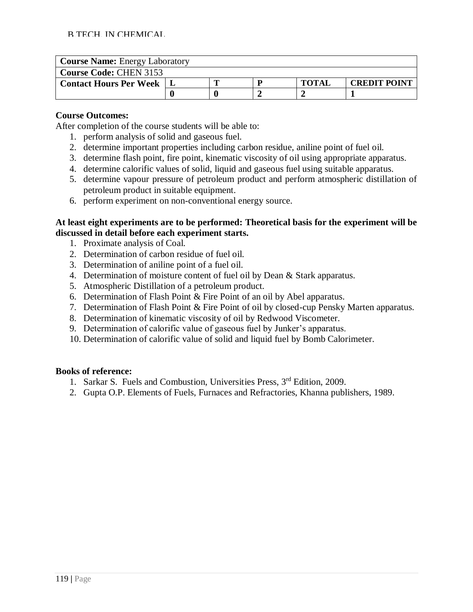| <b>Course Name: Energy Laboratory</b> |  |  |  |              |                     |  |  |  |  |
|---------------------------------------|--|--|--|--------------|---------------------|--|--|--|--|
| <b>Course Code: CHEN 3153</b>         |  |  |  |              |                     |  |  |  |  |
| <b>Contact Hours Per Week</b>         |  |  |  | <b>TOTAI</b> | <b>CREDIT POINT</b> |  |  |  |  |
|                                       |  |  |  |              |                     |  |  |  |  |

After completion of the course students will be able to:

- 1. perform analysis of solid and gaseous fuel.
- 2. determine important properties including carbon residue, aniline point of fuel oil.
- 3. determine flash point, fire point, kinematic viscosity of oil using appropriate apparatus.
- 4. determine calorific values of solid, liquid and gaseous fuel using suitable apparatus.
- 5. determine vapour pressure of petroleum product and perform atmospheric distillation of petroleum product in suitable equipment.
- 6. perform experiment on non-conventional energy source.

#### **At least eight experiments are to be performed: Theoretical basis for the experiment will be discussed in detail before each experiment starts.**

- 1. Proximate analysis of Coal.
- 2. Determination of carbon residue of fuel oil.
- 3. Determination of aniline point of a fuel oil.
- 4. Determination of moisture content of fuel oil by Dean & Stark apparatus.
- 5. Atmospheric Distillation of a petroleum product.
- 6. Determination of Flash Point & Fire Point of an oil by Abel apparatus.
- 7. Determination of Flash Point & Fire Point of oil by closed-cup Pensky Marten apparatus.
- 8. Determination of kinematic viscosity of oil by Redwood Viscometer.
- 9. Determination of calorific value of gaseous fuel by Junker's apparatus.
- 10. Determination of calorific value of solid and liquid fuel by Bomb Calorimeter.

- 1. Sarkar S. Fuels and Combustion, Universities Press, 3rd Edition, 2009.
- 2. Gupta O.P. Elements of Fuels, Furnaces and Refractories, Khanna publishers, 1989.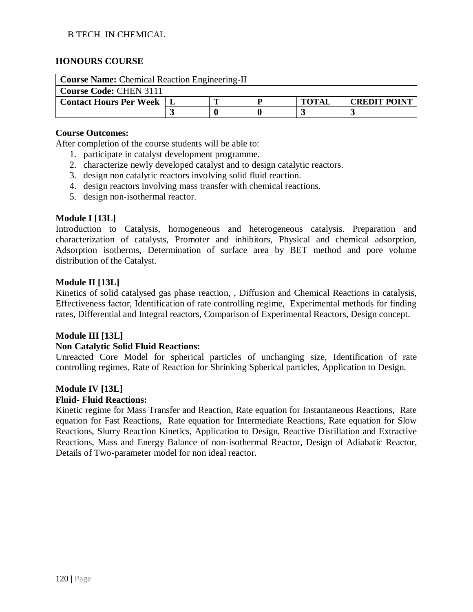#### B.TECH. IN CHEMICAL

#### **HONOURS COURSE**

| <b>Course Name:</b> Chemical Reaction Engineering-II |  |                                     |  |  |  |  |  |  |  |
|------------------------------------------------------|--|-------------------------------------|--|--|--|--|--|--|--|
| <b>Course Code: CHEN 3111</b>                        |  |                                     |  |  |  |  |  |  |  |
| <b>Contact Hours Per Week</b>                        |  | <b>CREDIT POINT</b><br><b>TOTAL</b> |  |  |  |  |  |  |  |
|                                                      |  |                                     |  |  |  |  |  |  |  |

#### **Course Outcomes:**

After completion of the course students will be able to:

- 1. participate in catalyst development programme.
- 2. characterize newly developed catalyst and to design catalytic reactors.
- 3. design non catalytic reactors involving solid fluid reaction.
- 4. design reactors involving mass transfer with chemical reactions.
- 5. design non-isothermal reactor.

#### **Module I [13L]**

Introduction to Catalysis, homogeneous and heterogeneous catalysis. Preparation and characterization of catalysts, Promoter and inhibitors, Physical and chemical adsorption, Adsorption isotherms, Determination of surface area by BET method and pore volume distribution of the Catalyst.

#### **Module II [13L]**

Kinetics of solid catalysed gas phase reaction, , Diffusion and Chemical Reactions in catalysis, Effectiveness factor, Identification of rate controlling regime, Experimental methods for finding rates, Differential and Integral reactors, Comparison of Experimental Reactors, Design concept.

#### **Module III [13L]**

#### **Non Catalytic Solid Fluid Reactions:**

Unreacted Core Model for spherical particles of unchanging size, Identification of rate controlling regimes, Rate of Reaction for Shrinking Spherical particles, Application to Design.

#### **Module IV [13L]**

#### **Fluid- Fluid Reactions:**

Kinetic regime for Mass Transfer and Reaction, Rate equation for Instantaneous Reactions, Rate equation for Fast Reactions, Rate equation for Intermediate Reactions, Rate equation for Slow Reactions, Slurry Reaction Kinetics, Application to Design, Reactive Distillation and Extractive Reactions, Mass and Energy Balance of non-isothermal Reactor, Design of Adiabatic Reactor, Details of Two-parameter model for non ideal reactor.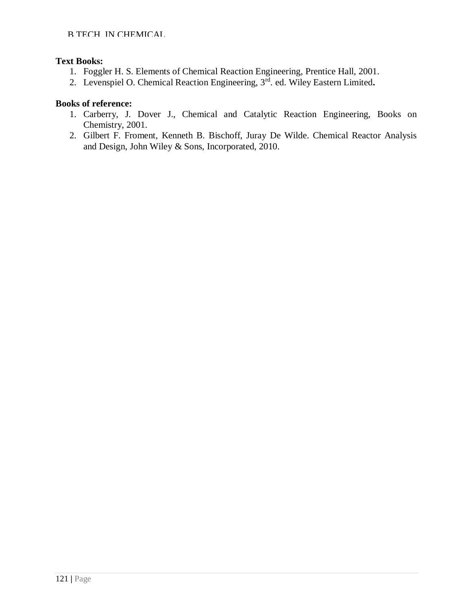# **Text Books:**

- 1. Foggler H. S. Elements of Chemical Reaction Engineering, Prentice Hall, 2001.
- 2. Levenspiel O. Chemical Reaction Engineering, 3rd. ed. Wiley Eastern Limited**.**

- 1. Carberry, J. Dover J., Chemical and Catalytic Reaction Engineering, Books on Chemistry, 2001.
- 2. Gilbert F. Froment, Kenneth B. Bischoff, Juray De Wilde. Chemical Reactor Analysis and Design, John Wiley & Sons, Incorporated, 2010.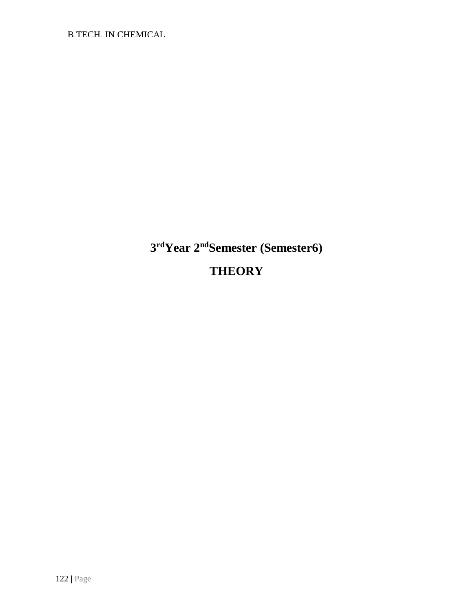B.TECH. IN CHEMICAL

# **3 rdYear 2ndSemester (Semester6) THEORY**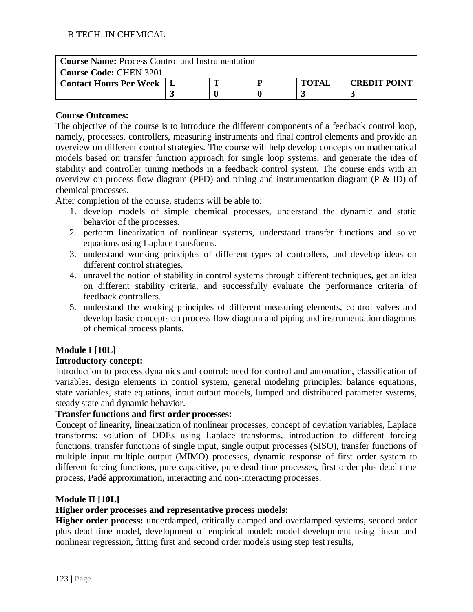| <b>Course Name:</b> Process Control and Instrumentation |  |  |  |              |                     |  |  |  |
|---------------------------------------------------------|--|--|--|--------------|---------------------|--|--|--|
| <b>Course Code: CHEN 3201</b>                           |  |  |  |              |                     |  |  |  |
| <b>Contact Hours Per Week</b>                           |  |  |  | <b>TOTAI</b> | <b>CREDIT POINT</b> |  |  |  |
|                                                         |  |  |  |              |                     |  |  |  |

The objective of the course is to introduce the different components of a feedback control loop, namely, processes, controllers, measuring instruments and final control elements and provide an overview on different control strategies. The course will help develop concepts on mathematical models based on transfer function approach for single loop systems, and generate the idea of stability and controller tuning methods in a feedback control system. The course ends with an overview on process flow diagram (PFD) and piping and instrumentation diagram (P & ID) of chemical processes.

After completion of the course, students will be able to:

- 1. develop models of simple chemical processes, understand the dynamic and static behavior of the processes.
- 2. perform linearization of nonlinear systems, understand transfer functions and solve equations using Laplace transforms.
- 3. understand working principles of different types of controllers, and develop ideas on different control strategies.
- 4. unravel the notion of stability in control systems through different techniques, get an idea on different stability criteria, and successfully evaluate the performance criteria of feedback controllers.
- 5. understand the working principles of different measuring elements, control valves and develop basic concepts on process flow diagram and piping and instrumentation diagrams of chemical process plants.

# **Module I [10L]**

#### **Introductory concept:**

Introduction to process dynamics and control: need for control and automation, classification of variables, design elements in control system, general modeling principles: balance equations, state variables, state equations, input output models, lumped and distributed parameter systems, steady state and dynamic behavior.

# **Transfer functions and first order processes:**

Concept of linearity, linearization of nonlinear processes, concept of deviation variables, Laplace transforms: solution of ODEs using Laplace transforms, introduction to different forcing functions, transfer functions of single input, single output processes (SISO), transfer functions of multiple input multiple output (MIMO) processes, dynamic response of first order system to different forcing functions, pure capacitive, pure dead time processes, first order plus dead time process, Padé approximation, interacting and non-interacting processes.

#### **Module II [10L]**

#### **Higher order processes and representative process models:**

**Higher order process:** underdamped, critically damped and overdamped systems, second order plus dead time model, development of empirical model: model development using linear and nonlinear regression, fitting first and second order models using step test results,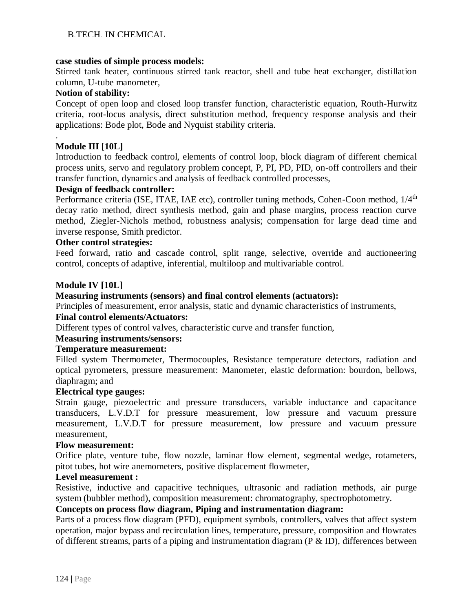#### **case studies of simple process models:**

Stirred tank heater, continuous stirred tank reactor, shell and tube heat exchanger, distillation column, U-tube manometer,

#### **Notion of stability:**

Concept of open loop and closed loop transfer function, characteristic equation, Routh-Hurwitz criteria, root-locus analysis, direct substitution method, frequency response analysis and their applications: Bode plot, Bode and Nyquist stability criteria.

#### **Module III [10L]**

.

Introduction to feedback control, elements of control loop, block diagram of different chemical process units, servo and regulatory problem concept, P, PI, PD, PID, on-off controllers and their transfer function, dynamics and analysis of feedback controlled processes,

#### **Design of feedback controller:**

Performance criteria (ISE, ITAE, IAE etc), controller tuning methods, Cohen-Coon method,  $1/4<sup>th</sup>$ decay ratio method, direct synthesis method, gain and phase margins, process reaction curve method, Ziegler-Nichols method, robustness analysis; compensation for large dead time and inverse response, Smith predictor.

#### **Other control strategies:**

Feed forward, ratio and cascade control, split range, selective, override and auctioneering control, concepts of adaptive, inferential, multiloop and multivariable control.

#### **Module IV [10L]**

#### **Measuring instruments (sensors) and final control elements (actuators):**

Principles of measurement, error analysis, static and dynamic characteristics of instruments,

#### **Final control elements/Actuators:**

Different types of control valves, characteristic curve and transfer function,

#### **Measuring instruments/sensors:**

#### **Temperature measurement:**

Filled system Thermometer, Thermocouples, Resistance temperature detectors, radiation and optical pyrometers, pressure measurement: Manometer, elastic deformation: bourdon, bellows, diaphragm; and

#### **Electrical type gauges:**

Strain gauge, piezoelectric and pressure transducers, variable inductance and capacitance transducers, L.V.D.T for pressure measurement, low pressure and vacuum pressure measurement, L.V.D.T for pressure measurement, low pressure and vacuum pressure measurement,

#### **Flow measurement:**

Orifice plate, venture tube, flow nozzle, laminar flow element, segmental wedge, rotameters, pitot tubes, hot wire anemometers, positive displacement flowmeter,

#### **Level measurement :**

Resistive, inductive and capacitive techniques, ultrasonic and radiation methods, air purge system (bubbler method), composition measurement: chromatography, spectrophotometry.

#### **Concepts on process flow diagram, Piping and instrumentation diagram:**

Parts of a process flow diagram (PFD), equipment symbols, controllers, valves that affect system operation, major bypass and recirculation lines, temperature, pressure, composition and flowrates of different streams, parts of a piping and instrumentation diagram (P & ID), differences between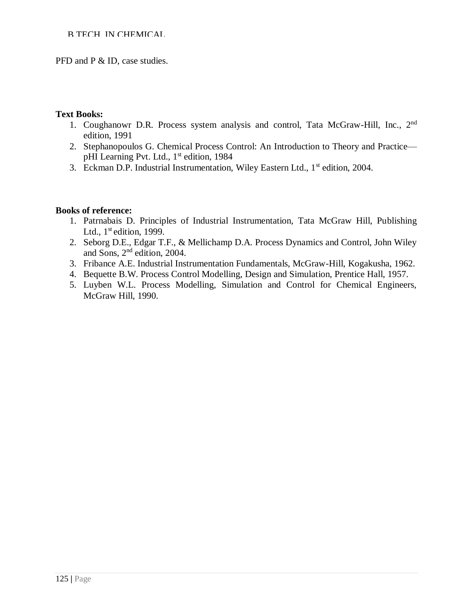#### B.TECH. IN CHEMICAL

PFD and P & ID, case studies.

#### **Text Books:**

- 1. Coughanowr D.R. Process system analysis and control, Tata McGraw-Hill, Inc., 2nd edition, 1991
- 2. Stephanopoulos G. Chemical Process Control: An Introduction to Theory and Practice pHI Learning Pvt. Ltd., 1<sup>st</sup> edition, 1984
- 3. Eckman D.P. Industrial Instrumentation, Wiley Eastern Ltd., 1<sup>st</sup> edition, 2004.

- 1. Patrnabais D. Principles of Industrial Instrumentation, Tata McGraw Hill, Publishing Ltd.,  $1<sup>st</sup>$  edition, 1999.
- 2. Seborg D.E., Edgar T.F., & Mellichamp D.A. Process Dynamics and Control, John Wiley and Sons, 2nd edition, 2004.
- 3. Fribance A.E. Industrial Instrumentation Fundamentals, McGraw-Hill, Kogakusha, 1962.
- 4. Bequette B.W. Process Control Modelling, Design and Simulation, Prentice Hall, 1957.
- 5. Luyben W.L. Process Modelling, Simulation and Control for Chemical Engineers, McGraw Hill, 1990.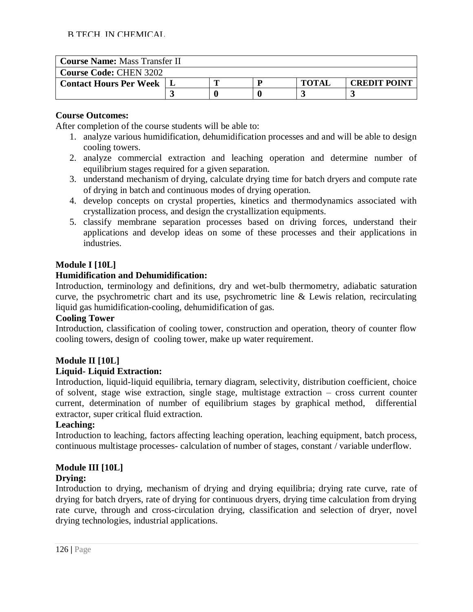| <b>Course Name: Mass Transfer II</b> |  |  |  |              |                     |  |  |  |  |
|--------------------------------------|--|--|--|--------------|---------------------|--|--|--|--|
| <b>Course Code: CHEN 3202</b>        |  |  |  |              |                     |  |  |  |  |
| <b>Contact Hours Per Week</b>        |  |  |  | <b>TOTAI</b> | <b>CREDIT POINT</b> |  |  |  |  |
|                                      |  |  |  |              |                     |  |  |  |  |

After completion of the course students will be able to:

- 1. analyze various humidification, dehumidification processes and and will be able to design cooling towers.
- 2. analyze commercial extraction and leaching operation and determine number of equilibrium stages required for a given separation.
- 3. understand mechanism of drying, calculate drying time for batch dryers and compute rate of drying in batch and continuous modes of drying operation.
- 4. develop concepts on crystal properties, kinetics and thermodynamics associated with crystallization process, and design the crystallization equipments.
- 5. classify membrane separation processes based on driving forces, understand their applications and develop ideas on some of these processes and their applications in industries.

# **Module I [10L]**

# **Humidification and Dehumidification:**

Introduction, terminology and definitions, dry and wet-bulb thermometry, adiabatic saturation curve, the psychrometric chart and its use, psychrometric line & Lewis relation, recirculating liquid gas humidification-cooling, dehumidification of gas.

# **Cooling Tower**

Introduction, classification of cooling tower, construction and operation, theory of counter flow cooling towers, design of cooling tower, make up water requirement.

# **Module II [10L]**

# **Liquid- Liquid Extraction:**

Introduction, liquid-liquid equilibria, ternary diagram, selectivity, distribution coefficient, choice of solvent, stage wise extraction, single stage, multistage extraction – cross current counter current, determination of number of equilibrium stages by graphical method, differential extractor, super critical fluid extraction.

# **Leaching:**

Introduction to leaching, factors affecting leaching operation, leaching equipment, batch process, continuous multistage processes- calculation of number of stages, constant / variable underflow.

# **Module III [10L]**

# **Drying:**

Introduction to drying, mechanism of drying and drying equilibria; drying rate curve, rate of drying for batch dryers, rate of drying for continuous dryers, drying time calculation from drying rate curve, through and cross-circulation drying, classification and selection of dryer, novel drying technologies, industrial applications.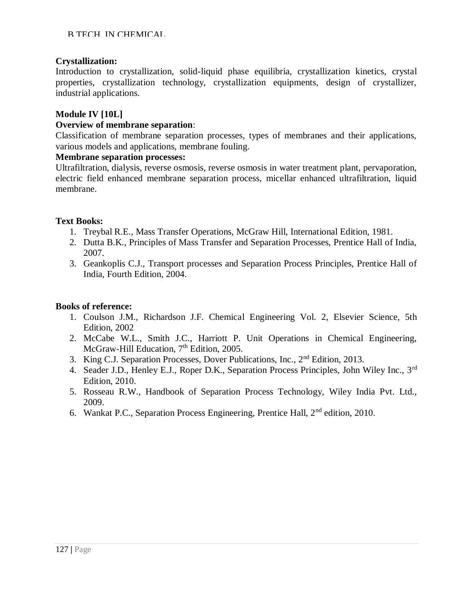# **Crystallization:**

Introduction to crystallization, solid-liquid phase equilibria, crystallization kinetics, crystal properties, crystallization technology, crystallization equipments, design of crystallizer, industrial applications.

# **Module IV [10L]**

#### **Overview of membrane separation**:

Classification of membrane separation processes, types of membranes and their applications, various models and applications, membrane fouling.

#### **Membrane separation processes:**

Ultrafiltration, dialysis, reverse osmosis, reverse osmosis in water treatment plant, pervaporation, electric field enhanced membrane separation process, micellar enhanced ultrafiltration, liquid membrane.

# **Text Books:**

- 1. Treybal R.E., Mass Transfer Operations, McGraw Hill, International Edition, 1981.
- 2. Dutta B.K., Principles of Mass Transfer and Separation Processes, Prentice Hall of India, 2007.
- 3. Geankoplis C.J., Transport processes and Separation Process Principles, Prentice Hall of India, Fourth Edition, 2004.

- 1. Coulson J.M., Richardson J.F. Chemical Engineering Vol. 2, Elsevier Science, 5th Edition, 2002
- 2. McCabe W.L., Smith J.C., Harriott P. Unit Operations in Chemical Engineering, McGraw-Hill Education, 7<sup>th</sup> Edition, 2005.
- 3. King C.J. Separation Processes, Dover Publications, Inc., 2nd Edition, 2013.
- 4. Seader J.D., Henley E.J., Roper D.K., Separation Process Principles, John Wiley Inc., 3<sup>rd</sup> Edition, 2010.
- 5. Rosseau R.W., Handbook of Separation Process Technology, Wiley India Pvt. Ltd., 2009.
- 6. Wankat P.C., Separation Process Engineering, Prentice Hall, 2nd edition, 2010.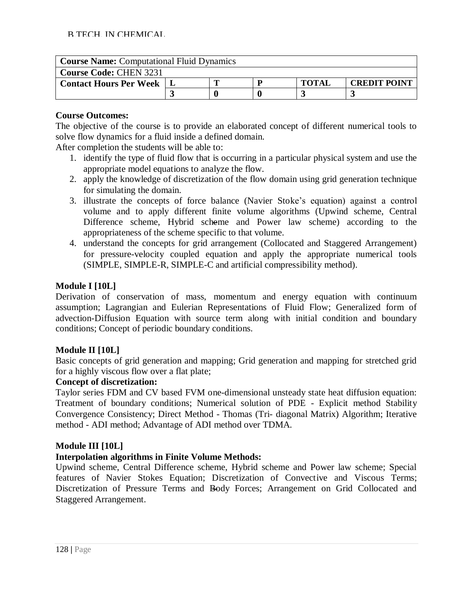| <b>Course Name:</b> Computational Fluid Dynamics |  |  |  |              |                     |  |  |  |  |
|--------------------------------------------------|--|--|--|--------------|---------------------|--|--|--|--|
| <b>Course Code: CHEN 3231</b>                    |  |  |  |              |                     |  |  |  |  |
| <b>Contact Hours Per Week</b>                    |  |  |  | <b>TOTAI</b> | <b>CREDIT POINT</b> |  |  |  |  |
|                                                  |  |  |  |              |                     |  |  |  |  |

The objective of the course is to provide an elaborated concept of different numerical tools to solve flow dynamics for a fluid inside a defined domain.

After completion the students will be able to:

- 1. identify the type of fluid flow that is occurring in a particular physical system and use the appropriate model equations to analyze the flow.
- 2. apply the knowledge of discretization of the flow domain using grid generation technique for simulating the domain.
- 3. illustrate the concepts of force balance (Navier Stoke's equation) against a control volume and to apply different finite volume algorithms (Upwind scheme, Central Difference scheme, Hybrid scheme and Power law scheme) according to the appropriateness of the scheme specific to that volume.
- 4. understand the concepts for grid arrangement (Collocated and Staggered Arrangement) for pressure-velocity coupled equation and apply the appropriate numerical tools (SIMPLE, SIMPLE-R, SIMPLE-C and artificial compressibility method).

# **Module I [10L]**

Derivation of conservation of mass, momentum and energy equation with continuum assumption; Lagrangian and Eulerian Representations of Fluid Flow; Generalized form of advection-Diffusion Equation with source term along with initial condition and boundary conditions; Concept of periodic boundary conditions.

# **Module II [10L]**

Basic concepts of grid generation and mapping; Grid generation and mapping for stretched grid for a highly viscous flow over a flat plate;

# **Concept of discretization:**

Taylor series FDM and CV based FVM one-dimensional unsteady state heat diffusion equation: Treatment of boundary conditions; Numerical solution of PDE - Explicit method Stability Convergence Consistency; Direct Method - Thomas (Tri- diagonal Matrix) Algorithm; Iterative method - ADI method; Advantage of ADI method over TDMA.

# **Module III [10L]**

# **Interpolation algorithms in Finite Volume Methods:**

Upwind scheme, Central Difference scheme, Hybrid scheme and Power law scheme; Special features of Navier Stokes Equation; Discretization of Convective and Viscous Terms; Discretization of Pressure Terms and Body Forces; Arrangement on Grid Collocated and Staggered Arrangement.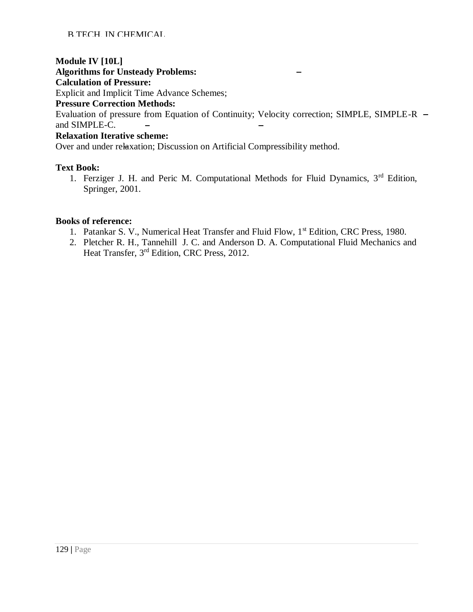# **Module IV [10L]**

**Algorithms for Unsteady Problems:**

# **Calculation of Pressure:**

Explicit and Implicit Time Advance Schemes;

#### **Pressure Correction Methods:**

Evaluation of pressure from Equation of Continuity; Velocity correction; SIMPLE, SIMPLE-R and SIMPLE-C.  $\equiv$ 

# **Relaxation Iterative scheme:**

Over and under relaxation; Discussion on Artificial Compressibility method.

# **Text Book:**

1. Ferziger J. H. and Peric M. Computational Methods for Fluid Dynamics,  $3<sup>rd</sup>$  Edition, Springer, 2001.

- 1. Patankar S. V., Numerical Heat Transfer and Fluid Flow, 1<sup>st</sup> Edition, CRC Press, 1980.
- 2. Pletcher R. H., Tannehill J. C. and Anderson D. A. Computational Fluid Mechanics and Heat Transfer, 3rd Edition, CRC Press, 2012.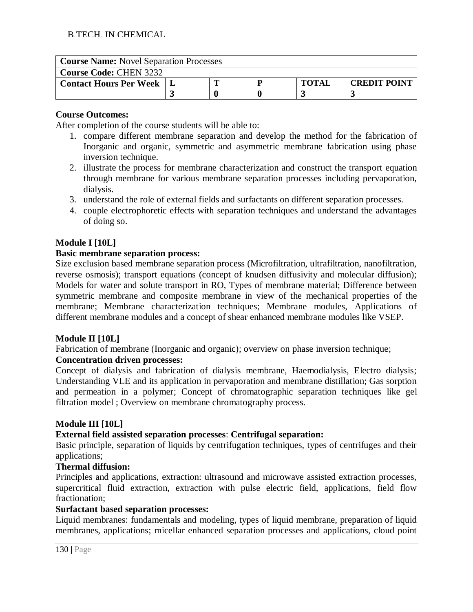| <b>Course Name:</b> Novel Separation Processes |  |  |  |              |                     |  |  |  |
|------------------------------------------------|--|--|--|--------------|---------------------|--|--|--|
| <b>Course Code: CHEN 3232</b>                  |  |  |  |              |                     |  |  |  |
| <b>Contact Hours Per Week</b>                  |  |  |  | <b>TOTAI</b> | <b>CREDIT POINT</b> |  |  |  |
|                                                |  |  |  |              |                     |  |  |  |

After completion of the course students will be able to:

- 1. compare different membrane separation and develop the method for the fabrication of Inorganic and organic, symmetric and asymmetric membrane fabrication using phase inversion technique.
- 2. illustrate the process for membrane characterization and construct the transport equation through membrane for various membrane separation processes including pervaporation, dialysis.
- 3. understand the role of external fields and surfactants on different separation processes.
- 4. couple electrophoretic effects with separation techniques and understand the advantages of doing so.

# **Module I [10L]**

# **Basic membrane separation process:**

Size exclusion based membrane separation process (Microfiltration, ultrafiltration, nanofiltration, reverse osmosis); transport equations (concept of knudsen diffusivity and molecular diffusion); Models for water and solute transport in RO, Types of membrane material; Difference between symmetric membrane and composite membrane in view of the mechanical properties of the membrane; Membrane characterization techniques; Membrane modules, Applications of different membrane modules and a concept of shear enhanced membrane modules like VSEP.

# **Module II [10L]**

Fabrication of membrane (Inorganic and organic); overview on phase inversion technique;

# **Concentration driven processes:**

Concept of dialysis and fabrication of dialysis membrane, Haemodialysis, Electro dialysis; Understanding VLE and its application in pervaporation and membrane distillation; Gas sorption and permeation in a polymer; Concept of chromatographic separation techniques like gel filtration model ; Overview on membrane chromatography process.

# **Module III [10L]**

# **External field assisted separation processes**: **Centrifugal separation:**

Basic principle, separation of liquids by centrifugation techniques, types of centrifuges and their applications;

# **Thermal diffusion:**

Principles and applications, extraction: ultrasound and microwave assisted extraction processes, supercritical fluid extraction, extraction with pulse electric field, applications, field flow fractionation;

# **Surfactant based separation processes:**

Liquid membranes: fundamentals and modeling, types of liquid membrane, preparation of liquid membranes, applications; micellar enhanced separation processes and applications, cloud point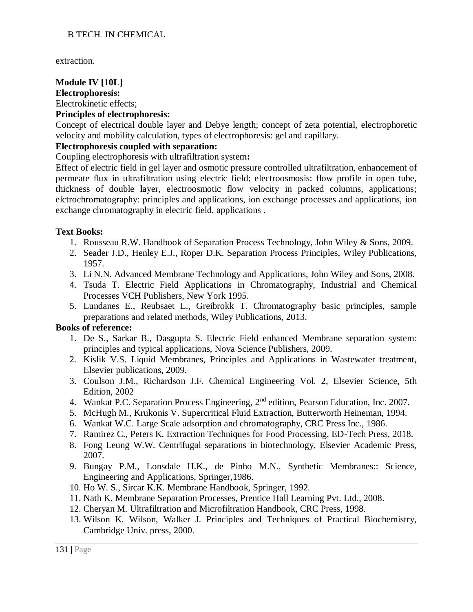extraction.

#### **Module IV [10L] Electrophoresis:** Electrokinetic effects;

#### **Principles of electrophoresis:**

Concept of electrical double layer and Debye length; concept of zeta potential, electrophoretic velocity and mobility calculation, types of electrophoresis: gel and capillary.

#### **Electrophoresis coupled with separation:**

Coupling electrophoresis with ultrafiltration system**:**

Effect of electric field in gel layer and osmotic pressure controlled ultrafiltration, enhancement of permeate flux in ultrafiltration using electric field; electroosmosis: flow profile in open tube, thickness of double layer, electroosmotic flow velocity in packed columns, applications; elctrochromatography: principles and applications, ion exchange processes and applications, ion exchange chromatography in electric field, applications .

#### **Text Books:**

- 1. Rousseau R.W. Handbook of Separation Process Technology, John Wiley & Sons, 2009.
- 2. Seader J.D., Henley E.J., Roper D.K. Separation Process Principles, Wiley Publications, 1957.
- 3. Li N.N. Advanced Membrane Technology and Applications, John Wiley and Sons, 2008.
- 4. Tsuda T. Electric Field Applications in Chromatography, Industrial and Chemical Processes VCH Publishers, New York 1995.
- 5. Lundanes E., Reubsaet L., Greibrokk T. Chromatography basic principles, sample preparations and related methods, Wiley Publications, 2013.

- 1. De S., Sarkar B., Dasgupta S. Electric Field enhanced Membrane separation system: principles and typical applications, Nova Science Publishers, 2009.
- 2. Kislik V.S. Liquid Membranes, Principles and Applications in Wastewater treatment, Elsevier publications, 2009.
- 3. Coulson J.M., Richardson J.F. Chemical Engineering Vol. 2, Elsevier Science, 5th Edition, 2002
- 4. Wankat P.C. Separation Process Engineering, 2<sup>nd</sup> edition, Pearson Education, Inc. 2007.
- 5. McHugh M., Krukonis V. Supercritical Fluid Extraction, Butterworth Heineman, 1994.
- 6. Wankat W.C. Large Scale adsorption and chromatography, CRC Press Inc., 1986.
- 7. Ramirez C., Peters K. Extraction Techniques for Food Processing, ED-Tech Press, 2018.
- 8. Fong Leung W.W. Centrifugal separations in biotechnology, Elsevier Academic Press, 2007.
- 9. Bungay P.M., Lonsdale H.K., de Pinho M.N., Synthetic Membranes:: Science, Engineering and Applications, Springer,1986.
- 10. Ho W. S., Sircar K.K. Membrane Handbook, Springer, 1992.
- 11. Nath K. Membrane Separation Processes, Prentice Hall Learning Pvt. Ltd., 2008.
- 12. Cheryan M. Ultrafiltration and Microfiltration Handbook, CRC Press, 1998.
- 13. Wilson K. Wilson, Walker J. Principles and Techniques of Practical Biochemistry, Cambridge Univ. press, 2000.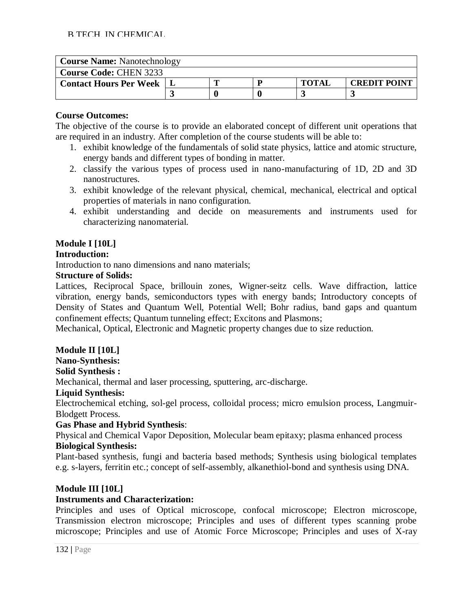| <b>Course Name: Nanotechnology</b> |  |  |  |              |                     |  |  |  |  |
|------------------------------------|--|--|--|--------------|---------------------|--|--|--|--|
| <b>Course Code: CHEN 3233</b>      |  |  |  |              |                     |  |  |  |  |
| <b>Contact Hours Per Week</b>      |  |  |  | <b>TOTAI</b> | <b>CREDIT POINT</b> |  |  |  |  |
|                                    |  |  |  |              |                     |  |  |  |  |

The objective of the course is to provide an elaborated concept of different unit operations that are required in an industry. After completion of the course students will be able to:

- 1. exhibit knowledge of the fundamentals of solid state physics, lattice and atomic structure, energy bands and different types of bonding in matter.
- 2. classify the various types of process used in nano-manufacturing of 1D, 2D and 3D nanostructures.
- 3. exhibit knowledge of the relevant physical, chemical, mechanical, electrical and optical properties of materials in nano configuration.
- 4. exhibit understanding and decide on measurements and instruments used for characterizing nanomaterial.

# **Module I [10L]**

# **Introduction:**

Introduction to nano dimensions and nano materials;

#### **Structure of Solids:**

Lattices, Reciprocal Space, brillouin zones, Wigner-seitz cells. Wave diffraction, lattice vibration, energy bands, semiconductors types with energy bands; Introductory concepts of Density of States and Quantum Well, Potential Well; Bohr radius, band gaps and quantum confinement effects; Quantum tunneling effect; Excitons and Plasmons;

Mechanical, Optical, Electronic and Magnetic property changes due to size reduction.

# **Module II [10L]**

# **Nano-Synthesis:**

#### **Solid Synthesis :**

Mechanical, thermal and laser processing, sputtering, arc-discharge.

# **Liquid Synthesis:**

Electrochemical etching, sol-gel process, colloidal process; micro emulsion process, Langmuir-Blodgett Process.

# **Gas Phase and Hybrid Synthesis**:

Physical and Chemical Vapor Deposition, Molecular beam epitaxy; plasma enhanced process **Biological Synthesis:**

Plant-based synthesis, fungi and bacteria based methods; Synthesis using biological templates e.g. s-layers, ferritin etc.; concept of self-assembly, alkanethiol-bond and synthesis using DNA.

# **Module III [10L]**

# **Instruments and Characterization:**

Principles and uses of Optical microscope, confocal microscope; Electron microscope, Transmission electron microscope; Principles and uses of different types scanning probe microscope; Principles and use of Atomic Force Microscope; Principles and uses of X-ray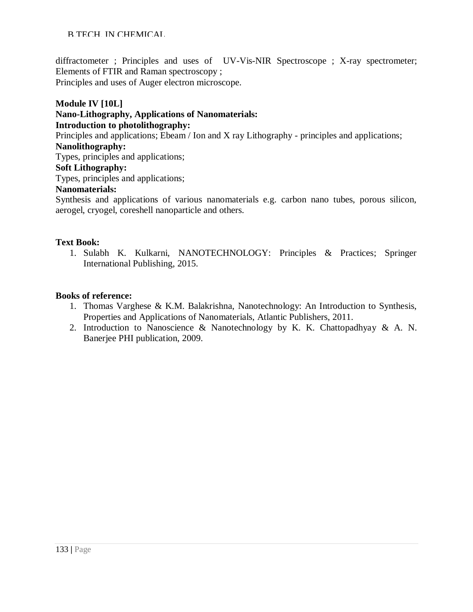#### B.TECH. IN CHEMICAL

diffractometer ; Principles and uses of UV-Vis-NIR Spectroscope ; X-ray spectrometer; Elements of FTIR and Raman spectroscopy ;

Principles and uses of Auger electron microscope.

#### **Module IV [10L]**

#### **Nano-Lithography, Applications of Nanomaterials: Introduction to photolithography:**

Principles and applications; Ebeam / Ion and X ray Lithography - principles and applications; **Nanolithography:**

Types, principles and applications;

#### **Soft Lithography:**

Types, principles and applications;

#### **Nanomaterials:**

Synthesis and applications of various nanomaterials e.g. carbon nano tubes, porous silicon, aerogel, cryogel, coreshell nanoparticle and others.

#### **Text Book:**

1. Sulabh K. Kulkarni, NANOTECHNOLOGY: Principles & Practices; Springer International Publishing, 2015.

- 1. Thomas Varghese & K.M. Balakrishna, Nanotechnology: An Introduction to Synthesis, Properties and Applications of Nanomaterials, Atlantic Publishers, 2011.
- 2. Introduction to Nanoscience & Nanotechnology by K. K. Chattopadhyay & A. N. Banerjee PHI publication, 2009.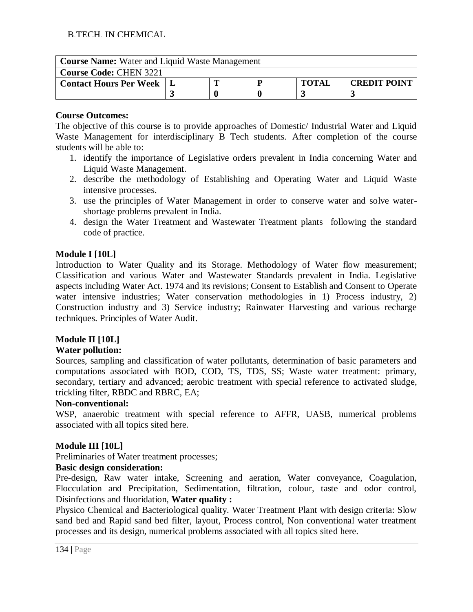| <b>Course Name:</b> Water and Liquid Waste Management |                                          |  |  |  |  |  |  |
|-------------------------------------------------------|------------------------------------------|--|--|--|--|--|--|
| <b>Course Code: CHEN 3221</b>                         |                                          |  |  |  |  |  |  |
| <b>Contact Hours Per Week</b>                         | <b>TOTAL</b><br><b>CREDIT POINT</b><br>D |  |  |  |  |  |  |
|                                                       |                                          |  |  |  |  |  |  |

The objective of this course is to provide approaches of Domestic/ Industrial Water and Liquid Waste Management for interdisciplinary B Tech students. After completion of the course students will be able to:

- 1. identify the importance of Legislative orders prevalent in India concerning Water and Liquid Waste Management.
- 2. describe the methodology of Establishing and Operating Water and Liquid Waste intensive processes.
- 3. use the principles of Water Management in order to conserve water and solve watershortage problems prevalent in India.
- 4. design the Water Treatment and Wastewater Treatment plants following the standard code of practice.

# **Module I [10L]**

Introduction to Water Quality and its Storage. Methodology of Water flow measurement; Classification and various Water and Wastewater Standards prevalent in India. Legislative aspects including Water Act. 1974 and its revisions; Consent to Establish and Consent to Operate water intensive industries; Water conservation methodologies in 1) Process industry, 2) Construction industry and 3) Service industry; Rainwater Harvesting and various recharge techniques. Principles of Water Audit.

# **Module II [10L]**

# **Water pollution:**

Sources, sampling and classification of water pollutants, determination of basic parameters and computations associated with BOD, COD, TS, TDS, SS; Waste water treatment: primary, secondary, tertiary and advanced; aerobic treatment with special reference to activated sludge, trickling filter, RBDC and RBRC, EA;

# **Non-conventional:**

WSP, anaerobic treatment with special reference to AFFR, UASB, numerical problems associated with all topics sited here.

# **Module III [10L]**

Preliminaries of Water treatment processes;

# **Basic design consideration:**

Pre-design, Raw water intake, Screening and aeration, Water conveyance, Coagulation, Flocculation and Precipitation, Sedimentation, filtration, colour, taste and odor control, Disinfections and fluoridation, **Water quality :**

Physico Chemical and Bacteriological quality. Water Treatment Plant with design criteria: Slow sand bed and Rapid sand bed filter, layout, Process control, Non conventional water treatment processes and its design, numerical problems associated with all topics sited here.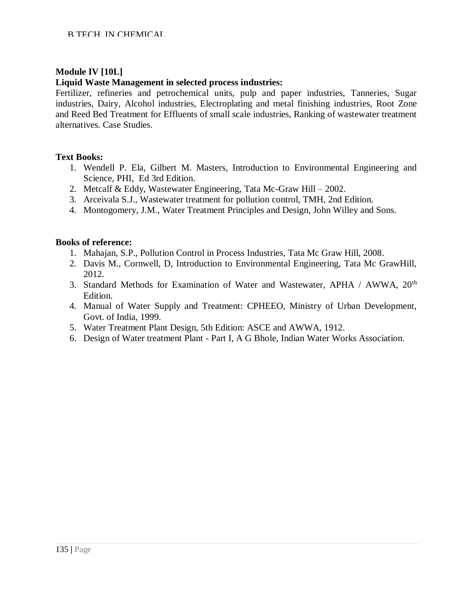# **Module IV [10L]**

#### **Liquid Waste Management in selected process industries:**

Fertilizer, refineries and petrochemical units, pulp and paper industries, Tanneries, Sugar industries, Dairy, Alcohol industries, Electroplating and metal finishing industries, Root Zone and Reed Bed Treatment for Effluents of small scale industries, Ranking of wastewater treatment alternatives. Case Studies.

#### **Text Books:**

- 1. [Wendell P. Ela,](https://www.flipkart.com/books/wendell-p-ela~contributor/pr?sid=bks) [Gilbert M. Masters,](https://www.flipkart.com/books/gilbert-m-masters~contributor/pr?sid=bks) Introduction to Environmental Engineering and Science, PHI, Ed 3rd Edition.
- 2. Metcalf & Eddy, Wastewater Engineering, Tata Mc-Graw Hill 2002.
- 3. Arceivala S.J., Wastewater treatment for pollution control, TMH, 2nd Edition.
- 4. Montogomery, J.M., Water Treatment Principles and Design, John Willey and Sons.

- 1. Mahajan, S.P., Pollution Control in Process Industries, Tata Mc Graw Hill, 2008.
- 2. Davis M., Cornwell, D, Introduction to Environmental Engineering, Tata Mc GrawHill, 2012.
- 3. Standard Methods for Examination of Water and Wastewater, APHA / AWWA, 20<sup>th</sup> Edition.
- 4. Manual of Water Supply and Treatment: CPHEEO, Ministry of Urban Development, Govt. of India, 1999.
- 5. Water Treatment Plant Design, 5th Edition: ASCE and AWWA, 1912.
- 6. Design of Water treatment Plant Part I, A G Bhole, Indian Water Works Association.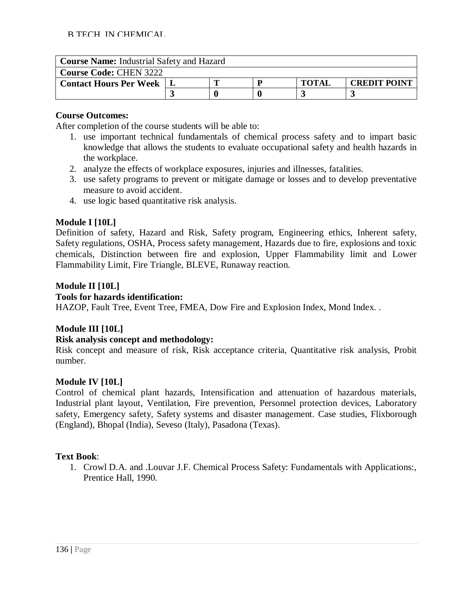| <b>Course Name:</b> Industrial Safety and Hazard |  |  |  |              |                     |  |  |
|--------------------------------------------------|--|--|--|--------------|---------------------|--|--|
| <b>Course Code: CHEN 3222</b>                    |  |  |  |              |                     |  |  |
| <b>Contact Hours Per Week</b>                    |  |  |  | <b>TOTAL</b> | <b>CREDIT POINT</b> |  |  |
|                                                  |  |  |  |              |                     |  |  |

After completion of the course students will be able to:

- 1. use important technical fundamentals of chemical process safety and to impart basic knowledge that allows the students to evaluate occupational safety and health hazards in the workplace.
- 2. analyze the effects of workplace exposures, injuries and illnesses, fatalities.
- 3. use safety programs to prevent or mitigate damage or losses and to develop preventative measure to avoid accident.
- 4. use logic based quantitative risk analysis.

#### **Module I [10L]**

Definition of safety, Hazard and Risk, Safety program, Engineering ethics, Inherent safety, Safety regulations, OSHA, Process safety management, Hazards due to fire, explosions and toxic chemicals, Distinction between fire and explosion, Upper Flammability limit and Lower Flammability Limit, Fire Triangle, BLEVE, Runaway reaction.

#### **Module II [10L]**

#### **Tools for hazards identification:**

HAZOP, Fault Tree, Event Tree, FMEA, Dow Fire and Explosion Index, Mond Index. .

# **Module III [10L]**

#### **Risk analysis concept and methodology:**

Risk concept and measure of risk, Risk acceptance criteria, Quantitative risk analysis, Probit number.

#### **Module IV [10L]**

Control of chemical plant hazards, Intensification and attenuation of hazardous materials, Industrial plant layout, Ventilation, Fire prevention, Personnel protection devices, Laboratory safety, Emergency safety, Safety systems and disaster management. Case studies, Flixborough (England), Bhopal (India), Seveso (Italy), Pasadona (Texas).

#### **Text Book**:

1. Crowl D.A. and .Louvar J.F. Chemical Process Safety: Fundamentals with Applications:, Prentice Hall, 1990.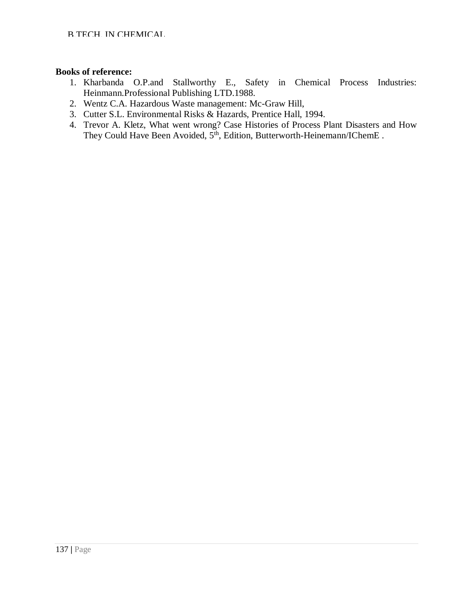- 1. Kharbanda O.P.and Stallworthy E., Safety in Chemical Process Industries: Heinmann.Professional Publishing LTD.1988.
- 2. Wentz C.A. Hazardous Waste management: Mc-Graw Hill,
- 3. Cutter S.L. Environmental Risks & Hazards, Prentice Hall, 1994.
- 4. Trevor A. Kletz, What went wrong? Case Histories of Process Plant Disasters and How They Could Have Been Avoided,  $5<sup>th</sup>$ , Edition, Butterworth-Heinemann/IChemE.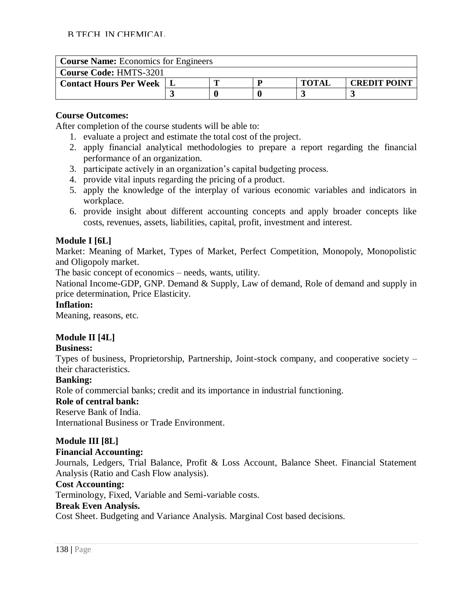| <b>Course Name:</b> Economics for Engineers |  |  |  |              |                     |  |  |
|---------------------------------------------|--|--|--|--------------|---------------------|--|--|
| <b>Course Code: HMTS-3201</b>               |  |  |  |              |                     |  |  |
| <b>Contact Hours Per Week</b>               |  |  |  | <b>TOTAL</b> | <b>CREDIT POINT</b> |  |  |
|                                             |  |  |  |              |                     |  |  |

After completion of the course students will be able to:

- 1. evaluate a project and estimate the total cost of the project.
- 2. apply financial analytical methodologies to prepare a report regarding the financial performance of an organization.
- 3. participate actively in an organization's capital budgeting process.
- 4. provide vital inputs regarding the pricing of a product.
- 5. apply the knowledge of the interplay of various economic variables and indicators in workplace.
- 6. provide insight about different accounting concepts and apply broader concepts like costs, revenues, assets, liabilities, capital, profit, investment and interest.

# **Module I [6L]**

Market: Meaning of Market, Types of Market, Perfect Competition, Monopoly, Monopolistic and Oligopoly market.

The basic concept of economics – needs, wants, utility.

National Income-GDP, GNP. Demand & Supply, Law of demand, Role of demand and supply in price determination, Price Elasticity.

# **Inflation:**

Meaning, reasons, etc.

# **Module II [4L]**

# **Business:**

Types of business, Proprietorship, Partnership, Joint-stock company, and cooperative society – their characteristics.

# **Banking:**

Role of commercial banks; credit and its importance in industrial functioning.

# **Role of central bank:**

Reserve Bank of India.

International Business or Trade Environment.

# **Module III [8L]**

# **Financial Accounting:**

Journals, Ledgers, Trial Balance, Profit & Loss Account, Balance Sheet. Financial Statement Analysis (Ratio and Cash Flow analysis).

# **Cost Accounting:**

Terminology, Fixed, Variable and Semi-variable costs.

# **Break Even Analysis.**

Cost Sheet. Budgeting and Variance Analysis. Marginal Cost based decisions.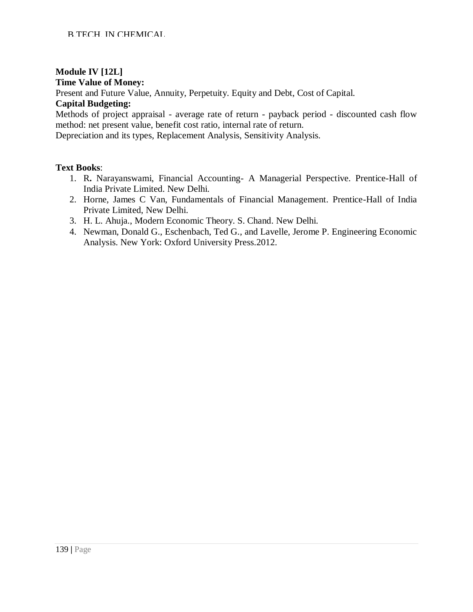# **Module IV [12L]**

#### **Time Value of Money:**

Present and Future Value, Annuity, Perpetuity. Equity and Debt, Cost of Capital.

#### **Capital Budgeting:**

Methods of project appraisal - average rate of return - payback period - discounted cash flow method: net present value, benefit cost ratio, internal rate of return.

Depreciation and its types, Replacement Analysis, Sensitivity Analysis.

#### **Text Books**:

- 1. R**.** Narayanswami, Financial Accounting- A Managerial Perspective. Prentice-Hall of India Private Limited. New Delhi.
- 2. Horne, James C Van, Fundamentals of Financial Management. Prentice-Hall of India Private Limited, New Delhi.
- 3. H. L. Ahuja., Modern Economic Theory. S. Chand. New Delhi.
- 4. Newman, Donald G., Eschenbach, Ted G., and Lavelle, Jerome P. Engineering Economic Analysis. New York: Oxford University Press.2012.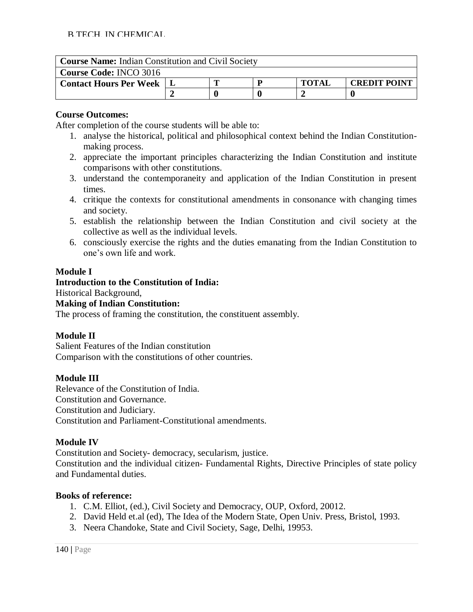| <b>Course Name:</b> Indian Constitution and Civil Society |                                     |  |  |  |  |  |  |
|-----------------------------------------------------------|-------------------------------------|--|--|--|--|--|--|
| <b>Course Code: INCO 3016</b>                             |                                     |  |  |  |  |  |  |
| <b>Contact Hours Per Week</b>                             | <b>TOTAI</b><br><b>CREDIT POINT</b> |  |  |  |  |  |  |
|                                                           |                                     |  |  |  |  |  |  |

After completion of the course students will be able to:

- 1. analyse the historical, political and philosophical context behind the Indian Constitutionmaking process.
- 2. appreciate the important principles characterizing the Indian Constitution and institute comparisons with other constitutions.
- 3. understand the contemporaneity and application of the Indian Constitution in present times.
- 4. critique the contexts for constitutional amendments in consonance with changing times and society.
- 5. establish the relationship between the Indian Constitution and civil society at the collective as well as the individual levels.
- 6. consciously exercise the rights and the duties emanating from the Indian Constitution to one's own life and work.

# **Module I**

# **Introduction to the Constitution of India:**

Historical Background,

#### **Making of Indian Constitution:**

The process of framing the constitution, the constituent assembly.

# **Module II**

Salient Features of the Indian constitution Comparison with the constitutions of other countries.

# **Module III**

Relevance of the Constitution of India. Constitution and Governance. Constitution and Judiciary. Constitution and Parliament-Constitutional amendments.

# **Module IV**

Constitution and Society- democracy, secularism, justice.

Constitution and the individual citizen- Fundamental Rights, Directive Principles of state policy and Fundamental duties.

- 1. C.M. Elliot, (ed.), Civil Society and Democracy, OUP, Oxford, 20012.
- 2. David Held et.al (ed), The Idea of the Modern State, Open Univ. Press, Bristol, 1993.
- 3. Neera Chandoke, State and Civil Society, Sage, Delhi, 19953.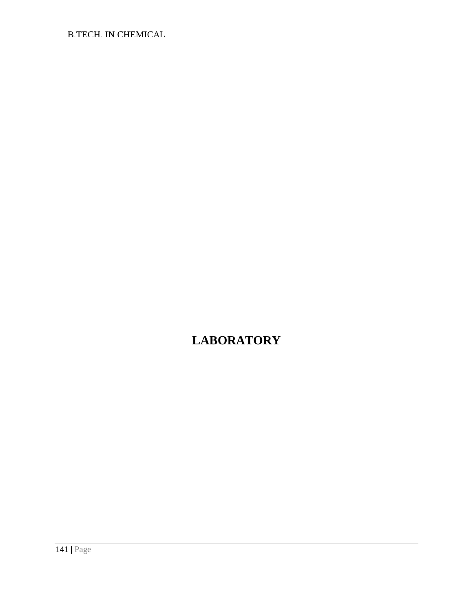B.TECH. IN CHEMICAL

# **LABORATORY**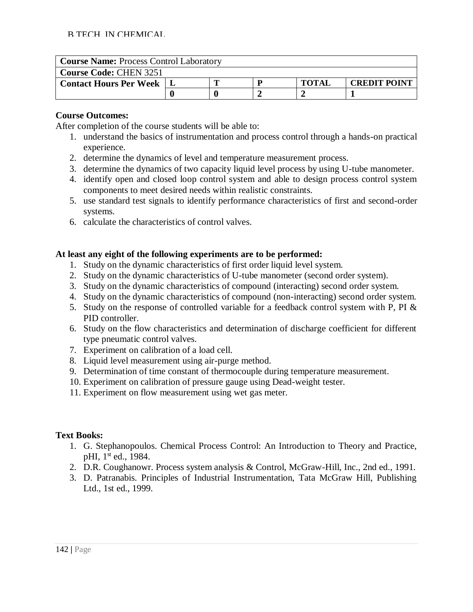| <b>Course Name: Process Control Laboratory</b> |  |  |  |              |                     |  |  |
|------------------------------------------------|--|--|--|--------------|---------------------|--|--|
| <b>Course Code: CHEN 3251</b>                  |  |  |  |              |                     |  |  |
| <b>Contact Hours Per Week</b>                  |  |  |  | <b>TOTAI</b> | <b>CREDIT POINT</b> |  |  |
|                                                |  |  |  |              |                     |  |  |

After completion of the course students will be able to:

- 1. understand the basics of instrumentation and process control through a hands-on practical experience.
- 2. determine the dynamics of level and temperature measurement process.
- 3. determine the dynamics of two capacity liquid level process by using U-tube manometer.
- 4. identify open and closed loop control system and able to design process control system components to meet desired needs within realistic constraints.
- 5. use standard test signals to identify performance characteristics of first and second-order systems.
- 6. calculate the characteristics of control valves.

# **At least any eight of the following experiments are to be performed:**

- 1. Study on the dynamic characteristics of first order liquid level system.
- 2. Study on the dynamic characteristics of U-tube manometer (second order system).
- 3. Study on the dynamic characteristics of compound (interacting) second order system.
- 4. Study on the dynamic characteristics of compound (non-interacting) second order system.
- 5. Study on the response of controlled variable for a feedback control system with P, PI & PID controller.
- 6. Study on the flow characteristics and determination of discharge coefficient for different type pneumatic control valves.
- 7. Experiment on calibration of a load cell.
- 8. Liquid level measurement using air-purge method.
- 9. Determination of time constant of thermocouple during temperature measurement.
- 10. Experiment on calibration of pressure gauge using Dead-weight tester.
- 11. Experiment on flow measurement using wet gas meter.

# **Text Books:**

- 1. G. Stephanopoulos. Chemical Process Control: An Introduction to Theory and Practice, pHI, 1<sup>st</sup> ed., 1984.
- 2. D.R. Coughanowr. Process system analysis & Control, McGraw-Hill, Inc., 2nd ed., 1991.
- 3. D. Patranabis. Principles of Industrial Instrumentation, Tata McGraw Hill, Publishing Ltd., 1st ed., 1999.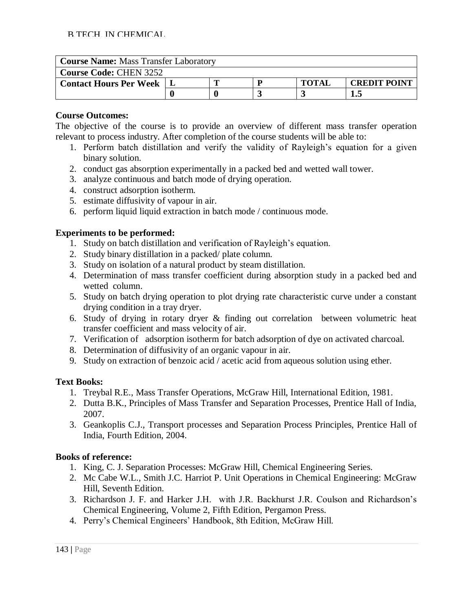| <b>Course Name: Mass Transfer Laboratory</b> |  |  |  |              |                     |  |  |
|----------------------------------------------|--|--|--|--------------|---------------------|--|--|
| <b>Course Code: CHEN 3252</b>                |  |  |  |              |                     |  |  |
| <b>Contact Hours Per Week</b>                |  |  |  | <b>TOTAL</b> | <b>CREDIT POINT</b> |  |  |
|                                              |  |  |  |              |                     |  |  |

The objective of the course is to provide an overview of different mass transfer operation relevant to process industry. After completion of the course students will be able to:

- 1. Perform batch distillation and verify the validity of Rayleigh's equation for a given binary solution.
- 2. conduct gas absorption experimentally in a packed bed and wetted wall tower.
- 3. analyze continuous and batch mode of drying operation.
- 4. construct adsorption isotherm.
- 5. estimate diffusivity of vapour in air.
- 6. perform liquid liquid extraction in batch mode / continuous mode.

# **Experiments to be performed:**

- 1. Study on batch distillation and verification of Rayleigh's equation.
- 2. Study binary distillation in a packed/ plate column.
- 3. Study on isolation of a natural product by steam distillation.
- 4. Determination of mass transfer coefficient during absorption study in a packed bed and wetted column.
- 5. Study on batch drying operation to plot drying rate characteristic curve under a constant drying condition in a tray dryer.
- 6. Study of drying in rotary dryer & finding out correlation between volumetric heat transfer coefficient and mass velocity of air.
- 7. Verification of adsorption isotherm for batch adsorption of dye on activated charcoal.
- 8. Determination of diffusivity of an organic vapour in air.
- 9. Study on extraction of benzoic acid / acetic acid from aqueous solution using ether.

# **Text Books:**

- 1. Treybal R.E., Mass Transfer Operations, McGraw Hill, International Edition, 1981.
- 2. Dutta B.K., Principles of Mass Transfer and Separation Processes, Prentice Hall of India, 2007.
- 3. Geankoplis C.J., Transport processes and Separation Process Principles, Prentice Hall of India, Fourth Edition, 2004.

- 1. King, C. J. Separation Processes: McGraw Hill, Chemical Engineering Series.
- 2. Mc Cabe W.L., Smith J.C. Harriot P. Unit Operations in Chemical Engineering: McGraw Hill, Seventh Edition.
- 3. Richardson J. F. and Harker J.H. with J.R. Backhurst J.R. Coulson and Richardson's Chemical Engineering, Volume 2, Fifth Edition, Pergamon Press.
- 4. Perry's Chemical Engineers' Handbook, 8th Edition, McGraw Hill.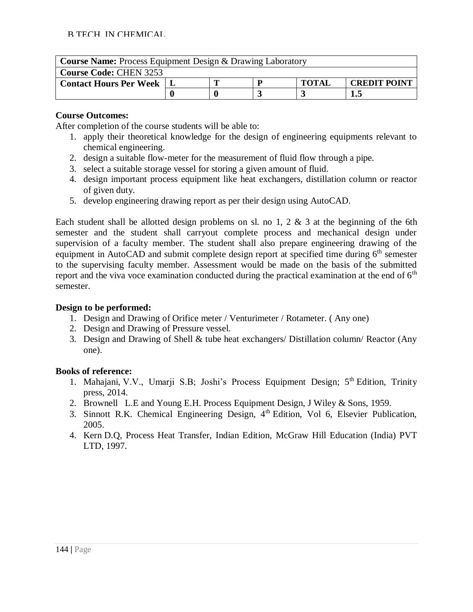| <b>Course Name:</b> Process Equipment Design & Drawing Laboratory |                                     |  |  |  |  |  |  |
|-------------------------------------------------------------------|-------------------------------------|--|--|--|--|--|--|
| <b>Course Code: CHEN 3253</b>                                     |                                     |  |  |  |  |  |  |
| <b>Contact Hours Per Week</b>                                     | <b>TOTAL</b><br><b>CREDIT POINT</b> |  |  |  |  |  |  |
| 1.5                                                               |                                     |  |  |  |  |  |  |

After completion of the course students will be able to:

- 1. apply their theoretical knowledge for the design of engineering equipments relevant to chemical engineering.
- 2. design a suitable flow-meter for the measurement of fluid flow through a pipe.
- 3. select a suitable storage vessel for storing a given amount of fluid.
- 4. design important process equipment like heat exchangers, distillation column or reactor of given duty.
- 5. develop engineering drawing report as per their design using AutoCAD.

Each student shall be allotted design problems on sl. no 1, 2  $\&$  3 at the beginning of the 6th semester and the student shall carryout complete process and mechanical design under supervision of a faculty member. The student shall also prepare engineering drawing of the equipment in AutoCAD and submit complete design report at specified time during  $6<sup>th</sup>$  semester to the supervising faculty member. Assessment would be made on the basis of the submitted report and the viva voce examination conducted during the practical examination at the end of  $6<sup>th</sup>$ semester.

# **Design to be performed:**

- 1. Design and Drawing of Orifice meter / Venturimeter / Rotameter. ( Any one)
- 2. Design and Drawing of Pressure vessel.
- 3. Design and Drawing of Shell & tube heat exchangers/ Distillation column/ Reactor (Any one).

- 1. Mahajani, V.V., Umarji S.B; Joshi's Process Equipment Design; 5<sup>th</sup> Edition, Trinity press, 2014.
- 2. Brownell L.E and Young E.H. Process Equipment Design, J Wiley & Sons, 1959.
- 3. Sinnott R.K. Chemical Engineering Design,  $4<sup>th</sup>$  Edition, Vol 6, Elsevier Publication, 2005.
- 4. Kern D.Q, Process Heat Transfer, Indian Edition, McGraw Hill Education (India) PVT LTD, 1997.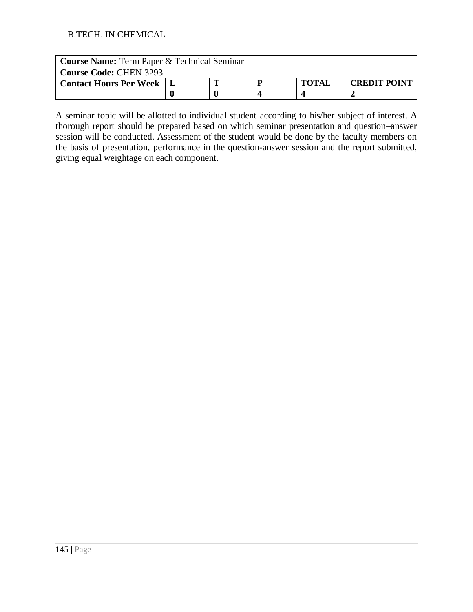| <b>Course Name:</b> Term Paper & Technical Seminar |  |  |  |              |                     |  |  |  |
|----------------------------------------------------|--|--|--|--------------|---------------------|--|--|--|
| <b>Course Code: CHEN 3293</b>                      |  |  |  |              |                     |  |  |  |
| <b>Contact Hours Per Week</b>                      |  |  |  | <b>TOTAL</b> | <b>CREDIT POINT</b> |  |  |  |
|                                                    |  |  |  |              |                     |  |  |  |

A seminar topic will be allotted to individual student according to his/her subject of interest. A thorough report should be prepared based on which seminar presentation and question–answer session will be conducted. Assessment of the student would be done by the faculty members on the basis of presentation, performance in the question-answer session and the report submitted, giving equal weightage on each component.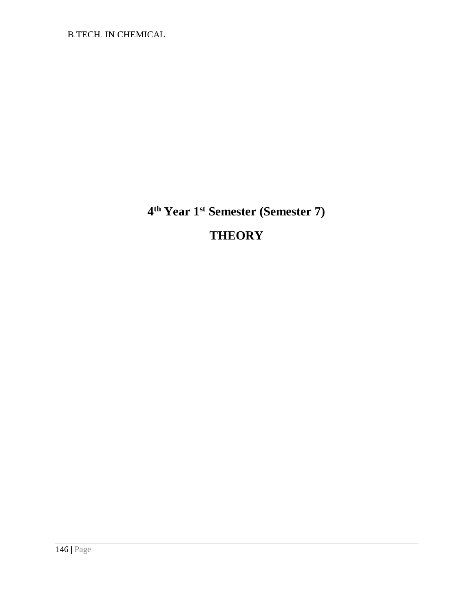**4 th Year 1st Semester (Semester 7)**

# **THEORY**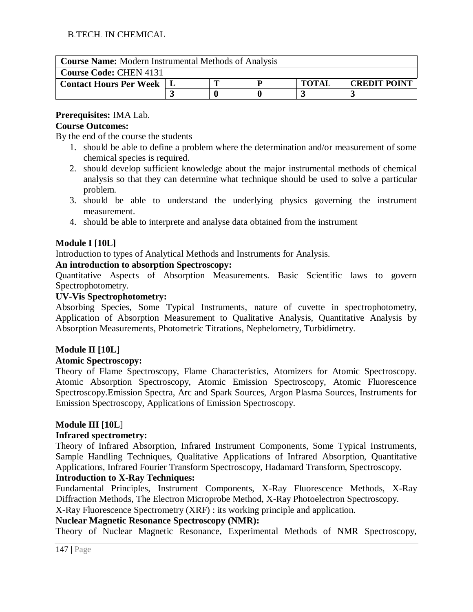| <b>Course Name:</b> Modern Instrumental Methods of Analysis |  |  |   |              |                     |  |  |  |  |
|-------------------------------------------------------------|--|--|---|--------------|---------------------|--|--|--|--|
| <b>Course Code: CHEN 4131</b>                               |  |  |   |              |                     |  |  |  |  |
| <b>Contact Hours Per Week</b>                               |  |  | D | <b>TOTAL</b> | <b>CREDIT POINT</b> |  |  |  |  |
|                                                             |  |  |   |              |                     |  |  |  |  |

## **Prerequisites:** IMA Lab.

## **Course Outcomes:**

By the end of the course the students

- 1. should be able to define a problem where the determination and/or measurement of some chemical species is required.
- 2. should develop sufficient knowledge about the major instrumental methods of chemical analysis so that they can determine what technique should be used to solve a particular problem.
- 3. should be able to understand the underlying physics governing the instrument measurement.
- 4. should be able to interprete and analyse data obtained from the instrument

## **Module I [10L]**

Introduction to types of Analytical Methods and Instruments for Analysis.

## **An introduction to absorption Spectroscopy:**

Quantitative Aspects of Absorption Measurements. Basic Scientific laws to govern Spectrophotometry.

#### **UV-Vis Spectrophotometry:**

Absorbing Species, Some Typical Instruments, nature of cuvette in spectrophotometry, Application of Absorption Measurement to Qualitative Analysis, Quantitative Analysis by Absorption Measurements, Photometric Titrations, Nephelometry, Turbidimetry.

## **Module II [10L**]

## **Atomic Spectroscopy:**

Theory of Flame Spectroscopy, Flame Characteristics, Atomizers for Atomic Spectroscopy. Atomic Absorption Spectroscopy, Atomic Emission Spectroscopy, Atomic Fluorescence Spectroscopy.Emission Spectra, Arc and Spark Sources, Argon Plasma Sources, Instruments for Emission Spectroscopy, Applications of Emission Spectroscopy.

## **Module III [10L**]

## **Infrared spectrometry:**

Theory of Infrared Absorption, Infrared Instrument Components, Some Typical Instruments, Sample Handling Techniques, Qualitative Applications of Infrared Absorption, Quantitative Applications, Infrared Fourier Transform Spectroscopy, Hadamard Transform, Spectroscopy.

## **Introduction to X-Ray Techniques:**

Fundamental Principles, Instrument Components, X-Ray Fluorescence Methods, X-Ray Diffraction Methods, The Electron Microprobe Method, X-Ray Photoelectron Spectroscopy.

X-Ray Fluorescence Spectrometry (XRF) : its working principle and application.

## **Nuclear Magnetic Resonance Spectroscopy (NMR):**

Theory of Nuclear Magnetic Resonance, Experimental Methods of NMR Spectroscopy,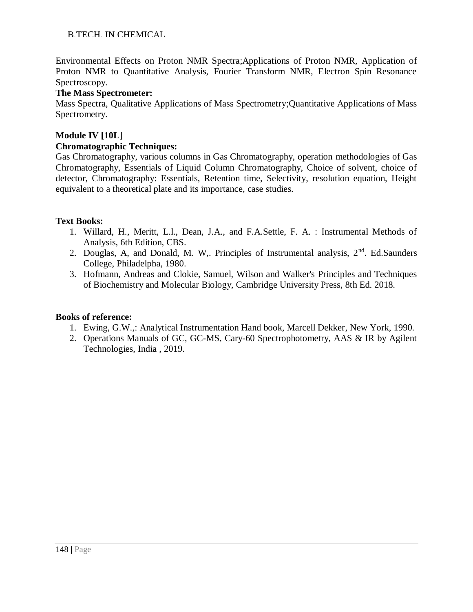Environmental Effects on Proton NMR Spectra;Applications of Proton NMR, Application of Proton NMR to Quantitative Analysis, Fourier Transform NMR, Electron Spin Resonance Spectroscopy.

#### **The Mass Spectrometer:**

Mass Spectra, Qualitative Applications of Mass Spectrometry;Quantitative Applications of Mass Spectrometry.

#### **Module IV [10L**]

#### **Chromatographic Techniques:**

Gas Chromatography, various columns in Gas Chromatography, operation methodologies of Gas Chromatography, Essentials of Liquid Column Chromatography, Choice of solvent, choice of detector, Chromatography: Essentials, Retention time, Selectivity, resolution equation, Height equivalent to a theoretical plate and its importance, case studies.

#### **Text Books:**

- 1. Willard, H., Meritt, L.l., Dean, J.A., and F.A.Settle, F. A. : Instrumental Methods of Analysis, 6th Edition, CBS.
- 2. Douglas, A, and Donald, M. W,. Principles of Instrumental analysis,  $2<sup>nd</sup>$ . Ed.Saunders College, Philadelpha, 1980.
- 3. Hofmann, Andreas and Clokie, Samuel, Wilson and Walker's Principles and Techniques of Biochemistry and Molecular Biology, Cambridge University Press, 8th Ed. 2018.

- 1. Ewing, G.W.,: Analytical Instrumentation Hand book, Marcell Dekker, New York, 1990.
- 2. Operations Manuals of GC, GC-MS, Cary-60 Spectrophotometry, AAS & IR by Agilent Technologies, India , 2019.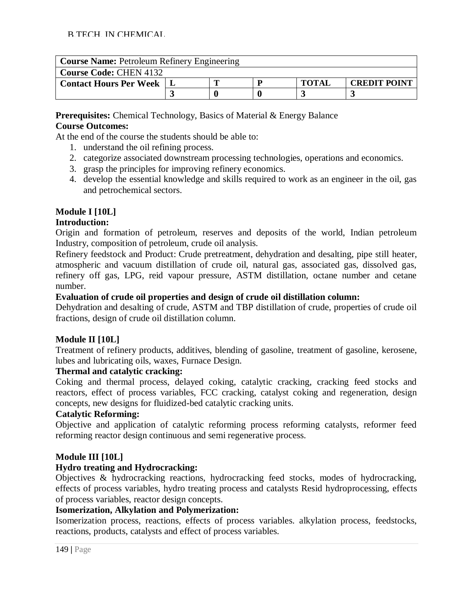| <b>Course Name: Petroleum Refinery Engineering</b> |  |                                     |  |  |  |  |  |  |  |
|----------------------------------------------------|--|-------------------------------------|--|--|--|--|--|--|--|
| <b>Course Code: CHEN 4132</b>                      |  |                                     |  |  |  |  |  |  |  |
| <b>Contact Hours Per Week</b>                      |  | <b>TOTAL</b><br><b>CREDIT POINT</b> |  |  |  |  |  |  |  |
|                                                    |  |                                     |  |  |  |  |  |  |  |

**Prerequisites:** Chemical Technology, Basics of Material & Energy Balance **Course Outcomes:**

At the end of the course the students should be able to:

- 1. understand the oil refining process.
- 2. categorize associated downstream processing technologies, operations and economics.
- 3. grasp the principles for improving refinery economics.
- 4. develop the essential knowledge and skills required to work as an engineer in the oil, gas and petrochemical sectors.

## **Module I [10L]**

## **Introduction:**

Origin and formation of petroleum, reserves and deposits of the world, Indian petroleum Industry, composition of petroleum, crude oil analysis.

Refinery feedstock and Product: Crude pretreatment, dehydration and desalting, pipe still heater, atmospheric and vacuum distillation of crude oil, natural gas, associated gas, dissolved gas, refinery off gas, LPG, reid vapour pressure, ASTM distillation, octane number and cetane number.

#### **Evaluation of crude oil properties and design of crude oil distillation column:**

Dehydration and desalting of crude, ASTM and TBP distillation of crude, properties of crude oil fractions, design of crude oil distillation column.

## **Module II [10L]**

Treatment of refinery products, additives, blending of gasoline, treatment of gasoline, kerosene, lubes and lubricating oils, waxes, Furnace Design.

#### **Thermal and catalytic cracking:**

Coking and thermal process, delayed coking, catalytic cracking, cracking feed stocks and reactors, effect of process variables, FCC cracking, catalyst coking and regeneration, design concepts, new designs for fluidized-bed catalytic cracking units.

#### **Catalytic Reforming:**

Objective and application of catalytic reforming process reforming catalysts, reformer feed reforming reactor design continuous and semi regenerative process.

## **Module III [10L]**

#### **Hydro treating and Hydrocracking:**

Objectives & hydrocracking reactions, hydrocracking feed stocks, modes of hydrocracking, effects of process variables, hydro treating process and catalysts Resid hydroprocessing, effects of process variables, reactor design concepts.

#### **Isomerization, Alkylation and Polymerization:**

Isomerization process, reactions, effects of process variables. alkylation process, feedstocks, reactions, products, catalysts and effect of process variables.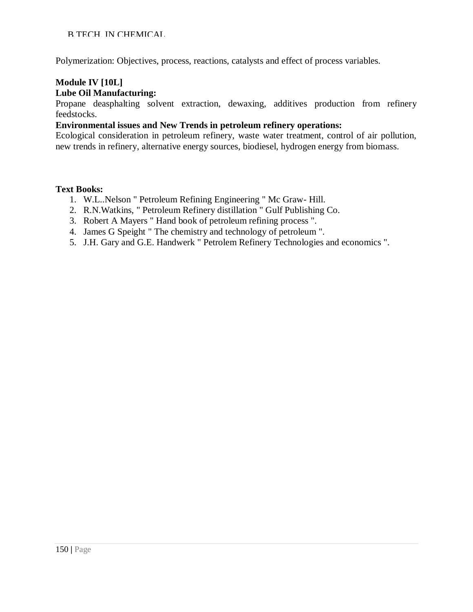Polymerization: Objectives, process, reactions, catalysts and effect of process variables.

#### **Module IV [10L] Lube Oil Manufacturing:**

Propane deasphalting solvent extraction, dewaxing, additives production from refinery feedstocks.

#### **Environmental issues and New Trends in petroleum refinery operations:**

Ecological consideration in petroleum refinery, waste water treatment, control of air pollution, new trends in refinery, alternative energy sources, biodiesel, hydrogen energy from biomass.

#### **Text Books:**

- 1. W.L..Nelson " Petroleum Refining Engineering " Mc Graw- Hill.
- 2. R.N.Watkins, " Petroleum Refinery distillation " Gulf Publishing Co.
- 3. Robert A Mayers " Hand book of petroleum refining process ".
- 4. James G Speight " The chemistry and technology of petroleum ".
- 5. J.H. Gary and G.E. Handwerk " Petrolem Refinery Technologies and economics ".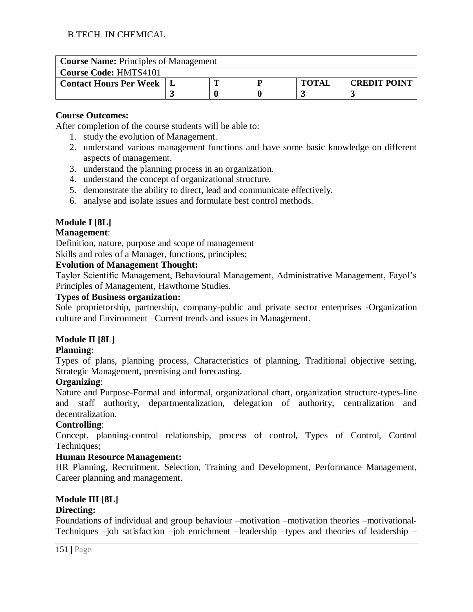| <b>Course Name: Principles of Management</b> |  |  |  |              |                     |  |  |  |
|----------------------------------------------|--|--|--|--------------|---------------------|--|--|--|
| <b>Course Code: HMTS4101</b>                 |  |  |  |              |                     |  |  |  |
| <b>Contact Hours Per Week</b>                |  |  |  | <b>TOTAI</b> | <b>CREDIT POINT</b> |  |  |  |
|                                              |  |  |  |              |                     |  |  |  |

## **Course Outcomes:**

After completion of the course students will be able to:

- 1. study the evolution of Management.
- 2. understand various management functions and have some basic knowledge on different aspects of management.
- 3. understand the planning process in an organization.
- 4. understand the concept of organizational structure.
- 5. demonstrate the ability to direct, lead and communicate effectively.
- 6. analyse and isolate issues and formulate best control methods.

## **Module I [8L]**

## **Management**:

Definition, nature, purpose and scope of management

Skills and roles of a Manager, functions, principles;

## **Evolution of Management Thought:**

Taylor Scientific Management, Behavioural Management, Administrative Management, Fayol's Principles of Management, Hawthorne Studies.

## **Types of Business organization:**

Sole proprietorship, partnership, company-public and private sector enterprises -Organization culture and Environment –Current trends and issues in Management.

## **Module II [8L]**

## **Planning**:

Types of plans, planning process, Characteristics of planning, Traditional objective setting, Strategic Management, premising and forecasting.

## **Organizing**:

Nature and Purpose-Formal and informal, organizational chart, organization structure-types-line and staff authority, departmentalization, delegation of authority, centralization and decentralization.

## **Controlling**:

Concept, planning-control relationship, process of control, Types of Control, Control Techniques;

## **Human Resource Management:**

HR Planning, Recruitment, Selection, Training and Development, Performance Management, Career planning and management.

## **Module III [8L]**

## **Directing:**

Foundations of individual and group behaviour –motivation –motivation theories –motivational-Techniques –job satisfaction –job enrichment –leadership –types and theories of leadership –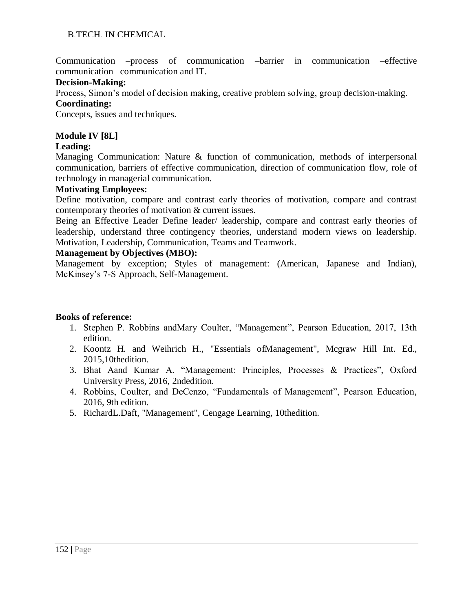Communication –process of communication –barrier in communication –effective communication –communication and IT.

#### **Decision-Making:**

Process, Simon's model of decision making, creative problem solving, group decision-making.

#### **Coordinating:**

Concepts, issues and techniques.

## **Module IV [8L]**

#### **Leading:**

Managing Communication: Nature & function of communication, methods of interpersonal communication, barriers of effective communication, direction of communication flow, role of technology in managerial communication.

#### **Motivating Employees:**

Define motivation, compare and contrast early theories of motivation, compare and contrast contemporary theories of motivation & current issues.

Being an Effective Leader Define leader/ leadership, compare and contrast early theories of leadership, understand three contingency theories, understand modern views on leadership. Motivation, Leadership, Communication, Teams and Teamwork.

#### **Management by Objectives (MBO):**

Management by exception; Styles of management: (American, Japanese and Indian), McKinsey's 7-S Approach, Self-Management.

- 1. Stephen P. Robbins andMary Coulter, "Management", Pearson Education, 2017, 13th edition.
- 2. Koontz H. and Weihrich H., "Essentials ofManagement", Mcgraw Hill Int. Ed., 2015,10thedition.
- 3. Bhat Aand Kumar A. "Management: Principles, Processes & Practices", Oxford University Press, 2016, 2ndedition.
- 4. Robbins, Coulter, and DeCenzo, "Fundamentals of Management", Pearson Education, 2016, 9th edition.
- 5. RichardL.Daft, "Management", Cengage Learning, 10thedition.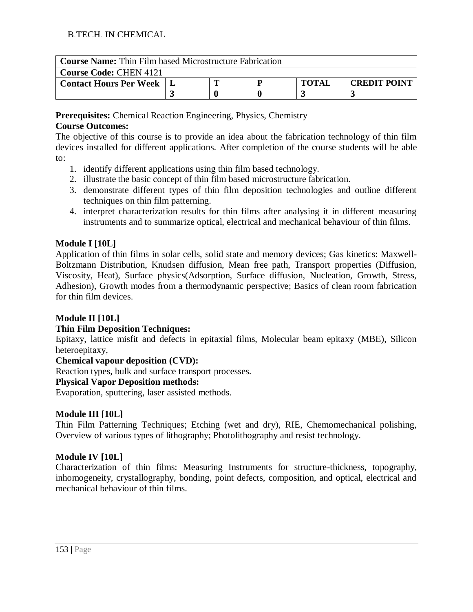| <b>Course Name:</b> Thin Film based Microstructure Fabrication |  |  |  |              |                     |  |  |  |
|----------------------------------------------------------------|--|--|--|--------------|---------------------|--|--|--|
| <b>Course Code: CHEN 4121</b>                                  |  |  |  |              |                     |  |  |  |
| <b>Contact Hours Per Week</b>                                  |  |  |  | <b>TOTAL</b> | <b>CREDIT POINT</b> |  |  |  |
|                                                                |  |  |  |              |                     |  |  |  |

**Prerequisites:** Chemical Reaction Engineering, Physics, Chemistry

## **Course Outcomes:**

The objective of this course is to provide an idea about the fabrication technology of thin film devices installed for different applications. After completion of the course students will be able to:

- 1. identify different applications using thin film based technology.
- 2. illustrate the basic concept of thin film based microstructure fabrication.
- 3. demonstrate different types of thin film deposition technologies and outline different techniques on thin film patterning.
- 4. interpret characterization results for thin films after analysing it in different measuring instruments and to summarize optical, electrical and mechanical behaviour of thin films.

## **Module I [10L]**

Application of thin films in solar cells, solid state and memory devices; Gas kinetics: Maxwell-Boltzmann Distribution, Knudsen diffusion, Mean free path, Transport properties (Diffusion, Viscosity, Heat), Surface physics(Adsorption, Surface diffusion, Nucleation, Growth, Stress, Adhesion), Growth modes from a thermodynamic perspective; Basics of clean room fabrication for thin film devices.

## **Module II [10L]**

## **Thin Film Deposition Techniques:**

Epitaxy, lattice misfit and defects in epitaxial films, Molecular beam epitaxy (MBE), Silicon heteroepitaxy,

## **Chemical vapour deposition (CVD):**

Reaction types, bulk and surface transport processes.

## **Physical Vapor Deposition methods:**

Evaporation, sputtering, laser assisted methods.

## **Module III [10L]**

Thin Film Patterning Techniques; Etching (wet and dry), RIE, Chemomechanical polishing, Overview of various types of lithography; Photolithography and resist technology.

## **Module IV [10L]**

Characterization of thin films: Measuring Instruments for structure-thickness, topography, inhomogeneity, crystallography, bonding, point defects, composition, and optical, electrical and mechanical behaviour of thin films.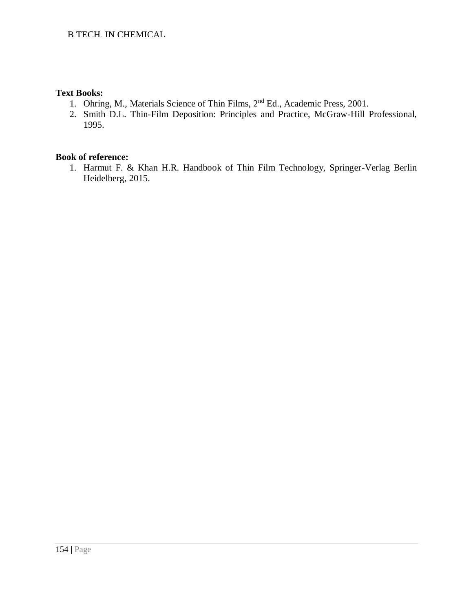#### **Text Books:**

- 1. Ohring, M., Materials Science of Thin Films, 2nd Ed., Academic Press, 2001.
- 2. Smith D.L. Thin-Film Deposition: Principles and Practice, McGraw-Hill Professional, 1995.

#### **Book of reference:**

1. Harmut F. & Khan H.R. Handbook of Thin Film Technology, Springer-Verlag Berlin Heidelberg, 2015.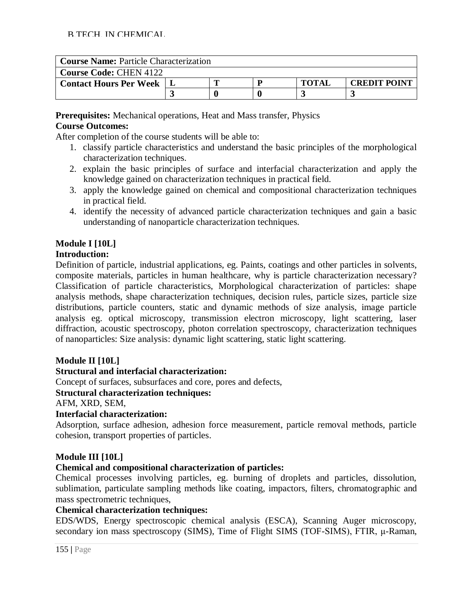| <b>Course Name: Particle Characterization</b> |  |  |  |              |                     |  |  |  |
|-----------------------------------------------|--|--|--|--------------|---------------------|--|--|--|
| <b>Course Code: CHEN 4122</b>                 |  |  |  |              |                     |  |  |  |
| <b>Contact Hours Per Week</b>                 |  |  |  | <b>TOTAI</b> | <b>CREDIT POINT</b> |  |  |  |
|                                               |  |  |  |              |                     |  |  |  |

**Prerequisites:** Mechanical operations, Heat and Mass transfer, Physics **Course Outcomes:** 

After completion of the course students will be able to:

- 1. classify particle characteristics and understand the basic principles of the morphological characterization techniques.
- 2. explain the basic principles of surface and interfacial characterization and apply the knowledge gained on characterization techniques in practical field.
- 3. apply the knowledge gained on chemical and compositional characterization techniques in practical field.
- 4. identify the necessity of advanced particle characterization techniques and gain a basic understanding of nanoparticle characterization techniques.

## **Module I [10L]**

#### **Introduction:**

Definition of particle, industrial applications, eg. Paints, coatings and other particles in solvents, composite materials, particles in human healthcare, why is particle characterization necessary? Classification of particle characteristics, Morphological characterization of particles: shape analysis methods, shape characterization techniques, decision rules, particle sizes, particle size distributions, particle counters, static and dynamic methods of size analysis, image particle analysis eg. optical microscopy, transmission electron microscopy, light scattering, laser diffraction, acoustic spectroscopy, photon correlation spectroscopy, characterization techniques of nanoparticles: Size analysis: dynamic light scattering, static light scattering.

## **Module II [10L]**

## **Structural and interfacial characterization:**

Concept of surfaces, subsurfaces and core, pores and defects,

## **Structural characterization techniques:**

#### AFM, XRD, SEM,

## **Interfacial characterization:**

Adsorption, surface adhesion, adhesion force measurement, particle removal methods, particle cohesion, transport properties of particles.

## **Module III [10L]**

#### **Chemical and compositional characterization of particles:**

Chemical processes involving particles, eg. burning of droplets and particles, dissolution, sublimation, particulate sampling methods like coating, impactors, filters, chromatographic and mass spectrometric techniques,

#### **Chemical characterization techniques:**

EDS/WDS, Energy spectroscopic chemical analysis (ESCA), Scanning Auger microscopy, secondary ion mass spectroscopy (SIMS), Time of Flight SIMS (TOF-SIMS), FTIR, μ-Raman,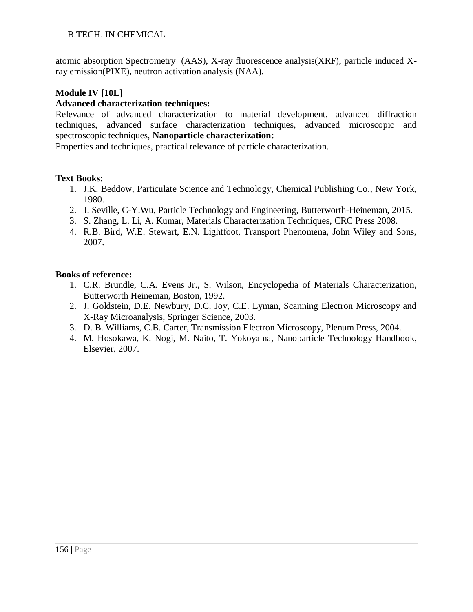atomic absorption Spectrometry (AAS), X-ray fluorescence analysis(XRF), particle induced Xray emission(PIXE), neutron activation analysis (NAA).

## **Module IV [10L]**

## **Advanced characterization techniques:**

Relevance of advanced characterization to material development, advanced diffraction techniques, advanced surface characterization techniques, advanced microscopic and spectroscopic techniques, **Nanoparticle characterization:**

Properties and techniques, practical relevance of particle characterization.

#### **Text Books:**

- 1. J.K. Beddow, Particulate Science and Technology, Chemical Publishing Co., New York, 1980.
- 2. J. Seville, C-Y.Wu, Particle Technology and Engineering, Butterworth-Heineman, 2015.
- 3. S. Zhang, L. Li, A. Kumar, Materials Characterization Techniques, CRC Press 2008.
- 4. R.B. Bird, W.E. Stewart, E.N. Lightfoot, Transport Phenomena, John Wiley and Sons, 2007.

- 1. C.R. Brundle, C.A. Evens Jr., S. Wilson, Encyclopedia of Materials Characterization, Butterworth Heineman, Boston, 1992.
- 2. J. Goldstein, D.E. Newbury, D.C. Joy, C.E. Lyman, Scanning Electron Microscopy and X-Ray Microanalysis, Springer Science, 2003.
- 3. D. B. Williams, C.B. Carter, Transmission Electron Microscopy, Plenum Press, 2004.
- 4. M. Hosokawa, K. Nogi, M. Naito, T. Yokoyama, Nanoparticle Technology Handbook, Elsevier, 2007.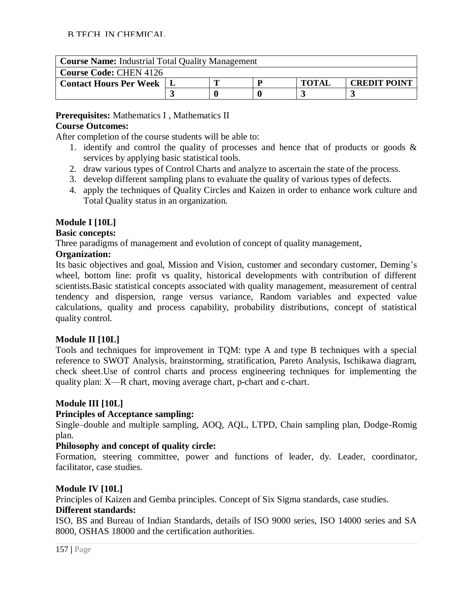| <b>Course Name:</b> Industrial Total Quality Management |  |  |  |              |                     |  |  |  |
|---------------------------------------------------------|--|--|--|--------------|---------------------|--|--|--|
| <b>Course Code: CHEN 4126</b>                           |  |  |  |              |                     |  |  |  |
| <b>Contact Hours Per Week</b>                           |  |  |  | <b>TOTAL</b> | <b>CREDIT POINT</b> |  |  |  |
|                                                         |  |  |  |              |                     |  |  |  |

**Prerequisites:** Mathematics I , Mathematics II **Course Outcomes:**

After completion of the course students will be able to:

- 1. identify and control the quality of processes and hence that of products or goods & services by applying basic statistical tools.
- 2. draw various types of Control Charts and analyze to ascertain the state of the process.
- 3. develop different sampling plans to evaluate the quality of various types of defects.
- 4. apply the techniques of Quality Circles and Kaizen in order to enhance work culture and Total Quality status in an organization.

#### **Module I [10L]**

#### **Basic concepts:**

Three paradigms of management and evolution of concept of quality management,

#### **Organization:**

Its basic objectives and goal, Mission and Vision, customer and secondary customer, Deming's wheel, bottom line: profit vs quality, historical developments with contribution of different scientists.Basic statistical concepts associated with quality management, measurement of central tendency and dispersion, range versus variance, Random variables and expected value calculations, quality and process capability, probability distributions, concept of statistical quality control.

#### **Module II [10L]**

Tools and techniques for improvement in TQM: type A and type B techniques with a special reference to SWOT Analysis, brainstorming, stratification, Pareto Analysis, Ischikawa diagram, check sheet.Use of control charts and process engineering techniques for implementing the quality plan: X—R chart, moving average chart, p-chart and c-chart.

#### **Module III [10L]**

#### **Principles of Acceptance sampling:**

Single–double and multiple sampling, AOQ, AQL, LTPD, Chain sampling plan, Dodge-Romig plan.

#### **Philosophy and concept of quality circle:**

Formation, steering committee, power and functions of leader, dy. Leader, coordinator, facilitator, case studies.

#### **Module IV [10L]**

Principles of Kaizen and Gemba principles. Concept of Six Sigma standards, case studies.

#### **Different standards:**

ISO, BS and Bureau of Indian Standards, details of ISO 9000 series, ISO 14000 series and SA 8000, OSHAS 18000 and the certification authorities.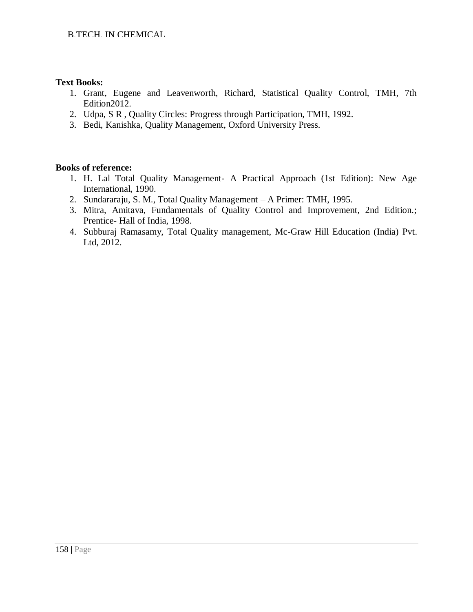#### **Text Books:**

- 1. Grant, Eugene and Leavenworth, Richard, Statistical Quality Control, TMH, 7th Edition2012.
- 2. Udpa, S R , Quality Circles: Progress through Participation, TMH, 1992.
- 3. Bedi, Kanishka, Quality Management, Oxford University Press.

- 1. H. Lal Total Quality Management- A Practical Approach (1st Edition): New Age International, 1990.
- 2. Sundararaju, S. M., Total Quality Management A Primer: TMH, 1995.
- 3. Mitra, Amitava, Fundamentals of Quality Control and Improvement, 2nd Edition.; Prentice- Hall of India, 1998.
- 4. Subburaj Ramasamy, Total Quality management, Mc-Graw Hill Education (India) Pvt. Ltd, 2012.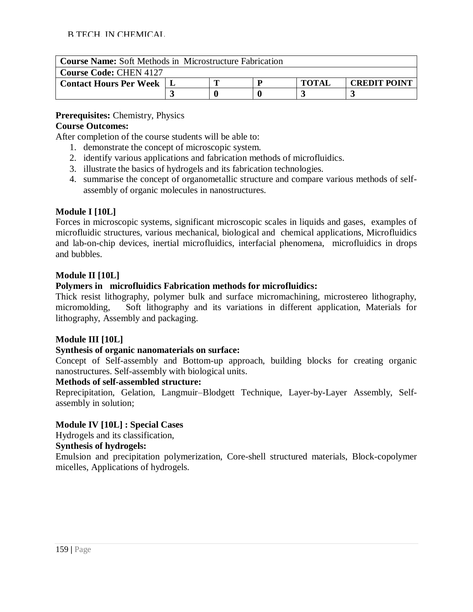| <b>Course Name:</b> Soft Methods in Microstructure Fabrication |  |  |  |              |                     |  |  |  |
|----------------------------------------------------------------|--|--|--|--------------|---------------------|--|--|--|
| <b>Course Code: CHEN 4127</b>                                  |  |  |  |              |                     |  |  |  |
| <b>Contact Hours Per Week</b>                                  |  |  |  | <b>TOTAI</b> | <b>CREDIT POINT</b> |  |  |  |
|                                                                |  |  |  |              |                     |  |  |  |

## **Prerequisites:** Chemistry, Physics

## **Course Outcomes:**

After completion of the course students will be able to:

- 1. demonstrate the concept of microscopic system.
- 2. identify various applications and fabrication methods of microfluidics.
- 3. illustrate the basics of hydrogels and its fabrication technologies.
- 4. summarise the concept of organometallic structure and compare various methods of selfassembly of organic molecules in nanostructures.

## **Module I [10L]**

Forces in microscopic systems, significant microscopic scales in liquids and gases, examples of microfluidic structures, various mechanical, biological and chemical applications, Microfluidics and lab-on-chip devices, inertial microfluidics, interfacial phenomena, microfluidics in drops and bubbles.

#### **Module II [10L]**

#### **Polymers in microfluidics Fabrication methods for microfluidics:**

Thick resist lithography, polymer bulk and surface micromachining, microstereo lithography, micromolding, Soft lithography and its variations in different application, Materials for lithography, Assembly and packaging.

#### **Module III [10L]**

#### **Synthesis of organic nanomaterials on surface:**

Concept of Self-assembly and Bottom-up approach, building blocks for creating organic nanostructures. Self-assembly with biological units.

#### **Methods of self-assembled structure:**

Reprecipitation, Gelation, Langmuir–Blodgett Technique, Layer-by-Layer Assembly, Selfassembly in solution;

#### **Module IV [10L] : Special Cases**

Hydrogels and its classification,

#### **Synthesis of hydrogels:**

Emulsion and precipitation polymerization, Core-shell structured materials, Block-copolymer micelles, Applications of hydrogels.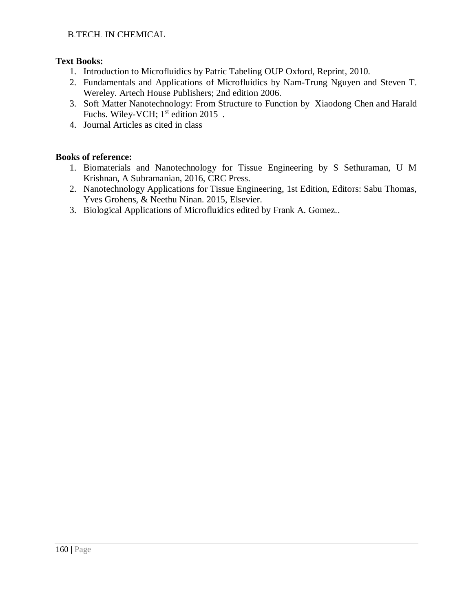#### **Text Books:**

- 1. Introduction to Microfluidics by Patric Tabeling OUP Oxford, Reprint, 2010.
- 2. Fundamentals and Applications of Microfluidics by Nam-Trung Nguyen and Steven T. Wereley. Artech House Publishers; 2nd edition 2006.
- 3. Soft Matter Nanotechnology: From Structure to Function by Xiaodong Chen and Harald Fuchs. Wiley-VCH;  $1<sup>st</sup>$  edition 2015.
- 4. Journal Articles as cited in class

- 1. Biomaterials and Nanotechnology for Tissue Engineering by S Sethuraman, U M Krishnan, A Subramanian, 2016, CRC Press.
- 2. Nanotechnology Applications for Tissue Engineering, 1st Edition, Editors: Sabu Thomas, Yves Grohens, & Neethu Ninan. 2015, Elsevier.
- 3. Biological Applications of Microfluidics edited by Frank A. Gomez..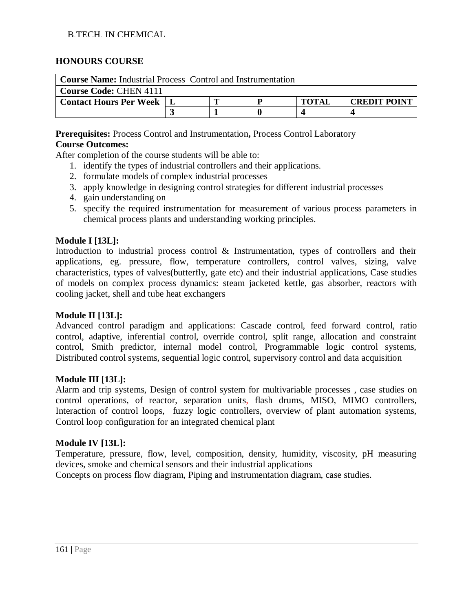#### **HONOURS COURSE**

| <b>Course Name:</b> Industrial Process Control and Instrumentation |  |                                     |  |  |  |  |  |  |
|--------------------------------------------------------------------|--|-------------------------------------|--|--|--|--|--|--|
| <b>Course Code: CHEN 4111</b>                                      |  |                                     |  |  |  |  |  |  |
| <b>Contact Hours Per Week</b>                                      |  | <b>TOTAL</b><br><b>CREDIT POINT</b> |  |  |  |  |  |  |
|                                                                    |  |                                     |  |  |  |  |  |  |

**Prerequisites:** Process Control and Instrumentation**,** Process Control Laboratory

#### **Course Outcomes:**

After completion of the course students will be able to:

- 1. identify the types of industrial controllers and their applications.
- 2. formulate models of complex industrial processes
- 3. apply knowledge in designing control strategies for different industrial processes
- 4. gain understanding on
- 5. specify the required instrumentation for measurement of various process parameters in chemical process plants and understanding working principles.

#### **Module I [13L]:**

Introduction to industrial process control & Instrumentation, types of controllers and their applications, eg. pressure, flow, temperature controllers, control valves, sizing, valve characteristics, types of valves(butterfly, gate etc) and their industrial applications, Case studies of models on complex process dynamics: steam jacketed kettle, gas absorber, reactors with cooling jacket, shell and tube heat exchangers

#### **Module II [13L]:**

Advanced control paradigm and applications: Cascade control, feed forward control, ratio control, adaptive, inferential control, override control, split range, allocation and constraint control, Smith predictor, internal model control, Programmable logic control systems, Distributed control systems, sequential logic control, supervisory control and data acquisition

#### **Module III [13L]:**

Alarm and trip systems, Design of control system for multivariable processes , case studies on control operations, of reactor, separation units, flash drums, MISO, MIMO controllers, Interaction of control loops, fuzzy logic controllers, overview of plant automation systems, Control loop configuration for an integrated chemical plant

#### **Module IV [13L]:**

Temperature, pressure, flow, level, composition, density, humidity, viscosity, pH measuring devices, smoke and chemical sensors and their industrial applications

Concepts on process flow diagram, Piping and instrumentation diagram, case studies.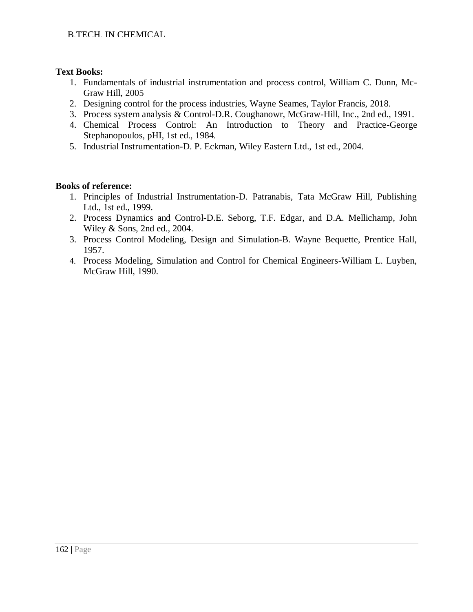## **Text Books:**

- 1. Fundamentals of industrial instrumentation and process control, William C. Dunn, Mc-Graw Hill, 2005
- 2. Designing control for the process industries, Wayne Seames, Taylor Francis, 2018.
- 3. Process system analysis & Control-D.R. Coughanowr, McGraw-Hill, Inc., 2nd ed., 1991.
- 4. Chemical Process Control: An Introduction to Theory and Practice-George Stephanopoulos, pHI, 1st ed., 1984.
- 5. Industrial Instrumentation-D. P. Eckman, Wiley Eastern Ltd., 1st ed., 2004.

- 1. Principles of Industrial Instrumentation-D. Patranabis, Tata McGraw Hill, Publishing Ltd., 1st ed., 1999.
- 2. Process Dynamics and Control-D.E. Seborg, T.F. Edgar, and D.A. Mellichamp, John Wiley & Sons, 2nd ed., 2004.
- 3. Process Control Modeling, Design and Simulation-B. Wayne Bequette, Prentice Hall, 1957.
- 4. Process Modeling, Simulation and Control for Chemical Engineers-William L. Luyben, McGraw Hill, 1990.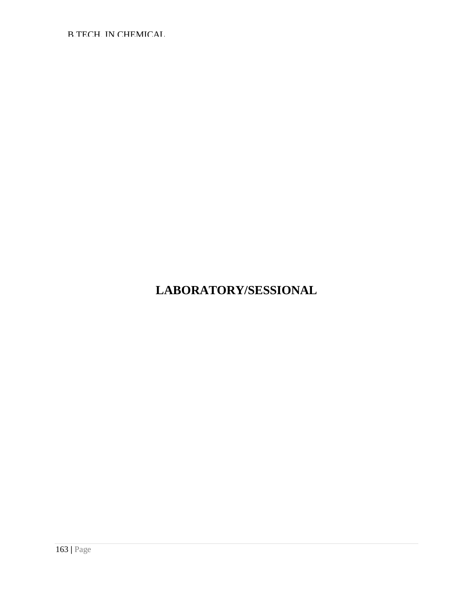# **LABORATORY/SESSIONAL**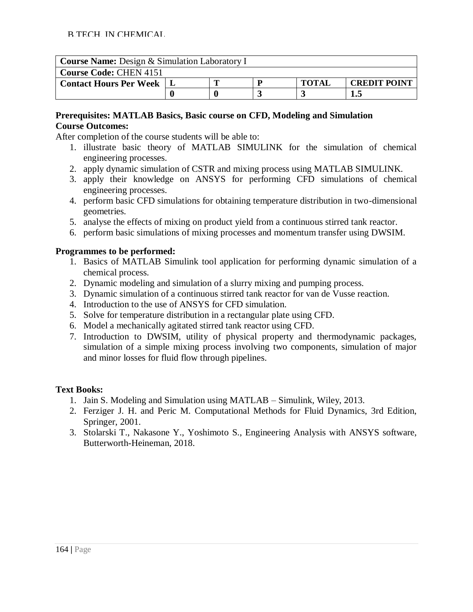| <b>Course Name:</b> Design & Simulation Laboratory I |     |                                     |  |  |  |  |  |  |  |
|------------------------------------------------------|-----|-------------------------------------|--|--|--|--|--|--|--|
| <b>Course Code: CHEN 4151</b>                        |     |                                     |  |  |  |  |  |  |  |
| <b>Contact Hours Per Week</b>                        |     | <b>TOTAI</b><br><b>CREDIT POINT</b> |  |  |  |  |  |  |  |
|                                                      | 1.5 |                                     |  |  |  |  |  |  |  |

#### **Prerequisites: MATLAB Basics, Basic course on CFD, Modeling and Simulation Course Outcomes:**

After completion of the course students will be able to:

- 1. illustrate basic theory of MATLAB SIMULINK for the simulation of chemical engineering processes.
- 2. apply dynamic simulation of CSTR and mixing process using MATLAB SIMULINK.
- 3. apply their knowledge on ANSYS for performing CFD simulations of chemical engineering processes.
- 4. perform basic CFD simulations for obtaining temperature distribution in two-dimensional geometries.
- 5. analyse the effects of mixing on product yield from a continuous stirred tank reactor.
- 6. perform basic simulations of mixing processes and momentum transfer using DWSIM.

#### **Programmes to be performed:**

- 1. Basics of MATLAB Simulink tool application for performing dynamic simulation of a chemical process.
- 2. Dynamic modeling and simulation of a slurry mixing and pumping process.
- 3. Dynamic simulation of a continuous stirred tank reactor for van de Vusse reaction.
- 4. Introduction to the use of ANSYS for CFD simulation.
- 5. Solve for temperature distribution in a rectangular plate using CFD.
- 6. Model a mechanically agitated stirred tank reactor using CFD.
- 7. Introduction to DWSIM, utility of physical property and thermodynamic packages, simulation of a simple mixing process involving two components, simulation of major and minor losses for fluid flow through pipelines.

#### **Text Books:**

- 1. Jain S. Modeling and Simulation using MATLAB Simulink, Wiley, 2013.
- 2. Ferziger J. H. and Peric M. Computational Methods for Fluid Dynamics, 3rd Edition, Springer, 2001.
- 3. Stolarski T., Nakasone Y., Yoshimoto S., Engineering Analysis with ANSYS software, Butterworth-Heineman, 2018.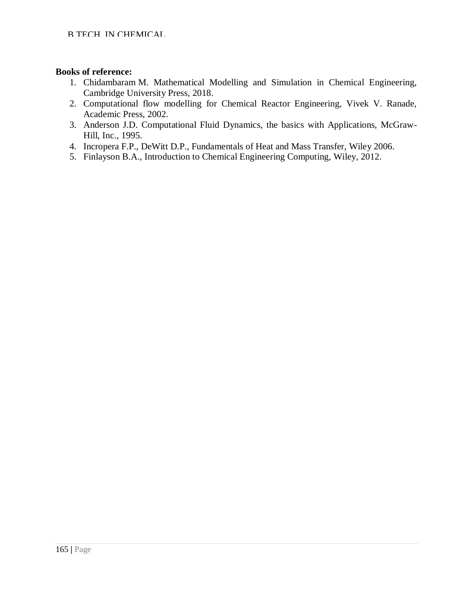- 1. Chidambaram M. Mathematical Modelling and Simulation in Chemical Engineering, Cambridge University Press, 2018.
- 2. Computational flow modelling for Chemical Reactor Engineering, Vivek V. Ranade, Academic Press, 2002.
- 3. Anderson J.D. Computational Fluid Dynamics, the basics with Applications, McGraw-Hill, Inc., 1995.
- 4. Incropera F.P., DeWitt D.P., Fundamentals of Heat and Mass Transfer, Wiley 2006.
- 5. Finlayson B.A., Introduction to Chemical Engineering Computing, Wiley, 2012.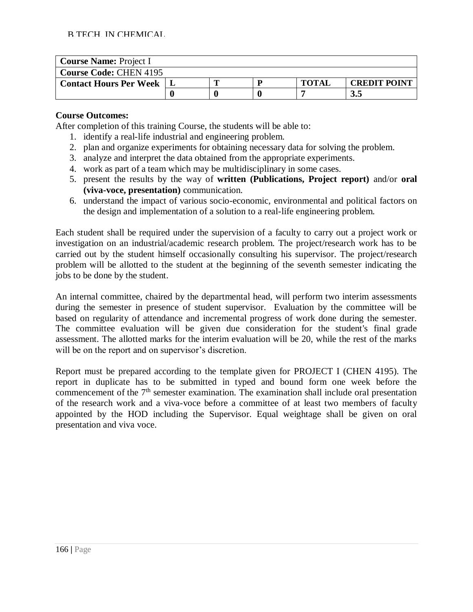| <b>Course Name: Project I</b> |  |  |  |              |                     |  |  |  |
|-------------------------------|--|--|--|--------------|---------------------|--|--|--|
| <b>Course Code: CHEN 4195</b> |  |  |  |              |                     |  |  |  |
| <b>Contact Hours Per Week</b> |  |  |  | <b>TOTAL</b> | <b>CREDIT POINT</b> |  |  |  |
|                               |  |  |  |              | 3.5                 |  |  |  |

#### **Course Outcomes:**

After completion of this training Course, the students will be able to:

- 1. identify a real-life industrial and engineering problem.
- 2. plan and organize experiments for obtaining necessary data for solving the problem.
- 3. analyze and interpret the data obtained from the appropriate experiments.
- 4. work as part of a team which may be multidisciplinary in some cases.
- 5. present the results by the way of **written (Publications, Project report)** and/or **oral (viva-voce, presentation)** communication.
- 6. understand the impact of various socio-economic, environmental and political factors on the design and implementation of a solution to a real-life engineering problem.

Each student shall be required under the supervision of a faculty to carry out a project work or investigation on an industrial/academic research problem. The project/research work has to be carried out by the student himself occasionally consulting his supervisor. The project/research problem will be allotted to the student at the beginning of the seventh semester indicating the jobs to be done by the student.

An internal committee, chaired by the departmental head, will perform two interim assessments during the semester in presence of student supervisor. Evaluation by the committee will be based on regularity of attendance and incremental progress of work done during the semester. The committee evaluation will be given due consideration for the student's final grade assessment. The allotted marks for the interim evaluation will be 20, while the rest of the marks will be on the report and on supervisor's discretion.

Report must be prepared according to the template given for PROJECT I (CHEN 4195). The report in duplicate has to be submitted in typed and bound form one week before the commencement of the  $7<sup>th</sup>$  semester examination. The examination shall include oral presentation of the research work and a viva-voce before a committee of at least two members of faculty appointed by the HOD including the Supervisor. Equal weightage shall be given on oral presentation and viva voce.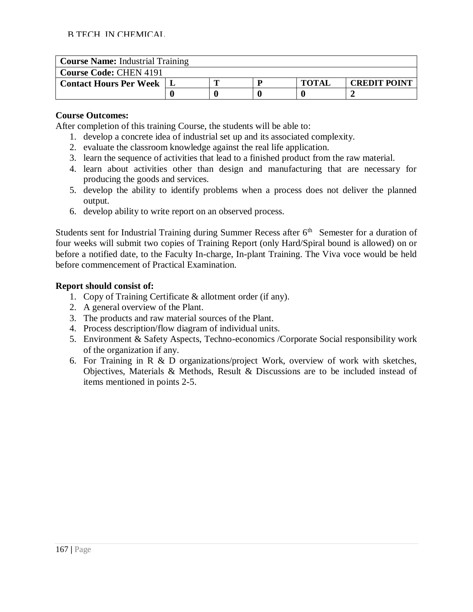| <b>Course Name: Industrial Training</b> |  |  |  |              |                     |  |  |  |  |
|-----------------------------------------|--|--|--|--------------|---------------------|--|--|--|--|
| <b>Course Code: CHEN 4191</b>           |  |  |  |              |                     |  |  |  |  |
| <b>Contact Hours Per Week</b>           |  |  |  | <b>TOTAI</b> | <b>CREDIT POINT</b> |  |  |  |  |
|                                         |  |  |  |              |                     |  |  |  |  |

#### **Course Outcomes:**

After completion of this training Course, the students will be able to:

- 1. develop a concrete idea of industrial set up and its associated complexity.
- 2. evaluate the classroom knowledge against the real life application.
- 3. learn the sequence of activities that lead to a finished product from the raw material.
- 4. learn about activities other than design and manufacturing that are necessary for producing the goods and services.
- 5. develop the ability to identify problems when a process does not deliver the planned output.
- 6. develop ability to write report on an observed process.

Students sent for Industrial Training during Summer Recess after  $6<sup>th</sup>$  Semester for a duration of four weeks will submit two copies of Training Report (only Hard/Spiral bound is allowed) on or before a notified date, to the Faculty In-charge, In-plant Training. The Viva voce would be held before commencement of Practical Examination.

#### **Report should consist of:**

- 1. Copy of Training Certificate & allotment order (if any).
- 2. A general overview of the Plant.
- 3. The products and raw material sources of the Plant.
- 4. Process description/flow diagram of individual units.
- 5. Environment & Safety Aspects, Techno-economics /Corporate Social responsibility work of the organization if any.
- 6. For Training in R & D organizations/project Work, overview of work with sketches, Objectives, Materials & Methods, Result & Discussions are to be included instead of items mentioned in points 2-5.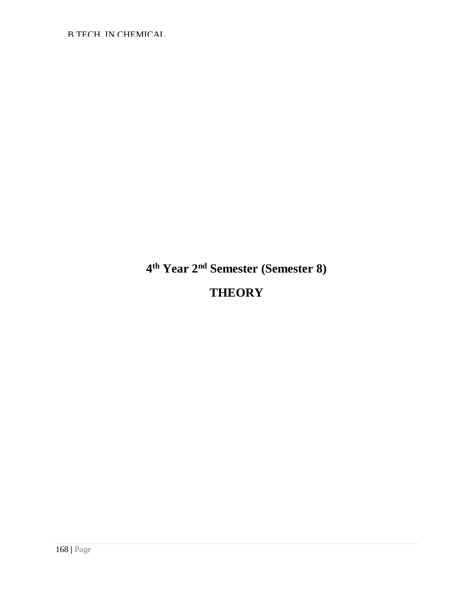**4 th Year 2nd Semester (Semester 8) THEORY**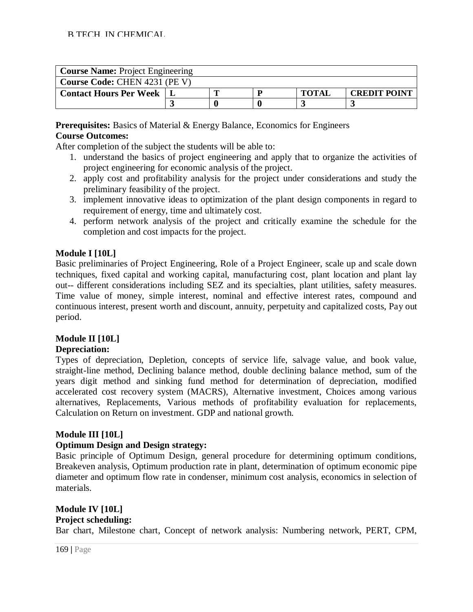| <b>Course Name: Project Engineering</b> |                                     |  |  |  |  |  |
|-----------------------------------------|-------------------------------------|--|--|--|--|--|
| Course Code: CHEN 4231 (PE V)           |                                     |  |  |  |  |  |
| <b>Contact Hours Per Week</b>           | <b>TOTAI</b><br><b>CREDIT POINT</b> |  |  |  |  |  |
|                                         |                                     |  |  |  |  |  |

**Prerequisites:** Basics of Material & Energy Balance, Economics for Engineers **Course Outcomes:**

After completion of the subject the students will be able to:

- 1. understand the basics of project engineering and apply that to organize the activities of project engineering for economic analysis of the project.
- 2. apply cost and profitability analysis for the project under considerations and study the preliminary feasibility of the project.
- 3. implement innovative ideas to optimization of the plant design components in regard to requirement of energy, time and ultimately cost.
- 4. perform network analysis of the project and critically examine the schedule for the completion and cost impacts for the project.

## **Module I [10L]**

Basic preliminaries of Project Engineering, Role of a Project Engineer, scale up and scale down techniques, fixed capital and working capital, manufacturing cost, plant location and plant lay out-- different considerations including SEZ and its specialties, plant utilities, safety measures. Time value of money, simple interest, nominal and effective interest rates, compound and continuous interest, present worth and discount, annuity, perpetuity and capitalized costs, Pay out period.

## **Module II [10L]**

## **Depreciation:**

Types of depreciation, Depletion, concepts of service life, salvage value, and book value, straight-line method, Declining balance method, double declining balance method, sum of the years digit method and sinking fund method for determination of depreciation, modified accelerated cost recovery system (MACRS), Alternative investment, Choices among various alternatives, Replacements, Various methods of profitability evaluation for replacements, Calculation on Return on investment. GDP and national growth.

## **Module III [10L]**

#### **Optimum Design and Design strategy:**

Basic principle of Optimum Design, general procedure for determining optimum conditions, Breakeven analysis, Optimum production rate in plant, determination of optimum economic pipe diameter and optimum flow rate in condenser, minimum cost analysis, economics in selection of materials.

## **Module IV [10L]**

**Project scheduling:**

Bar chart, Milestone chart, Concept of network analysis: Numbering network, PERT, CPM,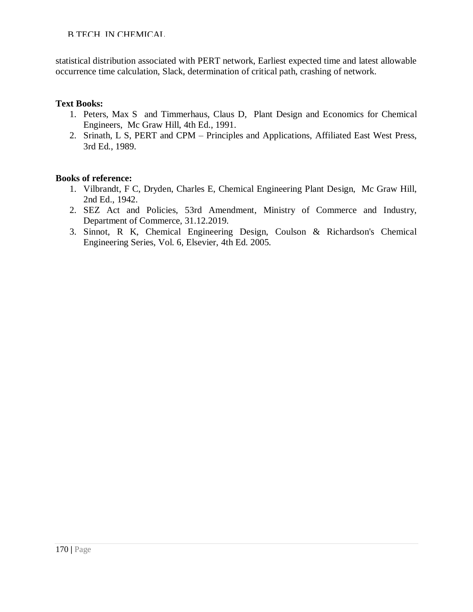statistical distribution associated with PERT network, Earliest expected time and latest allowable occurrence time calculation, Slack, determination of critical path, crashing of network.

#### **Text Books:**

- 1. Peters, Max S and Timmerhaus, Claus D, Plant Design and Economics for Chemical Engineers, Mc Graw Hill, 4th Ed., 1991.
- 2. Srinath, L S, PERT and CPM Principles and Applications, Affiliated East West Press, 3rd Ed., 1989.

- 1. Vilbrandt, F C, Dryden, Charles E, Chemical Engineering Plant Design, Mc Graw Hill, 2nd Ed., 1942.
- 2. SEZ Act and Policies, 53rd Amendment, Ministry of Commerce and Industry, Department of Commerce, 31.12.2019.
- 3. Sinnot, R K, Chemical Engineering Design, Coulson & Richardson's Chemical Engineering Series, Vol. 6, Elsevier, 4th Ed. 2005.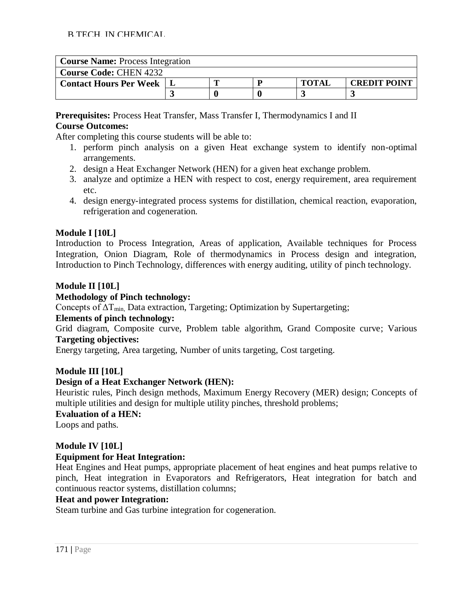| <b>Course Name: Process Integration</b> |                                     |  |  |  |  |  |  |
|-----------------------------------------|-------------------------------------|--|--|--|--|--|--|
| <b>Course Code: CHEN 4232</b>           |                                     |  |  |  |  |  |  |
| <b>Contact Hours Per Week</b>           | <b>CREDIT POINT</b><br><b>TOTAL</b> |  |  |  |  |  |  |
|                                         |                                     |  |  |  |  |  |  |

**Prerequisites:** Process Heat Transfer, Mass Transfer I, Thermodynamics I and II **Course Outcomes:**

After completing this course students will be able to:

- 1. perform pinch analysis on a given Heat exchange system to identify non-optimal arrangements.
- 2. design a Heat Exchanger Network (HEN) for a given heat exchange problem.
- 3. analyze and optimize a HEN with respect to cost, energy requirement, area requirement etc.
- 4. design energy-integrated process systems for distillation, chemical reaction, evaporation, refrigeration and cogeneration.

## **Module I [10L]**

Introduction to Process Integration, Areas of application, Available techniques for Process Integration, Onion Diagram, Role of thermodynamics in Process design and integration, Introduction to Pinch Technology, differences with energy auditing, utility of pinch technology.

#### **Module II [10L]**

#### **Methodology of Pinch technology:**

Concepts of  $\Delta T_{min}$ , Data extraction, Targeting; Optimization by Supertargeting;

#### **Elements of pinch technology:**

Grid diagram, Composite curve, Problem table algorithm, Grand Composite curve; Various **Targeting objectives:**

Energy targeting, Area targeting, Number of units targeting, Cost targeting.

#### **Module III [10L]**

## **Design of a Heat Exchanger Network (HEN):**

Heuristic rules, Pinch design methods, Maximum Energy Recovery (MER) design; Concepts of multiple utilities and design for multiple utility pinches, threshold problems;

#### **Evaluation of a HEN:**

Loops and paths.

## **Module IV [10L]**

## **Equipment for Heat Integration:**

Heat Engines and Heat pumps, appropriate placement of heat engines and heat pumps relative to pinch, Heat integration in Evaporators and Refrigerators, Heat integration for batch and continuous reactor systems, distillation columns;

#### **Heat and power Integration:**

Steam turbine and Gas turbine integration for cogeneration.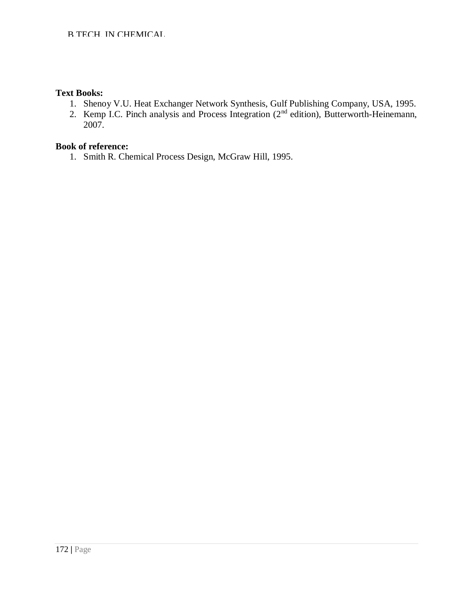#### **Text Books:**

- 1. Shenoy V.U. Heat Exchanger Network Synthesis, Gulf Publishing Company, USA, 1995.
- 2. Kemp I.C. Pinch analysis and Process Integration  $(2<sup>nd</sup>$  edition), Butterworth-Heinemann, 2007.

## **Book of reference:**

1. Smith R. Chemical Process Design, McGraw Hill, 1995.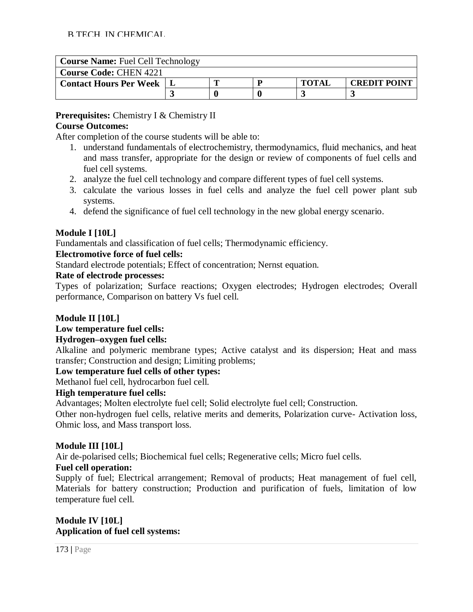| <b>Course Name: Fuel Cell Technology</b> |  |  |  |              |                     |  |  |
|------------------------------------------|--|--|--|--------------|---------------------|--|--|
| <b>Course Code: CHEN 4221</b>            |  |  |  |              |                     |  |  |
| <b>Contact Hours Per Week</b>            |  |  |  | <b>TOTAI</b> | <b>CREDIT POINT</b> |  |  |
|                                          |  |  |  |              |                     |  |  |

**Prerequisites:** Chemistry I & Chemistry II

## **Course Outcomes:**

After completion of the course students will be able to:

- 1. understand fundamentals of electrochemistry, thermodynamics, fluid mechanics, and heat and mass transfer, appropriate for the design or review of components of fuel cells and fuel cell systems.
- 2. analyze the fuel cell technology and compare different types of fuel cell systems.
- 3. calculate the various losses in fuel cells and analyze the fuel cell power plant sub systems.
- 4. defend the significance of fuel cell technology in the new global energy scenario.

## **Module I [10L]**

Fundamentals and classification of fuel cells; Thermodynamic efficiency.

## **Electromotive force of fuel cells:**

Standard electrode potentials; Effect of concentration; Nernst equation.

## **Rate of electrode processes:**

Types of polarization; Surface reactions; Oxygen electrodes; Hydrogen electrodes; Overall performance, Comparison on battery Vs fuel cell.

## **Module II [10L]**

## **Low temperature fuel cells:**

## **Hydrogen–oxygen fuel cells:**

Alkaline and polymeric membrane types; Active catalyst and its dispersion; Heat and mass transfer; Construction and design; Limiting problems;

## **Low temperature fuel cells of other types:**

Methanol fuel cell, hydrocarbon fuel cell.

## **High temperature fuel cells:**

Advantages; Molten electrolyte fuel cell; Solid electrolyte fuel cell; Construction.

Other non-hydrogen fuel cells, relative merits and demerits, Polarization curve- Activation loss, Ohmic loss, and Mass transport loss.

## **Module III [10L]**

Air de-polarised cells; Biochemical fuel cells; Regenerative cells; Micro fuel cells.

## **Fuel cell operation:**

Supply of fuel; Electrical arrangement; Removal of products; Heat management of fuel cell, Materials for battery construction; Production and purification of fuels, limitation of low temperature fuel cell.

## **Module IV [10L] Application of fuel cell systems:**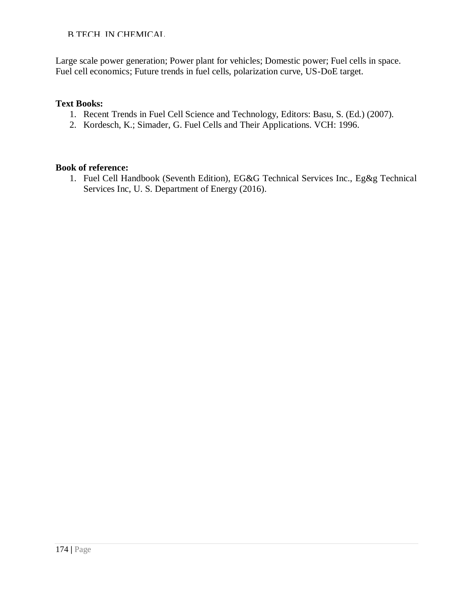Large scale power generation; Power plant for vehicles; Domestic power; Fuel cells in space. Fuel cell economics; Future trends in fuel cells, polarization curve, US-DoE target.

## **Text Books:**

- 1. Recent Trends in Fuel Cell Science and Technology, Editors: Basu, S. (Ed.) (2007).
- 2. Kordesch, K.; Simader, G. Fuel Cells and Their Applications. VCH: 1996.

## **Book of reference:**

1. Fuel Cell Handbook (Seventh Edition), EG&G Technical Services Inc., Eg&g Technical Services Inc, U. S. Department of Energy (2016).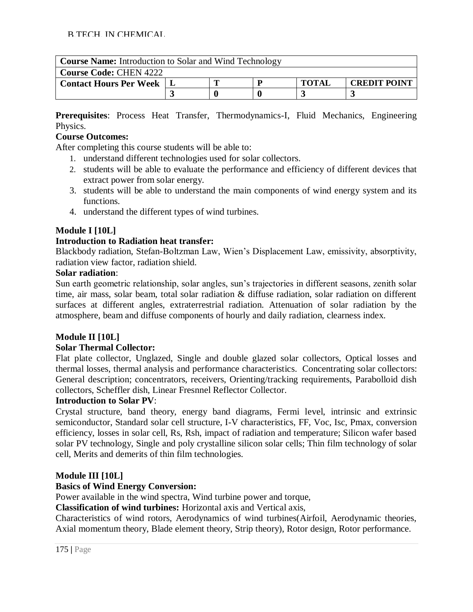| <b>Course Name:</b> Introduction to Solar and Wind Technology |  |                                     |  |  |  |  |  |
|---------------------------------------------------------------|--|-------------------------------------|--|--|--|--|--|
| <b>Course Code: CHEN 4222</b>                                 |  |                                     |  |  |  |  |  |
| <b>Contact Hours Per Week   L</b>                             |  | <b>TOTAI</b><br><b>CREDIT POINT</b> |  |  |  |  |  |
|                                                               |  |                                     |  |  |  |  |  |

**Prerequisites**: Process Heat Transfer, Thermodynamics-I, Fluid Mechanics, Engineering Physics.

## **Course Outcomes:**

After completing this course students will be able to:

- 1. understand different technologies used for solar collectors.
- 2. students will be able to evaluate the performance and efficiency of different devices that extract power from solar energy.
- 3. students will be able to understand the main components of wind energy system and its functions.
- 4. understand the different types of wind turbines.

## **Module I [10L]**

## **Introduction to Radiation heat transfer:**

Blackbody radiation, Stefan-Boltzman Law, Wien's Displacement Law, emissivity, absorptivity, radiation view factor, radiation shield.

## **Solar radiation**:

Sun earth geometric relationship, solar angles, sun's trajectories in different seasons, zenith solar time, air mass, solar beam, total solar radiation & diffuse radiation, solar radiation on different surfaces at different angles, extraterrestrial radiation. Attenuation of solar radiation by the atmosphere, beam and diffuse components of hourly and daily radiation, clearness index.

## **Module II [10L]**

## **Solar Thermal Collector:**

Flat plate collector, Unglazed, Single and double glazed solar collectors, Optical losses and thermal losses, thermal analysis and performance characteristics. Concentrating solar collectors: General description; concentrators, receivers, Orienting/tracking requirements, Parabolloid dish collectors, Scheffler dish, Linear Fresnnel Reflector Collector.

## **Introduction to Solar PV**:

Crystal structure, band theory, energy band diagrams, Fermi level, intrinsic and extrinsic semiconductor, Standard solar cell structure, I-V characteristics, FF, Voc, Isc, Pmax, conversion efficiency, losses in solar cell, Rs, Rsh, impact of radiation and temperature; Silicon wafer based solar PV technology, Single and poly crystalline silicon solar cells; Thin film technology of solar cell, Merits and demerits of thin film technologies.

## **Module III [10L]**

## **Basics of Wind Energy Conversion:**

Power available in the wind spectra, Wind turbine power and torque,

**Classification of wind turbines:** Horizontal axis and Vertical axis,

Characteristics of wind rotors, Aerodynamics of wind turbines(Airfoil, Aerodynamic theories, Axial momentum theory, Blade element theory, Strip theory), Rotor design, Rotor performance.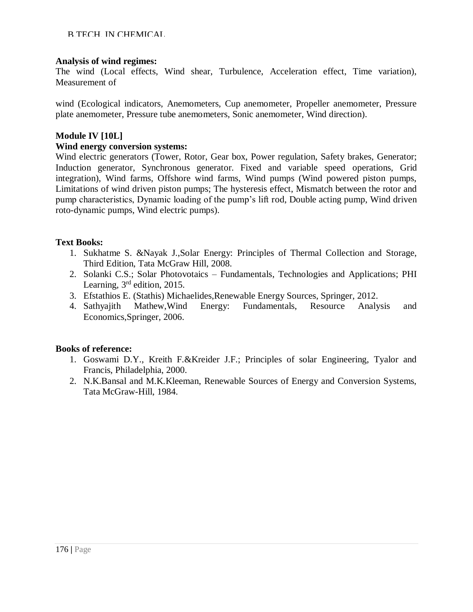#### **Analysis of wind regimes:**

The wind (Local effects, Wind shear, Turbulence, Acceleration effect, Time variation), Measurement of

wind (Ecological indicators, Anemometers, Cup anemometer, Propeller anemometer, Pressure plate anemometer, Pressure tube anemometers, Sonic anemometer, Wind direction).

#### **Module IV [10L]**

#### **Wind energy conversion systems:**

Wind electric generators (Tower, Rotor, Gear box, Power regulation, Safety brakes, Generator; Induction generator, Synchronous generator. Fixed and variable speed operations, Grid integration), Wind farms, Offshore wind farms, Wind pumps (Wind powered piston pumps, Limitations of wind driven piston pumps; The hysteresis effect, Mismatch between the rotor and pump characteristics, Dynamic loading of the pump's lift rod, Double acting pump, Wind driven roto-dynamic pumps, Wind electric pumps).

## **Text Books:**

- 1. Sukhatme S. &Nayak J.,Solar Energy: Principles of Thermal Collection and Storage, Third Edition, Tata McGraw Hill, 2008.
- 2. Solanki C.S.; Solar Photovotaics Fundamentals, Technologies and Applications; PHI Learning,  $3<sup>rd</sup>$  edition, 2015.
- 3. Efstathios E. (Stathis) Michaelides,Renewable Energy Sources, Springer, 2012.
- 4. Sathyajith Mathew,Wind Energy: Fundamentals, Resource Analysis and Economics,Springer, 2006.

- 1. Goswami D.Y., Kreith F.&Kreider J.F.; Principles of solar Engineering, Tyalor and Francis, Philadelphia, 2000.
- 2. N.K.Bansal and M.K.Kleeman, Renewable Sources of Energy and Conversion Systems, Tata McGraw-Hill, 1984.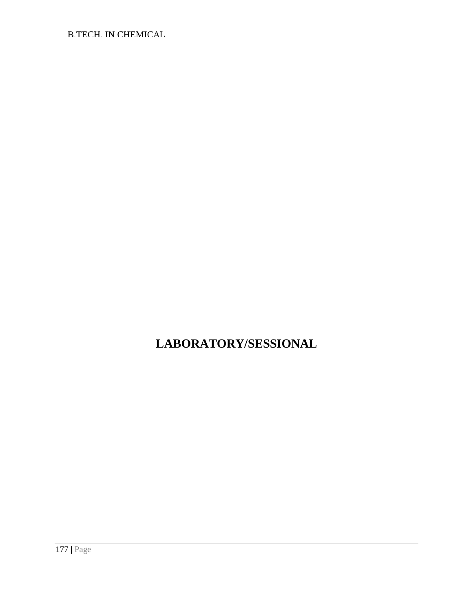# **LABORATORY/SESSIONAL**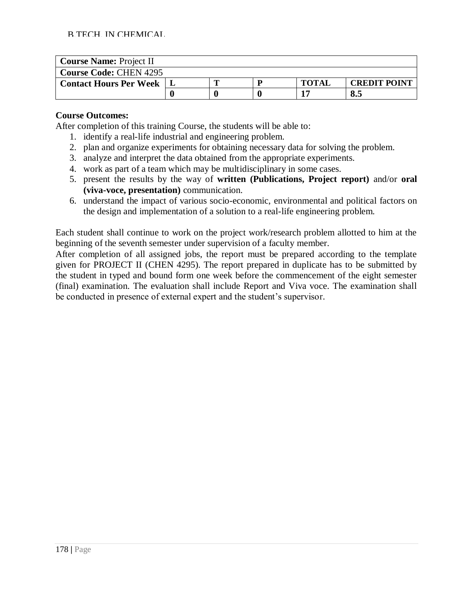| <b>Course Name: Project II</b> |                                     |  |  |  |     |  |  |
|--------------------------------|-------------------------------------|--|--|--|-----|--|--|
| <b>Course Code: CHEN 4295</b>  |                                     |  |  |  |     |  |  |
| <b>Contact Hours Per Week</b>  | <b>CREDIT POINT</b><br><b>TOTAL</b> |  |  |  |     |  |  |
|                                |                                     |  |  |  | 8.5 |  |  |

#### **Course Outcomes:**

After completion of this training Course, the students will be able to:

- 1. identify a real-life industrial and engineering problem.
- 2. plan and organize experiments for obtaining necessary data for solving the problem.
- 3. analyze and interpret the data obtained from the appropriate experiments.
- 4. work as part of a team which may be multidisciplinary in some cases.
- 5. present the results by the way of **written (Publications, Project report)** and/or **oral (viva-voce, presentation)** communication.
- 6. understand the impact of various socio-economic, environmental and political factors on the design and implementation of a solution to a real-life engineering problem.

Each student shall continue to work on the project work/research problem allotted to him at the beginning of the seventh semester under supervision of a faculty member.

After completion of all assigned jobs, the report must be prepared according to the template given for PROJECT II (CHEN 4295). The report prepared in duplicate has to be submitted by the student in typed and bound form one week before the commencement of the eight semester (final) examination. The evaluation shall include Report and Viva voce. The examination shall be conducted in presence of external expert and the student's supervisor.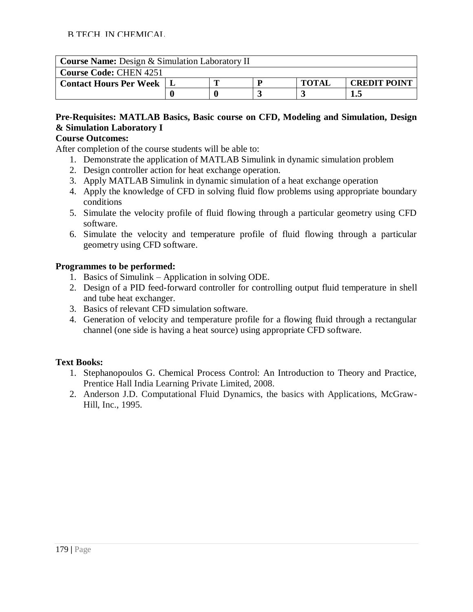| <b>Course Name:</b> Design & Simulation Laboratory II |                                          |  |  |  |  |  |  |
|-------------------------------------------------------|------------------------------------------|--|--|--|--|--|--|
| <b>Course Code: CHEN 4251</b>                         |                                          |  |  |  |  |  |  |
| <b>Contact Hours Per Week</b>                         | <b>TOTAI</b><br><b>CREDIT POINT</b><br>D |  |  |  |  |  |  |
| L.5                                                   |                                          |  |  |  |  |  |  |

## **Pre-Requisites: MATLAB Basics, Basic course on CFD, Modeling and Simulation, Design & Simulation Laboratory I**

## **Course Outcomes:**

After completion of the course students will be able to:

- 1. Demonstrate the application of MATLAB Simulink in dynamic simulation problem
- 2. Design controller action for heat exchange operation.
- 3. Apply MATLAB Simulink in dynamic simulation of a heat exchange operation
- 4. Apply the knowledge of CFD in solving fluid flow problems using appropriate boundary conditions
- 5. Simulate the velocity profile of fluid flowing through a particular geometry using CFD software.
- 6. Simulate the velocity and temperature profile of fluid flowing through a particular geometry using CFD software.

## **Programmes to be performed:**

- 1. Basics of Simulink Application in solving ODE.
- 2. Design of a PID feed-forward controller for controlling output fluid temperature in shell and tube heat exchanger.
- 3. Basics of relevant CFD simulation software.
- 4. Generation of velocity and temperature profile for a flowing fluid through a rectangular channel (one side is having a heat source) using appropriate CFD software.

## **Text Books:**

- 1. Stephanopoulos G. Chemical Process Control: An Introduction to Theory and Practice, Prentice Hall India Learning Private Limited, 2008.
- 2. Anderson J.D. Computational Fluid Dynamics, the basics with Applications, McGraw-Hill, Inc., 1995.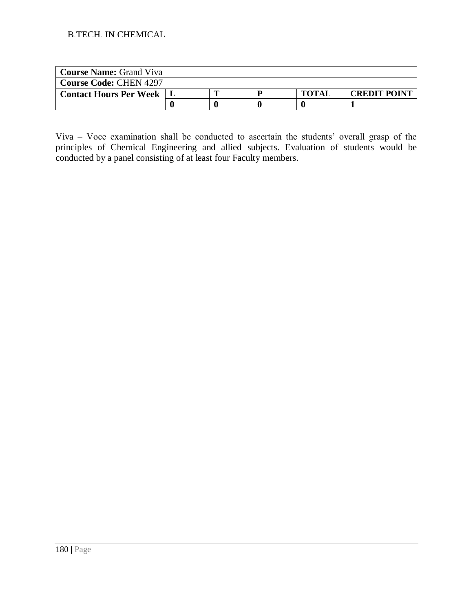| <b>Course Name: Grand Viva</b> |  |  |  |              |                     |  |
|--------------------------------|--|--|--|--------------|---------------------|--|
| <b>Course Code: CHEN 4297</b>  |  |  |  |              |                     |  |
| <b>Contact Hours Per Week</b>  |  |  |  | <b>TOTAL</b> | <b>CREDIT POINT</b> |  |
|                                |  |  |  |              |                     |  |

Viva – Voce examination shall be conducted to ascertain the students' overall grasp of the principles of Chemical Engineering and allied subjects. Evaluation of students would be conducted by a panel consisting of at least four Faculty members.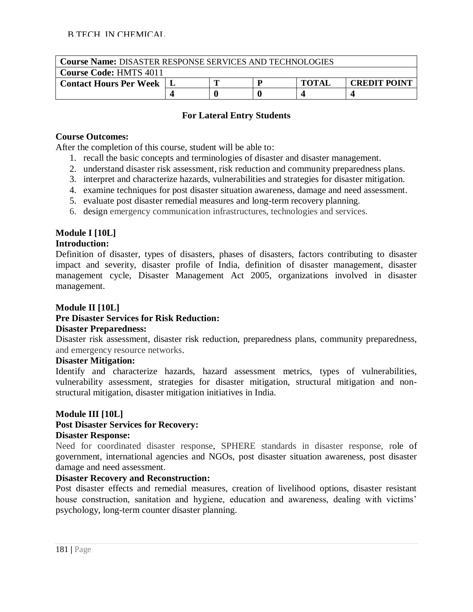| <b>Course Name: DISASTER RESPONSE SERVICES AND TECHNOLOGIES</b> |  |  |  |              |                     |  |  |  |
|-----------------------------------------------------------------|--|--|--|--------------|---------------------|--|--|--|
| <b>Course Code: HMTS 4011</b>                                   |  |  |  |              |                     |  |  |  |
| <b>Contact Hours Per Week</b>                                   |  |  |  | <b>TOTAI</b> | <b>CREDIT POINT</b> |  |  |  |
|                                                                 |  |  |  |              |                     |  |  |  |

## **For Lateral Entry Students**

## **Course Outcomes:**

After the completion of this course, student will be able to:

- 1. recall the basic concepts and terminologies of disaster and disaster management.
- 2. understand disaster risk assessment, risk reduction and community preparedness plans.
- 3. interpret and characterize hazards, vulnerabilities and strategies for disaster mitigation.
- 4. examine techniques for post disaster situation awareness, damage and need assessment.
- 5. evaluate post disaster remedial measures and long-term recovery planning.
- 6. design emergency communication infrastructures, technologies and services.

# **Module I [10L]**

# **Introduction:**

Definition of disaster, types of disasters, phases of disasters, factors contributing to disaster impact and severity, disaster profile of India, definition of disaster management, disaster management cycle, Disaster Management Act 2005, organizations involved in disaster management.

## **Module II [10L]**

# **Pre Disaster Services for Risk Reduction:**

## **Disaster Preparedness:**

Disaster risk assessment, disaster risk reduction, preparedness plans, community preparedness, and emergency resource networks.

## **Disaster Mitigation:**

Identify and characterize hazards, hazard assessment metrics, types of vulnerabilities, vulnerability assessment, strategies for disaster mitigation, structural mitigation and nonstructural mitigation, disaster mitigation initiatives in India.

## **Module III [10L]**

# **Post Disaster Services for Recovery:**

#### **Disaster Response:**

Need for coordinated disaster response, SPHERE standards in disaster response, role of government, international agencies and NGOs, post disaster situation awareness, post disaster damage and need assessment.

## **Disaster Recovery and Reconstruction:**

Post disaster effects and remedial measures, creation of livelihood options, disaster resistant house construction, sanitation and hygiene, education and awareness, dealing with victims' psychology, long-term counter disaster planning.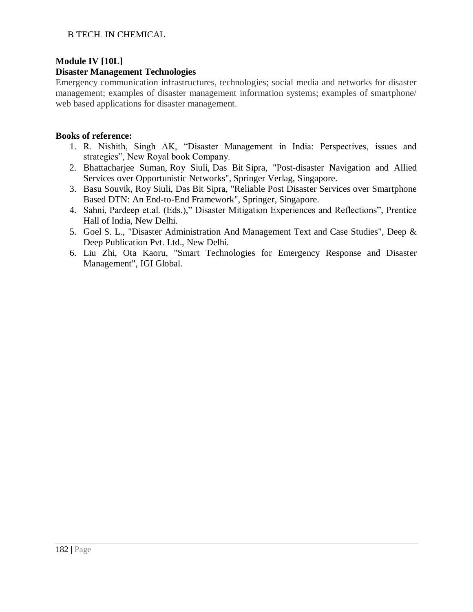# **Module IV [10L]**

#### **Disaster Management Technologies**

Emergency communication infrastructures, technologies; social media and networks for disaster management; examples of disaster management information systems; examples of smartphone/ web based applications for disaster management.

#### **Books of reference:**

- 1. R. Nishith, Singh AK, "Disaster Management in India: Perspectives, issues and strategies", New Royal book Company.
- 2. [Bhattacharjee](https://www.amazon.in/Suman-Bhattacharjee/e/B0933PZWXJ/ref=dp_byline_cont_book_1) Suman, [Roy](https://www.amazon.in/s/ref=dp_byline_sr_book_2?ie=UTF8&field-author=Siuli+Roy&search-alias=stripbooks) Siuli, [Das Bit](https://www.amazon.in/s/ref=dp_byline_sr_book_3?ie=UTF8&field-author=Sipra+Das+Bit&search-alias=stripbooks) Sipra, "Post-disaster Navigation and Allied Services over Opportunistic Networks", Springer Verlag, Singapore.
- 3. Basu Souvik, [Roy](https://www.amazon.in/s/ref=dp_byline_sr_book_2?ie=UTF8&field-author=Siuli+Roy&search-alias=stripbooks) Siuli, [Das Bit](https://www.amazon.in/s/ref=dp_byline_sr_book_3?ie=UTF8&field-author=Sipra+Das+Bit&search-alias=stripbooks) Sipra, "Reliable Post Disaster Services over Smartphone Based DTN: An End-to-End Framework", Springer, Singapore.
- 4. Sahni, Pardeep et.al. (Eds.)," Disaster Mitigation Experiences and Reflections", Prentice Hall of India, New Delhi.
- 5. Goel S. L., "Disaster Administration And Management Text and Case Studies", Deep & Deep Publication Pvt. Ltd., New Delhi.
- 6. Liu Zhi, Ota Kaoru, "Smart Technologies for Emergency Response and Disaster Management", IGI Global.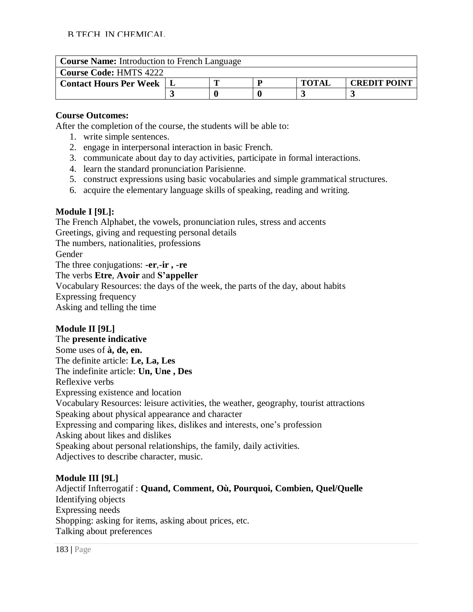| <b>Course Name:</b> Introduction to French Language |  |  |  |              |                     |  |  |  |
|-----------------------------------------------------|--|--|--|--------------|---------------------|--|--|--|
| <b>Course Code: HMTS 4222</b>                       |  |  |  |              |                     |  |  |  |
| <b>Contact Hours Per Week</b>                       |  |  |  | <b>TOTAL</b> | <b>CREDIT POINT</b> |  |  |  |
|                                                     |  |  |  |              |                     |  |  |  |

#### **Course Outcomes:**

After the completion of the course, the students will be able to:

- 1. write simple sentences.
- 2. engage in interpersonal interaction in basic French.
- 3. communicate about day to day activities, participate in formal interactions.
- 4. learn the standard pronunciation Parisienne.
- 5. construct expressions using basic vocabularies and simple grammatical structures.
- 6. acquire the elementary language skills of speaking, reading and writing.

## **Module I [9L]:**

The French Alphabet, the vowels, pronunciation rules, stress and accents Greetings, giving and requesting personal details The numbers, nationalities, professions Gender The three conjugations: **-er**,**-ir , -re** The verbs **Etre**, **Avoir** and **S'appeller** Vocabulary Resources: the days of the week, the parts of the day, about habits Expressing frequency Asking and telling the time

## **Module II [9L]**

The **presente indicative** Some uses of **à, de, en.** The definite article: **Le, La, Les** The indefinite article: **Un, Une , Des** Reflexive verbs Expressing existence and location Vocabulary Resources: leisure activities, the weather, geography, tourist attractions Speaking about physical appearance and character Expressing and comparing likes, dislikes and interests, one's profession Asking about likes and dislikes Speaking about personal relationships, the family, daily activities. Adjectives to describe character, music.

#### **Module III [9L]**

Adjectif Infterrogatif : **Quand, Comment, Où, Pourquoi, Combien, Quel/Quelle** Identifying objects Expressing needs Shopping: asking for items, asking about prices, etc. Talking about preferences